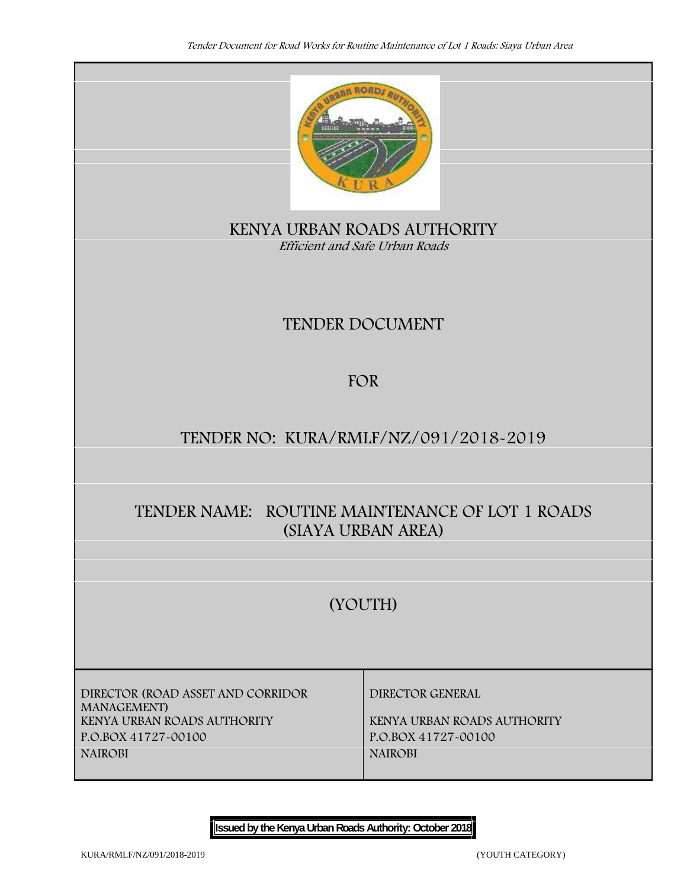

**KENYA URBAN ROADS AUTHORITY** *Efficient and Safe Urban Roads*

# **TENDER DOCUMENT**

# **FOR**

# **TENDER NO: KURA/RMLF/NZ/091/2018-2019**

# **TENDER NAME: ROUTINE MAINTENANCE OF LOT 1 ROADS (SIAYA URBAN AREA)**

# **(YOUTH)**

**DIRECTOR (ROAD ASSET AND CORRIDOR MANAGEMENT) KENYA URBAN ROADS AUTHORITY KENYA URBAN ROADS AUTHORITY P.O.BOX 41727-00100 P.O.BOX 41727-00100 NAIROBI NAIROBI**

**DIRECTOR GENERAL**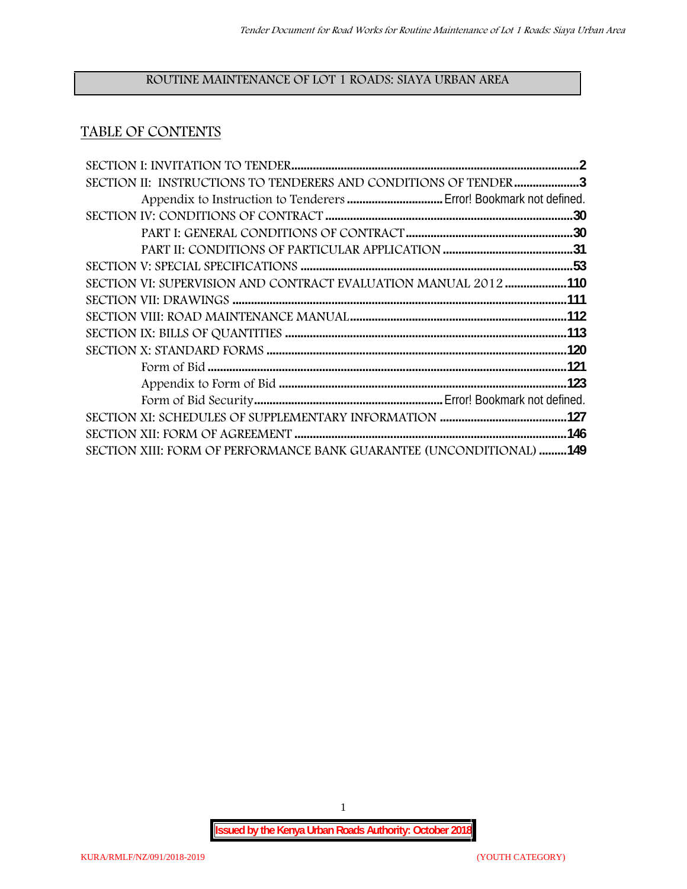# **ROUTINE MAINTENANCE OF LOT 1 ROADS: SIAYA URBAN AREA**

# **TABLE OF CONTENTS**

| SECTION II: INSTRUCTIONS TO TENDERERS AND CONDITIONS OF TENDER 3     |  |
|----------------------------------------------------------------------|--|
|                                                                      |  |
|                                                                      |  |
|                                                                      |  |
|                                                                      |  |
|                                                                      |  |
| SECTION VI: SUPERVISION AND CONTRACT EVALUATION MANUAL 2012 110      |  |
|                                                                      |  |
|                                                                      |  |
|                                                                      |  |
|                                                                      |  |
|                                                                      |  |
|                                                                      |  |
|                                                                      |  |
|                                                                      |  |
|                                                                      |  |
| SECTION XIII: FORM OF PERFORMANCE BANK GUARANTEE (UNCONDITIONAL) 149 |  |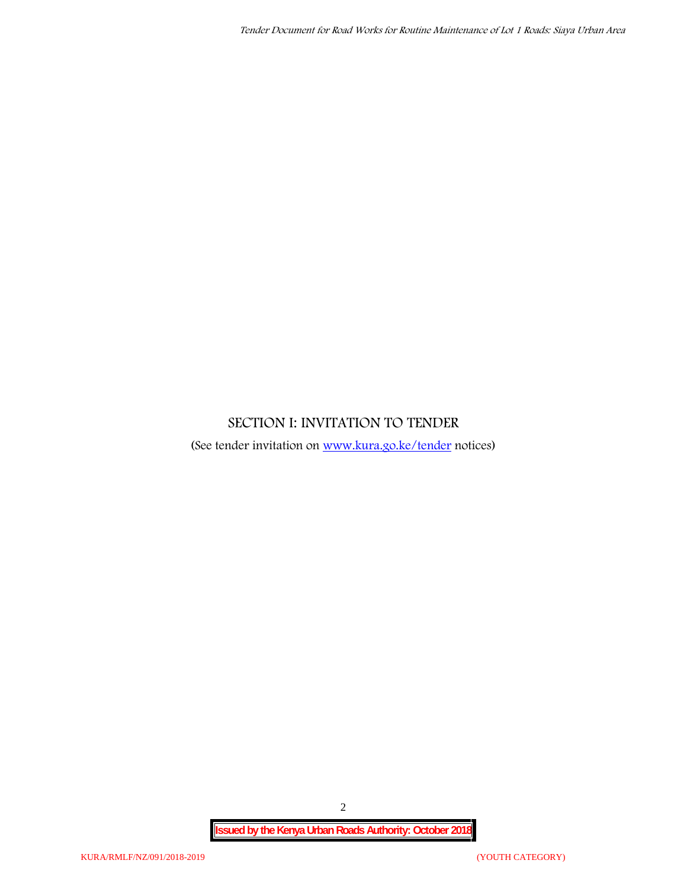# **SECTION I: INVITATION TO TENDER**

(See tender invitation on www.kura.go.ke/tender notices)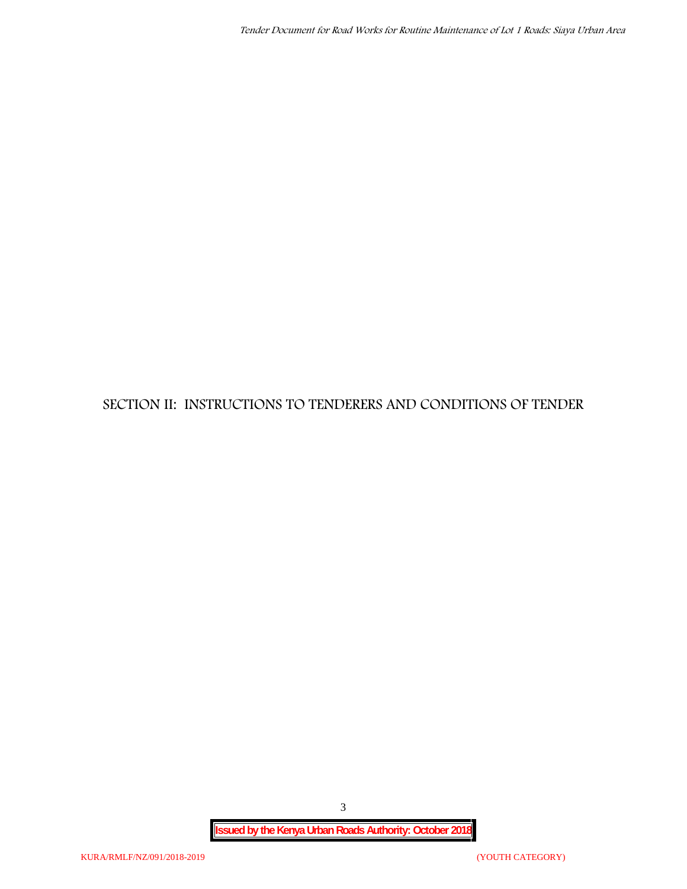# **SECTION II: INSTRUCTIONS TO TENDERERS AND CONDITIONS OF TENDER**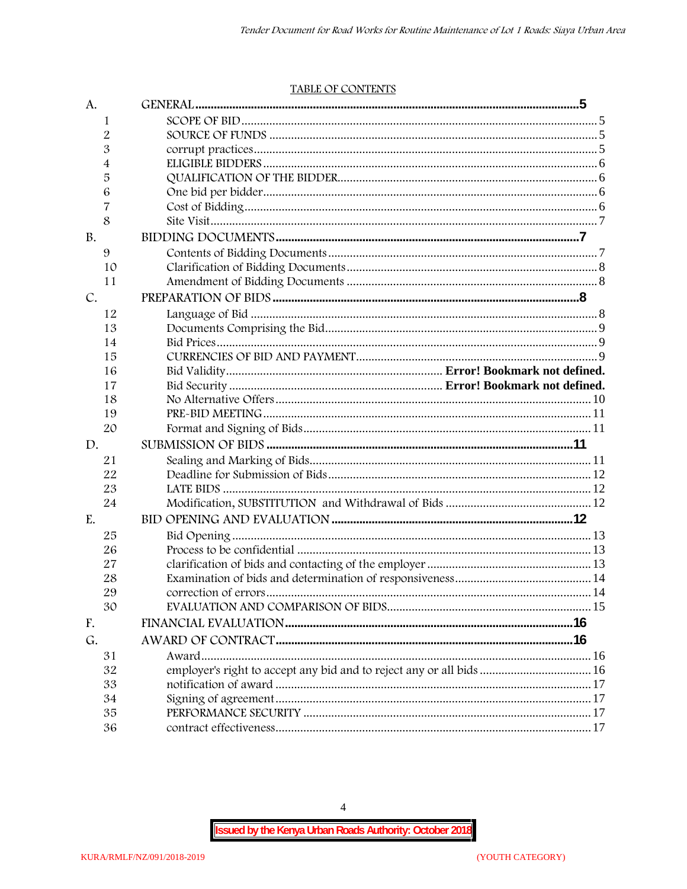#### TABLE OF CONTENTS

| A.        |                                                                      |  |
|-----------|----------------------------------------------------------------------|--|
| 1         |                                                                      |  |
| 2         |                                                                      |  |
| 3         |                                                                      |  |
| 4         |                                                                      |  |
| 5         |                                                                      |  |
| 6         |                                                                      |  |
| 7         |                                                                      |  |
| 8         |                                                                      |  |
| <b>B.</b> |                                                                      |  |
| 9         |                                                                      |  |
| 10        |                                                                      |  |
| 11        |                                                                      |  |
| C.        |                                                                      |  |
| 12        |                                                                      |  |
| 13        |                                                                      |  |
| 14        |                                                                      |  |
| 15        |                                                                      |  |
| 16        |                                                                      |  |
| 17        |                                                                      |  |
| 18        |                                                                      |  |
| 19        |                                                                      |  |
| 20        |                                                                      |  |
| D.        |                                                                      |  |
| 21        |                                                                      |  |
| 22        |                                                                      |  |
| 23        |                                                                      |  |
| 24        |                                                                      |  |
| E.        |                                                                      |  |
| 25        |                                                                      |  |
| 26        |                                                                      |  |
| 27        |                                                                      |  |
| 28        |                                                                      |  |
| 29        |                                                                      |  |
| 30        |                                                                      |  |
| F.        |                                                                      |  |
| G.        |                                                                      |  |
| 31        |                                                                      |  |
| 32        | employer's right to accept any bid and to reject any or all bids  16 |  |
| 33        |                                                                      |  |
| 34        |                                                                      |  |
| 35        |                                                                      |  |
| 36        |                                                                      |  |

 $\overline{4}$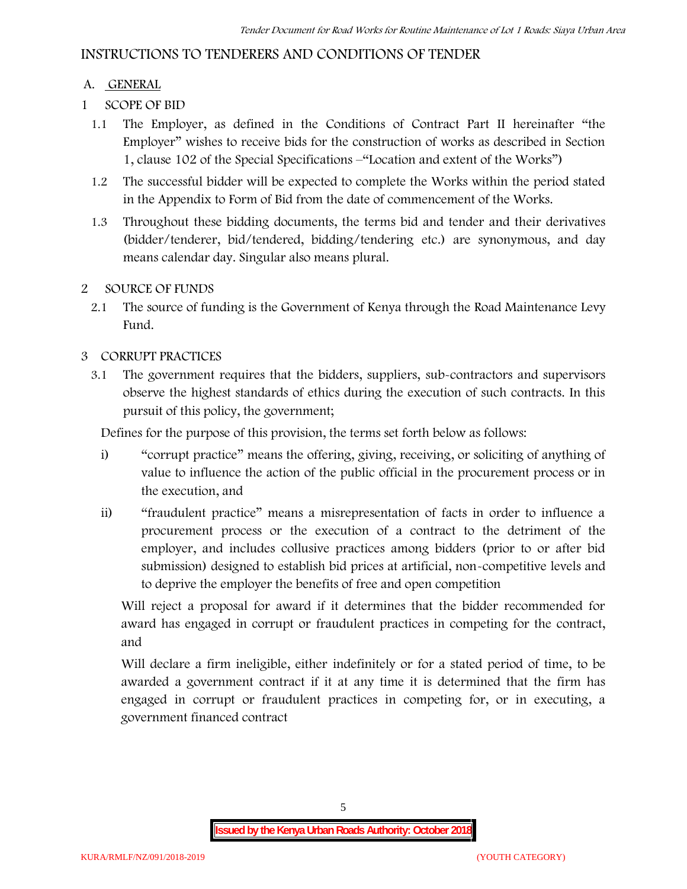# **INSTRUCTIONS TO TENDERERS AND CONDITIONS OF TENDER**

## **A. GENERAL**

- **1 SCOPE OF BID**
	- 1.1 The Employer, as defined in the Conditions of Contract Part II hereinafter "the Employer" wishes to receive bids for the construction of works as described in Section 1, clause 102 of the Special Specifications –"Location and extent of the Works")
	- 1.2 The successful bidder will be expected to complete the Works within the period stated in the Appendix to Form of Bid from the date of commencement of the Works.
	- 1.3 Throughout these bidding documents, the terms bid and tender and their derivatives (bidder/tenderer, bid/tendered, bidding/tendering etc.) are synonymous, and day means calendar day. Singular also means plural.

## **2 SOURCE OF FUNDS**

2.1 The source of funding is the Government of Kenya through the Road Maintenance Levy Fund.

## **3 CORRUPT PRACTICES**

3.1 The government requires that the bidders, suppliers, sub-contractors and supervisors observe the highest standards of ethics during the execution of such contracts. In this pursuit of this policy, the government;

Defines for the purpose of this provision, the terms set forth below as follows:

- i) "corrupt practice" means the offering, giving, receiving, or soliciting of anything of value to influence the action of the public official in the procurement process or in the execution, and
- ii) "fraudulent practice" means a misrepresentation of facts in order to influence a procurement process or the execution of a contract to the detriment of the employer, and includes collusive practices among bidders (prior to or after bid submission) designed to establish bid prices at artificial, non-competitive levels and to deprive the employer the benefits of free and open competition

Will reject a proposal for award if it determines that the bidder recommended for award has engaged in corrupt or fraudulent practices in competing for the contract, and

Will declare a firm ineligible, either indefinitely or for a stated period of time, to be awarded a government contract if it at any time it is determined that the firm has engaged in corrupt or fraudulent practices in competing for, or in executing, a government financed contract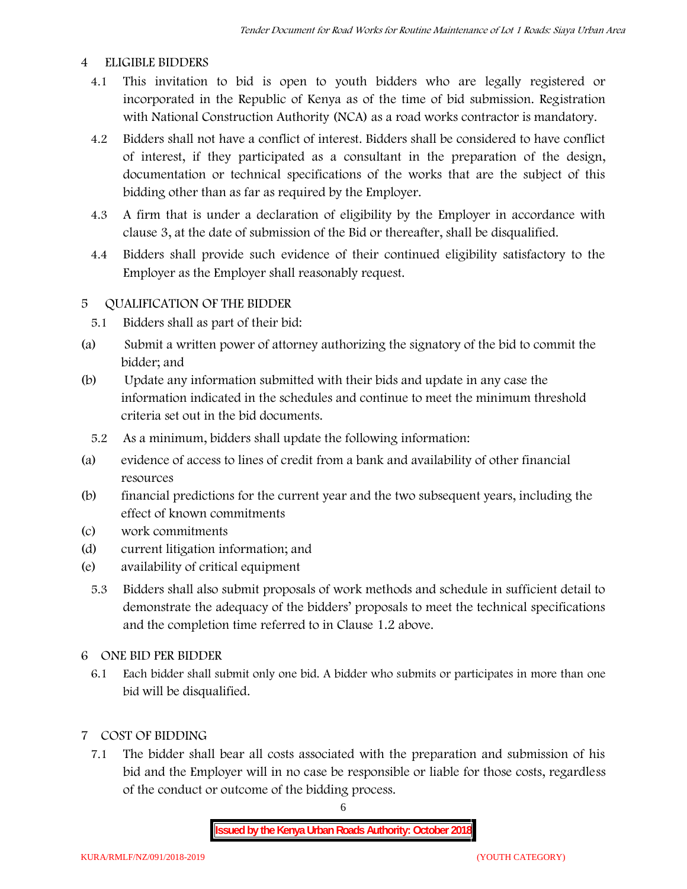#### **4 ELIGIBLE BIDDERS**

- 4.1 This invitation to bid is open to youth bidders who are legally registered or incorporated in the Republic of Kenya as of the time of bid submission. Registration with National Construction Authority (NCA) as a road works contractor is mandatory.
- 4.2 Bidders shall not have a conflict of interest. Bidders shall be considered to have conflict of interest, if they participated as a consultant in the preparation of the design, documentation or technical specifications of the works that are the subject of this bidding other than as far as required by the Employer.
- 4.3 A firm that is under a declaration of eligibility by the Employer in accordance with clause 3, at the date of submission of the Bid or thereafter, shall be disqualified.
- 4.4 Bidders shall provide such evidence of their continued eligibility satisfactory to the Employer as the Employer shall reasonably request.

#### **5 QUALIFICATION OF THE BIDDER**

- 5.1 Bidders shall as part of their bid:
- (a) Submit a written power of attorney authorizing the signatory of the bid to commit the bidder; and
- (b) Update any information submitted with their bids and update in any case the information indicated in the schedules and continue to meet the minimum threshold criteria set out in the bid documents.
	- 5.2 As a minimum, bidders shall update the following information:
- (a) evidence of access to lines of credit from a bank and availability of other financial resources
- (b) financial predictions for the current year and the two subsequent years, including the effect of known commitments
- (c) work commitments
- (d) current litigation information; and
- (e) availability of critical equipment
	- 5.3 Bidders shall also submit proposals of work methods and schedule in sufficient detail to demonstrate the adequacy of the bidders' proposals to meet the technical specifications and the completion time referred to in Clause 1.2 above.
- **6 ONE BID PER BIDDER**
	- 6.1 Each bidder shall submit only one bid. A bidder who submits or participates in more than one bid will be disqualified.
- **7 COST OF BIDDING**
	- 7.1 The bidder shall bear all costs associated with the preparation and submission of his bid and the Employer will in no case be responsible or liable for those costs, regardless of the conduct or outcome of the bidding process.

6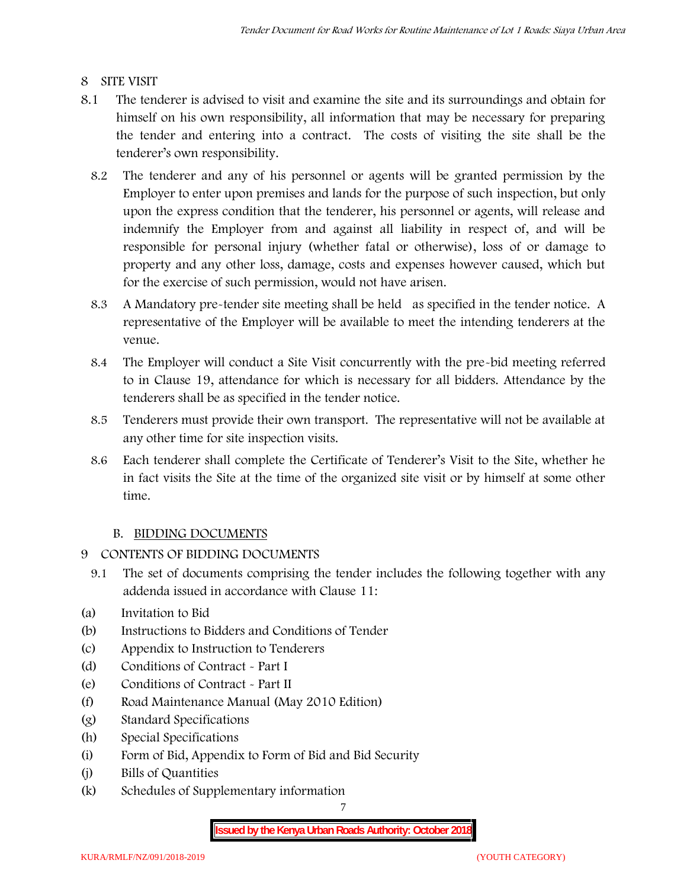# **8 SITE VISIT**

- 8.1 The tenderer is advised to visit and examine the site and its surroundings and obtain for himself on his own responsibility, all information that may be necessary for preparing the tender and entering into a contract. The costs of visiting the site shall be the tenderer's own responsibility.
	- 8.2 The tenderer and any of his personnel or agents will be granted permission by the Employer to enter upon premises and lands for the purpose of such inspection, but only upon the express condition that the tenderer, his personnel or agents, will release and indemnify the Employer from and against all liability in respect of, and will be responsible for personal injury (whether fatal or otherwise), loss of or damage to property and any other loss, damage, costs and expenses however caused, which but for the exercise of such permission, would not have arisen.
	- 8.3 A Mandatory pre-tender site meeting shall be held as specified in the tender notice. A representative of the Employer will be available to meet the intending tenderers at the venue.
	- 8.4 The Employer will conduct a Site Visit concurrently with the pre-bid meeting referred to in Clause 19, attendance for which is necessary for all bidders. Attendance by the tenderers shall be as specified in the tender notice.
	- 8.5 Tenderers must provide their own transport. The representative will not be available at any other time for site inspection visits.
	- 8.6 Each tenderer shall complete the Certificate of Tenderer's Visit to the Site, whether he in fact visits the Site at the time of the organized site visit or by himself at some other time.

# **B. BIDDING DOCUMENTS**

- **9 CONTENTS OF BIDDING DOCUMENTS**
	- 9.1 The set of documents comprising the tender includes the following together with any addenda issued in accordance with Clause 11:
- (a) Invitation to Bid
- (b) Instructions to Bidders and Conditions of Tender
- (c) Appendix to Instruction to Tenderers
- (d) Conditions of Contract Part I
- (e) Conditions of Contract Part II
- (f) Road Maintenance Manual (May 2010 Edition)
- (g) Standard Specifications
- (h) Special Specifications
- (i) Form of Bid, Appendix to Form of Bid and Bid Security
- (j) Bills of Quantities
- (k) Schedules of Supplementary information

7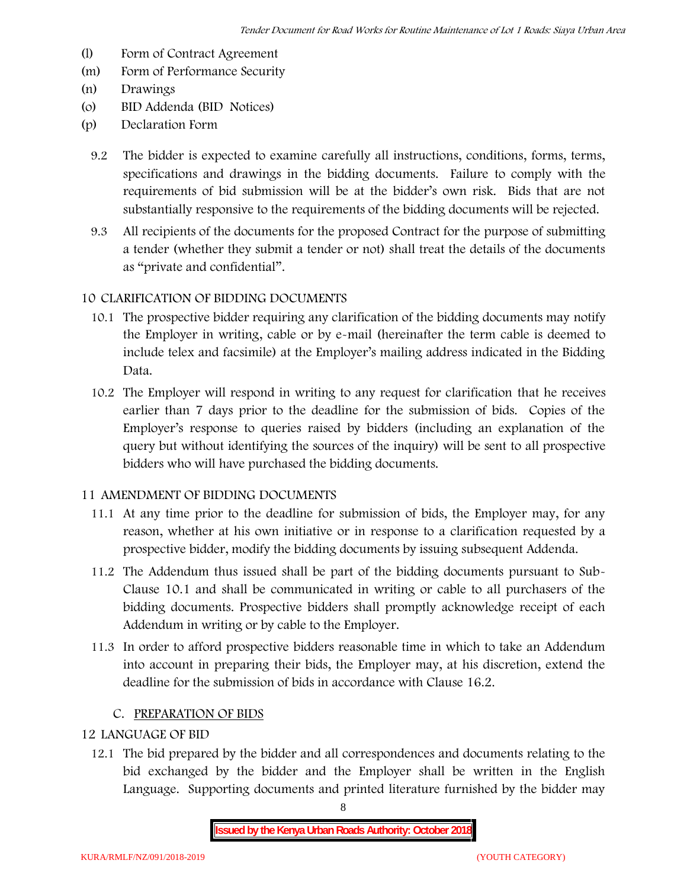- (l) Form of Contract Agreement
- (m) Form of Performance Security
- (n) Drawings
- (o) BID Addenda (BID Notices)
- (p) Declaration Form
	- 9.2 The bidder is expected to examine carefully all instructions, conditions, forms, terms, specifications and drawings in the bidding documents. Failure to comply with the requirements of bid submission will be at the bidder's own risk. Bids that are not substantially responsive to the requirements of the bidding documents will be rejected.
	- 9.3 All recipients of the documents for the proposed Contract for the purpose of submitting a tender (whether they submit a tender or not) shall treat the details of the documents as "private and confidential".

## **10 CLARIFICATION OF BIDDING DOCUMENTS**

- 10.1 The prospective bidder requiring any clarification of the bidding documents may notify the Employer in writing, cable or by e-mail (hereinafter the term cable is deemed to include telex and facsimile) at the Employer's mailing address indicated in the Bidding Data.
- 10.2 The Employer will respond in writing to any request for clarification that he receives earlier than 7 days prior to the deadline for the submission of bids. Copies of the Employer's response to queries raised by bidders (including an explanation of the query but without identifying the sources of the inquiry) will be sent to all prospective bidders who will have purchased the bidding documents.

#### **11 AMENDMENT OF BIDDING DOCUMENTS**

- 11.1 At any time prior to the deadline for submission of bids, the Employer may, for any reason, whether at his own initiative or in response to a clarification requested by a prospective bidder, modify the bidding documents by issuing subsequent Addenda.
- 11.2 The Addendum thus issued shall be part of the bidding documents pursuant to Sub- Clause 10.1 and shall be communicated in writing or cable to all purchasers of the bidding documents. Prospective bidders shall promptly acknowledge receipt of each Addendum in writing or by cable to the Employer.
- 11.3 In order to afford prospective bidders reasonable time in which to take an Addendum into account in preparing their bids, the Employer may, at his discretion, extend the deadline for the submission of bids in accordance with Clause 16.2.

# **C. PREPARATION OF BIDS**

## **12 LANGUAGE OF BID**

12.1 The bid prepared by the bidder and all correspondences and documents relating to the bid exchanged by the bidder and the Employer shall be written in the English Language. Supporting documents and printed literature furnished by the bidder may

8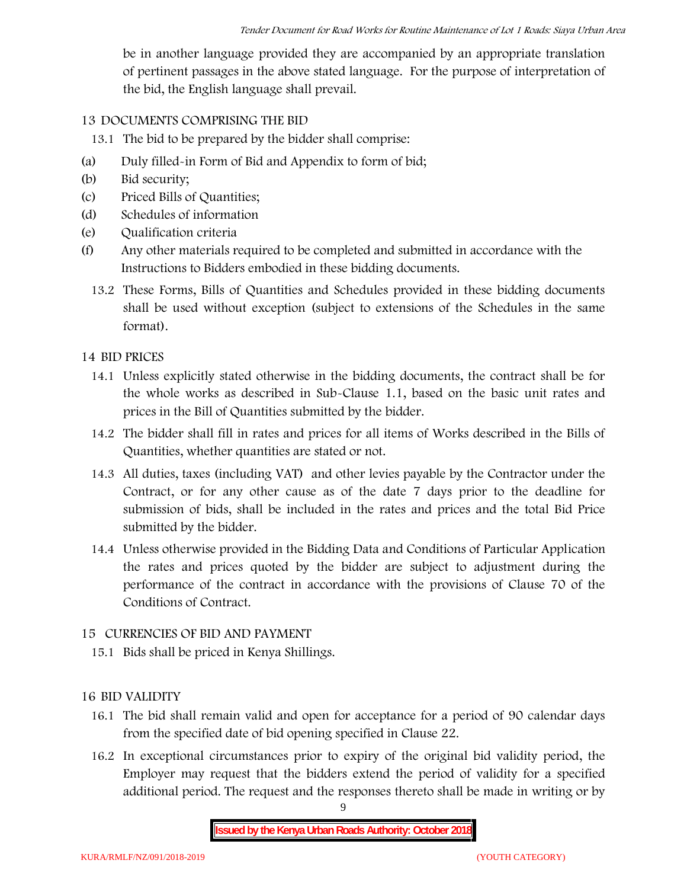be in another language provided they are accompanied by an appropriate translation of pertinent passages in the above stated language. For the purpose of interpretation of the bid, the English language shall prevail.

# **13 DOCUMENTS COMPRISING THE BID**

13.1 The bid to be prepared by the bidder shall comprise:

- (a) Duly filled-in Form of Bid and Appendix to form of bid;
- (b) Bid security;
- (c) Priced Bills of Quantities;
- (d) Schedules of information
- (e) Qualification criteria
- (f) Any other materials required to be completed and submitted in accordance with the Instructions to Bidders embodied in these bidding documents.
	- 13.2 These Forms, Bills of Quantities and Schedules provided in these bidding documents shall be used without exception (subject to extensions of the Schedules in the same format).

# **14 BID PRICES**

- 14.1 Unless explicitly stated otherwise in the bidding documents, the contract shall be for the whole works as described in Sub-Clause 1.1, based on the basic unit rates and prices in the Bill of Quantities submitted by the bidder.
- 14.2 The bidder shall fill in rates and prices for all items of Works described in the Bills of Quantities, whether quantities are stated or not.
- 14.3 All duties, taxes (including VAT) and other levies payable by the Contractor under the Contract, or for any other cause as of the date 7 days prior to the deadline for submission of bids, shall be included in the rates and prices and the total Bid Price submitted by the bidder.
- 14.4 Unless otherwise provided in the Bidding Data and Conditions of Particular Application the rates and prices quoted by the bidder are subject to adjustment during the performance of the contract in accordance with the provisions of Clause 70 of the Conditions of Contract.

# **15 CURRENCIES OF BID AND PAYMENT**

15.1 Bids shall be priced in Kenya Shillings.

# **16 BID VALIDITY**

- 16.1 The bid shall remain valid and open for acceptance for a period of 90 calendar days from the specified date of bid opening specified in Clause 22.
- 16.2 In exceptional circumstances prior to expiry of the original bid validity period, the Employer may request that the bidders extend the period of validity for a specified additional period. The request and the responses thereto shall be made in writing or by

9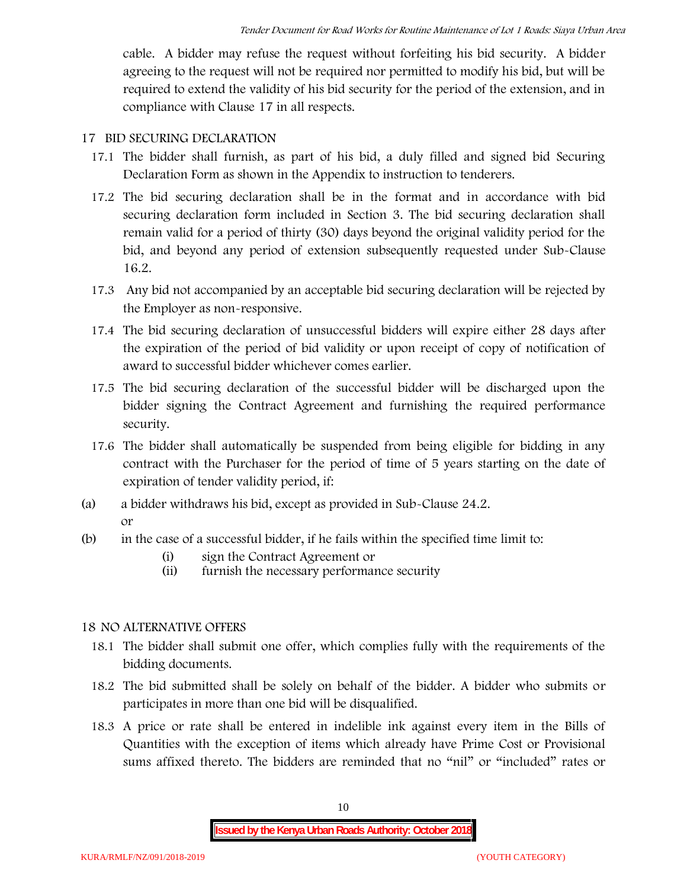cable. A bidder may refuse the request without forfeiting his bid security. A bidder agreeing to the request will not be required nor permitted to modify his bid, but will be required to extend the validity of his bid security for the period of the extension, and in compliance with Clause 17 in all respects.

#### **17 BID SECURING DECLARATION**

- 17.1 The bidder shall furnish, as part of his bid, a duly filled and signed bid Securing Declaration Form as shown in the Appendix to instruction to tenderers.
- 17.2 The bid securing declaration shall be in the format and in accordance with bid securing declaration form included in Section 3. The bid securing declaration shall remain valid for a period of thirty (30) days beyond the original validity period for the bid, and beyond any period of extension subsequently requested under Sub-Clause 16.2.
- 17.3 Any bid not accompanied by an acceptable bid securing declaration will be rejected by the Employer as non-responsive.
- 17.4 The bid securing declaration of unsuccessful bidders will expire either 28 days after the expiration of the period of bid validity or upon receipt of copy of notification of award to successful bidder whichever comes earlier.
- 17.5 The bid securing declaration of the successful bidder will be discharged upon the bidder signing the Contract Agreement and furnishing the required performance security.
- 17.6 The bidder shall automatically be suspended from being eligible for bidding in any contract with the Purchaser for the period of time of 5 years starting on the date of expiration of tender validity period, if:
- (a) a bidder withdraws his bid, except as provided in Sub-Clause 24.2. or
- (b) in the case of a successful bidder, if he fails within the specified time limit to:
	- (i) sign the Contract Agreement or
	- (ii) furnish the necessary performance security

# **18 NO ALTERNATIVE OFFERS**

- 18.1 The bidder shall submit one offer, which complies fully with the requirements of the bidding documents.
- 18.2 The bid submitted shall be solely on behalf of the bidder. A bidder who submits or participates in more than one bid will be disqualified.
- 18.3 A price or rate shall be entered in indelible ink against every item in the Bills of Quantities with the exception of items which already have Prime Cost or Provisional sums affixed thereto. The bidders are reminded that no "nil" or "included" rates or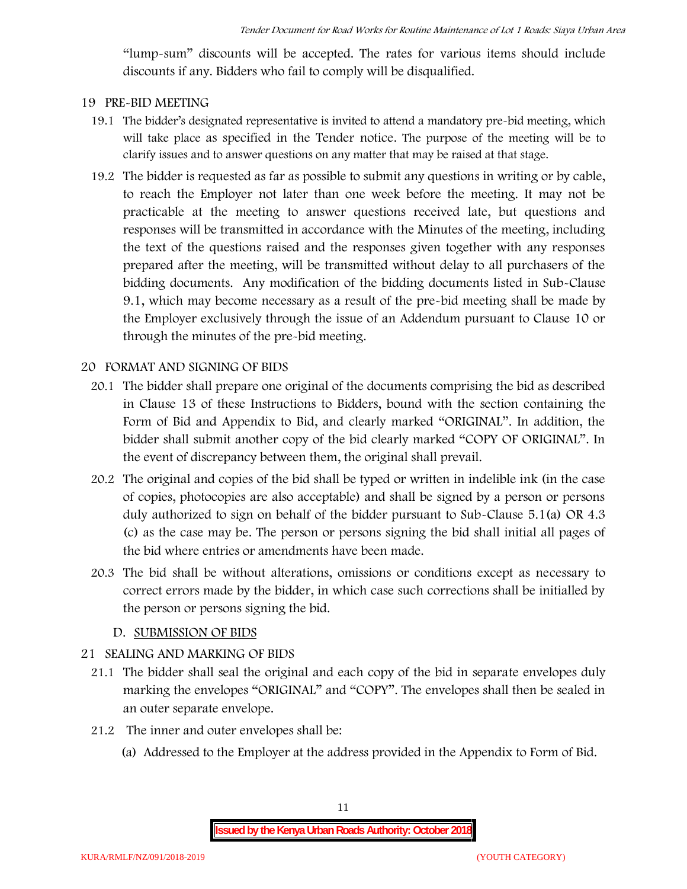"lump-sum" discounts will be accepted. The rates for various items should include discounts if any. Bidders who fail to comply will be disqualified.

#### **19 PRE-BID MEETING**

- 19.1 The bidder's designated representative is invited to attend a mandatory pre-bid meeting, which will take place as specified in the Tender notice. The purpose of the meeting will be to clarify issues and to answer questions on any matter that may be raised at that stage.
- 19.2 The bidder is requested as far as possible to submit any questions in writing or by cable, to reach the Employer not later than one week before the meeting. It may not be practicable at the meeting to answer questions received late, but questions and responses will be transmitted in accordance with the Minutes of the meeting, including the text of the questions raised and the responses given together with any responses prepared after the meeting, will be transmitted without delay to all purchasers of the bidding documents. Any modification of the bidding documents listed in Sub-Clause 9.1, which may become necessary as a result of the pre-bid meeting shall be made by the Employer exclusively through the issue of an Addendum pursuant to Clause 10 or through the minutes of the pre-bid meeting.

#### **20 FORMAT AND SIGNING OF BIDS**

- 20.1 The bidder shall prepare one original of the documents comprising the bid as described in Clause 13 of these Instructions to Bidders, bound with the section containing the Form of Bid and Appendix to Bid, and clearly marked "ORIGINAL". In addition, the bidder shall submit another copy of the bid clearly marked "COPY OF ORIGINAL". In the event of discrepancy between them, the original shall prevail.
- 20.2 The original and copies of the bid shall be typed or written in indelible ink (in the case of copies, photocopies are also acceptable) and shall be signed by a person or persons duly authorized to sign on behalf of the bidder pursuant to Sub-Clause 5.1(a) OR 4.3 (c) as the case may be. The person or persons signing the bid shall initial all pages of the bid where entries or amendments have been made.
- 20.3 The bid shall be without alterations, omissions or conditions except as necessary to correct errors made by the bidder, in which case such corrections shall be initialled by the person or persons signing the bid.

#### **D. SUBMISSION OF BIDS**

#### **21 SEALING AND MARKING OF BIDS**

- 21.1 The bidder shall seal the original and each copy of the bid in separate envelopes duly marking the envelopes "ORIGINAL" and "COPY". The envelopes shall then be sealed in an outer separate envelope.
- 21.2 The inner and outer envelopes shall be:
	- (a) Addressed to the Employer at the address provided in the Appendix to Form of Bid.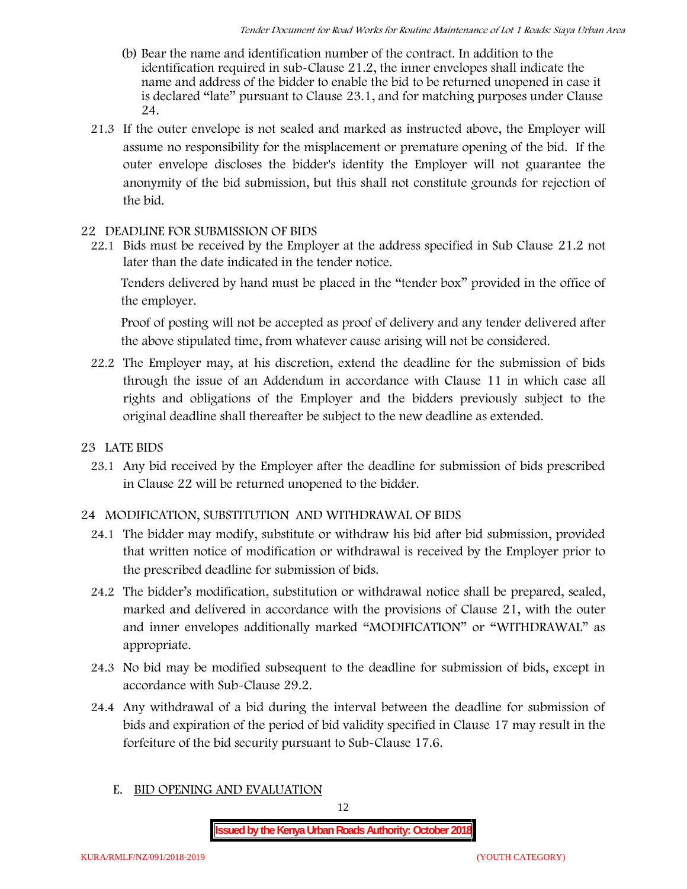- (b) Bear the name and identification number of the contract. In addition to the identification required in sub-Clause 21.2, the inner envelopes shall indicate the name and address of the bidder to enable the bid to be returned unopened in case it is declared "late" pursuant to Clause 23.1, and for matching purposes under Clause 24.
- 21.3 If the outer envelope is not sealed and marked as instructed above, the Employer will assume no responsibility for the misplacement or premature opening of the bid. If the outer envelope discloses the bidder's identity the Employer will not guarantee the anonymity of the bid submission, but this shall not constitute grounds for rejection of the bid.

#### **22 DEADLINE FOR SUBMISSION OF BIDS**

22.1 Bids must be received by the Employer at the address specified in Sub Clause 21.2 not later than **the date indicated in the tender notice.**

Tenders delivered by hand must be placed in the "tender box" provided in the office of the employer.

Proof of posting will not be accepted as proof of delivery and any tender delivered after the above stipulated time, from whatever cause arising will not be considered.

- 22.2 The Employer may, at his discretion, extend the deadline for the submission of bids through the issue of an Addendum in accordance with Clause 11 in which case all rights and obligations of the Employer and the bidders previously subject to the original deadline shall thereafter be subject to the new deadline as extended.
- **23 LATE BIDS**
	- 23.1 Any bid received by the Employer after the deadline for submission of bids prescribed in Clause 22 will be returned unopened to the bidder.

#### **24 MODIFICATION, SUBSTITUTION AND WITHDRAWAL OF BIDS**

- 24.1 The bidder may modify, substitute or withdraw his bid after bid submission, provided that written notice of modification or withdrawal is received by the Employer prior to the prescribed deadline for submission of bids.
- 24.2 The bidder's modification, substitution or withdrawal notice shall be prepared, sealed, marked and delivered in accordance with the provisions of Clause 21, with the outer and inner envelopes additionally marked "MODIFICATION" or "WITHDRAWAL" as appropriate.
- 24.3 No bid may be modified subsequent to the deadline for submission of bids, except in accordance with Sub-Clause 29.2.
- 24.4 Any withdrawal of a bid during the interval between the deadline for submission of bids and expiration of the period of bid validity specified in Clause 17 may result in the forfeiture of the bid security pursuant to Sub-Clause 17.6.
	- **E. BID OPENING AND EVALUATION**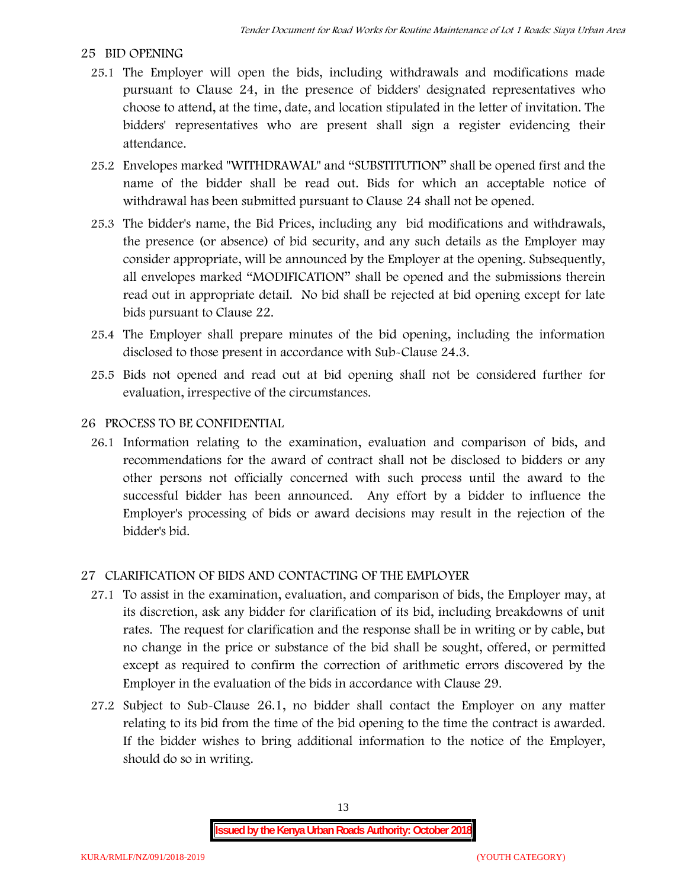#### **25 BID OPENING**

- 25.1 The Employer will open the bids, including withdrawals and modifications made pursuant to Clause 24, in the presence of bidders' designated representatives who choose to attend, at the time, date, and location stipulated in the letter of invitation. The bidders' representatives who are present shall sign a register evidencing their attendance.
- 25.2 Envelopes marked "WITHDRAWAL" and "SUBSTITUTION" shall be opened first and the name of the bidder shall be read out. Bids for which an acceptable notice of withdrawal has been submitted pursuant to Clause 24 shall not be opened.
- 25.3 The bidder's name, the Bid Prices, including any bid modifications and withdrawals, the presence (or absence) of bid security, and any such details as the Employer may consider appropriate, will be announced by the Employer at the opening. Subsequently, all envelopes marked "MODIFICATION" shall be opened and the submissions therein read out in appropriate detail. No bid shall be rejected at bid opening except for late bids pursuant to Clause 22.
- 25.4 The Employer shall prepare minutes of the bid opening, including the information disclosed to those present in accordance with Sub-Clause 24.3.
- 25.5 Bids not opened and read out at bid opening shall not be considered further for evaluation, irrespective of the circumstances.

#### **26 PROCESS TO BE CONFIDENTIAL**

26.1 Information relating to the examination, evaluation and comparison of bids, and recommendations for the award of contract shall not be disclosed to bidders or any other persons not officially concerned with such process until the award to the successful bidder has been announced. Any effort by a bidder to influence the Employer's processing of bids or award decisions may result in the rejection of the bidder's bid.

#### **27 CLARIFICATION OF BIDS AND CONTACTING OF THE EMPLOYER**

- 27.1 To assist in the examination, evaluation, and comparison of bids, the Employer may, at its discretion, ask any bidder for clarification of its bid, including breakdowns of unit rates. The request for clarification and the response shall be in writing or by cable, but no change in the price or substance of the bid shall be sought, offered, or permitted except as required to confirm the correction of arithmetic errors discovered by the Employer in the evaluation of the bids in accordance with Clause 29.
- 27.2 Subject to Sub-Clause 26.1, no bidder shall contact the Employer on any matter relating to its bid from the time of the bid opening to the time the contract is awarded. If the bidder wishes to bring additional information to the notice of the Employer, should do so in writing.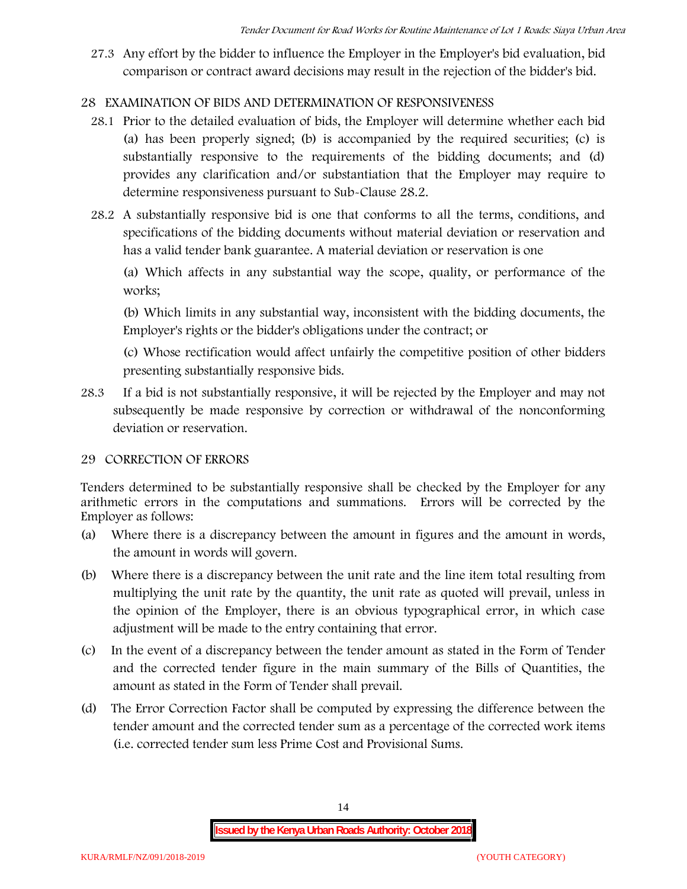27.3 Any effort by the bidder to influence the Employer in the Employer's bid evaluation, bid comparison or contract award decisions may result in the rejection of the bidder's bid.

# **28 EXAMINATION OF BIDS AND DETERMINATION OF RESPONSIVENESS**

- 28.1 Prior to the detailed evaluation of bids, the Employer will determine whether each bid (a) has been properly signed; (b) is accompanied by the required securities; (c) is substantially responsive to the requirements of the bidding documents; and (d) provides any clarification and/or substantiation that the Employer may require to determine responsiveness pursuant to Sub-Clause 28.2.
- 28.2 A substantially responsive bid is one that conforms to all the terms, conditions, and specifications of the bidding documents without material deviation or reservation and has a valid tender bank guarantee. A material deviation or reservation is one

(a) Which affects in any substantial way the scope, quality, or performance of the works;

(b) Which limits in any substantial way, inconsistent with the bidding documents, the Employer's rights or the bidder's obligations under the contract; or

(c) Whose rectification would affect unfairly the competitive position of other bidders presenting substantially responsive bids.

28.3 If a bid is not substantially responsive, it will be rejected by the Employer and may not subsequently be made responsive by correction or withdrawal of the nonconforming deviation or reservation.

# **29 CORRECTION OF ERRORS**

Tenders determined to be substantially responsive shall be checked by the Employer for any arithmetic errors in the computations and summations. Errors will be corrected by the Employer as follows:

- (a) Where there is a discrepancy between the amount in figures and the amount in words, the amount in words will govern.
- (b) Where there is a discrepancy between the unit rate and the line item total resulting from multiplying the unit rate by the quantity, the unit rate as quoted will prevail, unless in the opinion of the Employer, there is an obvious typographical error, in which case adjustment will be made to the entry containing that error.
- (c) In the event of a discrepancy between the tender amount as stated in the Form of Tender and the corrected tender figure in the main summary of the Bills of Quantities, the amount as stated in the Form of Tender shall prevail.
- (d) The Error Correction Factor shall be computed by expressing the difference between the tender amount and the corrected tender sum as a percentage of the corrected work items (i.e. corrected tender sum less Prime Cost and Provisional Sums.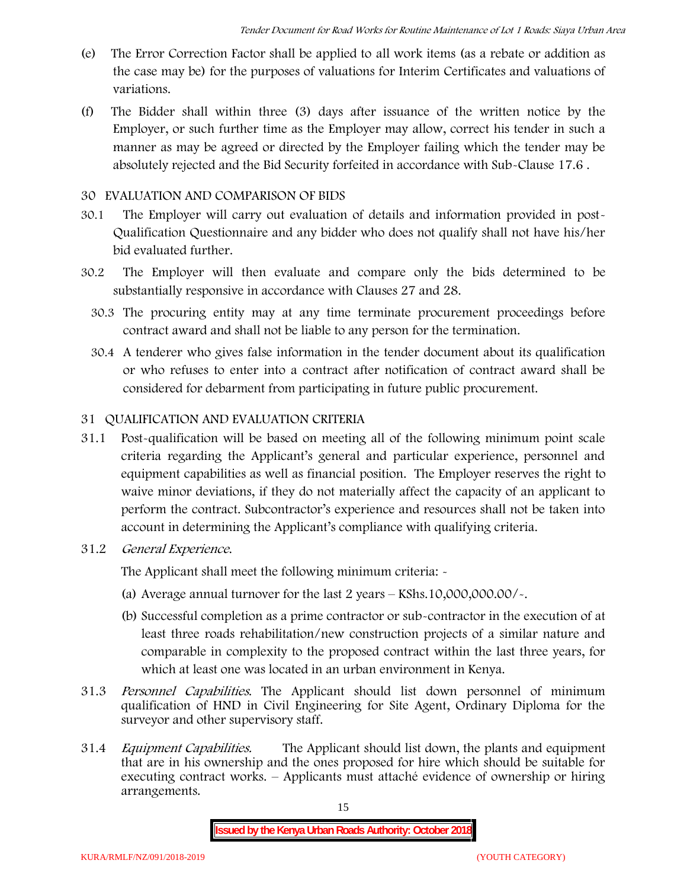- (e) The Error Correction Factor shall be applied to all work items (as a rebate or addition as the case may be) for the purposes of valuations for Interim Certificates and valuations of variations.
- (f) The Bidder shall within three (3) days after issuance of the written notice by the Employer, or such further time as the Employer may allow, correct his tender in such a manner as may be agreed or directed by the Employer failing which the tender may be absolutely rejected and the Bid Security forfeited in accordance with Sub-Clause 17.6 .

## **30 EVALUATION AND COMPARISON OF BIDS**

- 30.1 The Employer will carry out evaluation of details and information provided in post- Qualification Questionnaire and any bidder who does not qualify shall not have his/her bid evaluated further.
- 30.2 The Employer will then evaluate and compare only the bids determined to be substantially responsive in accordance with Clauses 27 and 28.
	- 30.3 The procuring entity may at any time terminate procurement proceedings before contract award and shall not be liable to any person for the termination.
	- 30.4 A tenderer who gives false information in the tender document about its qualification or who refuses to enter into a contract after notification of contract award shall be considered for debarment from participating in future public procurement.

# **31 QUALIFICATION AND EVALUATION CRITERIA**

- 31.1 Post-qualification will be based on meeting all of the following minimum point scale criteria regarding the Applicant's general and particular experience, personnel and equipment capabilities as well as financial position. The Employer reserves the right to waive minor deviations, if they do not materially affect the capacity of an applicant to perform the contract. Subcontractor's experience and resources shall not be taken into account in determining the Applicant's compliance with qualifying criteria.
- **31.2** *General Experience***.**

The Applicant shall meet the following minimum criteria: -

- (a) Average annual turnover for the last 2 years **KShs.10,000,000.00/-.**
- (b) Successful completion as a prime contractor or sub-contractor in the execution of at least three roads rehabilitation/new construction projects of a similar nature and comparable in complexity to the proposed contract within the last three years, for which at least one was located in an urban environment in Kenya.
- 31.3 *Personnel Capabilities***.** The Applicant should list down personnel of minimum qualification of HND in Civil Engineering for Site Agent, Ordinary Diploma for the surveyor and other supervisory staff.
- 31.4 *Equipment Capabilities.* The Applicant should list down, the plants and equipment that are in his ownership and the ones proposed for hire which should be suitable for executing contract works. – Applicants must attaché evidence of ownership or hiring arrangements.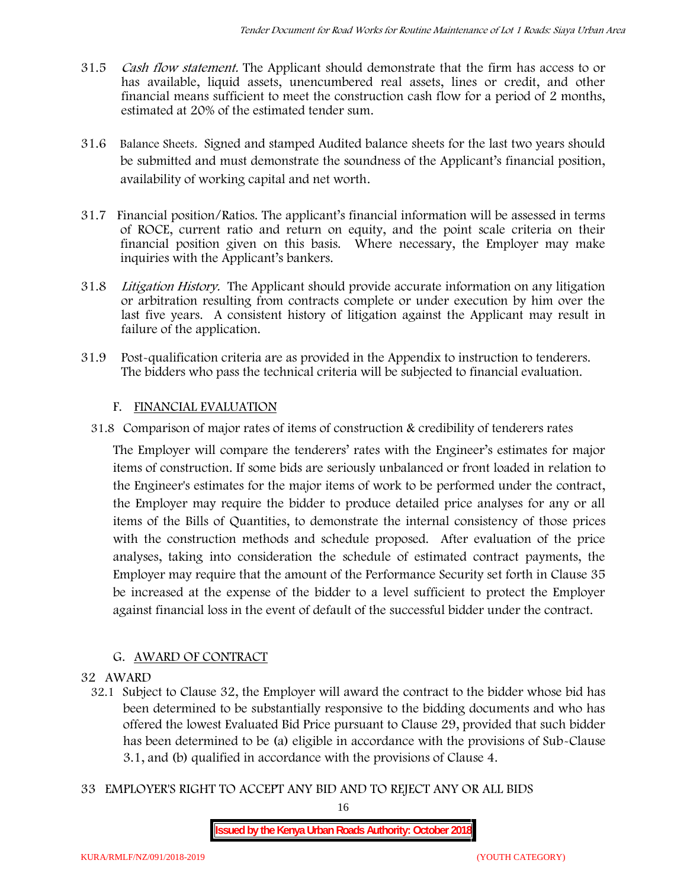- 31.5 *Cash flow statement.* The Applicant should demonstrate that the firm has access to or has available, liquid assets, unencumbered real assets, lines or credit, and other financial means sufficient to meet the construction cash flow for a period of 2 months, estimated at 20% of the estimated tender sum.
- 31.6 **Balance Sheets***.* Signed and stamped Audited balance sheets for the last two years should be submitted and must demonstrate the soundness of the Applicant's financial position, availability of working capital and net worth.
- 31.7 **Financial position/Ratios.** The applicant's financial information will be assessed in terms of ROCE, current ratio and return on equity, and the point scale criteria on their financial position given on this basis. Where necessary, the Employer may make inquiries with the Applicant's bankers.
- 31.8 *Litigation History.* The Applicant should provide accurate information on any litigation or arbitration resulting from contracts complete or under execution by him over the last five years. A consistent history of litigation against the Applicant may result in failure of the application.
- 31.9 Post-qualification criteria are as provided in the Appendix to instruction to tenderers. The bidders who pass the technical criteria will be subjected to financial evaluation.

# **F. FINANCIAL EVALUATION**

31.8 Comparison of major rates of items of construction & credibility of tenderers rates

The Employer will compare the tenderers' rates with the Engineer's estimates for major items of construction. If some bids are seriously unbalanced or front loaded in relation to the Engineer's estimates for the major items of work to be performed under the contract, the Employer may require the bidder to produce detailed price analyses for any or all items of the Bills of Quantities, to demonstrate the internal consistency of those prices with the construction methods and schedule proposed. After evaluation of the price analyses, taking into consideration the schedule of estimated contract payments, the Employer may require that the amount of the Performance Security set forth in Clause 35 be increased at the expense of the bidder to a level sufficient to protect the Employer against financial loss in the event of default of the successful bidder under the contract.

# **G. AWARD OF CONTRACT**

#### **32 AWARD**

- 32.1 Subject to Clause 32, the Employer will award the contract to the bidder whose bid has been determined to be substantially responsive to the bidding documents and who has offered the lowest Evaluated Bid Price pursuant to Clause 29, provided that such bidder has been determined to be (a) eligible in accordance with the provisions of Sub-Clause 3.1, and (b) qualified in accordance with the provisions of Clause 4.
- **33 EMPLOYER'S RIGHT TO ACCEPT ANY BID AND TO REJECT ANY OR ALL BIDS**

16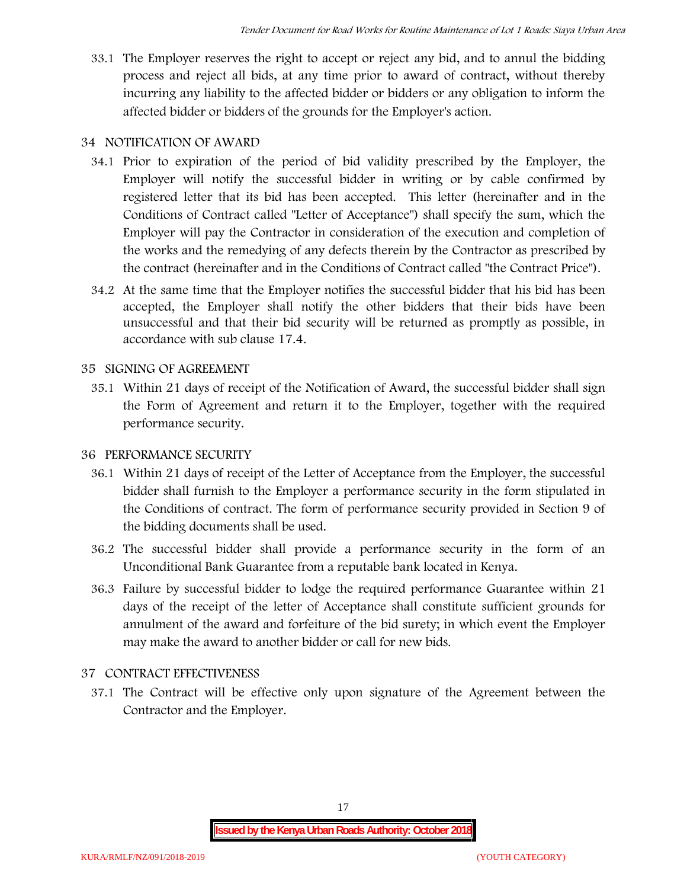33.1 The Employer reserves the right to accept or reject any bid, and to annul the bidding process and reject all bids, at any time prior to award of contract, without thereby incurring any liability to the affected bidder or bidders or any obligation to inform the affected bidder or bidders of the grounds for the Employer's action.

# **34 NOTIFICATION OF AWARD**

- 34.1 Prior to expiration of the period of bid validity prescribed by the Employer, the Employer will notify the successful bidder in writing or by cable confirmed by registered letter that its bid has been accepted. This letter (hereinafter and in the Conditions of Contract called "Letter of Acceptance") shall specify the sum, which the Employer will pay the Contractor in consideration of the execution and completion of the works and the remedying of any defects therein by the Contractor as prescribed by the contract (hereinafter and in the Conditions of Contract called "the Contract Price").
- 34.2 At the same time that the Employer notifies the successful bidder that his bid has been accepted, the Employer shall notify the other bidders that their bids have been unsuccessful and that their bid security will be returned as promptly as possible, in accordance with sub clause 17.4.

# **35 SIGNING OF AGREEMENT**

35.1 Within 21 days of receipt of the Notification of Award, the successful bidder shall sign the Form of Agreement and return it to the Employer, together with the required performance security.

# **36 PERFORMANCE SECURITY**

- 36.1 Within 21 days of receipt of the Letter of Acceptance from the Employer, the successful bidder shall furnish to the Employer a performance security in the form stipulated in the Conditions of contract. The form of performance security provided in Section 9 of the bidding documents shall be used.
- 36.2 The successful bidder shall provide a performance security in the form of an Unconditional Bank Guarantee from a reputable bank located in Kenya.
- 36.3 Failure by successful bidder to lodge the required performance Guarantee within 21 days of the receipt of the letter of Acceptance shall constitute sufficient grounds for annulment of the award and forfeiture of the bid surety; in which event the Employer may make the award to another bidder or call for new bids.

# **37 CONTRACT EFFECTIVENESS**

37.1 The Contract will be effective only upon signature of the Agreement between the Contractor and the Employer.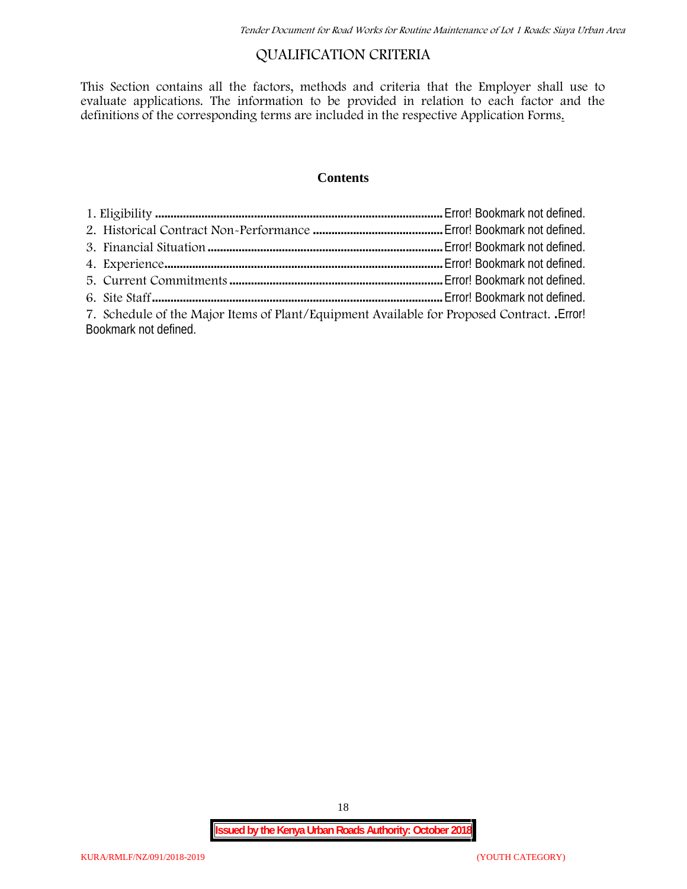# **QUALIFICATION CRITERIA**

This Section contains all the factors, methods and criteria that the Employer shall use to evaluate applications. The information to be provided in relation to each factor and the definitions of the corresponding terms are included in the respective Application Forms.

#### **Contents**

| 7. Schedule of the Major Items of Plant/Equipment Available for Proposed Contract. Error! |  |
|-------------------------------------------------------------------------------------------|--|
| Bookmark not defined.                                                                     |  |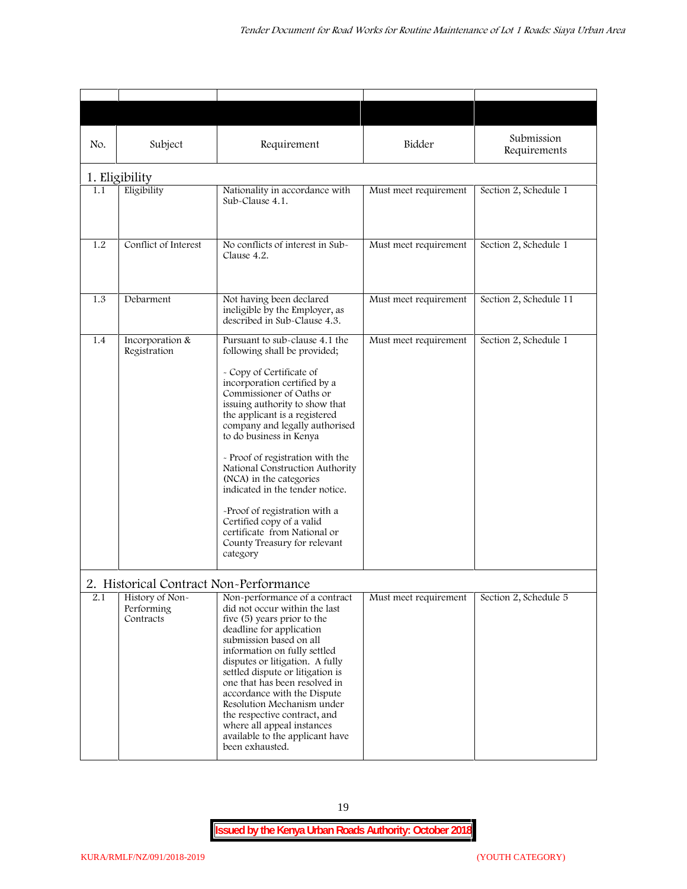| No. | Subject                                                                              | Requirement                                                                                                                                                                                                                                                                                                                                                                                                                                                                                                                                                           | Bidder                | Submission<br>Requirements |
|-----|--------------------------------------------------------------------------------------|-----------------------------------------------------------------------------------------------------------------------------------------------------------------------------------------------------------------------------------------------------------------------------------------------------------------------------------------------------------------------------------------------------------------------------------------------------------------------------------------------------------------------------------------------------------------------|-----------------------|----------------------------|
|     | 1. Eligibility                                                                       |                                                                                                                                                                                                                                                                                                                                                                                                                                                                                                                                                                       |                       |                            |
| 1.1 | Eligibility                                                                          | Nationality in accordance with<br>Sub-Clause 4.1.                                                                                                                                                                                                                                                                                                                                                                                                                                                                                                                     | Must meet requirement | Section 2, Schedule 1      |
| 1.2 | Conflict of Interest                                                                 | No conflicts of interest in Sub-<br>Clause 4.2.                                                                                                                                                                                                                                                                                                                                                                                                                                                                                                                       | Must meet requirement | Section 2, Schedule 1      |
| 1.3 | Debarment                                                                            | Not having been declared<br>ineligible by the Employer, as<br>described in Sub-Clause 4.3.                                                                                                                                                                                                                                                                                                                                                                                                                                                                            | Must meet requirement | Section 2, Schedule 11     |
| 1.4 | Incorporation &<br>Registration                                                      | Pursuant to sub-clause 4.1 the<br>following shall be provided;<br>- Copy of Certificate of<br>incorporation certified by a<br>Commissioner of Oaths or<br>issuing authority to show that<br>the applicant is a registered<br>company and legally authorised<br>to do business in Kenya<br>- Proof of registration with the<br>National Construction Authority<br>(NCA) in the categories<br>indicated in the tender notice.<br>-Proof of registration with a<br>Certified copy of a valid<br>certificate from National or<br>County Treasury for relevant<br>category | Must meet requirement | Section 2, Schedule 1      |
| 2.1 | 2. Historical Contract Non-Performance<br>History of Non-<br>Performing<br>Contracts | Non-performance of a contract<br>did not occur within the last<br>five (5) years prior to the<br>deadline for application<br>submission based on all<br>information on fully settled<br>disputes or litigation. A fully<br>settled dispute or litigation is<br>one that has been resolved in<br>accordance with the Dispute<br>Resolution Mechanism under<br>the respective contract, and<br>where all appeal instances<br>available to the applicant have<br>been exhausted.                                                                                         | Must meet requirement | Section 2, Schedule 5      |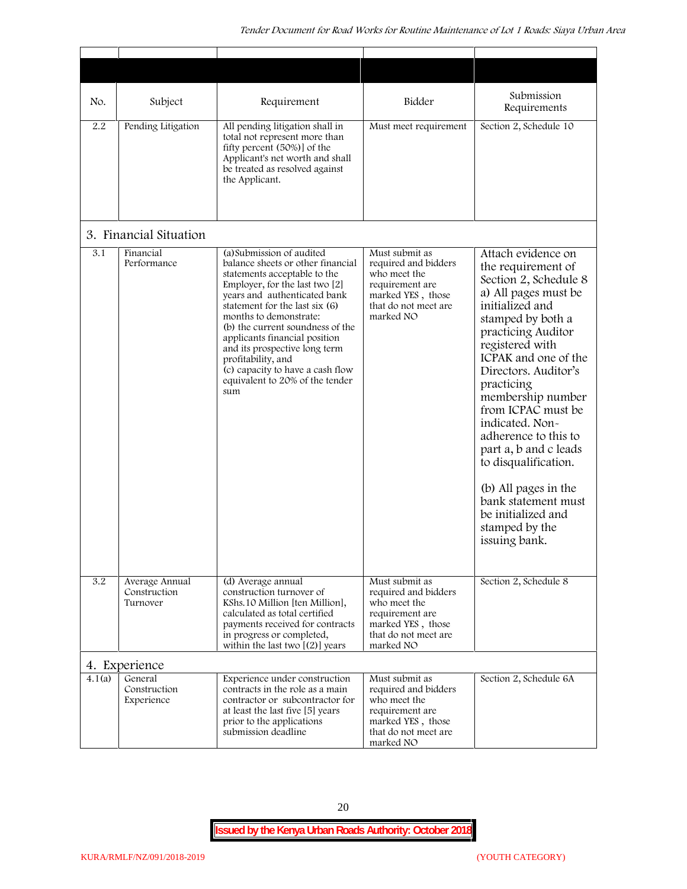| No.    | Subject                                    | Requirement                                                                                                                                                                                                                                                                                                                                                                                                                            | Bidder                                                                                                                              | Submission<br>Requirements                                                                                                                                                                                                                                                                                                                                                                                                                                                              |
|--------|--------------------------------------------|----------------------------------------------------------------------------------------------------------------------------------------------------------------------------------------------------------------------------------------------------------------------------------------------------------------------------------------------------------------------------------------------------------------------------------------|-------------------------------------------------------------------------------------------------------------------------------------|-----------------------------------------------------------------------------------------------------------------------------------------------------------------------------------------------------------------------------------------------------------------------------------------------------------------------------------------------------------------------------------------------------------------------------------------------------------------------------------------|
| 2.2    | Pending Litigation                         | All pending litigation shall in<br>total not represent more than<br>fifty percent (50%)] of the<br>Applicant's net worth and shall<br>be treated as resolved against<br>the Applicant.                                                                                                                                                                                                                                                 | Must meet requirement                                                                                                               | Section 2, Schedule 10                                                                                                                                                                                                                                                                                                                                                                                                                                                                  |
|        | 3. Financial Situation                     |                                                                                                                                                                                                                                                                                                                                                                                                                                        |                                                                                                                                     |                                                                                                                                                                                                                                                                                                                                                                                                                                                                                         |
| 3.1    | Financial<br>Performance                   | (a) Submission of audited<br>balance sheets or other financial<br>statements acceptable to the<br>Employer, for the last two [2]<br>years and authenticated bank<br>statement for the last six (6)<br>months to demonstrate:<br>(b) the current soundness of the<br>applicants financial position<br>and its prospective long term<br>profitability, and<br>(c) capacity to have a cash flow<br>equivalent to 20% of the tender<br>sum | Must submit as<br>required and bidders<br>who meet the<br>requirement are<br>marked YES, those<br>that do not meet are<br>marked NO | Attach evidence on<br>the requirement of<br>Section 2, Schedule 8<br>a) All pages must be<br>initialized and<br>stamped by both a<br>practicing Auditor<br>registered with<br>ICPAK and one of the<br>Directors. Auditor's<br>practicing<br>membership number<br>from ICPAC must be<br>indicated. Non-<br>adherence to this to<br>part a, b and c leads<br>to disqualification.<br>(b) All pages in the<br>bank statement must<br>be initialized and<br>stamped by the<br>issuing bank. |
| 3.2    | Average Annual<br>Construction<br>Turnover | (d) Average annual<br>construction turnover of<br>KShs.10 Million [ten Million],<br>calculated as total certified<br>payments received for contracts<br>in progress or completed,<br>within the last two $[(2)]$ years                                                                                                                                                                                                                 | Must submit as<br>required and bidders<br>who meet the<br>requirement are<br>marked YES, those<br>that do not meet are<br>marked NO | Section 2, Schedule 8                                                                                                                                                                                                                                                                                                                                                                                                                                                                   |
|        | 4. Experience                              |                                                                                                                                                                                                                                                                                                                                                                                                                                        |                                                                                                                                     |                                                                                                                                                                                                                                                                                                                                                                                                                                                                                         |
| 4.1(a) | General<br>Construction<br>Experience      | Experience under construction<br>contracts in the role as a main<br>contractor or subcontractor for<br>at least the last five [5] years<br>prior to the applications<br>submission deadline                                                                                                                                                                                                                                            | Must submit as<br>required and bidders<br>who meet the<br>requirement are<br>marked YES, those<br>that do not meet are<br>marked NO | Section 2, Schedule 6A                                                                                                                                                                                                                                                                                                                                                                                                                                                                  |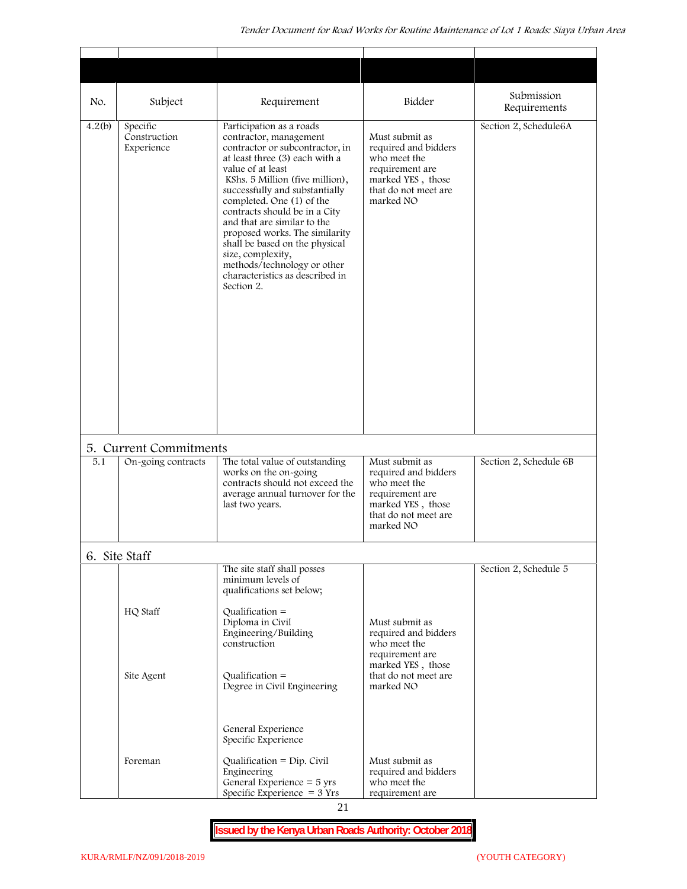| No.    | Subject                                      | Requirement                                                                                                                                                                                                                                                                                                                                                                                                                                                                             | Bidder                                                                                                                              | Submission<br>Requirements |
|--------|----------------------------------------------|-----------------------------------------------------------------------------------------------------------------------------------------------------------------------------------------------------------------------------------------------------------------------------------------------------------------------------------------------------------------------------------------------------------------------------------------------------------------------------------------|-------------------------------------------------------------------------------------------------------------------------------------|----------------------------|
| 4.2(b) | Specific<br>Construction<br>Experience       | Participation as a roads<br>contractor, management<br>contractor or subcontractor, in<br>at least three (3) each with a<br>value of at least<br>KShs. 5 Million (five million),<br>successfully and substantially<br>completed. One (1) of the<br>contracts should be in a City<br>and that are similar to the<br>proposed works. The similarity<br>shall be based on the physical<br>size, complexity,<br>methods/technology or other<br>characteristics as described in<br>Section 2. | Must submit as<br>required and bidders<br>who meet the<br>requirement are<br>marked YES, those<br>that do not meet are<br>marked NO | Section 2, Schedule6A      |
| 5.1    | 5. Current Commitments<br>On-going contracts | The total value of outstanding                                                                                                                                                                                                                                                                                                                                                                                                                                                          | Must submit as                                                                                                                      | Section 2, Schedule 6B     |
|        |                                              | works on the on-going<br>contracts should not exceed the<br>average annual turnover for the<br>last two years.                                                                                                                                                                                                                                                                                                                                                                          | required and bidders<br>who meet the<br>requirement are<br>marked YES, those<br>that do not meet are<br>marked NO                   |                            |
|        | 6. Site Staff                                |                                                                                                                                                                                                                                                                                                                                                                                                                                                                                         |                                                                                                                                     |                            |
|        | HQ Staff                                     | The site staff shall posses<br>minimum levels of<br>qualifications set below;<br>Qualification $=$<br>Diploma in Civil<br>Engineering/Building<br>construction                                                                                                                                                                                                                                                                                                                          | Must submit as<br>required and bidders<br>who meet the<br>requirement are                                                           | Section 2, Schedule 5      |
|        | Site Agent                                   | $Qualification =$<br>Degree in Civil Engineering                                                                                                                                                                                                                                                                                                                                                                                                                                        | marked YES, those<br>that do not meet are<br>marked NO                                                                              |                            |
|        |                                              | General Experience<br>Specific Experience                                                                                                                                                                                                                                                                                                                                                                                                                                               |                                                                                                                                     |                            |
|        | Foreman                                      | Qualification = $Dip$ . Civil<br>Engineering<br>General Experience $=$ 5 yrs<br>Specific Experience $=$ 3 Yrs                                                                                                                                                                                                                                                                                                                                                                           | Must submit as<br>required and bidders<br>who meet the<br>requirement are                                                           |                            |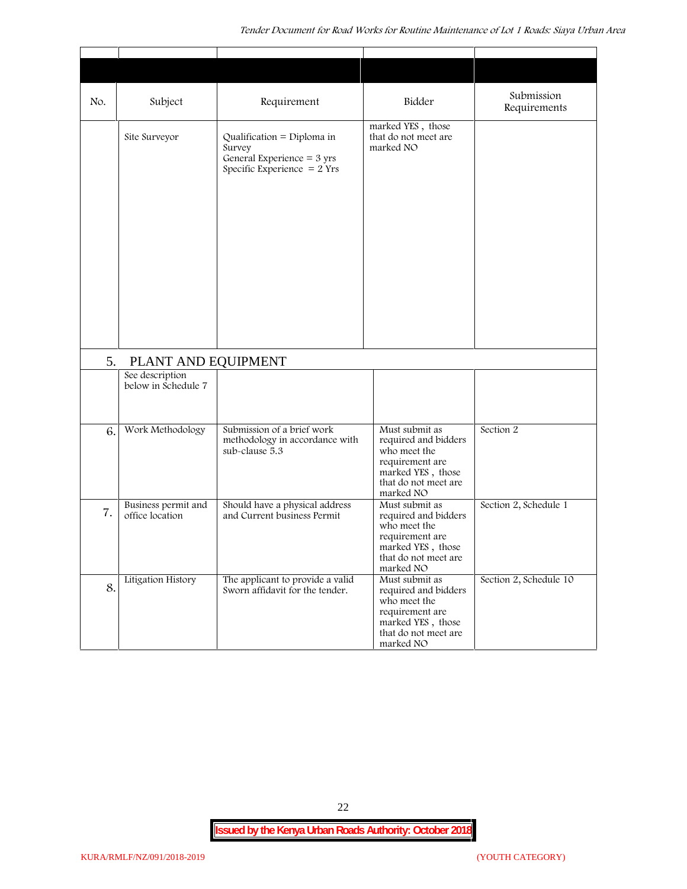| No. | Subject                                | Requirement                                                                                                   | Bidder                                                                                                                              | Submission<br>Requirements |
|-----|----------------------------------------|---------------------------------------------------------------------------------------------------------------|-------------------------------------------------------------------------------------------------------------------------------------|----------------------------|
|     | Site Surveyor                          | Qualification = Diploma in<br>Survey<br>General Experience = $3 \text{ yrs}$<br>Specific Experience $= 2$ Yrs | marked YES, those<br>that do not meet are<br>marked NO                                                                              |                            |
| 5.  | PLANT AND EQUIPMENT                    |                                                                                                               |                                                                                                                                     |                            |
|     | See description<br>below in Schedule 7 |                                                                                                               |                                                                                                                                     |                            |
| 6.  | Work Methodology                       | Submission of a brief work<br>methodology in accordance with<br>sub-clause 5.3                                | Must submit as<br>required and bidders<br>who meet the<br>requirement are<br>marked YES, those<br>that do not meet are<br>marked NO | Section 2                  |
| 7.  | Business permit and<br>office location | Should have a physical address<br>and Current business Permit                                                 | Must submit as<br>required and bidders<br>who meet the<br>requirement are<br>marked YES, those<br>that do not meet are<br>marked NO | Section 2, Schedule 1      |
| 8.  | Litigation History                     | The applicant to provide a valid<br>Sworn affidavit for the tender.                                           | Must submit as<br>required and bidders<br>who meet the<br>requirement are<br>marked YES, those<br>that do not meet are<br>marked NO | Section 2, Schedule 10     |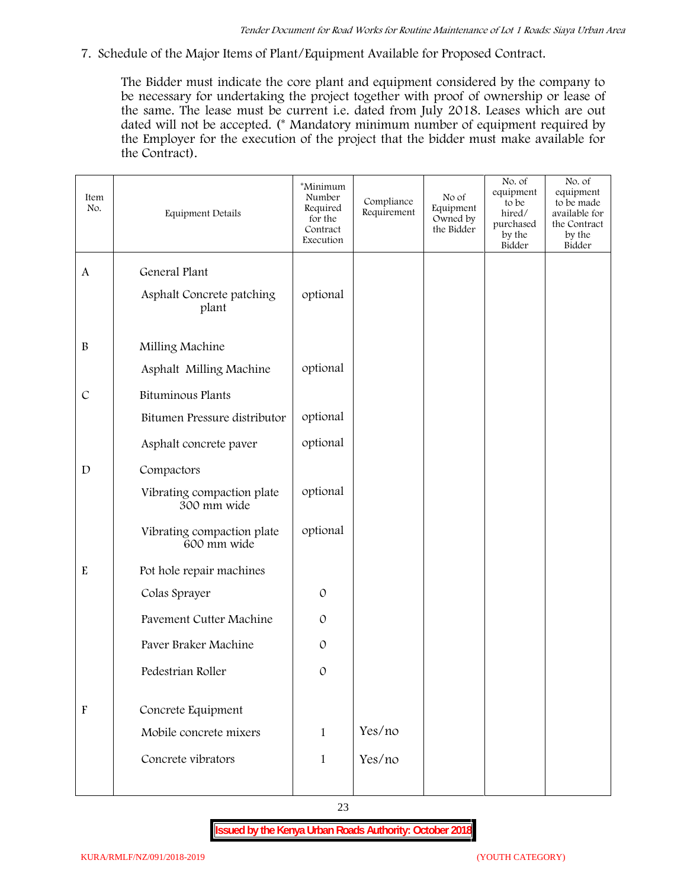**7. Schedule of the Major Items of Plant/Equipment Available for Proposed Contract.**

The Bidder must indicate the core plant and equipment considered by the company to be necessary for undertaking the project together with proof of ownership or lease of the same. The lease must be current i.e. dated from July 2018. Leases which are out dated will not be accepted. (\* Mandatory minimum number of equipment required by the Employer for the execution of the project that the bidder must make available for the Contract).

| Item<br>No.               | Equipment Details                         | *Minimum<br>Number<br>Required<br>for the<br>Contract<br>Execution | Compliance<br>Requirement | No of<br>Equipment<br>Owned by<br>the Bidder | No. of<br>equipment<br>to be<br>hired/<br>purchased<br>by the<br>Bidder | No. of<br>equipment<br>to be made<br>available for<br>the Contract<br>by the<br>Bidder |
|---------------------------|-------------------------------------------|--------------------------------------------------------------------|---------------------------|----------------------------------------------|-------------------------------------------------------------------------|----------------------------------------------------------------------------------------|
| $\mathbf{A}$              | General Plant                             |                                                                    |                           |                                              |                                                                         |                                                                                        |
|                           | Asphalt Concrete patching<br>plant        | optional                                                           |                           |                                              |                                                                         |                                                                                        |
| $\, {\bf B}$              | Milling Machine                           |                                                                    |                           |                                              |                                                                         |                                                                                        |
|                           | Asphalt Milling Machine                   | optional                                                           |                           |                                              |                                                                         |                                                                                        |
| $\mathcal{C}$             | Bituminous Plants                         |                                                                    |                           |                                              |                                                                         |                                                                                        |
|                           | Bitumen Pressure distributor              | optional                                                           |                           |                                              |                                                                         |                                                                                        |
|                           | Asphalt concrete paver                    | optional                                                           |                           |                                              |                                                                         |                                                                                        |
| $\mathbf D$               | Compactors                                |                                                                    |                           |                                              |                                                                         |                                                                                        |
|                           | Vibrating compaction plate<br>300 mm wide | optional                                                           |                           |                                              |                                                                         |                                                                                        |
|                           | Vibrating compaction plate<br>600 mm wide | optional                                                           |                           |                                              |                                                                         |                                                                                        |
| ${\bf E}$                 | Pot hole repair machines                  |                                                                    |                           |                                              |                                                                         |                                                                                        |
|                           | Colas Sprayer                             | $\mathcal{O}$                                                      |                           |                                              |                                                                         |                                                                                        |
|                           | Pavement Cutter Machine                   | $\mathcal{O}$                                                      |                           |                                              |                                                                         |                                                                                        |
|                           | Paver Braker Machine                      | $\mathcal{O}$                                                      |                           |                                              |                                                                         |                                                                                        |
|                           | Pedestrian Roller                         | $\mathcal{O}$                                                      |                           |                                              |                                                                         |                                                                                        |
|                           |                                           |                                                                    |                           |                                              |                                                                         |                                                                                        |
| $\boldsymbol{\mathrm{F}}$ | Concrete Equipment                        |                                                                    |                           |                                              |                                                                         |                                                                                        |
|                           | Mobile concrete mixers                    | $\mathbf{1}$                                                       | Yes/no                    |                                              |                                                                         |                                                                                        |
|                           | Concrete vibrators                        | $\mathbf{1}$                                                       | Yes/no                    |                                              |                                                                         |                                                                                        |
|                           |                                           |                                                                    |                           |                                              |                                                                         |                                                                                        |

23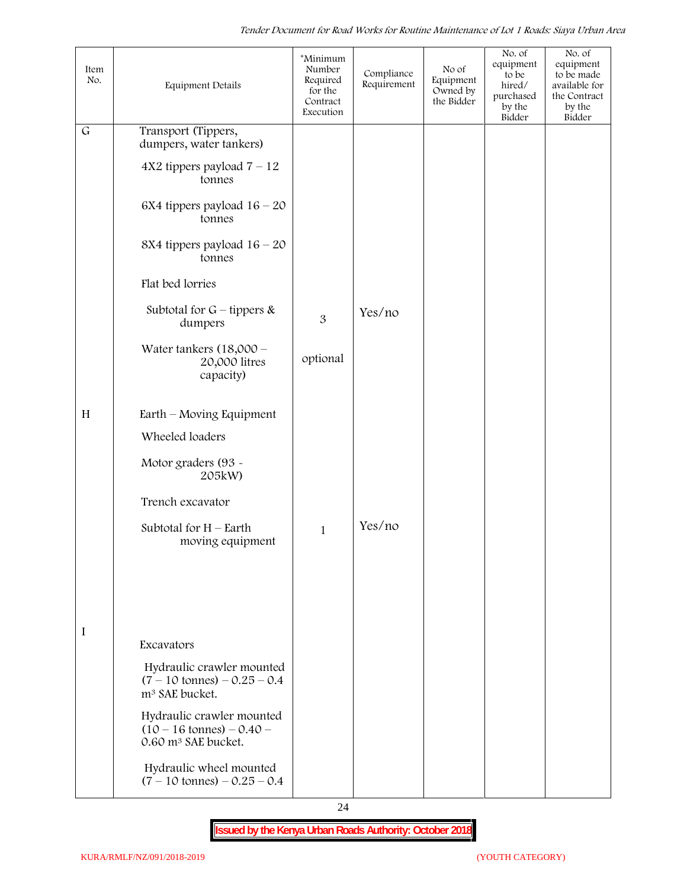| Item<br>No. | <b>Equipment Details</b>                                                                          | *Minimum<br>Number<br>Required<br>for the<br>Contract<br>Execution | Compliance<br>Requirement | No of<br>Equipment<br>Owned by<br>the Bidder | No. of<br>equipment<br>to be<br>hired/<br>purchased<br>by the<br>Bidder | No. of<br>equipment<br>to be made<br>available for<br>the Contract<br>by the<br>Bidder |  |
|-------------|---------------------------------------------------------------------------------------------------|--------------------------------------------------------------------|---------------------------|----------------------------------------------|-------------------------------------------------------------------------|----------------------------------------------------------------------------------------|--|
| $\mathsf G$ | Transport (Tippers,<br>dumpers, water tankers)                                                    |                                                                    |                           |                                              |                                                                         |                                                                                        |  |
|             | $4X2$ tippers payload $7 - 12$<br>tonnes                                                          |                                                                    |                           |                                              |                                                                         |                                                                                        |  |
|             | 6X4 tippers payload $16 - 20$<br>tonnes                                                           |                                                                    |                           |                                              |                                                                         |                                                                                        |  |
|             | 8X4 tippers payload $16 - 20$<br>tonnes                                                           |                                                                    |                           |                                              |                                                                         |                                                                                        |  |
|             | Flat bed lorries                                                                                  |                                                                    |                           |                                              |                                                                         |                                                                                        |  |
|             | Subtotal for $G$ – tippers &<br>dumpers                                                           | 3                                                                  | Yes/no                    |                                              |                                                                         |                                                                                        |  |
|             | Water tankers $(18,000 -$<br>20,000 litres<br>capacity)                                           | optional                                                           |                           |                                              |                                                                         |                                                                                        |  |
| H           | Earth – Moving Equipment                                                                          |                                                                    |                           |                                              |                                                                         |                                                                                        |  |
|             | Wheeled loaders                                                                                   |                                                                    |                           |                                              |                                                                         |                                                                                        |  |
|             | Motor graders (93 -<br>205kW)                                                                     |                                                                    |                           |                                              |                                                                         |                                                                                        |  |
|             | Trench excavator                                                                                  |                                                                    |                           |                                              |                                                                         |                                                                                        |  |
|             | Subtotal for $H$ – Earth<br>moving equipment                                                      | $\mathbf{1}$                                                       | Yes/no                    |                                              |                                                                         |                                                                                        |  |
|             |                                                                                                   |                                                                    |                           |                                              |                                                                         |                                                                                        |  |
|             |                                                                                                   |                                                                    |                           |                                              |                                                                         |                                                                                        |  |
| I           | Excavators                                                                                        |                                                                    |                           |                                              |                                                                         |                                                                                        |  |
|             | Hydraulic crawler mounted<br>$(7 - 10 \text{ tonnes}) - 0.25 - 0.4$<br>m <sup>3</sup> SAE bucket. |                                                                    |                           |                                              |                                                                         |                                                                                        |  |
|             | Hydraulic crawler mounted<br>$(10 - 16 \text{ tonnes}) - 0.40$<br>0.60 m <sup>3</sup> SAE bucket. |                                                                    |                           |                                              |                                                                         |                                                                                        |  |
|             | Hydraulic wheel mounted<br>$(7 - 10 \text{ tonnes}) - 0.25 - 0.4$                                 |                                                                    |                           |                                              |                                                                         |                                                                                        |  |

24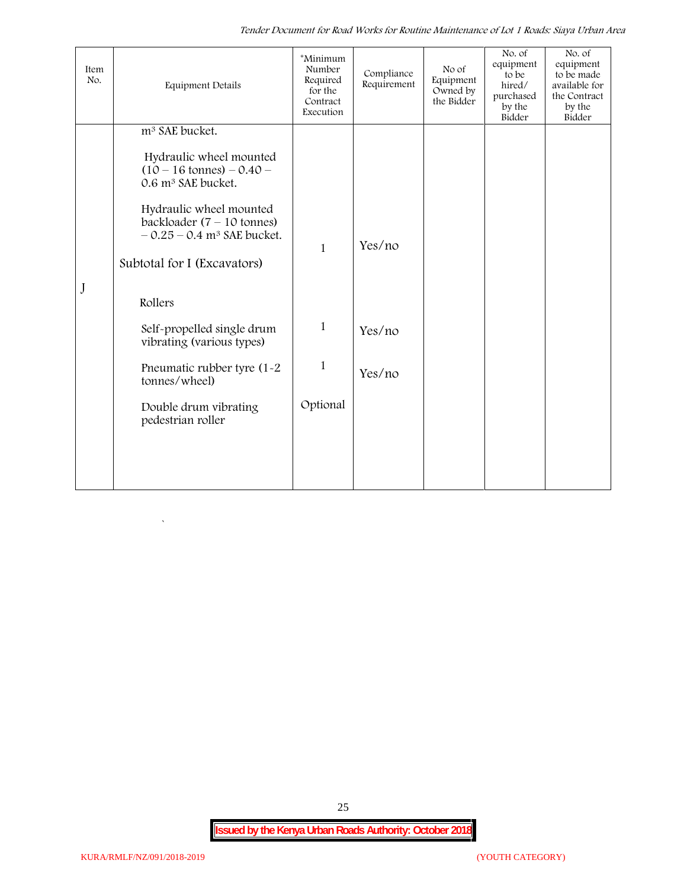*Tender Document for Road Works for Routine Maintenance of Lot 1 Roads: Siaya Urban Area*

| Item<br>No. | <b>Equipment Details</b>                                                                                    | *Minimum<br>Number<br>Required<br>for the<br>Contract<br>Execution | Compliance<br>Requirement | No of<br>Equipment<br>Owned by<br>the Bidder | No. of<br>equipment<br>to be<br>hired/<br>purchased<br>by the<br>Bidder | No. of<br>equipment<br>to be made<br>available for<br>the Contract<br>by the<br>Bidder |
|-------------|-------------------------------------------------------------------------------------------------------------|--------------------------------------------------------------------|---------------------------|----------------------------------------------|-------------------------------------------------------------------------|----------------------------------------------------------------------------------------|
|             | m <sup>3</sup> SAE bucket.                                                                                  |                                                                    |                           |                                              |                                                                         |                                                                                        |
|             | Hydraulic wheel mounted<br>$(10 - 16 \text{ tonnes}) - 0.40 -$<br>0.6 m <sup>3</sup> SAE bucket.            |                                                                    |                           |                                              |                                                                         |                                                                                        |
|             | Hydraulic wheel mounted<br>backloader $(7 - 10 \text{ tonnes})$<br>$-0.25 - 0.4$ m <sup>3</sup> SAE bucket. | $\mathbf{1}$                                                       | Yes/no                    |                                              |                                                                         |                                                                                        |
|             | Subtotal for I (Excavators)                                                                                 |                                                                    |                           |                                              |                                                                         |                                                                                        |
| J           | Rollers                                                                                                     |                                                                    |                           |                                              |                                                                         |                                                                                        |
|             | Self-propelled single drum<br>vibrating (various types)                                                     | $\mathbf{1}$                                                       | Yes/no                    |                                              |                                                                         |                                                                                        |
|             | Pneumatic rubber tyre (1-2<br>tonnes/wheel)                                                                 | $\mathbf{1}$                                                       | Yes/no                    |                                              |                                                                         |                                                                                        |
|             | Double drum vibrating<br>pedestrian roller                                                                  | Optional                                                           |                           |                                              |                                                                         |                                                                                        |
|             |                                                                                                             |                                                                    |                           |                                              |                                                                         |                                                                                        |
|             |                                                                                                             |                                                                    |                           |                                              |                                                                         |                                                                                        |

25

 $\overline{\phantom{a}}$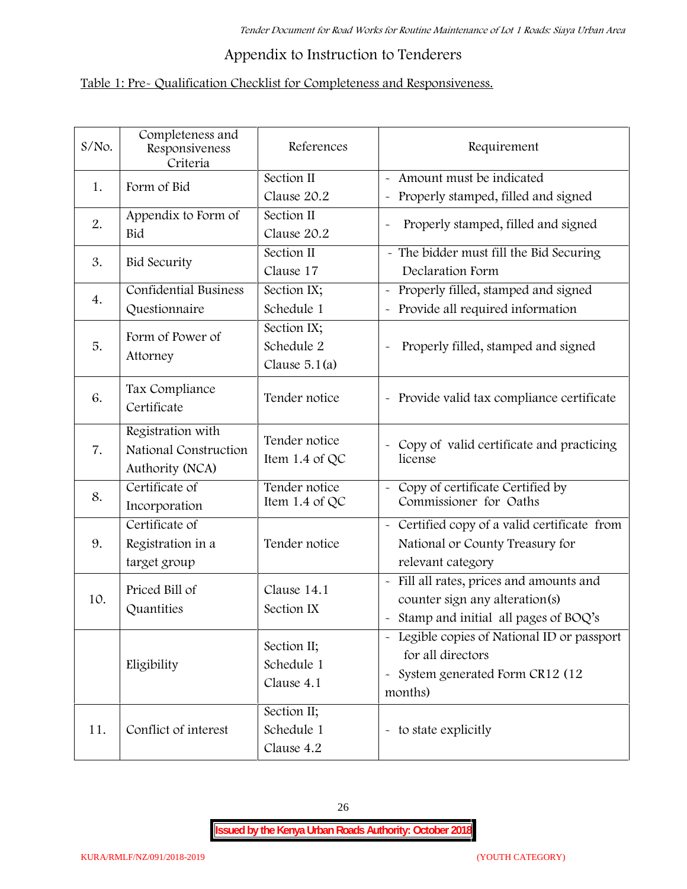# **Appendix to Instruction to Tenderers**

# **Table 1: Pre- Qualification Checklist for Completeness and Responsiveness.**

| S/No. | Completeness and<br>Responsiveness<br>Criteria                | References                                   | Requirement                                                                                                                                |
|-------|---------------------------------------------------------------|----------------------------------------------|--------------------------------------------------------------------------------------------------------------------------------------------|
| 1.    | Form of Bid                                                   | Section II<br>Clause 20.2                    | Amount must be indicated<br>Properly stamped, filled and signed<br>$\tilde{\phantom{a}}$                                                   |
| 2.    | Appendix to Form of<br>Bid                                    | Section II<br>Clause 20.2                    | Properly stamped, filled and signed<br>$\sim$                                                                                              |
| 3.    | <b>Bid Security</b>                                           | Section II<br>Clause 17                      | - The bidder must fill the Bid Securing<br>Declaration Form                                                                                |
| 4.    | <b>Confidential Business</b><br>Questionnaire                 | Section IX;<br>Schedule 1                    | Properly filled, stamped and signed<br>$\tilde{}$<br>Provide all required information                                                      |
| 5.    | Form of Power of<br>Attorney                                  | Section IX;<br>Schedule 2<br>Clause $5.1(a)$ | Properly filled, stamped and signed                                                                                                        |
| 6.    | Tax Compliance<br>Certificate                                 | Tender notice                                | - Provide valid tax compliance certificate                                                                                                 |
| 7.    | Registration with<br>National Construction<br>Authority (NCA) | Tender notice<br>Item 1.4 of QC              | - Copy of valid certificate and practicing<br>license                                                                                      |
| 8.    | Certificate of<br>Incorporation                               | Tender notice<br>Item 1.4 of QC              | Copy of certificate Certified by<br>Commissioner for Oaths                                                                                 |
| 9.    | Certificate of<br>Registration in a<br>target group           | Tender notice                                | - Certified copy of a valid certificate from<br>National or County Treasury for<br>relevant category                                       |
| 10.   | Priced Bill of<br>Quantities                                  | Clause 14.1<br>Section IX                    | Fill all rates, prices and amounts and<br>$\tilde{}$<br>counter sign any alteration(s)<br>Stamp and initial all pages of BOQ's             |
|       | Eligibility                                                   | Section II;<br>Schedule 1<br>Clause 4.1      | - Legible copies of National ID or passport<br>for all directors<br>System generated Form CR12 (12<br>$\widetilde{\phantom{m}}$<br>months) |
| 11.   | Conflict of interest                                          | Section II;<br>Schedule 1<br>Clause 4.2      | - to state explicitly                                                                                                                      |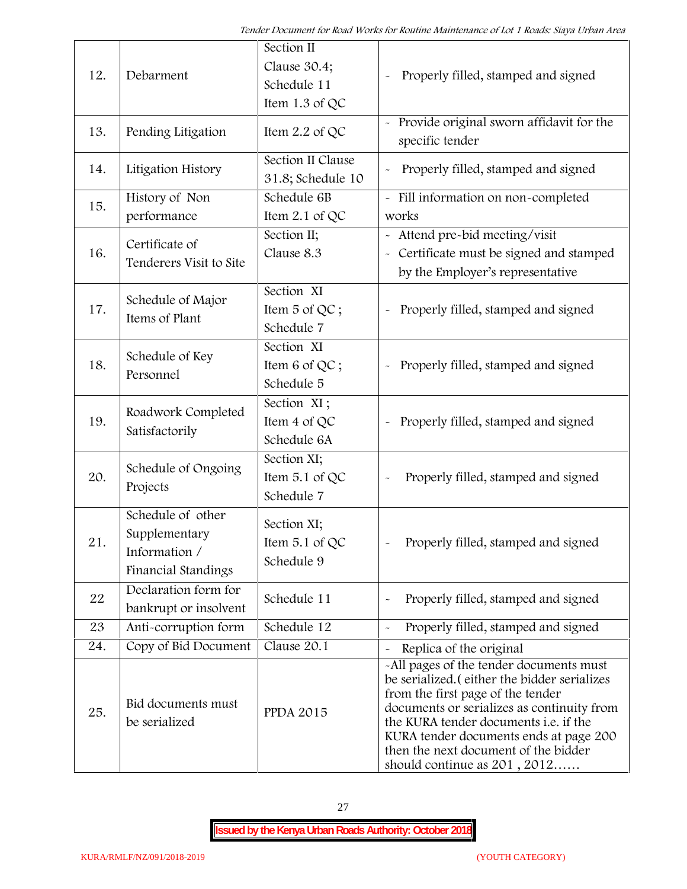| 12. | Debarment                                                                  | Section II<br>Clause 30.4;<br>Schedule 11<br>Item 1.3 of QC | Properly filled, stamped and signed                                                                                                                                                                                                                                                                                                            |  |
|-----|----------------------------------------------------------------------------|-------------------------------------------------------------|------------------------------------------------------------------------------------------------------------------------------------------------------------------------------------------------------------------------------------------------------------------------------------------------------------------------------------------------|--|
| 13. | Pending Litigation                                                         | Item $2.2$ of QC                                            | Provide original sworn affidavit for the<br>specific tender                                                                                                                                                                                                                                                                                    |  |
| 14. | Litigation History                                                         | Section II Clause<br>31.8; Schedule 10                      | Properly filled, stamped and signed                                                                                                                                                                                                                                                                                                            |  |
| 15. | History of Non<br>performance                                              | Schedule 6B<br>Item $2.1$ of QC                             | - Fill information on non-completed<br>works                                                                                                                                                                                                                                                                                                   |  |
| 16. | Certificate of<br>Tenderers Visit to Site                                  | Section II;<br>Clause 8.3                                   | - Attend pre-bid meeting/visit<br>- Certificate must be signed and stamped<br>by the Employer's representative                                                                                                                                                                                                                                 |  |
| 17. | Schedule of Major<br>Items of Plant                                        | Section XI<br>Item 5 of QC;<br>Schedule 7                   | Properly filled, stamped and signed                                                                                                                                                                                                                                                                                                            |  |
| 18. | Schedule of Key<br>Personnel                                               | Section XI<br>Item 6 of QC;<br>Schedule 5                   | Properly filled, stamped and signed                                                                                                                                                                                                                                                                                                            |  |
| 19. | Roadwork Completed<br>Satisfactorily                                       | Section XI;<br>Item 4 of QC<br>Schedule 6A                  | Properly filled, stamped and signed<br>$\tilde{\phantom{a}}$                                                                                                                                                                                                                                                                                   |  |
| 20. | Schedule of Ongoing<br>Projects                                            | Section XI;<br>Item 5.1 of QC<br>Schedule 7                 | Properly filled, stamped and signed                                                                                                                                                                                                                                                                                                            |  |
| 21  | Schedule of other<br>Supplementary<br>Information /<br>Financial Standings | Section XI;<br>Item $5.1$ of QC<br>Schedule 9               | Properly filled, stamped and signed                                                                                                                                                                                                                                                                                                            |  |
| 22  | Declaration form for<br>bankrupt or insolvent                              | Schedule 11                                                 | Properly filled, stamped and signed                                                                                                                                                                                                                                                                                                            |  |
| 23  | Anti-corruption form                                                       | Schedule 12                                                 | Properly filled, stamped and signed                                                                                                                                                                                                                                                                                                            |  |
| 24. | Copy of Bid Document                                                       | Clause 20.1                                                 | Replica of the original                                                                                                                                                                                                                                                                                                                        |  |
| 25. | Bid documents must<br>be serialized                                        | <b>PPDA 2015</b>                                            | -All pages of the tender documents must<br>be serialized. (either the bidder serializes<br>from the first page of the tender<br>documents or serializes as continuity from<br>the KURA tender documents <i>i.e.</i> if the<br>KURA tender documents ends at page 200<br>then the next document of the bidder<br>should continue as $201, 2012$ |  |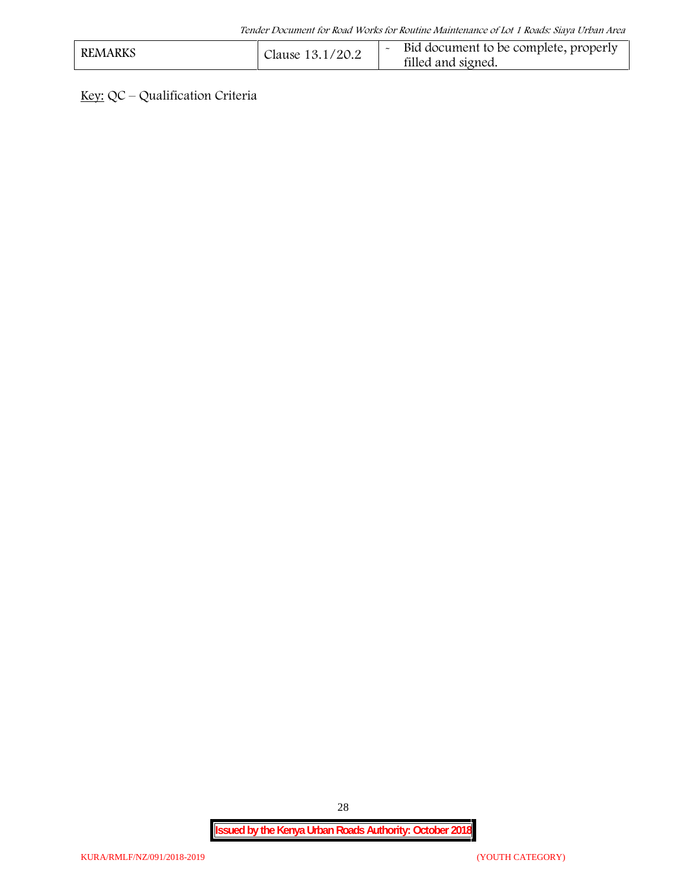| <b>REMARKS</b> | Clause 13.1/20.2 | Bid document to be complete, properly<br>filled and signed. |  |
|----------------|------------------|-------------------------------------------------------------|--|
|----------------|------------------|-------------------------------------------------------------|--|

**Key:** QC – Qualification Criteria

28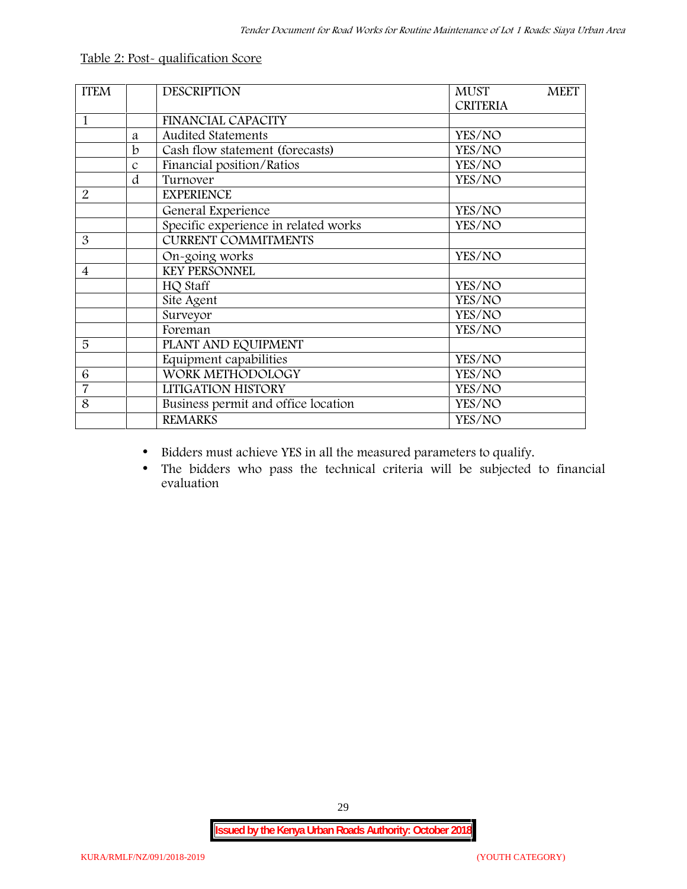| <b>ITEM</b>    |   | <b>DESCRIPTION</b>                   | <b>MUST</b><br><b>MEET</b><br><b>CRITERIA</b> |
|----------------|---|--------------------------------------|-----------------------------------------------|
| 1              |   | <b>FINANCIAL CAPACITY</b>            |                                               |
|                | a | <b>Audited Statements</b>            | YES/NO                                        |
|                | b | Cash flow statement (forecasts)      | YES/NO                                        |
|                | C | Financial position/Ratios            | YES/NO                                        |
|                | d | Turnover                             | YES/NO                                        |
| 2              |   | <b>EXPERIENCE</b>                    |                                               |
|                |   | General Experience                   | YES/NO                                        |
|                |   | Specific experience in related works | YES/NO                                        |
| 3              |   | <b>CURRENT COMMITMENTS</b>           |                                               |
|                |   | On-going works                       | YES/NO                                        |
| $\overline{4}$ |   | <b>KEY PERSONNEL</b>                 |                                               |
|                |   | HQ Staff                             | YES/NO                                        |
|                |   | Site Agent                           | YES/NO                                        |
|                |   | Surveyor                             | YES/NO                                        |
|                |   | Foreman                              | YES/NO                                        |
| 5              |   | PLANT AND EQUIPMENT                  |                                               |
|                |   | Equipment capabilities               | YES/NO                                        |
| 6              |   | WORK METHODOLOGY                     | YES/NO                                        |
| $\overline{7}$ |   | LITIGATION HISTORY                   | YES/NO                                        |
| 8              |   | Business permit and office location  | YES/NO                                        |
|                |   | <b>REMARKS</b>                       | YES/NO                                        |

#### **Table 2: Post- qualification Score**

- Bidders must achieve YES in all the measured parameters to qualify.
- The bidders who pass the technical criteria will be subjected to financial evaluation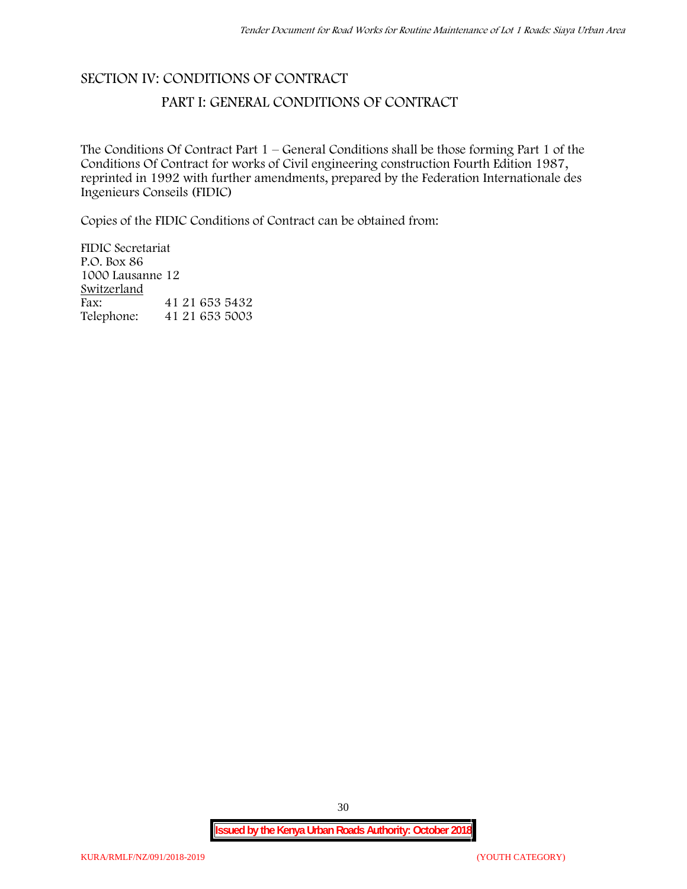# **SECTION IV: CONDITIONS OF CONTRACT**

# **PART I: GENERAL CONDITIONS OF CONTRACT**

The Conditions Of Contract Part 1 – General Conditions shall be those forming Part 1 of the Conditions Of Contract for works of Civil engineering construction Fourth Edition 1987, reprinted in 1992 with further amendments, prepared by the Federation Internationale des Ingenieurs Conseils (FIDIC)

Copies of the FIDIC Conditions of Contract can be obtained from:

FIDIC Secretariat P.O. Box 86 1000 Lausanne 12 **Switzerland** Fax: 41 21 653 5432<br>Telephone: 41 21 653 5003 Telephone: 41 21 653 5003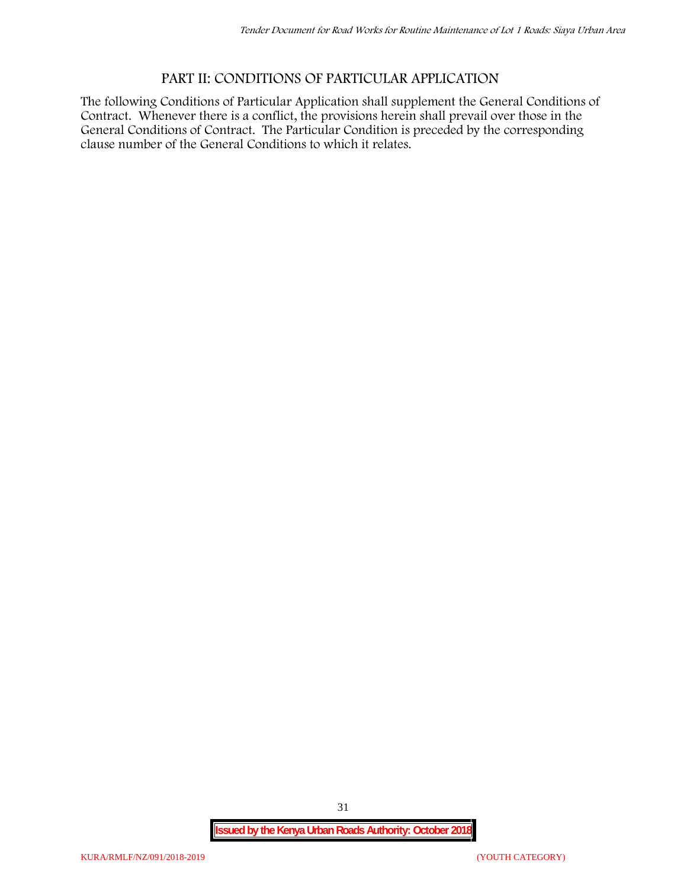# **PART II: CONDITIONS OF PARTICULAR APPLICATION**

The following Conditions of Particular Application shall supplement the General Conditions of Contract. Whenever there is a conflict, the provisions herein shall prevail over those in the General Conditions of Contract. The Particular Condition is preceded by the corresponding clause number of the General Conditions to which it relates.

31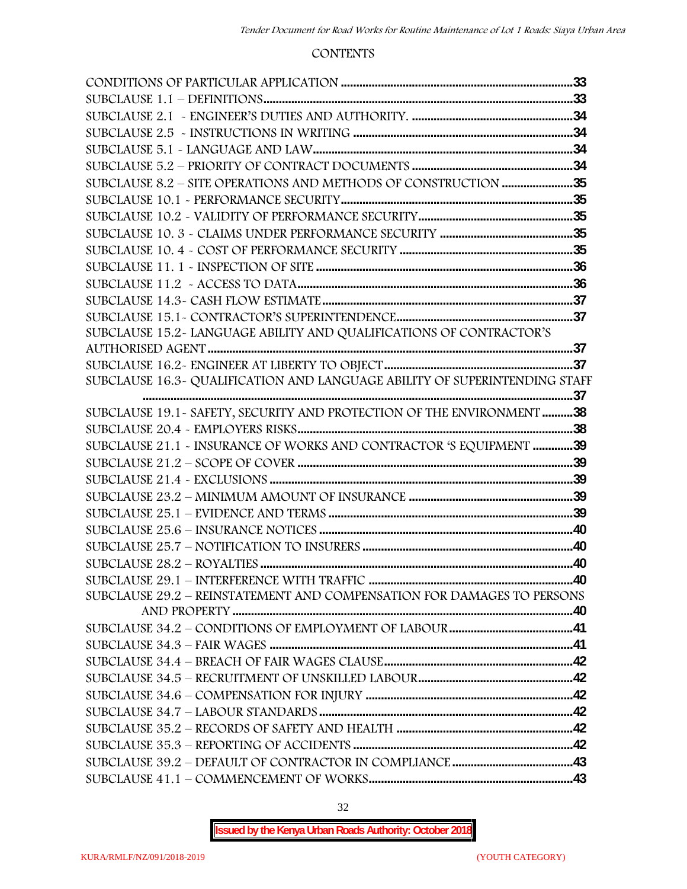#### **CONTENTS**

| SUBCLAUSE 8.2 - SITE OPERATIONS AND METHODS OF CONSTRUCTION 35             |  |
|----------------------------------------------------------------------------|--|
|                                                                            |  |
|                                                                            |  |
|                                                                            |  |
|                                                                            |  |
|                                                                            |  |
|                                                                            |  |
|                                                                            |  |
|                                                                            |  |
| SUBCLAUSE 15.2-LANGUAGE ABILITY AND QUALIFICATIONS OF CONTRACTOR'S         |  |
|                                                                            |  |
|                                                                            |  |
| SUBCLAUSE 16.3- QUALIFICATION AND LANGUAGE ABILITY OF SUPERINTENDING STAFF |  |
|                                                                            |  |
| SUBCLAUSE 19.1 - SAFETY, SECURITY AND PROTECTION OF THE ENVIRONMENT 38     |  |
|                                                                            |  |
| SUBCLAUSE 21.1 - INSURANCE OF WORKS AND CONTRACTOR 'S EQUIPMENT 39         |  |
|                                                                            |  |
|                                                                            |  |
|                                                                            |  |
|                                                                            |  |
|                                                                            |  |
|                                                                            |  |
|                                                                            |  |
| SUBCLAUSE 29.2 - REINSTATEMENT AND COMPENSATION FOR DAMAGES TO PERSONS     |  |
|                                                                            |  |
|                                                                            |  |
|                                                                            |  |
|                                                                            |  |
|                                                                            |  |
|                                                                            |  |
|                                                                            |  |
|                                                                            |  |
|                                                                            |  |
|                                                                            |  |
|                                                                            |  |
|                                                                            |  |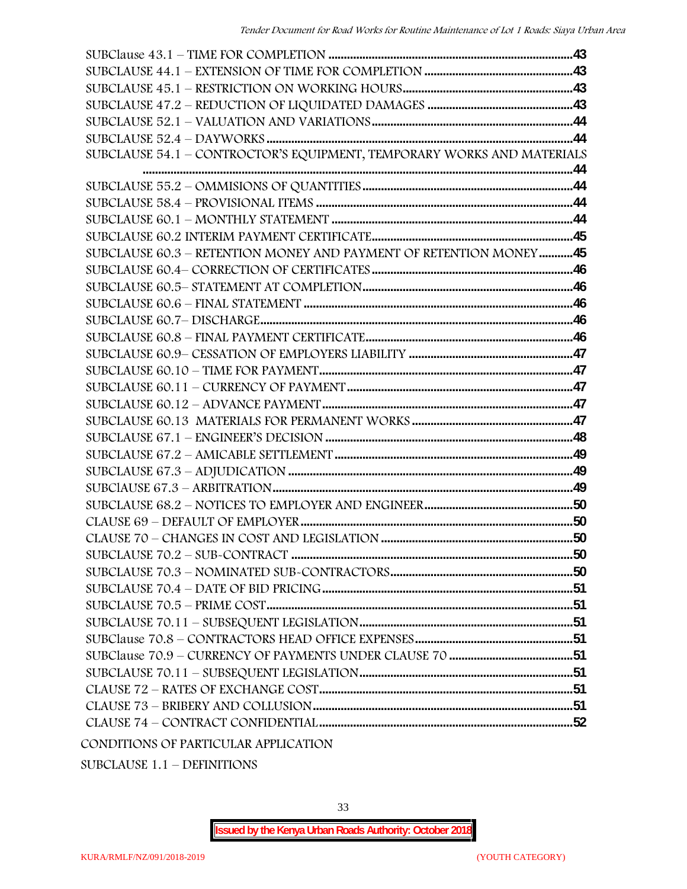| SUBCLAUSE 54.1 - CONTROCTOR'S EQUIPMENT, TEMPORARY WORKS AND MATERIALS |  |
|------------------------------------------------------------------------|--|
|                                                                        |  |
|                                                                        |  |
|                                                                        |  |
|                                                                        |  |
|                                                                        |  |
| SUBCLAUSE 60.3 - RETENTION MONEY AND PAYMENT OF RETENTION MONEY45      |  |
|                                                                        |  |
|                                                                        |  |
|                                                                        |  |
|                                                                        |  |
|                                                                        |  |
|                                                                        |  |
|                                                                        |  |
|                                                                        |  |
|                                                                        |  |
|                                                                        |  |
|                                                                        |  |
|                                                                        |  |
|                                                                        |  |
|                                                                        |  |
|                                                                        |  |
|                                                                        |  |
|                                                                        |  |
|                                                                        |  |
|                                                                        |  |
|                                                                        |  |
|                                                                        |  |
|                                                                        |  |
|                                                                        |  |
|                                                                        |  |
|                                                                        |  |
|                                                                        |  |
|                                                                        |  |
|                                                                        |  |

SUBCLAUSE 1.1 – DEFINITIONS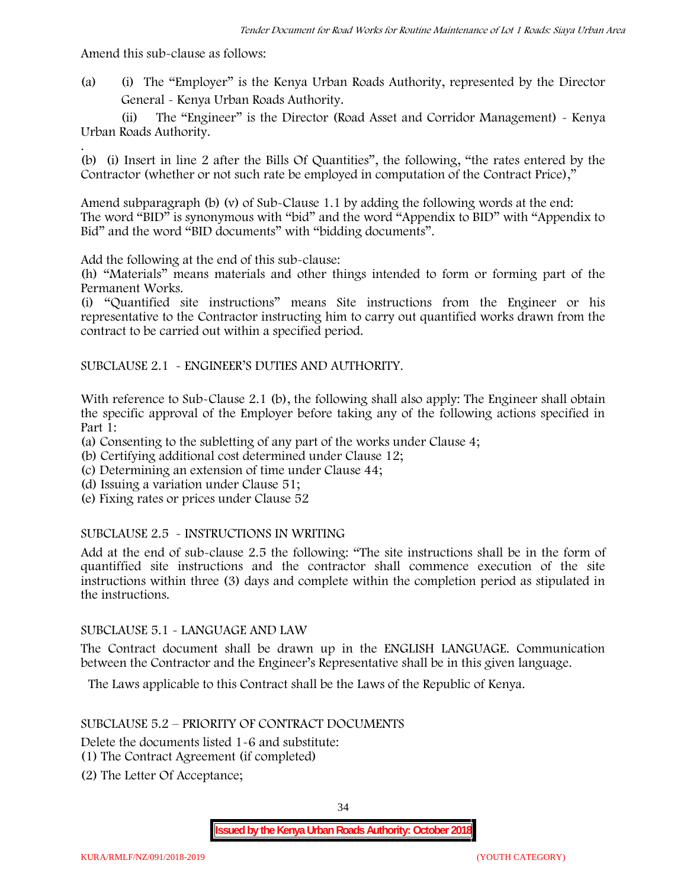Amend this sub-clause as follows:

(a) (i) The "Employer" is the Kenya Urban Roads Authority, represented by the Director General - Kenya Urban Roads Authority.

(ii) The "Engineer" is the Director (Road Asset and Corridor Management) - Kenya Urban Roads Authority.

.(b) (i) Insert in line 2 after the Bills Of Quantities", the following, "the rates entered by the Contractor (whether or not such rate be employed in computation of the Contract Price),"

Amend subparagraph (b) (v) of Sub-Clause 1.1 by adding the following words at the end: The word "BID" is synonymous with "bid" and the word "Appendix to BID" with "Appendix to Bid" and the word "BID documents" with "bidding documents".

Add the following at the end of this sub-clause:

(h) "Materials" means materials and other things intended to form or forming part of the Permanent Works.

(i) "Quantified site instructions" means Site instructions from the Engineer or his representative to the Contractor instructing him to carry out quantified works drawn from the contract to be carried out within a specified period.

SUBCLAUSE 2.1 - ENGINEER'S DUTIES AND AUTHORITY.

With reference to Sub-Clause 2.1 (b), the following shall also apply: The Engineer shall obtain the specific approval of the Employer before taking any of the following actions specified in Part 1:

(a) Consenting to the subletting of any part of the works under Clause 4;

- (b) Certifying additional cost determined under Clause 12;
- (c) Determining an extension of time under Clause 44;
- (d) Issuing a variation under Clause 51;
- (e) Fixing rates or prices under Clause 52

#### SUBCLAUSE 2.5 - INSTRUCTIONS IN WRITING

Add at the end of sub-clause 2.5 the following: "The site instructions shall be in the form of quantiffied site instructions and the contractor shall commence execution of the site instructions within three (3) days and complete within the completion period as stipulated in the instructions.

#### SUBCLAUSE 5.1 - LANGUAGE AND LAW

The Contract document shall be drawn up in the ENGLISH LANGUAGE. Communication between the Contractor and the Engineer's Representative shall be in this given language.

The Laws applicable to this Contract shall be the Laws of the Republic of Kenya.

#### SUBCLAUSE 5.2 – PRIORITY OF CONTRACT DOCUMENTS

Delete the documents listed 1-6 and substitute:

- (1) The Contract Agreement (if completed)
- (2) The Letter Of Acceptance;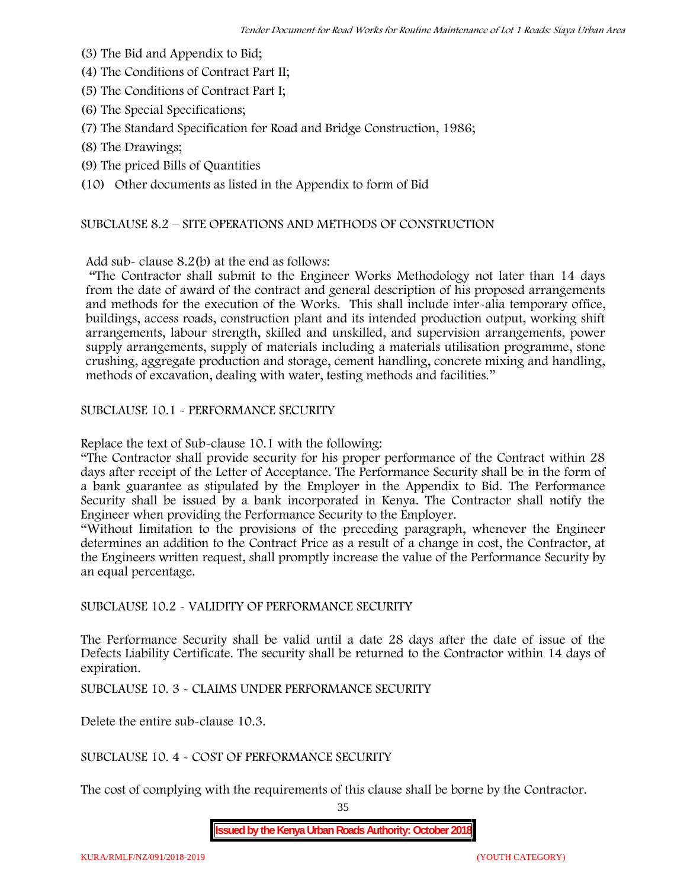- (3) The Bid and Appendix to Bid;
- (4) The Conditions of Contract Part II;
- (5) The Conditions of Contract Part I;
- (6) The Special Specifications;
- (7) The Standard Specification for Road and Bridge Construction, 1986;
- (8) The Drawings;
- (9) The priced Bills of Quantities

(10) Other documents as listed in the Appendix to form of Bid

#### SUBCLAUSE 8.2 – SITE OPERATIONS AND METHODS OF CONSTRUCTION

Add sub- clause 8.2(b) at the end as follows:

"The Contractor shall submit to the Engineer Works Methodology not later than 14 days from the date of award of the contract and general description of his proposed arrangements and methods for the execution of the Works. This shall include inter-alia temporary office, buildings, access roads, construction plant and its intended production output, working shift arrangements, labour strength, skilled and unskilled, and supervision arrangements, power supply arrangements, supply of materials including a materials utilisation programme, stone crushing, aggregate production and storage, cement handling, concrete mixing and handling, methods of excavation, dealing with water, testing methods and facilities."

SUBCLAUSE 10.1 - PERFORMANCE SECURITY

Replace the text of Sub-clause 10.1 with the following:

"The Contractor shall provide security for his proper performance of the Contract within 28 days after receipt of the Letter of Acceptance. The Performance Security shall be in the form of a bank guarantee as stipulated by the Employer in the Appendix to Bid. The Performance Security shall be issued by a bank incorporated in Kenya. The Contractor shall notify the Engineer when providing the Performance Security to the Employer.

"Without limitation to the provisions of the preceding paragraph, whenever the Engineer determines an addition to the Contract Price as a result of a change in cost, the Contractor, at the Engineers written request, shall promptly increase the value of the Performance Security by an equal percentage.

SUBCLAUSE 10.2 - VALIDITY OF PERFORMANCE SECURITY

The Performance Security shall be valid until a date 28 days after the date of issue of the Defects Liability Certificate. The security shall be returned to the Contractor within 14 days of expiration.

SUBCLAUSE 10. 3 - CLAIMS UNDER PERFORMANCE SECURITY

Delete the entire sub-clause 10.3.

SUBCLAUSE 10. 4 - COST OF PERFORMANCE SECURITY

The cost of complying with the requirements of this clause shall be borne by the Contractor.

35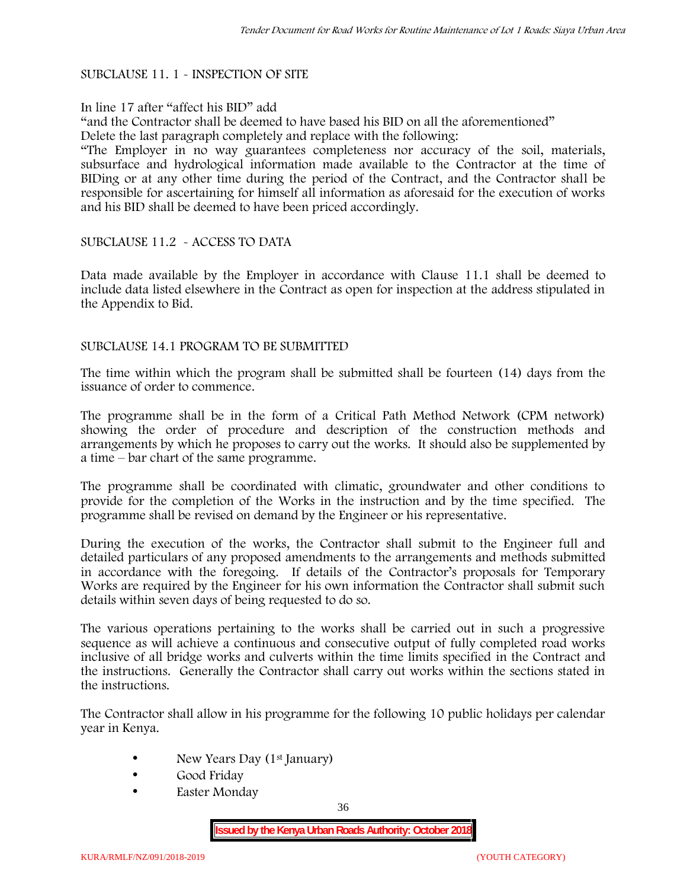# SUBCLAUSE 11. 1 - INSPECTION OF SITE

### In line 17 after "affect his BID" add

"and the Contractor shall be deemed to have based his BID on all the aforementioned" Delete the last paragraph completely and replace with the following:

"The Employer in no way guarantees completeness nor accuracy of the soil, materials, subsurface and hydrological information made available to the Contractor at the time of BIDing or at any other time during the period of the Contract, and the Contractor shall be responsible for ascertaining for himself all information as aforesaid for the execution of works and his BID shall be deemed to have been priced accordingly.

# SUBCLAUSE 11.2 - ACCESS TO DATA

Data made available by the Employer in accordance with Clause 11.1 shall be deemed to include data listed elsewhere in the Contract as open for inspection at the address stipulated in the Appendix to Bid.

### SUBCLAUSE 14.1 PROGRAM TO BE SUBMITTED

The time within which the program shall be submitted shall be fourteen (14) days from the issuance of order to commence**.**

The programme shall be in the form of a Critical Path Method Network (CPM network) showing the order of procedure and description of the construction methods and arrangements by which he proposes to carry out the works. It should also be supplemented by a time – bar chart of the same programme.

The programme shall be coordinated with climatic, groundwater and other conditions to provide for the completion of the Works in the instruction and by the time specified. The programme shall be revised on demand by the Engineer or his representative.

During the execution of the works, the Contractor shall submit to the Engineer full and detailed particulars of any proposed amendments to the arrangements and methods submitted in accordance with the foregoing. If details of the Contractor's proposals for Temporary Works are required by the Engineer for his own information the Contractor shall submit such details within seven days of being requested to do so.

The various operations pertaining to the works shall be carried out in such a progressive sequence as will achieve a continuous and consecutive output of fully completed road works inclusive of all bridge works and culverts within the time limits specified in the Contract and the instructions. Generally the Contractor shall carry out works within the sections stated in the instructions.

The Contractor shall allow in his programme for the following 10 public holidays per calendar year in Kenya.

- New Years Day (1<sup>st</sup> January)
- Good Friday
- Easter Monday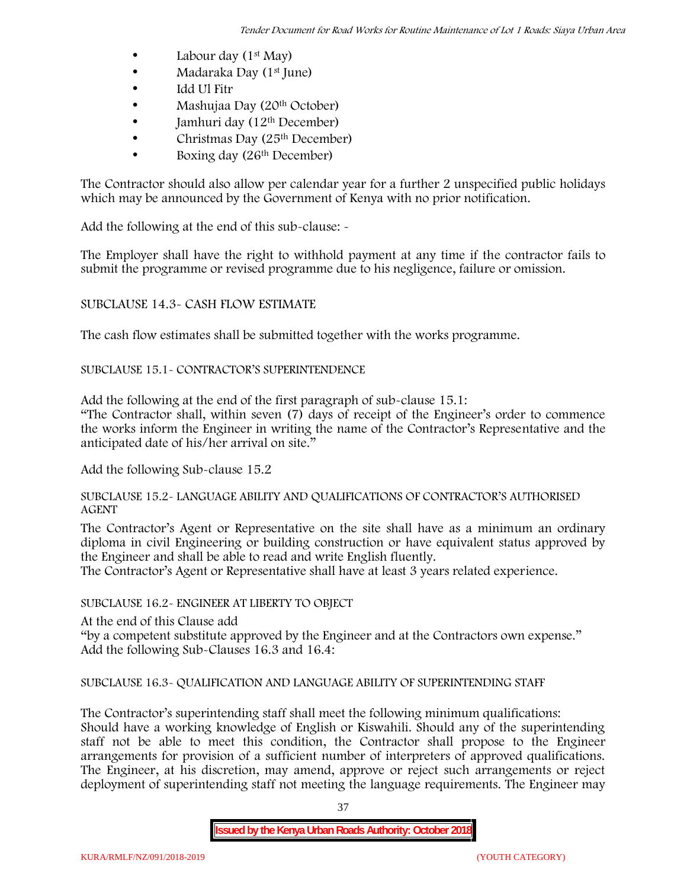- Labour day  $(1<sup>st</sup>$  May)
- Madaraka Day (1<sup>st</sup> June)
- Idd Ul Fitr
- Mashujaa Day (20<sup>th</sup> October)
- $\bullet$  Jamhuri day (12<sup>th</sup> December)
- $\bullet$  Christmas Day (25<sup>th</sup> December)
- Boxing day (26th December)

The Contractor should also allow per calendar year for a further 2 unspecified public holidays which may be announced by the Government of Kenya with no prior notification.

Add the following at the end of this sub-clause: -

The Employer shall have the right to withhold payment at any time if the contractor fails to submit the programme or revised programme due to his negligence, failure or omission.

# SUBCLAUSE 14.3- CASH FLOW ESTIMATE

The cash flow estimates shall be submitted together with the works programme.

# SUBCLAUSE 15.1- CONTRACTOR'S SUPERINTENDENCE

Add the following at the end of the first paragraph of sub-clause 15.1:

"The Contractor shall, within seven (7) days of receipt of the Engineer's order to commence the works inform the Engineer in writing the name of the Contractor's Representative and the anticipated date of his/her arrival on site."

Add the following Sub-clause 15.2

### SUBCLAUSE 15.2- LANGUAGE ABILITY AND QUALIFICATIONS OF CONTRACTOR'S AUTHORISED AGENT

The Contractor's Agent or Representative on the site shall have as a minimum an ordinary diploma in civil Engineering or building construction or have equivalent status approved by the Engineer and shall be able to read and write English fluently.

The Contractor's Agent or Representative shall have at least 3 years related experience.

# SUBCLAUSE 16.2- ENGINEER AT LIBERTY TO OBJECT

At the end of this Clause add

"by a competent substitute approved by the Engineer and at the Contractors own expense." Add the following Sub-Clauses 16.3 and 16.4:

# SUBCLAUSE 16.3- QUALIFICATION AND LANGUAGE ABILITY OF SUPERINTENDING STAFF

The Contractor's superintending staff shall meet the following minimum qualifications: Should have a working knowledge of English or Kiswahili. Should any of the superintending staff not be able to meet this condition, the Contractor shall propose to the Engineer arrangements for provision of a sufficient number of interpreters of approved qualifications. The Engineer, at his discretion, may amend, approve or reject such arrangements or reject deployment of superintending staff not meeting the language requirements. The Engineer may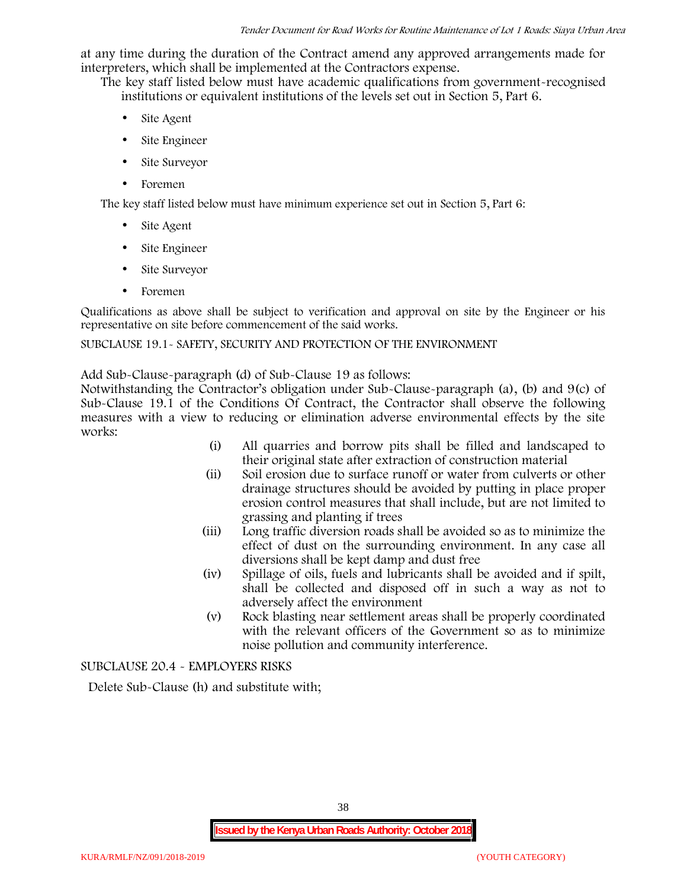at any time during the duration of the Contract amend any approved arrangements made for interpreters, which shall be implemented at the Contractors expense.

The key staff listed below must have academic qualifications from government-recognised institutions or equivalent institutions of the levels set out in Section 5, Part 6.

- Site Agent
- Site Engineer
- Site Surveyor
- Foremen

The key staff listed below must have minimum experience set out in Section 5, Part 6:

- Site Agent
- Site Engineer
- Site Surveyor
- Foremen

Qualifications as above shall be subject to verification and approval on site by the Engineer or his representative on site before commencement of the said works.

# SUBCLAUSE 19.1- SAFETY, SECURITY AND PROTECTION OF THE ENVIRONMENT

Add Sub-Clause-paragraph (d) of Sub-Clause 19 as follows:

Notwithstanding the Contractor's obligation under Sub-Clause-paragraph (a), (b) and 9(c) of Sub-Clause 19.1 of the Conditions Of Contract, the Contractor shall observe the following measures with a view to reducing or elimination adverse environmental effects by the site works:

- (i) All quarries and borrow pits shall be filled and landscaped to their original state after extraction of construction material
- (ii) Soil erosion due to surface runoff or water from culverts or other drainage structures should be avoided by putting in place proper erosion control measures that shall include, but are not limited to grassing and planting if trees
- (iii) Long traffic diversion roads shall be avoided so as to minimize the effect of dust on the surrounding environment. In any case all diversions shall be kept damp and dust free
- (iv) Spillage of oils, fuels and lubricants shall be avoided and if spilt, shall be collected and disposed off in such a way as not to adversely affect the environment
- (v) Rock blasting near settlement areas shall be properly coordinated with the relevant officers of the Government so as to minimize noise pollution and community interference.

SUBCLAUSE 20.4 - EMPLOYERS RISKS

Delete Sub-Clause (h) and substitute with;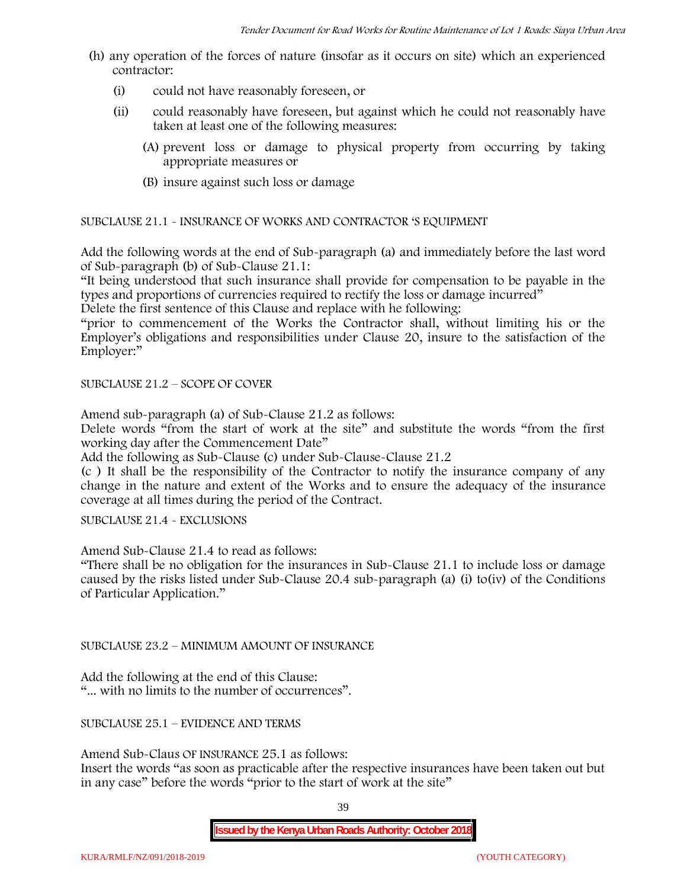- (h) any operation of the forces of nature (insofar as it occurs on site) which an experienced contractor:
	- (i) could not have reasonably foreseen, or
	- (ii) could reasonably have foreseen, but against which he could not reasonably have taken at least one of the following measures:
		- (A) prevent loss or damage to physical property from occurring by taking appropriate measures or
		- (B) insure against such loss or damage

SUBCLAUSE 21.1 - INSURANCE OF WORKS AND CONTRACTOR 'S EQUIPMENT

Add the following words at the end of Sub-paragraph (a) and immediately before the last word of Sub-paragraph (b) of Sub-Clause 21.1:

"It being understood that such insurance shall provide for compensation to be payable in the types and proportions of currencies required to rectify the loss or damage incurred"

Delete the first sentence of this Clause and replace with he following:

"prior to commencement of the Works the Contractor shall, without limiting his or the Employer's obligations and responsibilities under Clause 20, insure to the satisfaction of the Employer:"

SUBCLAUSE 21.2 – SCOPE OF COVER

Amend sub-paragraph (a) of Sub-Clause 21.2 as follows:

Delete words "from the start of work at the site" and substitute the words "from the first working day after the Commencement Date"

Add the following as Sub-Clause (c) under Sub-Clause-Clause 21.2

(c ) It shall be the responsibility of the Contractor to notify the insurance company of any change in the nature and extent of the Works and to ensure the adequacy of the insurance coverage at all times during the period of the Contract.

SUBCLAUSE 21.4 - EXCLUSIONS

Amend Sub-Clause 21.4 to read as follows:

"There shall be no obligation for the insurances in Sub-Clause 21.1 to include loss or damage caused by the risks listed under Sub-Clause 20.4 sub-paragraph (a) (i) to(iv) of the Conditions of Particular Application."

SUBCLAUSE 23.2 – MINIMUM AMOUNT OF INSURANCE

Add the following at the end of this Clause: "... with no limits to the number of occurrences".

SUBCLAUSE 25.1 – EVIDENCE AND TERMS

Amend Sub-Claus OF INSURANCE 25.1 as follows:

Insert the words "as soon as practicable after the respective insurances have been taken out but in any case" before the words "prior to the start of work at the site"

39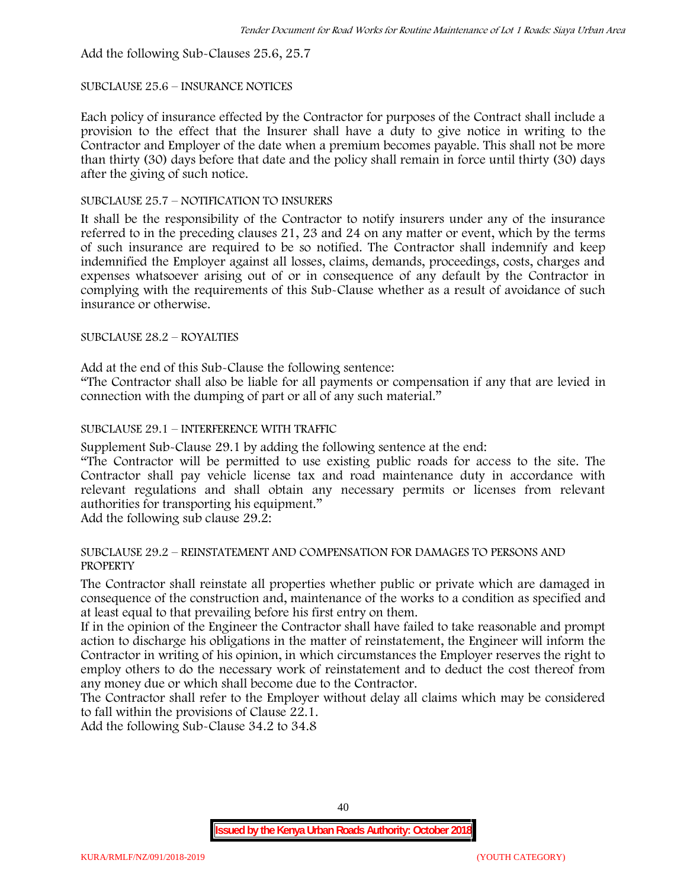Add the following Sub-Clauses 25.6, 25.7

### SUBCLAUSE 25.6 – INSURANCE NOTICES

Each policy of insurance effected by the Contractor for purposes of the Contract shall include a provision to the effect that the Insurer shall have a duty to give notice in writing to the Contractor and Employer of the date when a premium becomes payable. This shall not be more than thirty (30) days before that date and the policy shall remain in force until thirty (30) days after the giving of such notice.

# SUBCLAUSE 25.7 – NOTIFICATION TO INSURERS

It shall be the responsibility of the Contractor to notify insurers under any of the insurance referred to in the preceding clauses 21, 23 and 24 on any matter or event, which by the terms of such insurance are required to be so notified. The Contractor shall indemnify and keep indemnified the Employer against all losses, claims, demands, proceedings, costs, charges and expenses whatsoever arising out of or in consequence of any default by the Contractor in complying with the requirements of this Sub-Clause whether as a result of avoidance of such insurance or otherwise.

### SUBCLAUSE 28.2 – ROYALTIES

Add at the end of this Sub-Clause the following sentence:

"The Contractor shall also be liable for all payments or compensation if any that are levied in connection with the dumping of part or all of any such material."

# SUBCLAUSE 29.1 – INTERFERENCE WITH TRAFFIC

Supplement Sub-Clause 29.1 by adding the following sentence at the end:

"The Contractor will be permitted to use existing public roads for access to the site. The Contractor shall pay vehicle license tax and road maintenance duty in accordance with relevant regulations and shall obtain any necessary permits or licenses from relevant authorities for transporting his equipment."

Add the following sub clause 29.2:

### SUBCLAUSE 29.2 – REINSTATEMENT AND COMPENSATION FOR DAMAGES TO PERSONS AND PROPERTY

The Contractor shall reinstate all properties whether public or private which are damaged in consequence of the construction and, maintenance of the works to a condition as specified and at least equal to that prevailing before his first entry on them.

If in the opinion of the Engineer the Contractor shall have failed to take reasonable and prompt action to discharge his obligations in the matter of reinstatement, the Engineer will inform the Contractor in writing of his opinion, in which circumstances the Employer reserves the right to employ others to do the necessary work of reinstatement and to deduct the cost thereof from any money due or which shall become due to the Contractor.

The Contractor shall refer to the Employer without delay all claims which may be considered to fall within the provisions of Clause 22.1.

Add the following Sub-Clause 34.2 to 34.8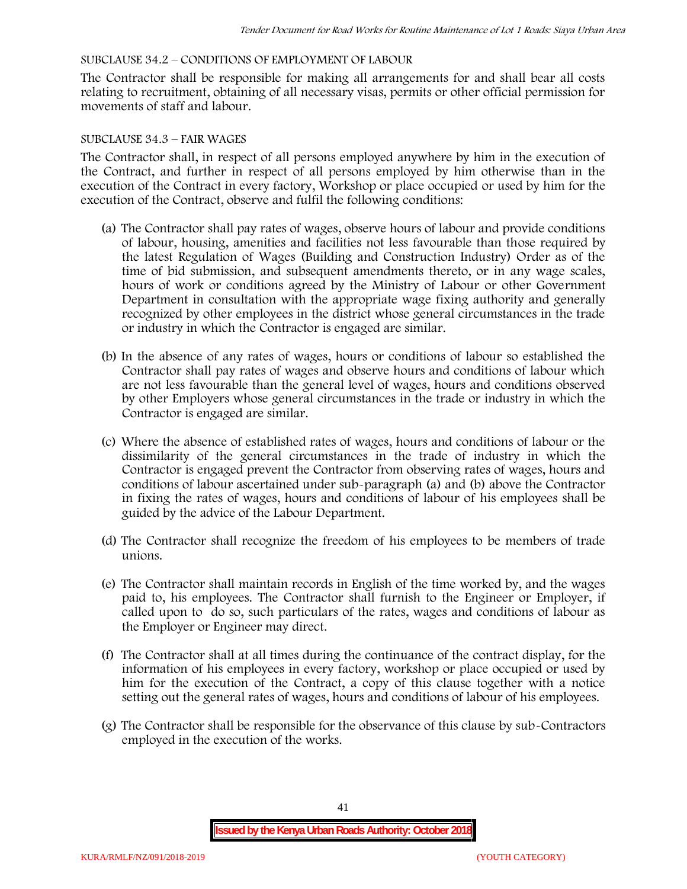### SUBCLAUSE 34.2 – CONDITIONS OF EMPLOYMENT OF LABOUR

The Contractor shall be responsible for making all arrangements for and shall bear all costs relating to recruitment, obtaining of all necessary visas, permits or other official permission for movements of staff and labour.

### SUBCLAUSE 34.3 – FAIR WAGES

The Contractor shall, in respect of all persons employed anywhere by him in the execution of the Contract, and further in respect of all persons employed by him otherwise than in the execution of the Contract in every factory, Workshop or place occupied or used by him for the execution of the Contract, observe and fulfil the following conditions:

- (a) The Contractor shall pay rates of wages, observe hours of labour and provide conditions of labour, housing, amenities and facilities not less favourable than those required by the latest Regulation of Wages (Building and Construction Industry) Order as of the time of bid submission, and subsequent amendments thereto, or in any wage scales, hours of work or conditions agreed by the Ministry of Labour or other Government Department in consultation with the appropriate wage fixing authority and generally recognized by other employees in the district whose general circumstances in the trade or industry in which the Contractor is engaged are similar.
- (b) In the absence of any rates of wages, hours or conditions of labour so established the Contractor shall pay rates of wages and observe hours and conditions of labour which are not less favourable than the general level of wages, hours and conditions observed by other Employers whose general circumstances in the trade or industry in which the Contractor is engaged are similar.
- (c) Where the absence of established rates of wages, hours and conditions of labour or the dissimilarity of the general circumstances in the trade of industry in which the Contractor is engaged prevent the Contractor from observing rates of wages, hours and conditions of labour ascertained under sub-paragraph (a) and (b) above the Contractor in fixing the rates of wages, hours and conditions of labour of his employees shall be guided by the advice of the Labour Department.
- (d) The Contractor shall recognize the freedom of his employees to be members of trade unions.
- (e) The Contractor shall maintain records in English of the time worked by, and the wages paid to, his employees. The Contractor shall furnish to the Engineer or Employer, if called upon to do so, such particulars of the rates, wages and conditions of labour as the Employer or Engineer may direct.
- (f) The Contractor shall at all times during the continuance of the contract display, for the information of his employees in every factory, workshop or place occupied or used by him for the execution of the Contract, a copy of this clause together with a notice setting out the general rates of wages, hours and conditions of labour of his employees.
- (g) The Contractor shall be responsible for the observance of this clause by sub-Contractors employed in the execution of the works.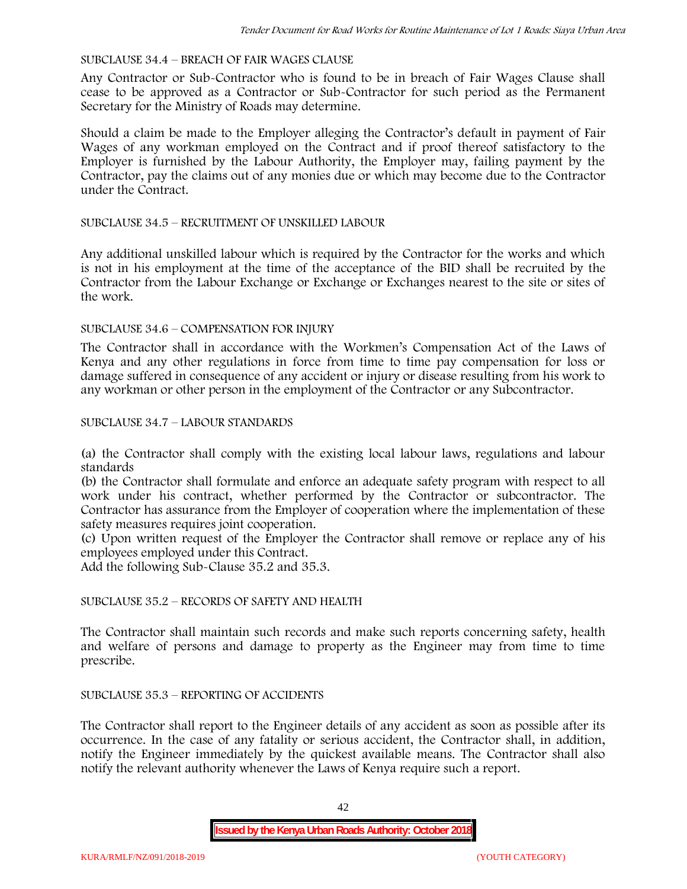# SUBCLAUSE 34.4 – BREACH OF FAIR WAGES CLAUSE

Any Contractor or Sub-Contractor who is found to be in breach of Fair Wages Clause shall cease to be approved as a Contractor or Sub-Contractor for such period as the Permanent Secretary for the Ministry of Roads may determine.

Should a claim be made to the Employer alleging the Contractor's default in payment of Fair Wages of any workman employed on the Contract and if proof thereof satisfactory to the Employer is furnished by the Labour Authority, the Employer may, failing payment by the Contractor, pay the claims out of any monies due or which may become due to the Contractor under the Contract.

### SUBCLAUSE 34.5 – RECRUITMENT OF UNSKILLED LABOUR

Any additional unskilled labour which is required by the Contractor for the works and which is not in his employment at the time of the acceptance of the BID shall be recruited by the Contractor from the Labour Exchange or Exchange or Exchanges nearest to the site or sites of the work.

### SUBCLAUSE 34.6 – COMPENSATION FOR INJURY

The Contractor shall in accordance with the Workmen's Compensation Act of the Laws of Kenya and any other regulations in force from time to time pay compensation for loss or damage suffered in consequence of any accident or injury or disease resulting from his work to any workman or other person in the employment of the Contractor or any Subcontractor.

### SUBCLAUSE 34.7 – LABOUR STANDARDS

(a) the Contractor shall comply with the existing local labour laws, regulations and labour standards

(b) the Contractor shall formulate and enforce an adequate safety program with respect to all work under his contract, whether performed by the Contractor or subcontractor. The Contractor has assurance from the Employer of cooperation where the implementation of these safety measures requires joint cooperation.

(c) Upon written request of the Employer the Contractor shall remove or replace any of his employees employed under this Contract.

Add the following Sub-Clause 35.2 and 35.3.

# SUBCLAUSE 35.2 – RECORDS OF SAFETY AND HEALTH

The Contractor shall maintain such records and make such reports concerning safety, health and welfare of persons and damage to property as the Engineer may from time to time prescribe.

# SUBCLAUSE 35.3 – REPORTING OF ACCIDENTS

The Contractor shall report to the Engineer details of any accident as soon as possible after its occurrence. In the case of any fatality or serious accident, the Contractor shall, in addition, notify the Engineer immediately by the quickest available means. The Contractor shall also notify the relevant authority whenever the Laws of Kenya require such a report.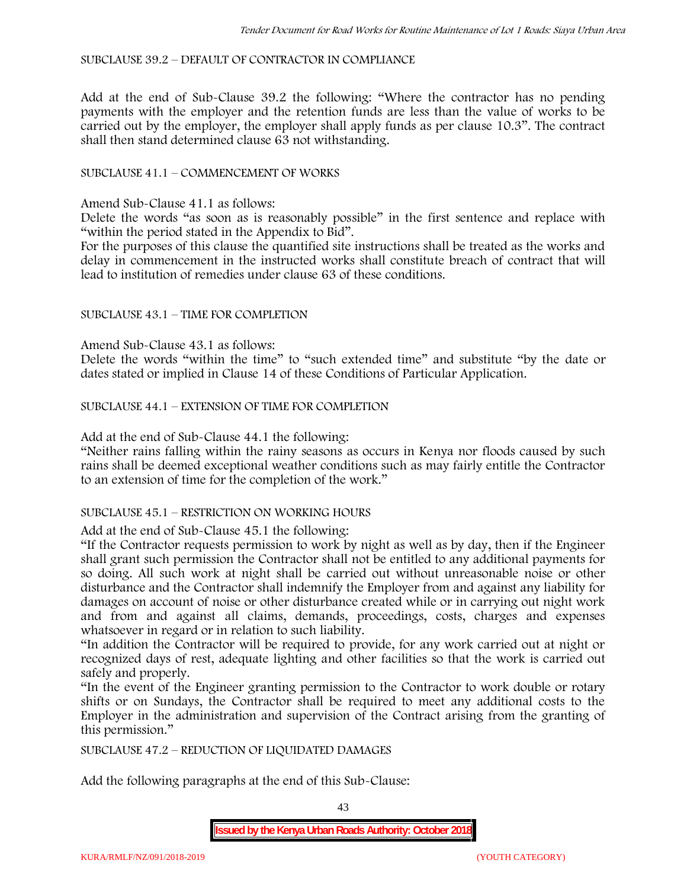SUBCLAUSE 39.2 – DEFAULT OF CONTRACTOR IN COMPLIANCE

Add at the end of Sub-Clause 39.2 the following: "Where the contractor has no pending payments with the employer and the retention funds are less than the value of works to be carried out by the employer, the employer shall apply funds as per clause 10.3". The contract shall then stand determined clause 63 not withstanding.

# SUBCLAUSE 41.1 – COMMENCEMENT OF WORKS

Amend Sub-Clause 41.1 as follows:

Delete the words "as soon as is reasonably possible" in the first sentence and replace with "within the period stated in the Appendix to Bid".

For the purposes of this clause the quantified site instructions shall be treated as the works and delay in commencement in the instructed works shall constitute breach of contract that will lead to institution of remedies under clause 63 of these conditions.

### SUBCLAUSE 43.1 – TIME FOR COMPLETION

Amend Sub-Clause 43.1 as follows:

Delete the words "within the time" to "such extended time" and substitute "by the date or dates stated or implied in Clause 14 of these Conditions of Particular Application.

SUBCLAUSE 44.1 – EXTENSION OF TIME FOR COMPLETION

Add at the end of Sub-Clause 44.1 the following:

"Neither rains falling within the rainy seasons as occurs in Kenya nor floods caused by such rains shall be deemed exceptional weather conditions such as may fairly entitle the Contractor to an extension of time for the completion of the work."

#### SUBCLAUSE 45.1 – RESTRICTION ON WORKING HOURS

Add at the end of Sub-Clause 45.1 the following:

"If the Contractor requests permission to work by night as well as by day, then if the Engineer shall grant such permission the Contractor shall not be entitled to any additional payments for so doing. All such work at night shall be carried out without unreasonable noise or other disturbance and the Contractor shall indemnify the Employer from and against any liability for damages on account of noise or other disturbance created while or in carrying out night work and from and against all claims, demands, proceedings, costs, charges and expenses whatsoever in regard or in relation to such liability.

"In addition the Contractor will be required to provide, for any work carried out at night or recognized days of rest, adequate lighting and other facilities so that the work is carried out safely and properly.

"In the event of the Engineer granting permission to the Contractor to work double or rotary shifts or on Sundays, the Contractor shall be required to meet any additional costs to the Employer in the administration and supervision of the Contract arising from the granting of this permission."

SUBCLAUSE 47.2 – REDUCTION OF LIQUIDATED DAMAGES

Add the following paragraphs at the end of this Sub-Clause:

43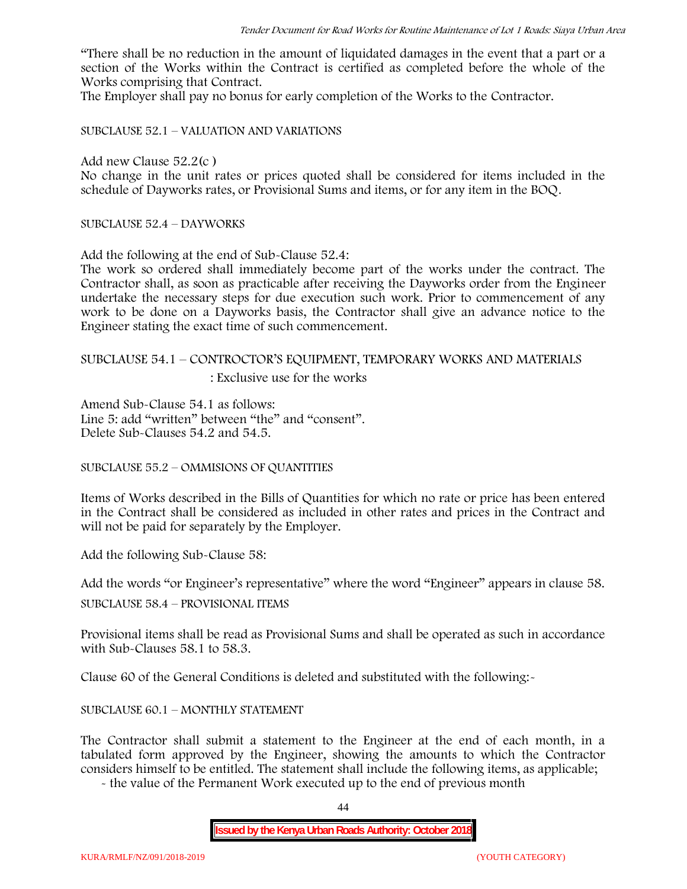"There shall be no reduction in the amount of liquidated damages in the event that a part or a section of the Works within the Contract is certified as completed before the whole of the Works comprising that Contract.

The Employer shall pay no bonus for early completion of the Works to the Contractor.

SUBCLAUSE 52.1 – VALUATION AND VARIATIONS

Add new Clause 52.2(c )

No change in the unit rates or prices quoted shall be considered for items included in the schedule of Dayworks rates, or Provisional Sums and items, or for any item in the BOQ.

SUBCLAUSE 52.4 – DAYWORKS

Add the following at the end of Sub-Clause 52.4:

The work so ordered shall immediately become part of the works under the contract. The Contractor shall, as soon as practicable after receiving the Dayworks order from the Engineer undertake the necessary steps for due execution such work. Prior to commencement of any work to be done on a Dayworks basis, the Contractor shall give an advance notice to the Engineer stating the exact time of such commencement.

# SUBCLAUSE 54.1 – CONTROCTOR'S EQUIPMENT, TEMPORARY WORKS AND MATERIALS

: Exclusive use for the works

Amend Sub-Clause 54.1 as follows: Line 5: add "written" between "the" and "consent". Delete Sub-Clauses 54.2 and 54.5.

SUBCLAUSE 55.2 – OMMISIONS OF QUANTITIES

Items of Works described in the Bills of Quantities for which no rate or price has been entered in the Contract shall be considered as included in other rates and prices in the Contract and will not be paid for separately by the Employer.

Add the following Sub-Clause 58:

Add the words "or Engineer's representative" where the word "Engineer" appears in clause 58.

SUBCLAUSE 58.4 – PROVISIONAL ITEMS

Provisional items shall be read as Provisional Sums and shall be operated as such in accordance with Sub-Clauses 58.1 to 58.3.

Clause 60 of the General Conditions is deleted and substituted with the following:-

# SUBCLAUSE 60.1 – MONTHLY STATEMENT

The Contractor shall submit a statement to the Engineer at the end of each month, in a tabulated form approved by the Engineer, showing the amounts to which the Contractor considers himself to be entitled. The statement shall include the following items, as applicable;

- the value of the Permanent Work executed up to the end of previous month

44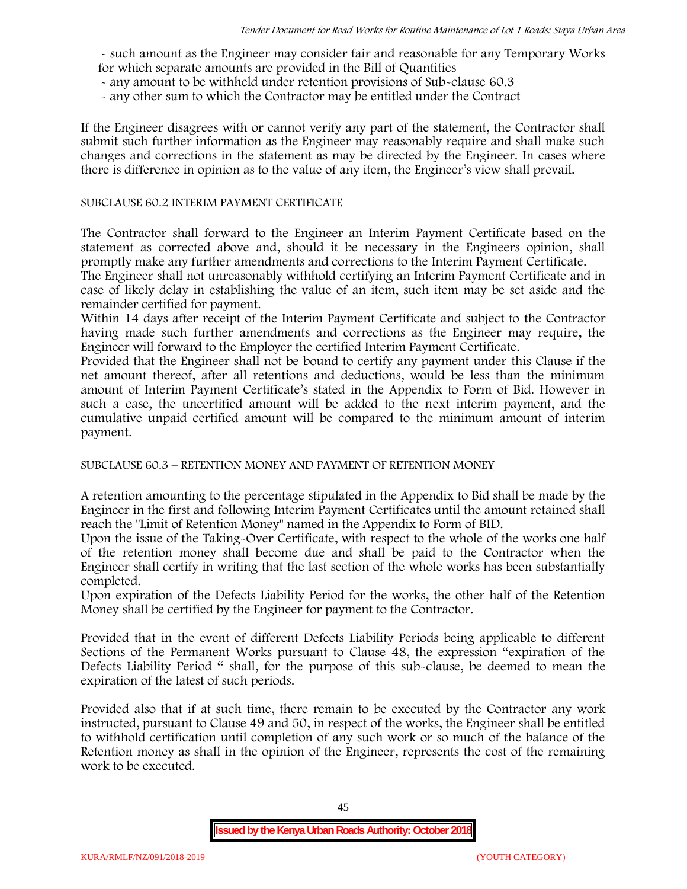- such amount as the Engineer may consider fair and reasonable for any Temporary Works for which separate amounts are provided in the Bill of Quantities

- any amount to be withheld under retention provisions of Sub-clause 60.3
- any other sum to which the Contractor may be entitled under the Contract

If the Engineer disagrees with or cannot verify any part of the statement, the Contractor shall submit such further information as the Engineer may reasonably require and shall make such changes and corrections in the statement as may be directed by the Engineer. In cases where there is difference in opinion as to the value of any item, the Engineer's view shall prevail.

### SUBCLAUSE 60.2 INTERIM PAYMENT CERTIFICATE

The Contractor shall forward to the Engineer an Interim Payment Certificate based on the statement as corrected above and, should it be necessary in the Engineers opinion, shall promptly make any further amendments and corrections to the Interim Payment Certificate.

The Engineer shall not unreasonably withhold certifying an Interim Payment Certificate and in case of likely delay in establishing the value of an item, such item may be set aside and the remainder certified for payment.

Within 14 days after receipt of the Interim Payment Certificate and subject to the Contractor having made such further amendments and corrections as the Engineer may require, the Engineer will forward to the Employer the certified Interim Payment Certificate.

Provided that the Engineer shall not be bound to certify any payment under this Clause if the net amount thereof, after all retentions and deductions, would be less than the minimum amount of Interim Payment Certificate's stated in the Appendix to Form of Bid. However in such a case, the uncertified amount will be added to the next interim payment, and the cumulative unpaid certified amount will be compared to the minimum amount of interim payment.

SUBCLAUSE 60.3 – RETENTION MONEY AND PAYMENT OF RETENTION MONEY

A retention amounting to the percentage stipulated in the Appendix to Bid shall be made by the Engineer in the first and following Interim Payment Certificates until the amount retained shall reach the "Limit of Retention Money" named in the Appendix to Form of BID.

Upon the issue of the Taking-Over Certificate, with respect to the whole of the works one half of the retention money shall become due and shall be paid to the Contractor when the Engineer shall certify in writing that the last section of the whole works has been substantially completed.

Upon expiration of the Defects Liability Period for the works, the other half of the Retention Money shall be certified by the Engineer for payment to the Contractor.

Provided that in the event of different Defects Liability Periods being applicable to different Sections of the Permanent Works pursuant to Clause 48, the expression "expiration of the Defects Liability Period " shall, for the purpose of this sub-clause, be deemed to mean the expiration of the latest of such periods.

Provided also that if at such time, there remain to be executed by the Contractor any work instructed, pursuant to Clause 49 and 50, in respect of the works, the Engineer shall be entitled to withhold certification until completion of any such work or so much of the balance of the Retention money as shall in the opinion of the Engineer, represents the cost of the remaining work to be executed.

45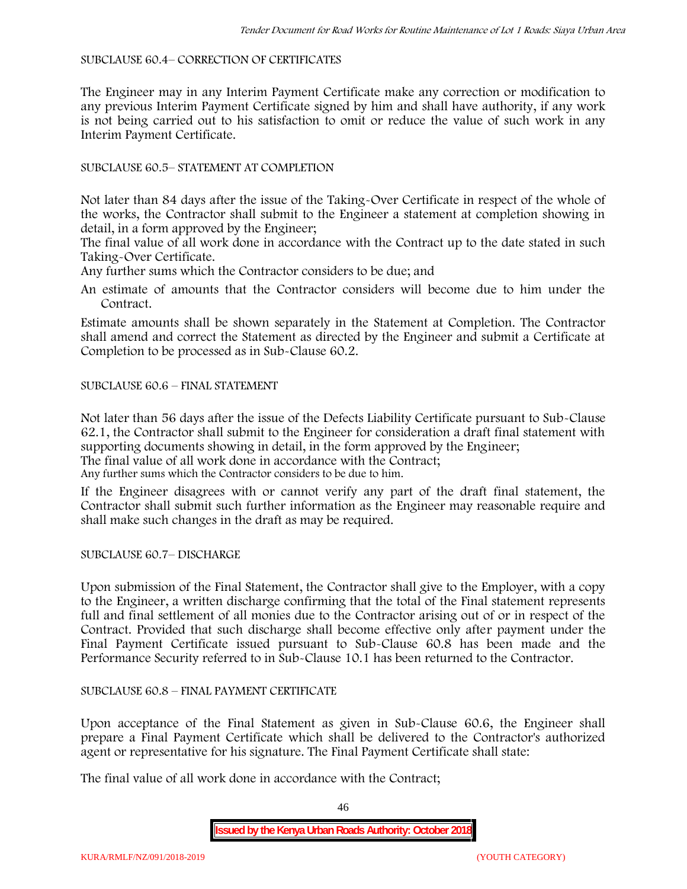### SUBCLAUSE 60.4– CORRECTION OF CERTIFICATES

The Engineer may in any Interim Payment Certificate make any correction or modification to any previous Interim Payment Certificate signed by him and shall have authority, if any work is not being carried out to his satisfaction to omit or reduce the value of such work in any Interim Payment Certificate.

# SUBCLAUSE 60.5– STATEMENT AT COMPLETION

Not later than 84 days after the issue of the Taking-Over Certificate in respect of the whole of the works, the Contractor shall submit to the Engineer a statement at completion showing in detail, in a form approved by the Engineer;

The final value of all work done in accordance with the Contract up to the date stated in such Taking-Over Certificate.

Any further sums which the Contractor considers to be due; and

An estimate of amounts that the Contractor considers will become due to him under the Contract.

Estimate amounts shall be shown separately in the Statement at Completion. The Contractor shall amend and correct the Statement as directed by the Engineer and submit a Certificate at Completion to be processed as in Sub-Clause 60.2.

# SUBCLAUSE 60.6 – FINAL STATEMENT

Not later than 56 days after the issue of the Defects Liability Certificate pursuant to Sub-Clause 62.1, the Contractor shall submit to the Engineer for consideration a draft final statement with supporting documents showing in detail, in the form approved by the Engineer; The final value of all work done in accordance with the Contract;

Any further sums which the Contractor considers to be due to him.

If the Engineer disagrees with or cannot verify any part of the draft final statement, the Contractor shall submit such further information as the Engineer may reasonable require and shall make such changes in the draft as may be required.

SUBCLAUSE 60.7– DISCHARGE

Upon submission of the Final Statement, the Contractor shall give to the Employer, with a copy to the Engineer, a written discharge confirming that the total of the Final statement represents full and final settlement of all monies due to the Contractor arising out of or in respect of the Contract. Provided that such discharge shall become effective only after payment under the Final Payment Certificate issued pursuant to Sub-Clause 60.8 has been made and the Performance Security referred to in Sub-Clause 10.1 has been returned to the Contractor.

# SUBCLAUSE 60.8 – FINAL PAYMENT CERTIFICATE

Upon acceptance of the Final Statement as given in Sub-Clause 60.6, the Engineer shall prepare a Final Payment Certificate which shall be delivered to the Contractor's authorized agent or representative for his signature. The Final Payment Certificate shall state:

The final value of all work done in accordance with the Contract;

46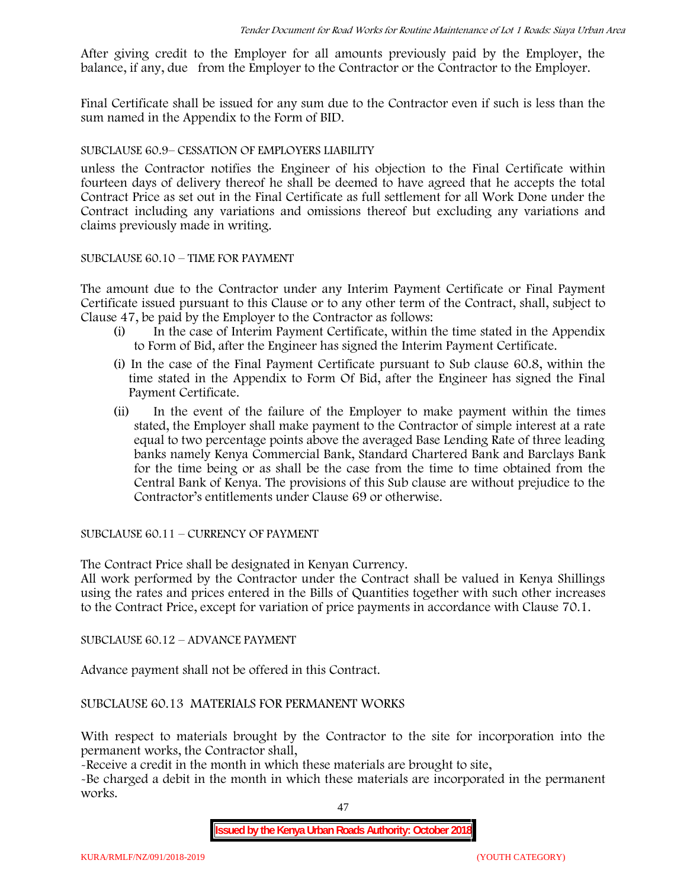After giving credit to the Employer for all amounts previously paid by the Employer, the balance, if any, due from the Employer to the Contractor or the Contractor to the Employer.

Final Certificate shall be issued for any sum due to the Contractor even if such is less than the sum named in the Appendix to the Form of BID.

# SUBCLAUSE 60.9– CESSATION OF EMPLOYERS LIABILITY

unless the Contractor notifies the Engineer of his objection to the Final Certificate within fourteen days of delivery thereof he shall be deemed to have agreed that he accepts the total Contract Price as set out in the Final Certificate as full settlement for all Work Done under the Contract including any variations and omissions thereof but excluding any variations and claims previously made in writing.

# SUBCLAUSE 60.10 – TIME FOR PAYMENT

The amount due to the Contractor under any Interim Payment Certificate or Final Payment Certificate issued pursuant to this Clause or to any other term of the Contract, shall, subject to Clause 47, be paid by the Employer to the Contractor as follows:

- (i) In the case of Interim Payment Certificate, within the time stated in the Appendix to Form of Bid, after the Engineer has signed the Interim Payment Certificate.
- (i) In the case of the Final Payment Certificate pursuant to Sub clause 60.8, within the time stated in the Appendix to Form Of Bid, after the Engineer has signed the Final Payment Certificate.
- (ii) In the event of the failure of the Employer to make payment within the times stated, the Employer shall make payment to the Contractor of simple interest at a rate equal to two percentage points above the averaged Base Lending Rate of three leading banks namely Kenya Commercial Bank, Standard Chartered Bank and Barclays Bank for the time being or as shall be the case from the time to time obtained from the Central Bank of Kenya. The provisions of this Sub clause are without prejudice to the Contractor's entitlements under Clause 69 or otherwise.

SUBCLAUSE 60.11 – CURRENCY OF PAYMENT

The Contract Price shall be designated in Kenyan Currency.

All work performed by the Contractor under the Contract shall be valued in Kenya Shillings using the rates and prices entered in the Bills of Quantities together with such other increases to the Contract Price, except for variation of price payments in accordance with Clause 70.1.

SUBCLAUSE 60.12 – ADVANCE PAYMENT

Advance payment shall not be offered in this Contract.

SUBCLAUSE 60.13 MATERIALS FOR PERMANENT WORKS

With respect to materials brought by the Contractor to the site for incorporation into the permanent works, the Contractor shall,

-Receive a credit in the month in which these materials are brought to site,

-Be charged a debit in the month in which these materials are incorporated in the permanent works.

47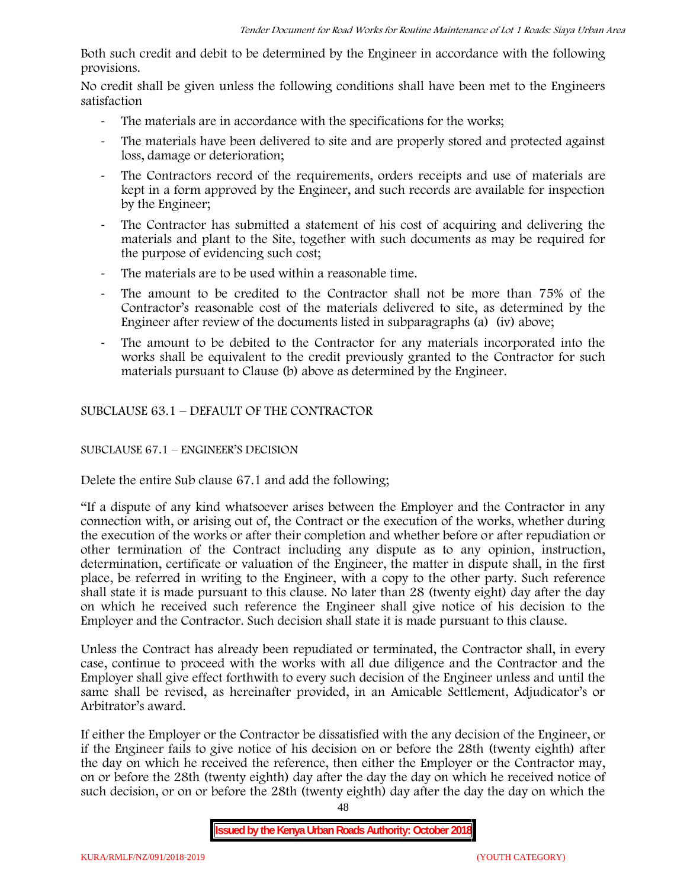Both such credit and debit to be determined by the Engineer in accordance with the following provisions.

No credit shall be given unless the following conditions shall have been met to the Engineers satisfaction

- The materials are in accordance with the specifications for the works;
- The materials have been delivered to site and are properly stored and protected against loss, damage or deterioration;
- The Contractors record of the requirements, orders receipts and use of materials are kept in a form approved by the Engineer, and such records are available for inspection by the Engineer;
- The Contractor has submitted a statement of his cost of acquiring and delivering the materials and plant to the Site, together with such documents as may be required for the purpose of evidencing such cost;
- The materials are to be used within a reasonable time.
- The amount to be credited to the Contractor shall not be more than 75% of the Contractor's reasonable cost of the materials delivered to site, as determined by the Engineer after review of the documents listed in subparagraphs (a) (iv) above;
- The amount to be debited to the Contractor for any materials incorporated into the works shall be equivalent to the credit previously granted to the Contractor for such materials pursuant to Clause (b) above as determined by the Engineer.

SUBCLAUSE 63.1 – DEFAULT OF THE CONTRACTOR

# SUBCLAUSE 67.1 – ENGINEER'S DECISION

Delete the entire Sub clause 67.1 and add the following;

"If a dispute of any kind whatsoever arises between the Employer and the Contractor in any connection with, or arising out of, the Contract or the execution of the works, whether during the execution of the works or after their completion and whether before or after repudiation or other termination of the Contract including any dispute as to any opinion, instruction, determination, certificate or valuation of the Engineer, the matter in dispute shall, in the first place, be referred in writing to the Engineer, with a copy to the other party. Such reference shall state it is made pursuant to this clause. No later than 28 (twenty eight) day after the day on which he received such reference the Engineer shall give notice of his decision to the Employer and the Contractor. Such decision shall state it is made pursuant to this clause.

Unless the Contract has already been repudiated or terminated, the Contractor shall, in every case, continue to proceed with the works with all due diligence and the Contractor and the Employer shall give effect forthwith to every such decision of the Engineer unless and until the same shall be revised, as hereinafter provided, in an Amicable Settlement, Adjudicator's or Arbitrator's award.

If either the Employer or the Contractor be dissatisfied with the any decision of the Engineer, or if the Engineer fails to give notice of his decision on or before the 28th (twenty eighth) after the day on which he received the reference, then either the Employer or the Contractor may, on or before the 28th (twenty eighth) day after the day the day on which he received notice of such decision, or on or before the 28th (twenty eighth) day after the day the day on which the

48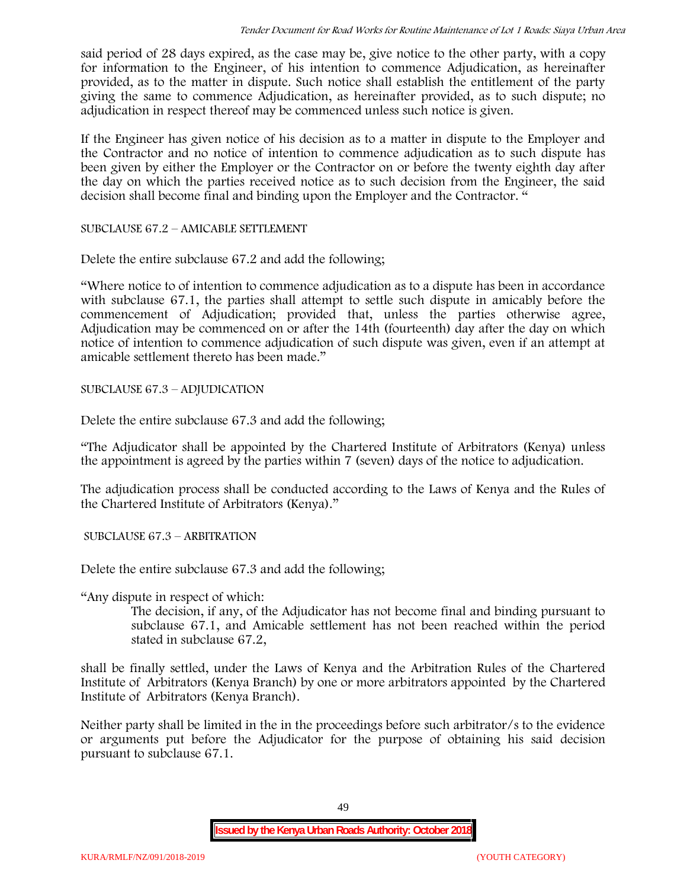said period of 28 days expired, as the case may be, give notice to the other party, with a copy for information to the Engineer, of his intention to commence Adjudication, as hereinafter provided, as to the matter in dispute. Such notice shall establish the entitlement of the party giving the same to commence Adjudication, as hereinafter provided, as to such dispute; no adjudication in respect thereof may be commenced unless such notice is given.

If the Engineer has given notice of his decision as to a matter in dispute to the Employer and the Contractor and no notice of intention to commence adjudication as to such dispute has been given by either the Employer or the Contractor on or before the twenty eighth day after the day on which the parties received notice as to such decision from the Engineer, the said decision shall become final and binding upon the Employer and the Contractor. "

SUBCLAUSE 67.2 – AMICABLE SETTLEMENT

Delete the entire subclause 67.2 and add the following;

"Where notice to of intention to commence adjudication as to a dispute has been in accordance with subclause 67.1, the parties shall attempt to settle such dispute in amicably before the commencement of Adjudication; provided that, unless the parties otherwise agree, Adjudication may be commenced on or after the 14th (fourteenth) day after the day on which notice of intention to commence adjudication of such dispute was given, even if an attempt at amicable settlement thereto has been made."

SUBCLAUSE 67.3 – ADJUDICATION

Delete the entire subclause 67.3 and add the following;

"The Adjudicator shall be appointed by the Chartered Institute of Arbitrators (Kenya) unless the appointment is agreed by the parties within 7 (seven) days of the notice to adjudication.

The adjudication process shall be conducted according to the Laws of Kenya and the Rules of the Chartered Institute of Arbitrators (Kenya)."

SUBCLAUSE 67.3 – ARBITRATION

Delete the entire subclause 67.3 and add the following;

"Any dispute in respect of which:

The decision, if any, of the Adjudicator has not become final and binding pursuant to subclause 67.1, and Amicable settlement has not been reached within the period stated in subclause 67.2,

shall be finally settled, under the Laws of Kenya and the Arbitration Rules of the Chartered Institute of Arbitrators (Kenya Branch) by one or more arbitrators appointed by the Chartered Institute of Arbitrators (Kenya Branch).

Neither party shall be limited in the in the proceedings before such arbitrator/s to the evidence or arguments put before the Adjudicator for the purpose of obtaining his said decision pursuant to subclause 67.1.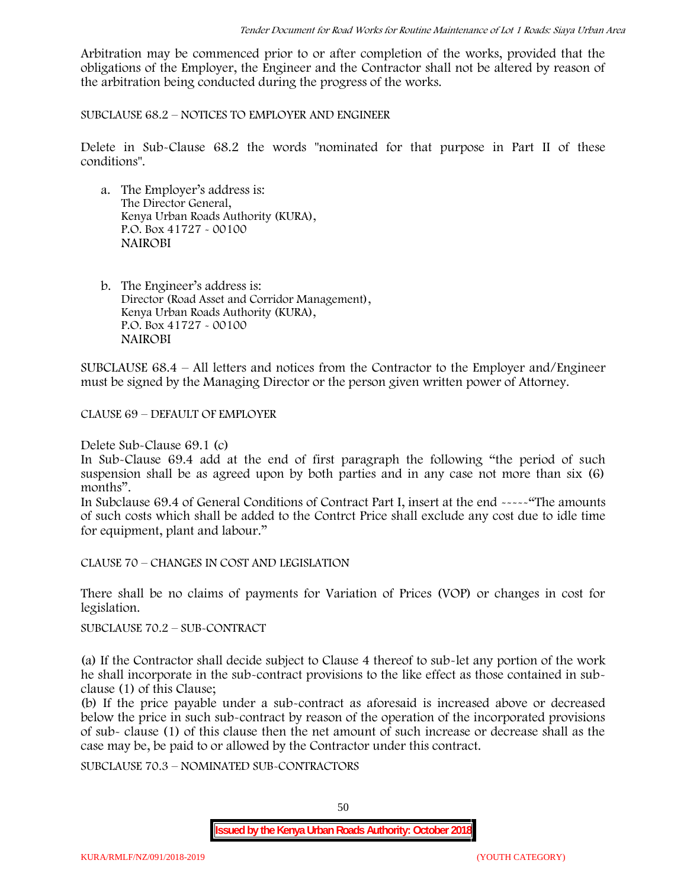Arbitration may be commenced prior to or after completion of the works, provided that the obligations of the Employer, the Engineer and the Contractor shall not be altered by reason of the arbitration being conducted during the progress of the works.

SUBCLAUSE 68.2 – NOTICES TO EMPLOYER AND ENGINEER

Delete in Sub-Clause 68.2 the words "nominated for that purpose in Part II of these conditions".

- a. The Employer's address is: The Director General, Kenya Urban Roads Authority (KURA), P.O. Box 41727 - 00100 **NAIROBI**
- b. The Engineer's address is: Director (Road Asset and Corridor Management), Kenya Urban Roads Authority (KURA), P.O. Box 41727 - 00100 **NAIROBI**

SUBCLAUSE 68.4 – All letters and notices from the Contractor to the Employer and/Engineer must be signed by the Managing Director or the person given written power of Attorney.

CLAUSE 69 – DEFAULT OF EMPLOYER

Delete Sub-Clause 69.1 (c)

In Sub-Clause 69.4 add at the end of first paragraph the following "the period of such suspension shall be as agreed upon by both parties and in any case not more than six (6) months".

In Subclause 69.4 of General Conditions of Contract Part I, insert at the end -----"The amounts of such costs which shall be added to the Contrct Price shall exclude any cost due to idle time for equipment, plant and labour."

CLAUSE 70 – CHANGES IN COST AND LEGISLATION

There shall be no claims of payments for Variation of Prices (VOP) or changes in cost for legislation.

SUBCLAUSE 70.2 – SUB-CONTRACT

(a) If the Contractor shall decide subject to Clause 4 thereof to sub-let any portion of the work he shall incorporate in the sub-contract provisions to the like effect as those contained in sub clause (1) of this Clause;

(b) If the price payable under a sub-contract as aforesaid is increased above or decreased below the price in such sub-contract by reason of the operation of the incorporated provisions of sub- clause (1) of this clause then the net amount of such increase or decrease shall as the case may be, be paid to or allowed by the Contractor under this contract.

SUBCLAUSE 70.3 – NOMINATED SUB-CONTRACTORS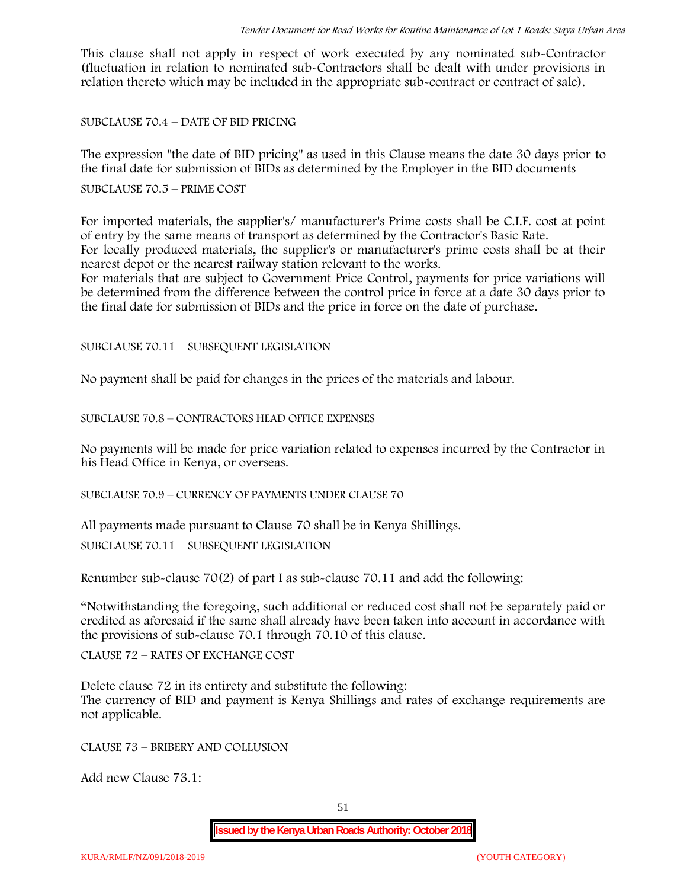This clause shall not apply in respect of work executed by any nominated sub-Contractor (fluctuation in relation to nominated sub-Contractors shall be dealt with under provisions in relation thereto which may be included in the appropriate sub-contract or contract of sale).

SUBCLAUSE 70.4 – DATE OF BID PRICING

The expression "the date of BID pricing" as used in this Clause means the date 30 days prior to the final date for submission of BIDs as determined by the Employer in the BID documents

# SUBCLAUSE 70.5 – PRIME COST

For imported materials, the supplier's/ manufacturer's Prime costs shall be C.I.F. cost at point of entry by the same means of transport as determined by the Contractor's Basic Rate. For locally produced materials, the supplier's or manufacturer's prime costs shall be at their nearest depot or the nearest railway station relevant to the works.

For materials that are subject to Government Price Control, payments for price variations will be determined from the difference between the control price in force at a date 30 days prior to the final date for submission of BIDs and the price in force on the date of purchase.

SUBCLAUSE 70.11 – SUBSEQUENT LEGISLATION

No payment shall be paid for changes in the prices of the materials and labour.

SUBCLAUSE 70.8 – CONTRACTORS HEAD OFFICE EXPENSES

No payments will be made for price variation related to expenses incurred by the Contractor in his Head Office in Kenya, or overseas.

SUBCLAUSE 70.9 – CURRENCY OF PAYMENTS UNDER CLAUSE 70

All payments made pursuant to Clause 70 shall be in Kenya Shillings.

SUBCLAUSE 70.11 – SUBSEQUENT LEGISLATION

Renumber sub-clause 70(2) of part I as sub-clause 70.11 and add the following:

"Notwithstanding the foregoing, such additional or reduced cost shall not be separately paid or credited as aforesaid if the same shall already have been taken into account in accordance with the provisions of sub-clause 70.1 through 70.10 of this clause.

CLAUSE 72 – RATES OF EXCHANGE COST

Delete clause 72 in its entirety and substitute the following: The currency of BID and payment is Kenya Shillings and rates of exchange requirements are not applicable.

CLAUSE 73 – BRIBERY AND COLLUSION

Add new Clause 73.1: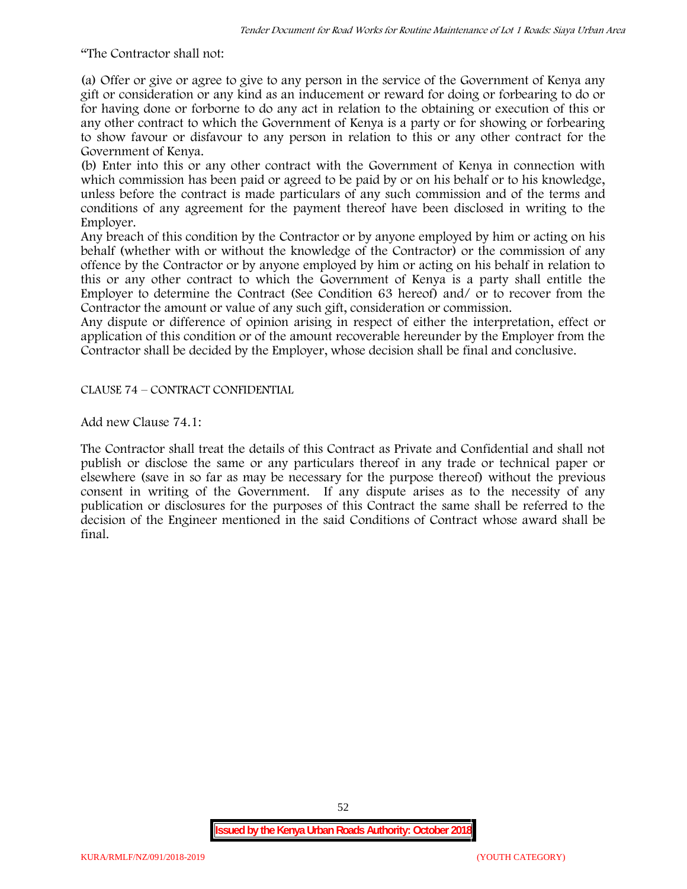"The Contractor shall not:

(a) Offer or give or agree to give to any person in the service of the Government of Kenya any gift or consideration or any kind as an inducement or reward for doing or forbearing to do or for having done or forborne to do any act in relation to the obtaining or execution of this or any other contract to which the Government of Kenya is a party or for showing or forbearing to show favour or disfavour to any person in relation to this or any other contract for the Government of Kenya.

(b) Enter into this or any other contract with the Government of Kenya in connection with which commission has been paid or agreed to be paid by or on his behalf or to his knowledge, unless before the contract is made particulars of any such commission and of the terms and conditions of any agreement for the payment thereof have been disclosed in writing to the Employer.

Any breach of this condition by the Contractor or by anyone employed by him or acting on his behalf (whether with or without the knowledge of the Contractor) or the commission of any offence by the Contractor or by anyone employed by him or acting on his behalf in relation to this or any other contract to which the Government of Kenya is a party shall entitle the Employer to determine the Contract (See Condition 63 hereof) and/ or to recover from the Contractor the amount or value of any such gift, consideration or commission.

Any dispute or difference of opinion arising in respect of either the interpretation, effect or application of this condition or of the amount recoverable hereunder by the Employer from the Contractor shall be decided by the Employer, whose decision shall be final and conclusive.

CLAUSE 74 – CONTRACT CONFIDENTIAL

Add new Clause 74.1:

The Contractor shall treat the details of this Contract as Private and Confidential and shall not publish or disclose the same or any particulars thereof in any trade or technical paper or elsewhere (save in so far as may be necessary for the purpose thereof) without the previous consent in writing of the Government. If any dispute arises as to the necessity of any publication or disclosures for the purposes of this Contract the same shall be referred to the decision of the Engineer mentioned in the said Conditions of Contract whose award shall be final.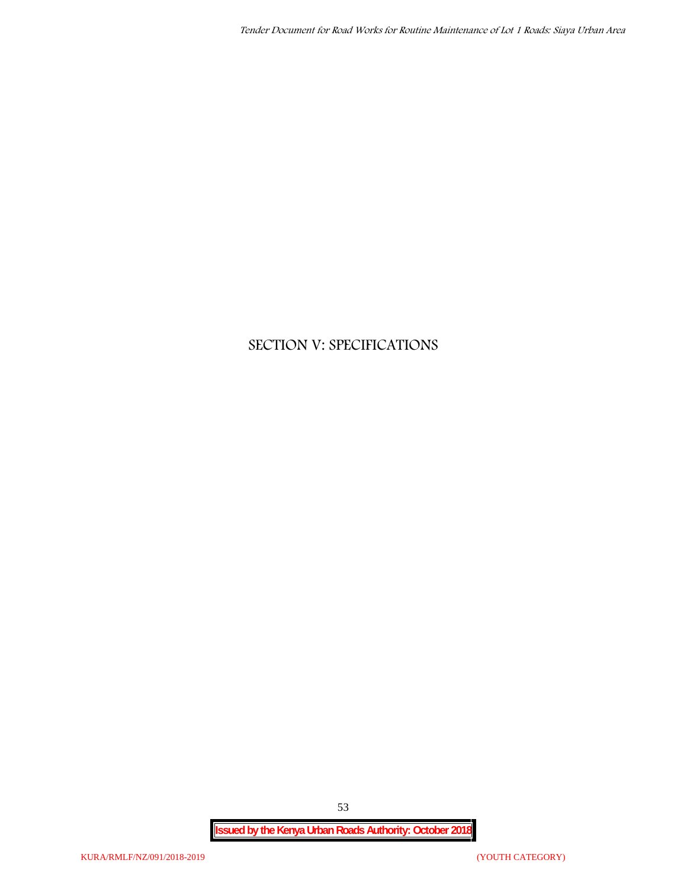# **SECTION V: SPECIFICATIONS**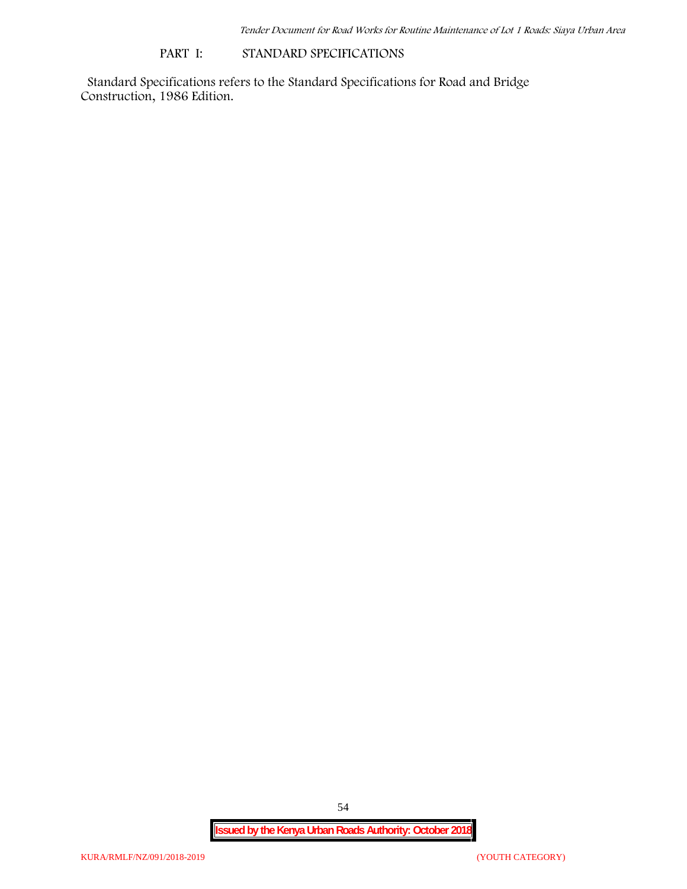### **PART I: STANDARD SPECIFICATIONS**

Standard Specifications refers to the Standard Specifications for Road and Bridge Construction, 1986 Edition.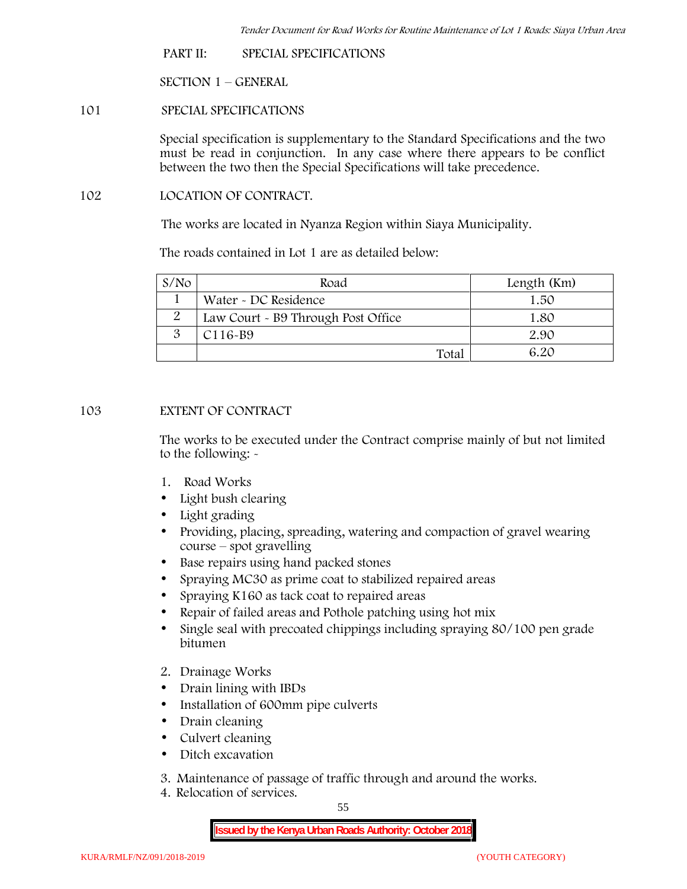**PART II: SPECIAL SPECIFICATIONS**

**SECTION 1 – GENERAL**

**101 SPECIAL SPECIFICATIONS**

Special specification is supplementary to the Standard Specifications and the two must be read in conjunction. In any case where there appears to be conflict between the two then the Special Specifications will take precedence.

**102 LOCATION OF CONTRACT.**

The works are located in Nyanza Region within Siaya Municipality.

The roads contained in Lot 1 are as detailed below:

| S/N <sub>O</sub> | Road                               | Length (Km) |
|------------------|------------------------------------|-------------|
|                  | Water - DC Residence               | 1.50        |
|                  | Law Court - B9 Through Post Office | 1.80        |
|                  | $C116-B9$                          | 2.90        |
|                  | $\text{Total}$                     | 6 20        |

# **103 EXTENT OF CONTRACT**

The works to be executed under the Contract comprise mainly of but not limited to the following: -

- **1. Road Works**
- Light bush clearing
- Light grading
- Providing, placing, spreading, watering and compaction of gravel wearing course – spot gravelling
- Base repairs using hand packed stones
- Spraying MC30 as prime coat to stabilized repaired areas
- Spraying K160 as tack coat to repaired areas
- Repair of failed areas and Pothole patching using hot mix
- Single seal with precoated chippings including spraying 80/100 pen grade bitumen
- **2. Drainage Works**
- Drain lining with IBDs
- Installation of 600mm pipe culverts
- Drain cleaning
- Culvert cleaning
- Ditch excavation
- **3. Maintenance of passage of traffic through and around the works.**
- **4. Relocation of services.**

55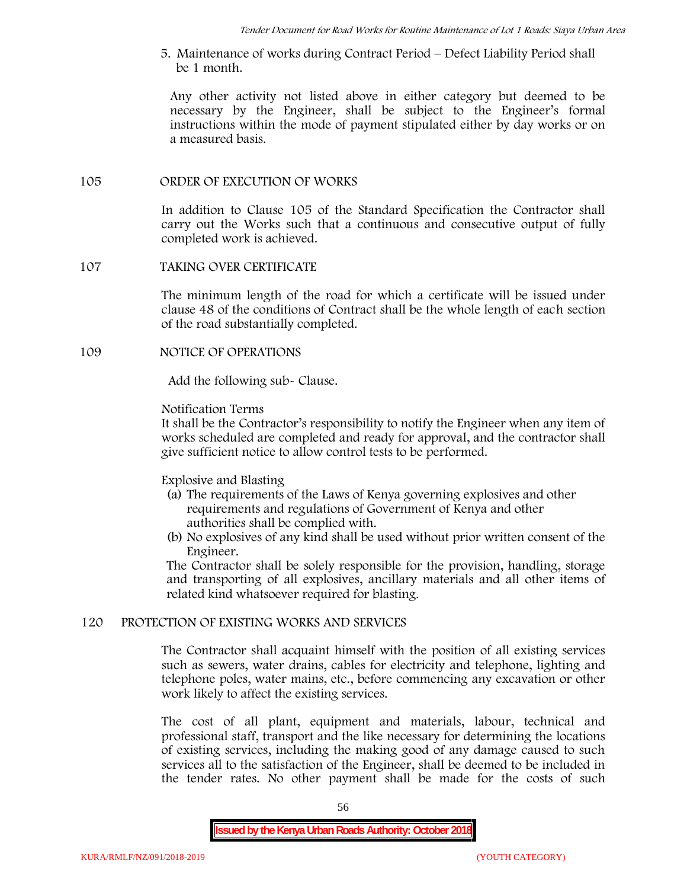**5. Maintenance of works during Contract Period – Defect Liability Period shall be 1 month.**

Any other activity not listed above in either category but deemed to be necessary by the Engineer, shall be subject to the Engineer's formal instructions within the mode of payment stipulated either by day works or on a measured basis.

# **105 ORDER OF EXECUTION OF WORKS**

In addition to Clause 105 of the Standard Specification the Contractor shall carry out the Works such that a continuous and consecutive output of fully completed work is achieved.

# **107 TAKING OVER CERTIFICATE**

The minimum length of the road for which a certificate will be issued under clause 48 of the conditions of Contract shall be the whole length of each section of the road substantially completed.

# **109 NOTICE OF OPERATIONS**

Add the following sub- Clause.

### Notification Terms

It shall be the Contractor's responsibility to notify the Engineer when any item of works scheduled are completed and ready for approval, and the contractor shall give sufficient notice to allow control tests to be performed.

# Explosive and Blasting

- (a) The requirements of the Laws of Kenya governing explosives and other requirements and regulations of Government of Kenya and other authorities shall be complied with.
- (b) No explosives of any kind shall be used without prior written consent of the Engineer.

The Contractor shall be solely responsible for the provision, handling, storage and transporting of all explosives, ancillary materials and all other items of related kind whatsoever required for blasting.

#### **120 PROTECTION OF EXISTING WORKS AND SERVICES**

The Contractor shall acquaint himself with the position of all existing services such as sewers, water drains, cables for electricity and telephone, lighting and telephone poles, water mains, etc., before commencing any excavation or other work likely to affect the existing services.

The cost of all plant, equipment and materials, labour, technical and professional staff, transport and the like necessary for determining the locations of existing services, including the making good of any damage caused to such services all to the satisfaction of the Engineer, shall be deemed to be included in the tender rates. No other payment shall be made for the costs of such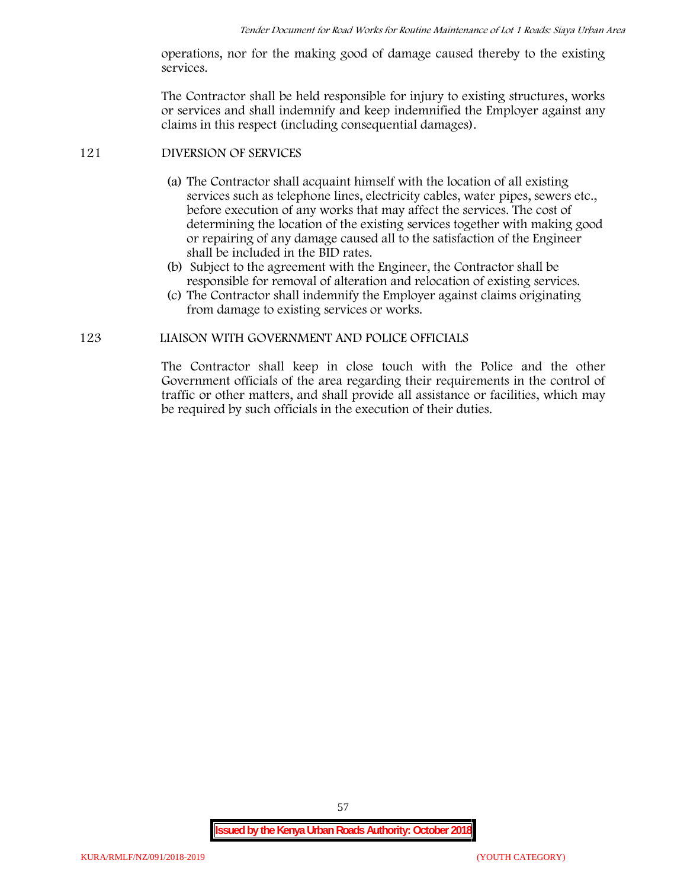operations, nor for the making good of damage caused thereby to the existing services.

The Contractor shall be held responsible for injury to existing structures, works or services and shall indemnify and keep indemnified the Employer against any claims in this respect (including consequential damages).

# **121 DIVERSION OF SERVICES**

- (a) The Contractor shall acquaint himself with the location of all existing services such as telephone lines, electricity cables, water pipes, sewers etc., before execution of any works that may affect the services. The cost of determining the location of the existing services together with making good or repairing of any damage caused all to the satisfaction of the Engineer shall be included in the BID rates.
- (b) Subject to the agreement with the Engineer, the Contractor shall be responsible for removal of alteration and relocation of existing services.
- (c) The Contractor shall indemnify the Employer against claims originating from damage to existing services or works.

# **123 LIAISON WITH GOVERNMENT AND POLICE OFFICIALS**

The Contractor shall keep in close touch with the Police and the other Government officials of the area regarding their requirements in the control of traffic or other matters, and shall provide all assistance or facilities, which may be required by such officials in the execution of their duties.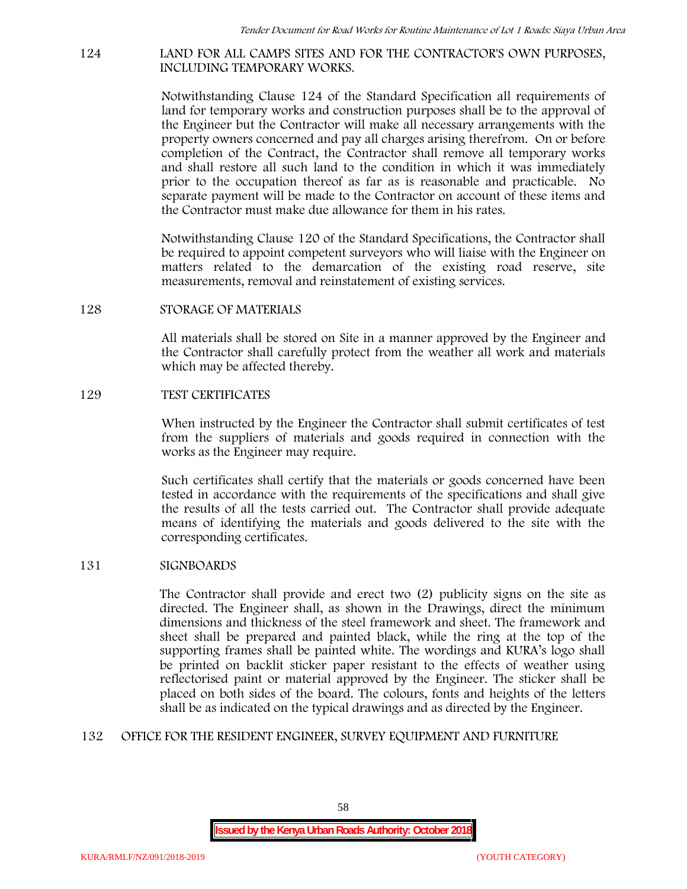#### **124 LAND FOR ALL CAMPS SITES AND FOR THE CONTRACTOR'S OWN PURPOSES, INCLUDING TEMPORARY WORKS.**

Notwithstanding Clause 124 of the Standard Specification all requirements of land for temporary works and construction purposes shall be to the approval of the Engineer but the Contractor will make all necessary arrangements with the property owners concerned and pay all charges arising therefrom. On or before completion of the Contract, the Contractor shall remove all temporary works and shall restore all such land to the condition in which it was immediately prior to the occupation thereof as far as is reasonable and practicable. No separate payment will be made to the Contractor on account of these items and the Contractor must make due allowance for them in his rates.

Notwithstanding Clause 120 of the Standard Specifications, the Contractor shall be required to appoint competent surveyors who will liaise with the Engineer on matters related to the demarcation of the existing road reserve, site measurements, removal and reinstatement of existing services.

### **128 STORAGE OF MATERIALS**

All materials shall be stored on Site in a manner approved by the Engineer and the Contractor shall carefully protect from the weather all work and materials which may be affected thereby.

### **129 TEST CERTIFICATES**

When instructed by the Engineer the Contractor shall submit certificates of test from the suppliers of materials and goods required in connection with the works as the Engineer may require.

Such certificates shall certify that the materials or goods concerned have been tested in accordance with the requirements of the specifications and shall give the results of all the tests carried out. The Contractor shall provide adequate means of identifying the materials and goods delivered to the site with the corresponding certificates.

# **131 SIGNBOARDS**

The Contractor shall provide and erect two (2) publicity signs on the site as directed. The Engineer shall, as shown in the Drawings, direct the minimum dimensions and thickness of the steel framework and sheet. The framework and sheet shall be prepared and painted black, while the ring at the top of the supporting frames shall be painted white. The wordings and KURA's logo shall be printed on backlit sticker paper resistant to the effects of weather using reflectorised paint or material approved by the Engineer. The sticker shall be placed on both sides of the board. The colours, fonts and heights of the letters shall be as indicated on the typical drawings and as directed by the Engineer.

# **132 OFFICE FOR THE RESIDENT ENGINEER, SURVEY EQUIPMENT AND FURNITURE**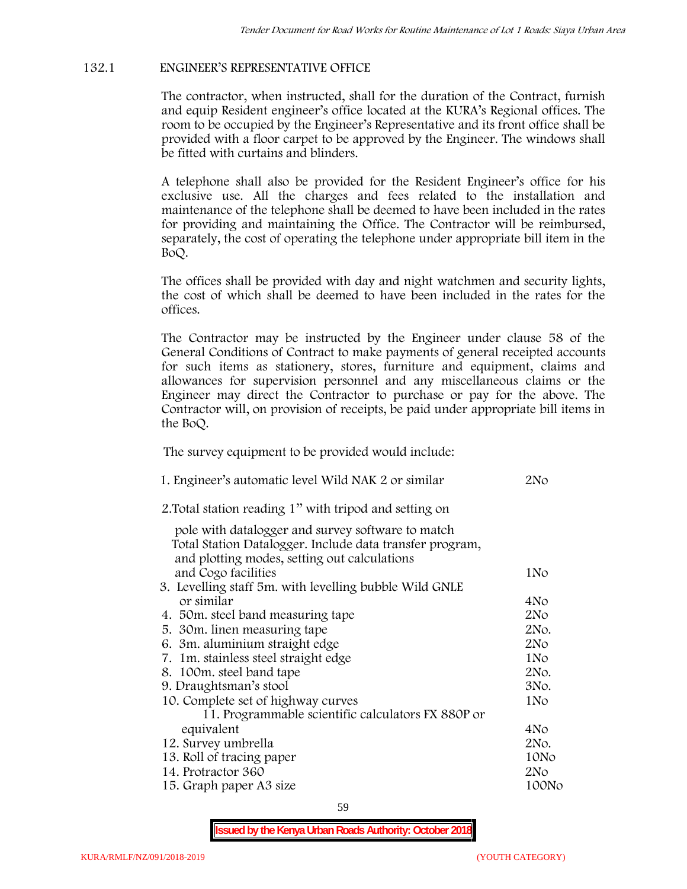# **132.1 ENGINEER'S REPRESENTATIVE OFFICE**

The contractor, when instructed, shall for the duration of the Contract, furnish and equip Resident engineer's office located at the KURA's Regional offices. The room to be occupied by the Engineer's Representative and its front office shall be provided with a floor carpet to be approved by the Engineer. The windows shall be fitted with curtains and blinders.

A telephone shall also be provided for the Resident Engineer's office for his exclusive use. All the charges and fees related to the installation and maintenance of the telephone shall be deemed to have been included in the rates for providing and maintaining the Office. The Contractor will be reimbursed, separately, the cost of operating the telephone under appropriate bill item in the BoQ.

The offices shall be provided with day and night watchmen and security lights, the cost of which shall be deemed to have been included in the rates for the offices.

The Contractor may be instructed by the Engineer under clause 58 of the General Conditions of Contract to make payments of general receipted accounts for such items as stationery, stores, furniture and equipment, claims and allowances for supervision personnel and any miscellaneous claims or the Engineer may direct the Contractor to purchase or pay for the above. The Contractor will, on provision of receipts, be paid under appropriate bill items in the BoQ.

**The survey equipment to be provided would include:**

| 1. Engineer's automatic level Wild NAK 2 or similar                                                      | 2N <sub>O</sub> |
|----------------------------------------------------------------------------------------------------------|-----------------|
| 2. Total station reading 1" with tripod and setting on                                                   |                 |
| pole with datalogger and survey software to match                                                        |                 |
| Total Station Datalogger. Include data transfer program,<br>and plotting modes, setting out calculations |                 |
| and Cogo facilities                                                                                      | 1No             |
| 3. Levelling staff 5m. with levelling bubble Wild GNLE                                                   |                 |
| or similar                                                                                               | 4No             |
| 4. 50m. steel band measuring tape                                                                        | 2N <sub>O</sub> |
| 5. 30 m. linen measuring tape                                                                            | 2No.            |
| 6. 3m. aluminium straight edge                                                                           | 2N <sub>O</sub> |
| 7. 1m. stainless steel straight edge                                                                     | 1No             |
| 8. 100m. steel band tape                                                                                 | 2No.            |
| 9. Draughtsman's stool                                                                                   | 3No.            |
| 10. Complete set of highway curves                                                                       | 1No             |
| 11. Programmable scientific calculators FX 880P or                                                       |                 |
| equivalent                                                                                               | 4No             |
| 12. Survey umbrella                                                                                      | 2No.            |
| 13. Roll of tracing paper                                                                                | 10No            |
| 14. Protractor 360                                                                                       | 2No             |
| 15. Graph paper A3 size                                                                                  | 100No           |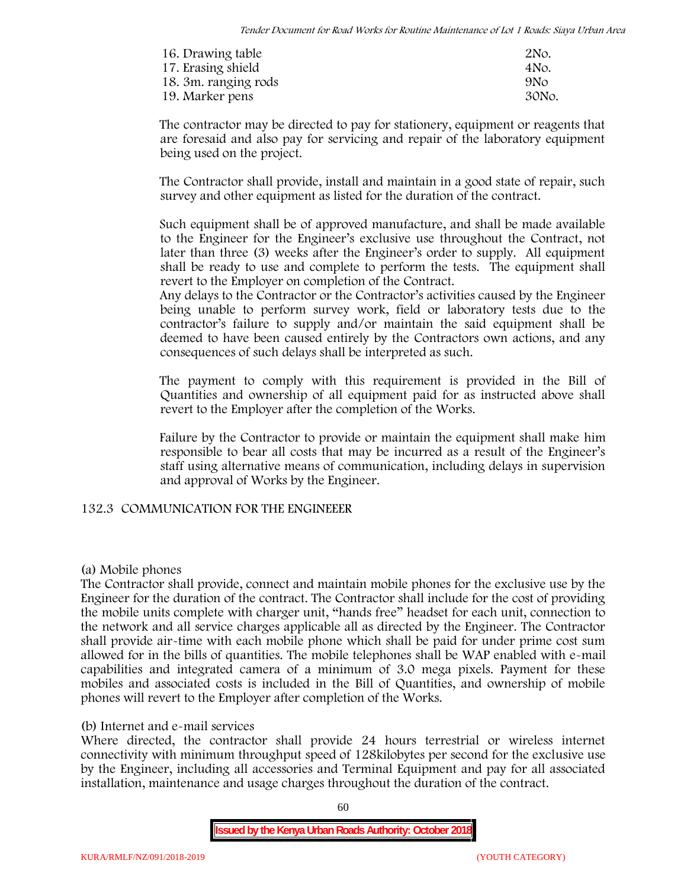| 16. Drawing table    | 2No.            |
|----------------------|-----------------|
| 17. Erasing shield   | 4No.            |
| 18. 3m. ranging rods | 9N <sub>O</sub> |
| 19. Marker pens      | 30No.           |

The contractor may be directed to pay for stationery, equipment or reagents that are foresaid and also pay for servicing and repair of the laboratory equipment being used on the project.

The Contractor shall provide, install and maintain in a good state of repair, such survey and other equipment as listed for the duration of the contract.

Such equipment shall be of approved manufacture, and shall be made available to the Engineer for the Engineer's exclusive use throughout the Contract, not later than three (3) weeks after the Engineer's order to supply. All equipment shall be ready to use and complete to perform the tests. The equipment shall revert to the Employer on completion of the Contract.

Any delays to the Contractor or the Contractor's activities caused by the Engineer being unable to perform survey work, field or laboratory tests due to the contractor's failure to supply and/or maintain the said equipment shall be deemed to have been caused entirely by the Contractors own actions, and any consequences of such delays shall be interpreted as such.

The payment to comply with this requirement is provided in the Bill of Quantities and ownership of all equipment paid for as instructed above shall revert to the Employer after the completion of the Works.

Failure by the Contractor to provide or maintain the equipment shall make him responsible to bear all costs that may be incurred as a result of the Engineer's staff using alternative means of communication, including delays in supervision and approval of Works by the Engineer.

# **132.3 COMMUNICATION FOR THE ENGINEEER**

# **(a) Mobile phones**

The Contractor shall provide, connect and maintain mobile phones for the exclusive use by the Engineer for the duration of the contract. The Contractor shall include for the cost of providing the mobile units complete with charger unit, "hands free" headset for each unit, connection to the network and all service charges applicable all as directed by the Engineer. The Contractor shall provide air-time with each mobile phone which shall be paid for under prime cost sum allowed for in the bills of quantities. The mobile telephones shall be WAP enabled with e-mail capabilities and integrated camera of a minimum of 3.0 mega pixels. Payment for these mobiles and associated costs is included in the Bill of Quantities, and ownership of mobile phones will revert to the Employer after completion of the Works.

# **(b) Internet and e-mail services**

Where directed, the contractor shall provide 24 hours terrestrial or wireless internet connectivity with minimum throughput speed of 128kilobytes per second for the exclusive use by the Engineer, including all accessories and Terminal Equipment and pay for all associated installation, maintenance and usage charges throughout the duration of the contract.

 $60$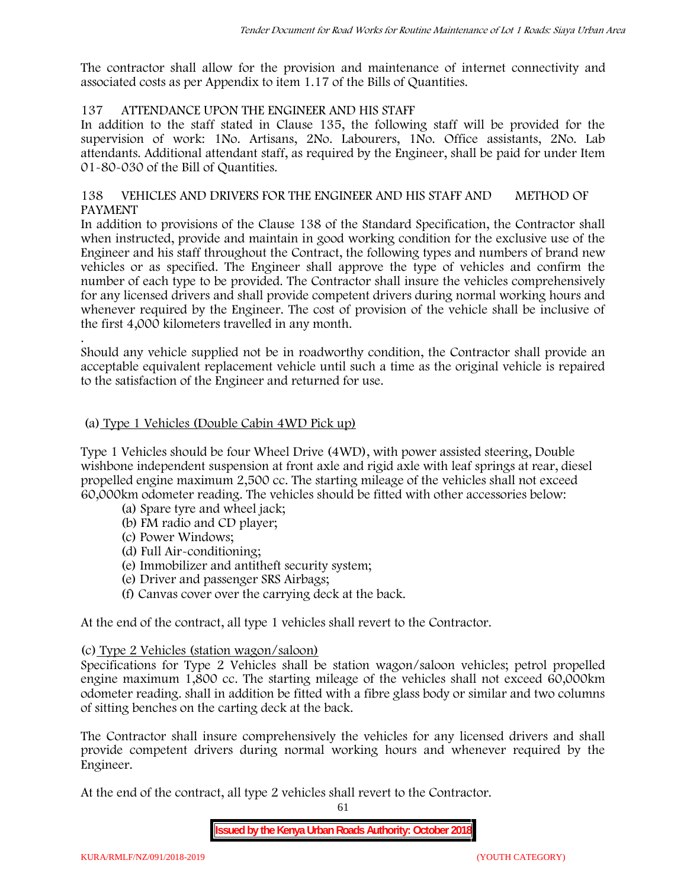The contractor shall allow for the provision and maintenance of internet connectivity and associated costs as per Appendix to item 1.17 of the Bills of Quantities.

# **137 ATTENDANCE UPON THE ENGINEER AND HIS STAFF**

In addition to the staff stated in Clause 135, the following staff will be provided for the supervision of work: 1No. Artisans, 2No. Labourers, 1No. Office assistants, 2No. Lab attendants. Additional attendant staff, as required by the Engineer, shall be paid for under Item 01-80-030 of the Bill of Quantities.

# **138 VEHICLES AND DRIVERS FOR THE ENGINEER AND HIS STAFF AND METHOD OF PAYMENT**

In addition to provisions of the Clause 138 of the Standard Specification, the Contractor shall when instructed, provide and maintain in good working condition for the exclusive use of the Engineer and his staff throughout the Contract, the following types and numbers of brand new vehicles or as specified. The Engineer shall approve the type of vehicles and confirm the number of each type to be provided. The Contractor shall insure the vehicles comprehensively for any licensed drivers and shall provide competent drivers during normal working hours and whenever required by the Engineer. The cost of provision of the vehicle shall be inclusive of the first 4,000 kilometers travelled in any month.

.Should any vehicle supplied not be in roadworthy condition, the Contractor shall provide an acceptable equivalent replacement vehicle until such a time as the original vehicle is repaired to the satisfaction of the Engineer and returned for use.

# **(a) Type 1 Vehicles (Double Cabin 4WD Pick up)**

Type 1 Vehicles should be four Wheel Drive (4WD), with power assisted steering, Double wishbone independent suspension at front axle and rigid axle with leaf springs at rear, diesel propelled engine maximum 2,500 cc. The starting mileage of the vehicles shall not exceed 60,000km odometer reading. The vehicles should be fitted with other accessories below:

- (a) Spare tyre and wheel jack;
- (b) FM radio and CD player;
- (c) Power Windows;
- (d) Full Air-conditioning;
- (e) Immobilizer and antitheft security system;
- (e) Driver and passenger SRS Airbags;
- (f) Canvas cover over the carrying deck at the back.

At the end of the contract, all type 1 vehicles shall revert to the Contractor.

# **(c) Type 2 Vehicles (station wagon/saloon)**

Specifications for Type 2 Vehicles shall be station wagon/saloon vehicles; petrol propelled engine maximum 1,800 cc. The starting mileage of the vehicles shall not exceed 60,000km odometer reading. shall in addition be fitted with a fibre glass body or similar and two columns of sitting benches on the carting deck at the back.

The Contractor shall insure comprehensively the vehicles for any licensed drivers and shall provide competent drivers during normal working hours and whenever required by the Engineer.

At the end of the contract, all type 2 vehicles shall revert to the Contractor.

61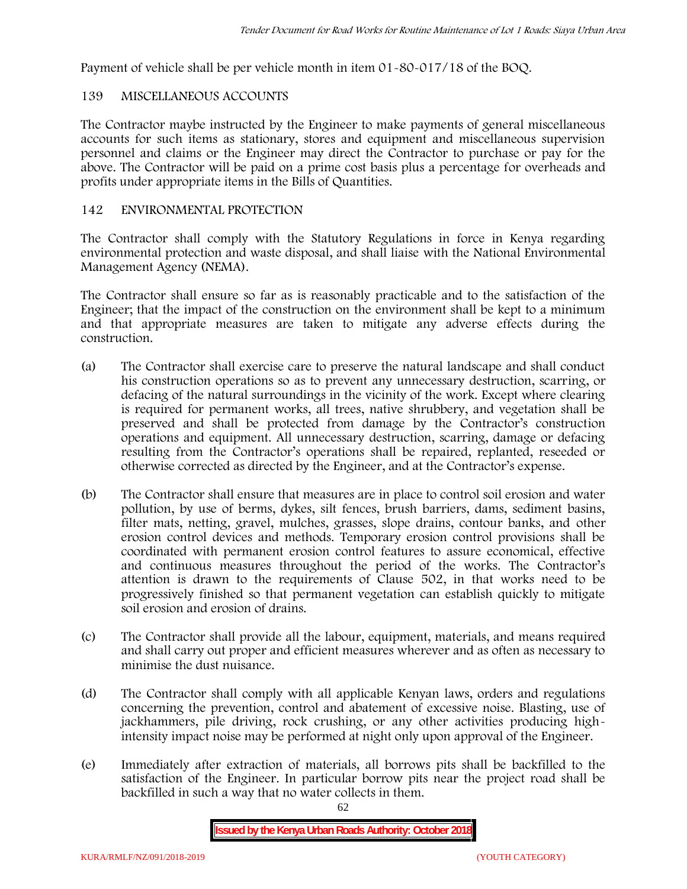Payment of vehicle shall be per vehicle month in item 01-80-017/18 of the BOQ.

# **139 MISCELLANEOUS ACCOUNTS**

The Contractor maybe instructed by the Engineer to make payments of general miscellaneous accounts for such items as stationary, stores and equipment and miscellaneous supervision personnel and claims or the Engineer may direct the Contractor to purchase or pay for the above. The Contractor will be paid on a prime cost basis plus a percentage for overheads and profits under appropriate items in the Bills of Quantities.

# **142 ENVIRONMENTAL PROTECTION**

The Contractor shall comply with the Statutory Regulations in force in Kenya regarding environmental protection and waste disposal, and shall liaise with the National Environmental Management Agency (NEMA).

The Contractor shall ensure so far as is reasonably practicable and to the satisfaction of the Engineer; that the impact of the construction on the environment shall be kept to a minimum and that appropriate measures are taken to mitigate any adverse effects during the construction.

- (a) The Contractor shall exercise care to preserve the natural landscape and shall conduct his construction operations so as to prevent any unnecessary destruction, scarring, or defacing of the natural surroundings in the vicinity of the work. Except where clearing is required for permanent works, all trees, native shrubbery, and vegetation shall be preserved and shall be protected from damage by the Contractor's construction operations and equipment. All unnecessary destruction, scarring, damage or defacing resulting from the Contractor's operations shall be repaired, replanted, reseeded or otherwise corrected as directed by the Engineer, and at the Contractor's expense.
- (b) The Contractor shall ensure that measures are in place to control soil erosion and water pollution, by use of berms, dykes, silt fences, brush barriers, dams, sediment basins, filter mats, netting, gravel, mulches, grasses, slope drains, contour banks, and other erosion control devices and methods. Temporary erosion control provisions shall be coordinated with permanent erosion control features to assure economical, effective and continuous measures throughout the period of the works. The Contractor's attention is drawn to the requirements of Clause 502, in that works need to be progressively finished so that permanent vegetation can establish quickly to mitigate soil erosion and erosion of drains.
- (c) The Contractor shall provide all the labour, equipment, materials, and means required and shall carry out proper and efficient measures wherever and as often as necessary to minimise the dust nuisance.
- (d) The Contractor shall comply with all applicable Kenyan laws, orders and regulations concerning the prevention, control and abatement of excessive noise. Blasting, use of jackhammers, pile driving, rock crushing, or any other activities producing highintensity impact noise may be performed at night only upon approval of the Engineer.
- (e) Immediately after extraction of materials, all borrows pits shall be backfilled to the satisfaction of the Engineer. In particular borrow pits near the project road shall be backfilled in such a way that no water collects in them.

62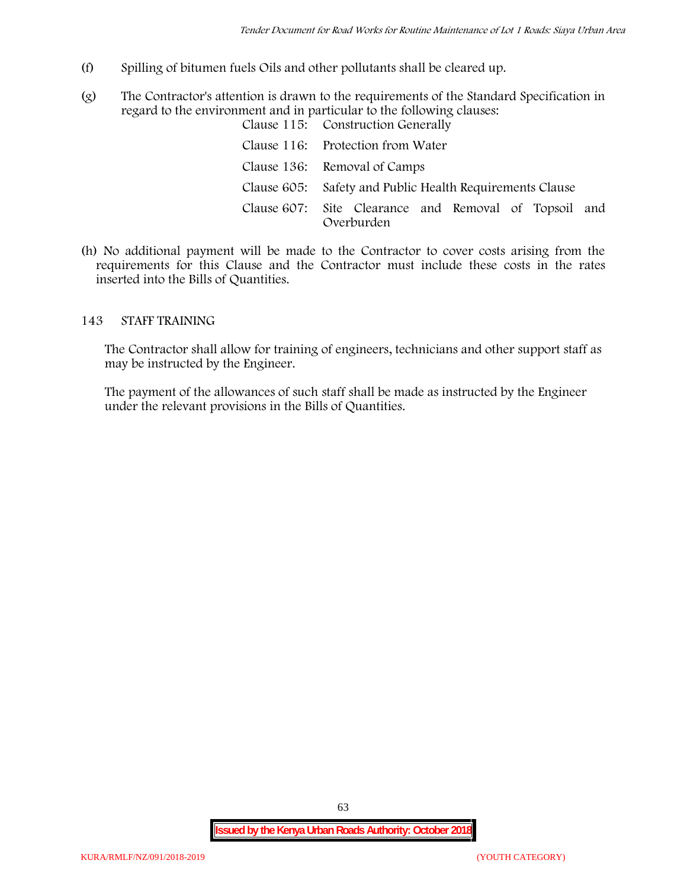- (f) Spilling of bitumen fuels Oils and other pollutants shall be cleared up.
- (g) The Contractor's attention is drawn to the requirements of the Standard Specification in regard to the environment and in particular to the following clauses: Clause 115: Construction Generally

| Clause 110. Construction denerally                                  |  |
|---------------------------------------------------------------------|--|
| Clause 116: Protection from Water                                   |  |
| Clause 136: Removal of Camps                                        |  |
| Clause 605: Safety and Public Health Requirements Clause            |  |
| Clause 607: Site Clearance and Removal of Topsoil and<br>Overburden |  |

(h) No additional payment will be made to the Contractor to cover costs arising from the requirements for this Clause and the Contractor must include these costs in the rates inserted into the Bills of Quantities.

# **143 STAFF TRAINING**

The Contractor shall allow for training of engineers, technicians and other support staff as may be instructed by the Engineer.

The payment of the allowances of such staff shall be made as instructed by the Engineer under the relevant provisions in the Bills of Quantities.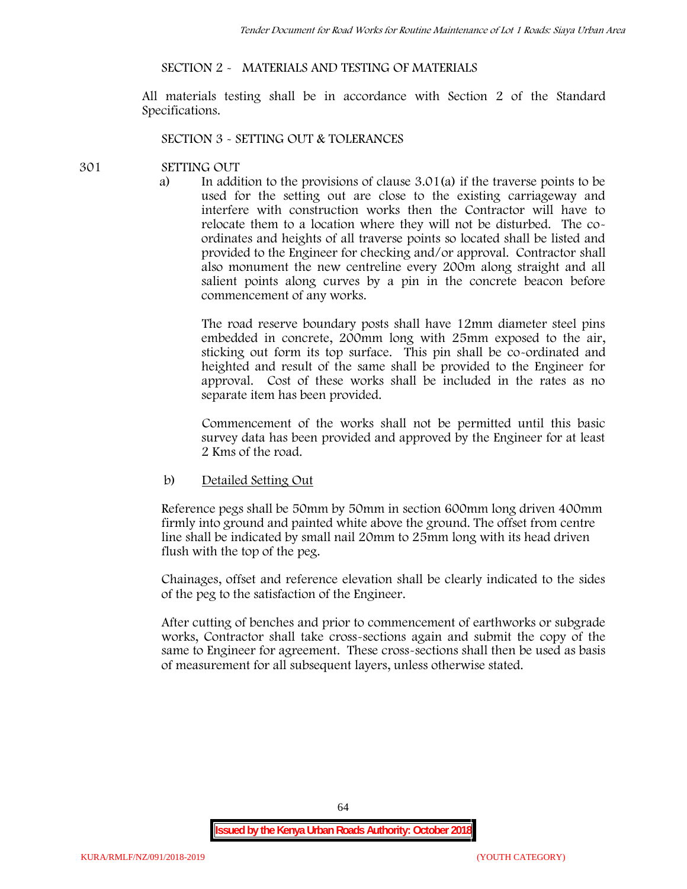# **SECTION 2 - MATERIALS AND TESTING OF MATERIALS**

All materials testing shall be in accordance with Section 2 of the Standard Specifications.

#### **SECTION 3 - SETTING OUT & TOLERANCES**

### **301 SETTING OUT**

a) In addition to the provisions of clause 3.01(a) if the traverse points to be used for the setting out are close to the existing carriageway and interfere with construction works then the Contractor will have to relocate them to a location where they will not be disturbed. The co ordinates and heights of all traverse points so located shall be listed and provided to the Engineer for checking and/or approval. Contractor shall also monument the new centreline every 200m along straight and all salient points along curves by a pin in the concrete beacon before commencement of any works.

The road reserve boundary posts shall have 12mm diameter steel pins embedded in concrete, 200mm long with 25mm exposed to the air, sticking out form its top surface. This pin shall be co-ordinated and heighted and result of the same shall be provided to the Engineer for approval. Cost of these works shall be included in the rates as no separate item has been provided.

Commencement of the works shall not be permitted until this basic survey data has been provided and approved by the Engineer for at least 2 Kms of the road.

b) Detailed Setting Out

Reference pegs shall be 50mm by 50mm in section 600mm long driven 400mm firmly into ground and painted white above the ground. The offset from centre line shall be indicated by small nail 20mm to 25mm long with its head driven flush with the top of the peg.

Chainages, offset and reference elevation shall be clearly indicated to the sides of the peg to the satisfaction of the Engineer.

After cutting of benches and prior to commencement of earthworks or subgrade works, Contractor shall take cross-sections again and submit the copy of the same to Engineer for agreement. These cross-sections shall then be used as basis of measurement for all subsequent layers, unless otherwise stated.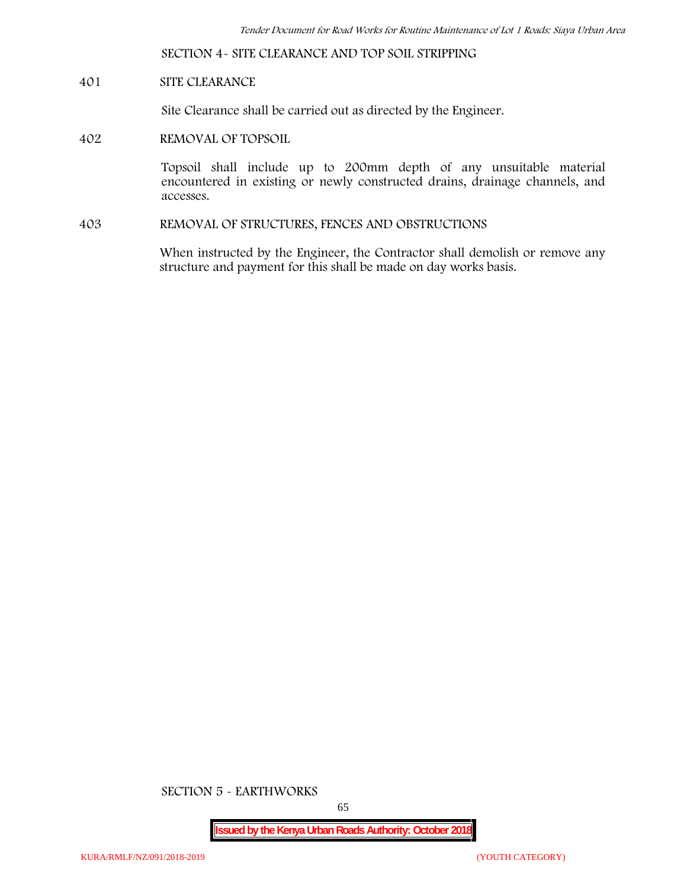**SECTION 4- SITE CLEARANCE AND TOP SOIL STRIPPING**

# **401 SITE CLEARANCE**

Site Clearance shall be carried out as directed by the Engineer.

**402 REMOVAL OF TOPSOIL**

Topsoil shall include up to 200mm depth of any unsuitable material encountered in existing or newly constructed drains, drainage channels, and accesses.

**403 REMOVAL OF STRUCTURES, FENCES AND OBSTRUCTIONS**

When instructed by the Engineer, the Contractor shall demolish or remove any structure and payment for this shall be made on day works basis.

**SECTION 5 - EARTHWORKS**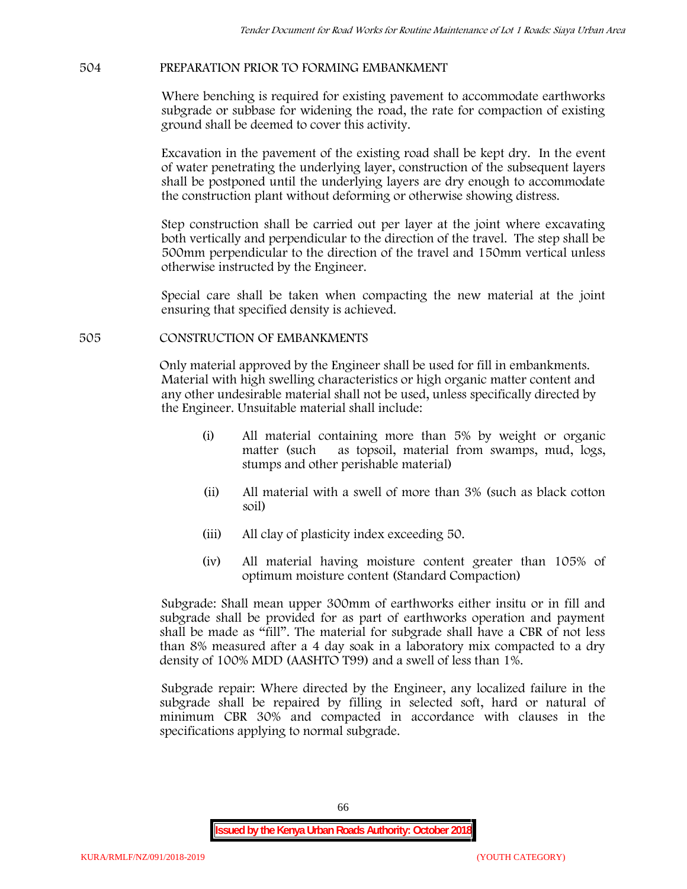### **504 PREPARATION PRIOR TO FORMING EMBANKMENT**

Where benching is required for existing pavement to accommodate earthworks subgrade or subbase for widening the road, the rate for compaction of existing ground shall be deemed to cover this activity.

Excavation in the pavement of the existing road shall be kept dry. In the event of water penetrating the underlying layer, construction of the subsequent layers shall be postponed until the underlying layers are dry enough to accommodate the construction plant without deforming or otherwise showing distress.

Step construction shall be carried out per layer at the joint where excavating both vertically and perpendicular to the direction of the travel. The step shall be 500mm perpendicular to the direction of the travel and 150mm vertical unless otherwise instructed by the Engineer.

Special care shall be taken when compacting the new material at the joint ensuring that specified density is achieved.

#### **505 CONSTRUCTION OF EMBANKMENTS**

Only material approved by the Engineer shall be used for fill in embankments. Material with high swelling characteristics or high organic matter content and any other undesirable material shall not be used, unless specifically directed by the Engineer. Unsuitable material shall include:

- (i) All material containing more than 5% by weight or organic matter (such as topsoil, material from swamps, mud, logs, stumps and other perishable material)
- (ii) All material with a swell of more than 3% (such as black cotton soil)
- (iii) All clay of plasticity index exceeding 50.
- (iv) All material having moisture content greater than 105% of optimum moisture content (Standard Compaction)

Subgrade: Shall mean upper 300mm of earthworks either insitu or in fill and subgrade shall be provided for as part of earthworks operation and payment shall be made as "fill". The material for subgrade shall have a CBR of not less than 8% measured after a 4 day soak in a laboratory mix compacted to a dry density of 100% MDD (AASHTO T99) and a swell of less than 1%.

Subgrade repair: Where directed by the Engineer, any localized failure in the subgrade shall be repaired by filling in selected soft, hard or natural of minimum CBR 30% and compacted in accordance with clauses in the specifications applying to normal subgrade.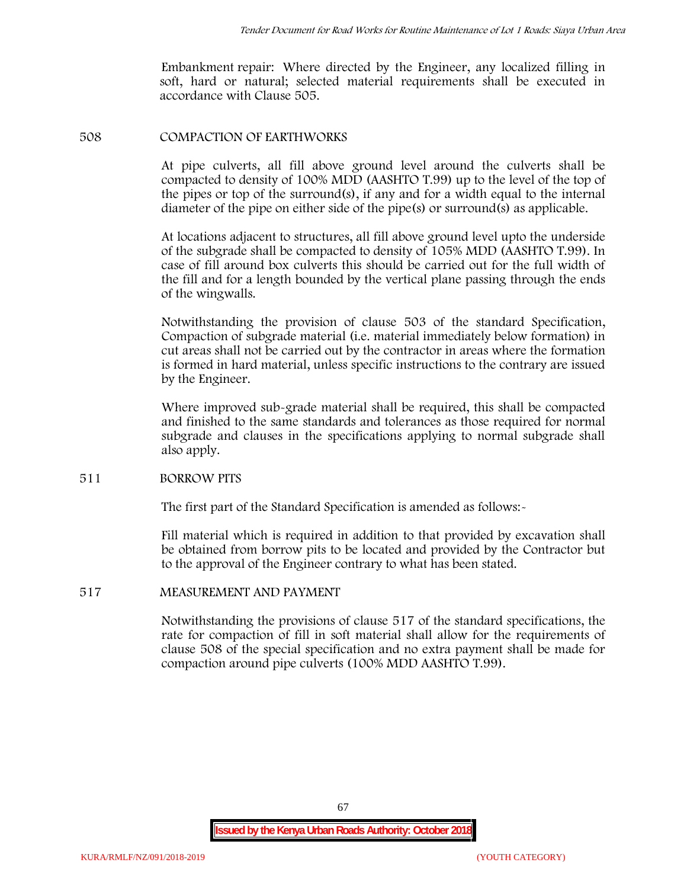Embankment repair: Where directed by the Engineer, any localized filling in soft, hard or natural; selected material requirements shall be executed in accordance with Clause 505.

### **508 COMPACTION OF EARTHWORKS**

At pipe culverts, all fill above ground level around the culverts shall be compacted to density of 100% MDD (AASHTO T.99) up to the level of the top of the pipes or top of the surround(s), if any and for a width equal to the internal diameter of the pipe on either side of the pipe(s) or surround(s) as applicable.

At locations adjacent to structures, all fill above ground level upto the underside of the subgrade shall be compacted to density of 105% MDD (AASHTO T.99). In case of fill around box culverts this should be carried out for the full width of the fill and for a length bounded by the vertical plane passing through the ends of the wingwalls.

Notwithstanding the provision of clause 503 of the standard Specification, Compaction of subgrade material (i.e. material immediately below formation) in cut areas shall not be carried out by the contractor in areas where the formation is formed in hard material, unless specific instructions to the contrary are issued by the Engineer.

Where improved sub-grade material shall be required, this shall be compacted and finished to the same standards and tolerances as those required for normal subgrade and clauses in the specifications applying to normal subgrade shall also apply.

# **511 BORROW PITS**

The first part of the Standard Specification is amended as follows:

Fill material which is required in addition to that provided by excavation shall be obtained from borrow pits to be located and provided by the Contractor but to the approval of the Engineer contrary to what has been stated.

# **517 MEASUREMENT AND PAYMENT**

Notwithstanding the provisions of clause 517 of the standard specifications, the rate for compaction of fill in soft material shall allow for the requirements of clause 508 of the special specification and no extra payment shall be made for compaction around pipe culverts (100% MDD AASHTO T.99).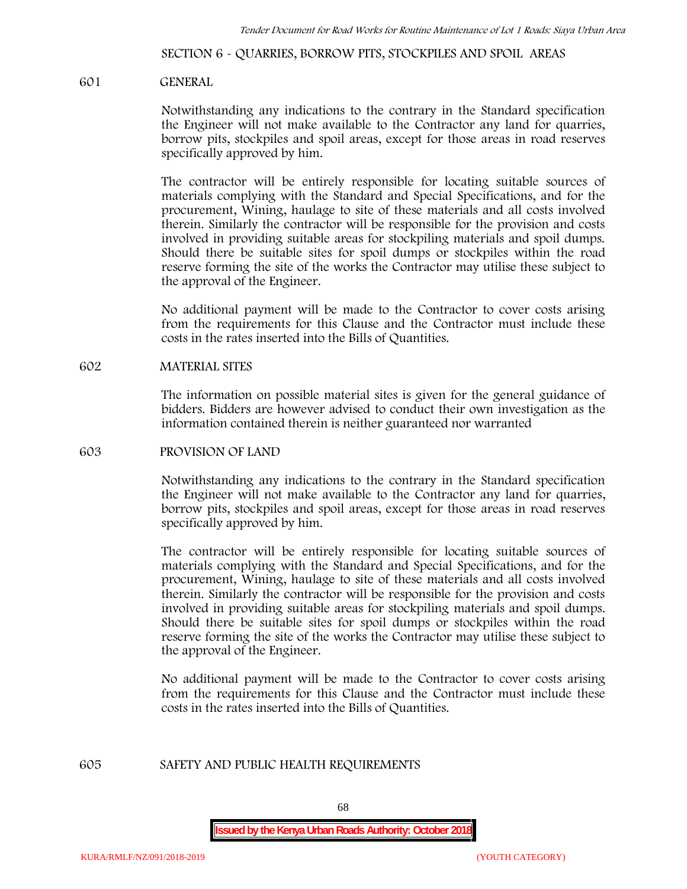**SECTION 6 - QUARRIES, BORROW PITS, STOCKPILES AND SPOIL AREAS**

#### **601 GENERAL**

Notwithstanding any indications to the contrary in the Standard specification the Engineer will not make available to the Contractor any land for quarries, borrow pits, stockpiles and spoil areas, except for those areas in road reserves specifically approved by him.

The contractor will be entirely responsible for locating suitable sources of materials complying with the Standard and Special Specifications, and for the procurement, Wining, haulage to site of these materials and all costs involved therein. Similarly the contractor will be responsible for the provision and costs involved in providing suitable areas for stockpiling materials and spoil dumps. Should there be suitable sites for spoil dumps or stockpiles within the road reserve forming the site of the works the Contractor may utilise these subject to the approval of the Engineer.

No additional payment will be made to the Contractor to cover costs arising from the requirements for this Clause and the Contractor must include these costs in the rates inserted into the Bills of Quantities.

### **602 MATERIAL SITES**

The information on possible material sites is given for the general guidance of bidders. Bidders are however advised to conduct their own investigation as the information contained therein is neither guaranteed nor warranted

### **603 PROVISION OF LAND**

Notwithstanding any indications to the contrary in the Standard specification the Engineer will not make available to the Contractor any land for quarries, borrow pits, stockpiles and spoil areas, except for those areas in road reserves specifically approved by him.

The contractor will be entirely responsible for locating suitable sources of materials complying with the Standard and Special Specifications, and for the procurement, Wining, haulage to site of these materials and all costs involved therein. Similarly the contractor will be responsible for the provision and costs involved in providing suitable areas for stockpiling materials and spoil dumps. Should there be suitable sites for spoil dumps or stockpiles within the road reserve forming the site of the works the Contractor may utilise these subject to the approval of the Engineer.

No additional payment will be made to the Contractor to cover costs arising from the requirements for this Clause and the Contractor must include these costs in the rates inserted into the Bills of Quantities.

#### **605 SAFETY AND PUBLIC HEALTH REQUIREMENTS**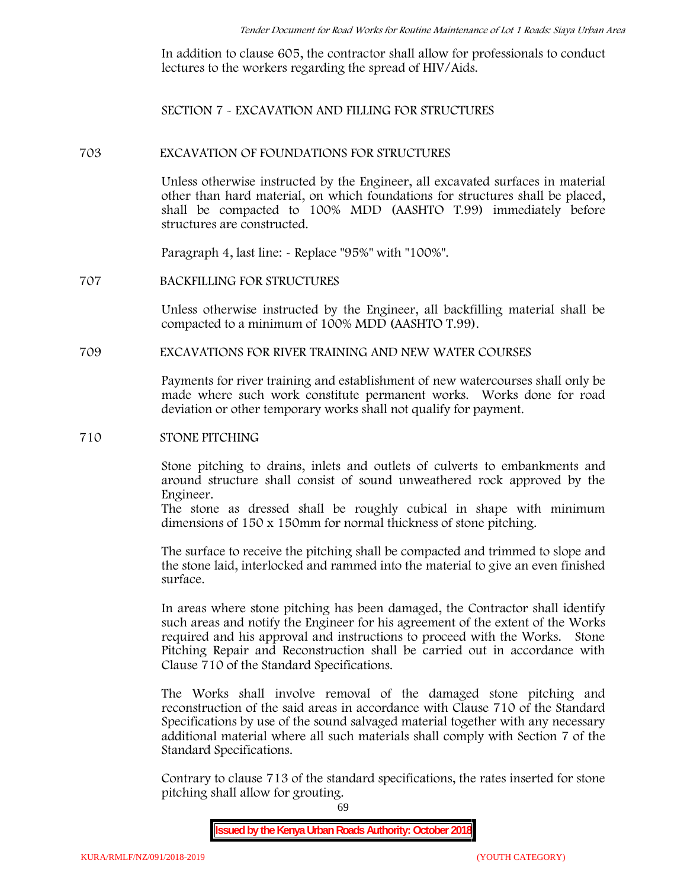In addition to clause 605, the contractor shall allow for professionals to conduct lectures to the workers regarding the spread of HIV/Aids.

**SECTION 7 - EXCAVATION AND FILLING FOR STRUCTURES**

#### **703 EXCAVATION OF FOUNDATIONS FOR STRUCTURES**

Unless otherwise instructed by the Engineer, all excavated surfaces in material other than hard material, on which foundations for structures shall be placed, shall be compacted to 100% MDD (AASHTO T.99) immediately before structures are constructed.

Paragraph 4, last line: - Replace "95%" with "100%".

### **707 BACKFILLING FOR STRUCTURES**

Unless otherwise instructed by the Engineer, all backfilling material shall be compacted to a minimum of 100% MDD (AASHTO T.99).

# **709 EXCAVATIONS FOR RIVER TRAINING AND NEW WATER COURSES**

Payments for river training and establishment of new watercourses shall only be made where such work constitute permanent works. Works done for road deviation or other temporary works shall not qualify for payment.

#### **710 STONE PITCHING**

Stone pitching to drains, inlets and outlets of culverts to embankments and around structure shall consist of sound unweathered rock approved by the Engineer.

The stone as dressed shall be roughly cubical in shape with minimum dimensions of 150 x 150mm for normal thickness of stone pitching.

The surface to receive the pitching shall be compacted and trimmed to slope and the stone laid, interlocked and rammed into the material to give an even finished surface.

In areas where stone pitching has been damaged, the Contractor shall identify such areas and notify the Engineer for his agreement of the extent of the Works required and his approval and instructions to proceed with the Works. Stone Pitching Repair and Reconstruction shall be carried out in accordance with Clause 710 of the Standard Specifications.

The Works shall involve removal of the damaged stone pitching and reconstruction of the said areas in accordance with Clause 710 of the Standard Specifications by use of the sound salvaged material together with any necessary additional material where all such materials shall comply with Section 7 of the Standard Specifications.

Contrary to clause 713 of the standard specifications, the rates inserted for stone pitching shall allow for grouting.

69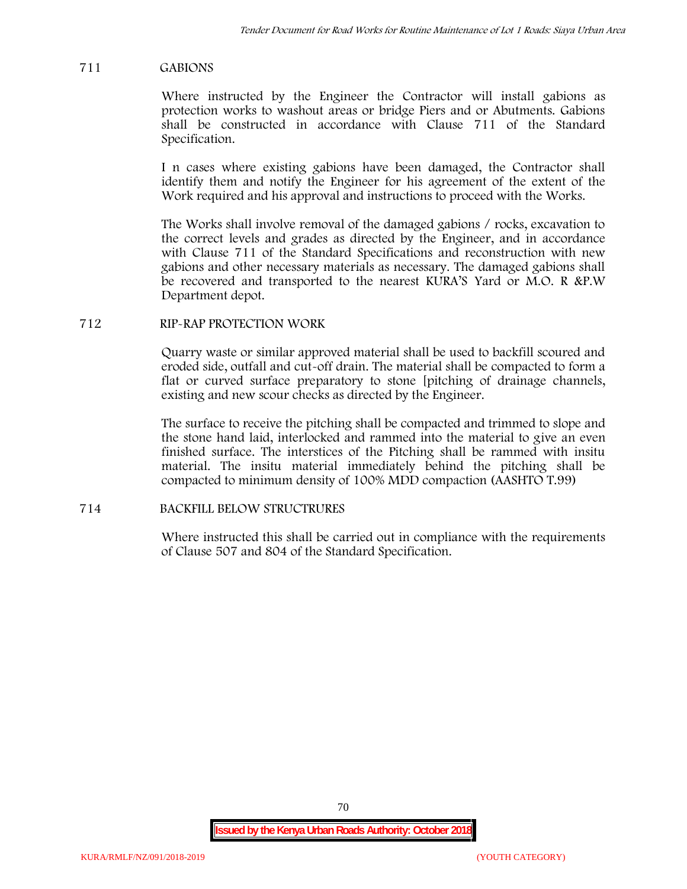### **711 GABIONS**

Where instructed by the Engineer the Contractor will install gabions as protection works to washout areas or bridge Piers and or Abutments. Gabions shall be constructed in accordance with Clause 711 of the Standard Specification.

I n cases where existing gabions have been damaged, the Contractor shall identify them and notify the Engineer for his agreement of the extent of the Work required and his approval and instructions to proceed with the Works.

The Works shall involve removal of the damaged gabions / rocks, excavation to the correct levels and grades as directed by the Engineer, and in accordance with Clause 711 of the Standard Specifications and reconstruction with new gabions and other necessary materials as necessary. The damaged gabions shall be recovered and transported to the nearest KURA'S Yard or M.O. R &P.W Department depot.

### **712 RIP-RAP PROTECTION WORK**

Quarry waste or similar approved material shall be used to backfill scoured and eroded side, outfall and cut-off drain. The material shall be compacted to form a flat or curved surface preparatory to stone [pitching of drainage channels, existing and new scour checks as directed by the Engineer.

The surface to receive the pitching shall be compacted and trimmed to slope and the stone hand laid, interlocked and rammed into the material to give an even finished surface. The interstices of the Pitching shall be rammed with insitu material. The insitu material immediately behind the pitching shall be compacted to minimum density of 100% MDD compaction (AASHTO T.99)

# **714 BACKFILL BELOW STRUCTRURES**

Where instructed this shall be carried out in compliance with the requirements of Clause 507 and 804 of the Standard Specification.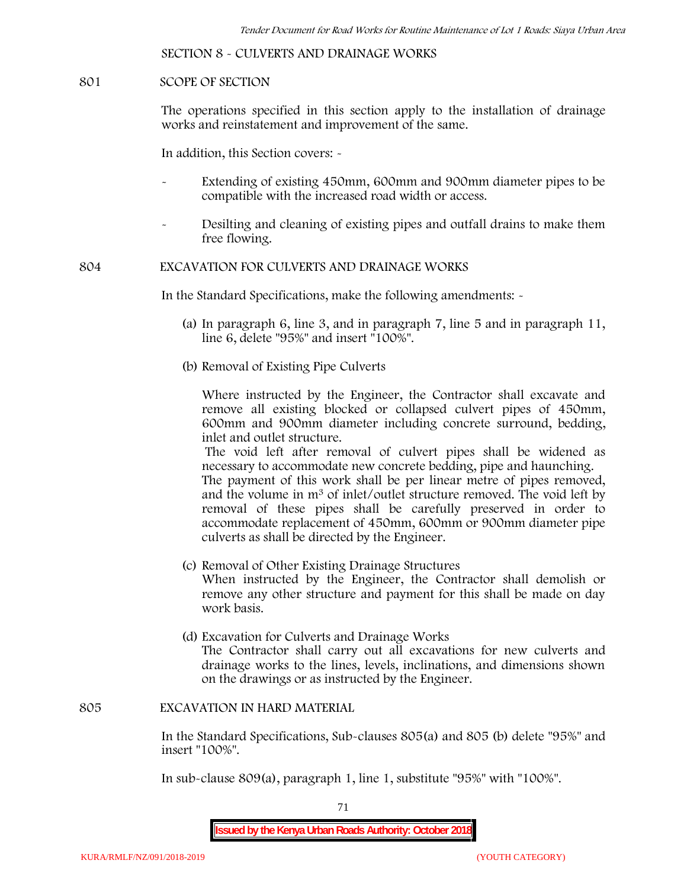**SECTION 8 - CULVERTS AND DRAINAGE WORKS**

### **801 SCOPE OF SECTION**

The operations specified in this section apply to the installation of drainage works and reinstatement and improvement of the same.

In addition, this Section covers: -

- Extending of existing 450mm, 600mm and 900mm diameter pipes to be compatible with the increased road width or access.
- Desilting and cleaning of existing pipes and outfall drains to make them free flowing.

**804 EXCAVATION FOR CULVERTS AND DRAINAGE WORKS**

In the Standard Specifications, make the following amendments: -

- (a) In paragraph 6, line 3, and in paragraph 7, line 5 and in paragraph 11, line 6, delete "95%" and insert "100%".
- (b) Removal of Existing Pipe Culverts

Where instructed by the Engineer, the Contractor shall excavate and remove all existing blocked or collapsed culvert pipes of 450mm, 600mm and 900mm diameter including concrete surround, bedding, inlet and outlet structure.

The void left after removal of culvert pipes shall be widened as necessary to accommodate new concrete bedding, pipe and haunching. The payment of this work shall be per linear metre of pipes removed, and the volume in m<sup>3</sup> of inlet/outlet structure removed. The void left by

removal of these pipes shall be carefully preserved in order to accommodate replacement of 450mm, 600mm or 900mm diameter pipe culverts as shall be directed by the Engineer.

- (c) Removal of Other Existing Drainage Structures When instructed by the Engineer, the Contractor shall demolish or remove any other structure and payment for this shall be made on day work basis.
- (d) Excavation for Culverts and Drainage Works The Contractor shall carry out all excavations for new culverts and drainage works to the lines, levels, inclinations, and dimensions shown on the drawings or as instructed by the Engineer.

#### **805 EXCAVATION IN HARD MATERIAL**

In the Standard Specifications, Sub-clauses 805(a) and 805 (b) delete "95%" and insert "100%".

In sub-clause 809(a), paragraph 1, line 1, substitute "95%" with "100%".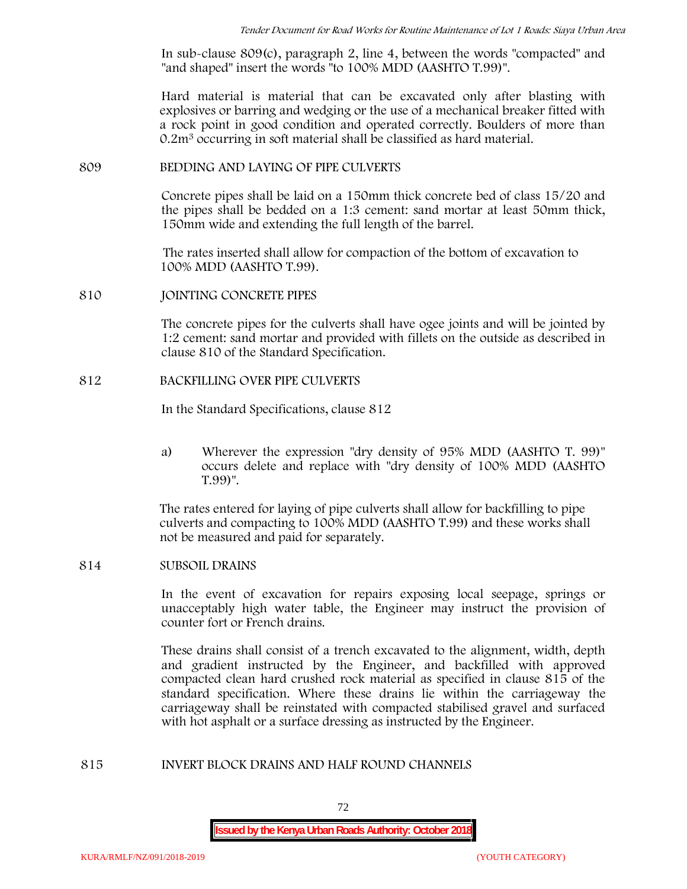In sub-clause 809(c), paragraph 2, line 4, between the words "compacted" and "and shaped" insert the words "to 100% MDD (AASHTO T.99)".

Hard material is material that can be excavated only after blasting with explosives or barring and wedging or the use of a mechanical breaker fitted with a rock point in good condition and operated correctly. Boulders of more than 0.2m<sup>3</sup> occurring in soft material shall be classified as hard material.

#### **809 BEDDING AND LAYING OF PIPE CULVERTS**

Concrete pipes shall be laid on a 150mm thick concrete bed of class 15/20 and the pipes shall be bedded on a 1:3 cement: sand mortar at least 50mm thick, 150mm wide and extending the full length of the barrel.

The rates inserted shall allow for compaction of the bottom of excavation to 100% MDD (AASHTO T.99).

### **810 JOINTING CONCRETE PIPES**

The concrete pipes for the culverts shall have ogee joints and will be jointed by 1:2 cement: sand mortar and provided with fillets on the outside as described in clause 810 of the Standard Specification.

### **812 BACKFILLING OVER PIPE CULVERTS**

In the Standard Specifications, clause 812

a) Wherever the expression "dry density of 95% MDD (AASHTO T. 99)" occurs delete and replace with "dry density of 100% MDD (AASHTO T.99)".

The rates entered for laying of pipe culverts shall allow for backfilling to pipe culverts and compacting to 100% MDD (AASHTO T.99) and these works shall not be measured and paid for separately.

## **814 SUBSOIL DRAINS**

In the event of excavation for repairs exposing local seepage, springs or unacceptably high water table, the Engineer may instruct the provision of counter fort or French drains.

These drains shall consist of a trench excavated to the alignment, width, depth and gradient instructed by the Engineer, and backfilled with approved compacted clean hard crushed rock material as specified in clause 815 of the standard specification. Where these drains lie within the carriageway the carriageway shall be reinstated with compacted stabilised gravel and surfaced with hot asphalt or a surface dressing as instructed by the Engineer.

#### **815 INVERT BLOCK DRAINS AND HALF ROUND CHANNELS**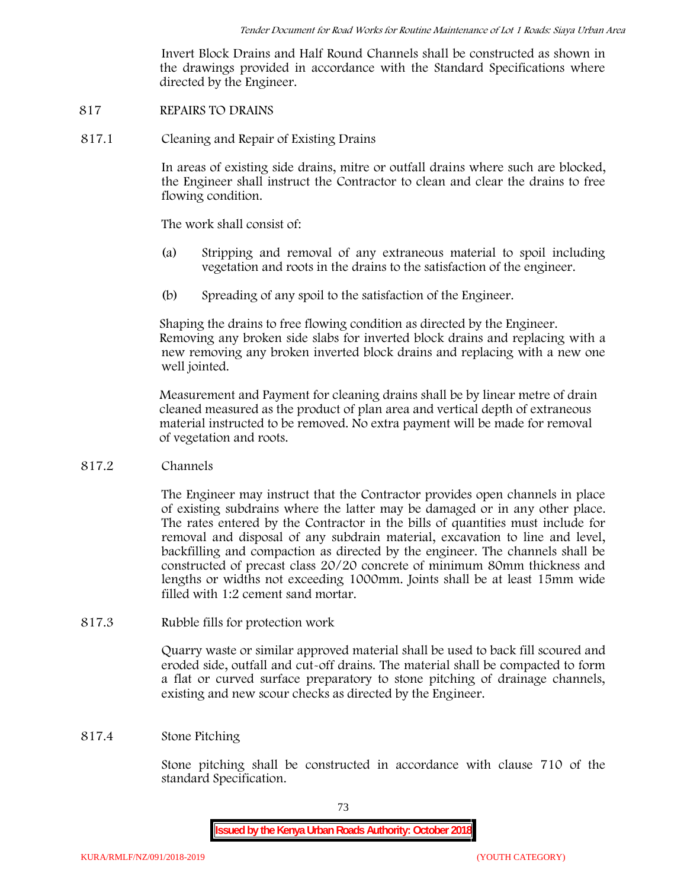Invert Block Drains and Half Round Channels shall be constructed as shown in the drawings provided in accordance with the Standard Specifications where directed by the Engineer.

- **817 REPAIRS TO DRAINS**
- **817.1 Cleaning and Repair of Existing Drains**

In areas of existing side drains, mitre or outfall drains where such are blocked, the Engineer shall instruct the Contractor to clean and clear the drains to free flowing condition.

The work shall consist of:

- (a) Stripping and removal of any extraneous material to spoil including vegetation and roots in the drains to the satisfaction of the engineer.
- (b) Spreading of any spoil to the satisfaction of the Engineer.

Shaping the drains to free flowing condition as directed by the Engineer. Removing any broken side slabs for inverted block drains and replacing with a new removing any broken inverted block drains and replacing with a new one well jointed.

Measurement and Payment for cleaning drains shall be by linear metre of drain cleaned measured as the product of plan area and vertical depth of extraneous material instructed to be removed. No extra payment will be made for removal of vegetation and roots.

**817.2 Channels**

The Engineer may instruct that the Contractor provides open channels in place of existing subdrains where the latter may be damaged or in any other place. The rates entered by the Contractor in the bills of quantities must include for removal and disposal of any subdrain material, excavation to line and level, backfilling and compaction as directed by the engineer. The channels shall be constructed of precast class 20/20 concrete of minimum 80mm thickness and lengths or widths not exceeding 1000mm. Joints shall be at least 15mm wide filled with 1:2 cement sand mortar.

**817.3 Rubble fills for protection work**

Quarry waste or similar approved material shall be used to back fill scoured and eroded side, outfall and cut-off drains. The material shall be compacted to form a flat or curved surface preparatory to stone pitching of drainage channels, existing and new scour checks as directed by the Engineer.

#### **817.4 Stone Pitching**

Stone pitching shall be constructed in accordance with clause 710 of the standard Specification.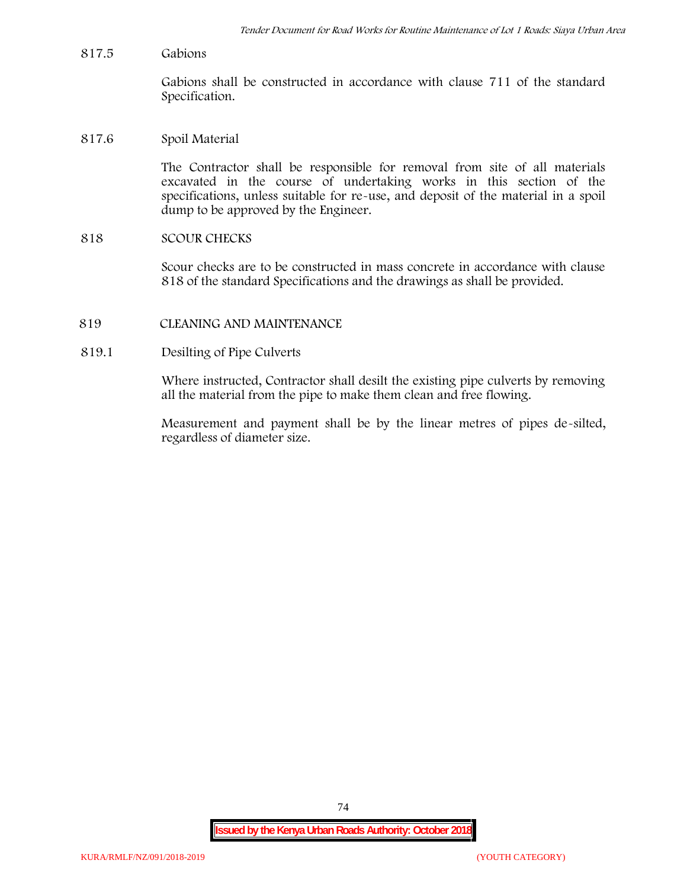**817.5 Gabions**

Gabions shall be constructed in accordance with clause 711 of the standard Specification.

**817.6 Spoil Material**

The Contractor shall be responsible for removal from site of all materials excavated in the course of undertaking works in this section of the specifications, unless suitable for re-use, and deposit of the material in a spoil dump to be approved by the Engineer.

**818 SCOUR CHECKS**

Scour checks are to be constructed in mass concrete in accordance with clause 818 of the standard Specifications and the drawings as shall be provided.

- **819 CLEANING AND MAINTENANCE**
- **819.1 Desilting of Pipe Culverts**

Where instructed, Contractor shall desilt the existing pipe culverts by removing all the material from the pipe to make them clean and free flowing.

Measurement and payment shall be by the linear metres of pipes de-silted, regardless of diameter size.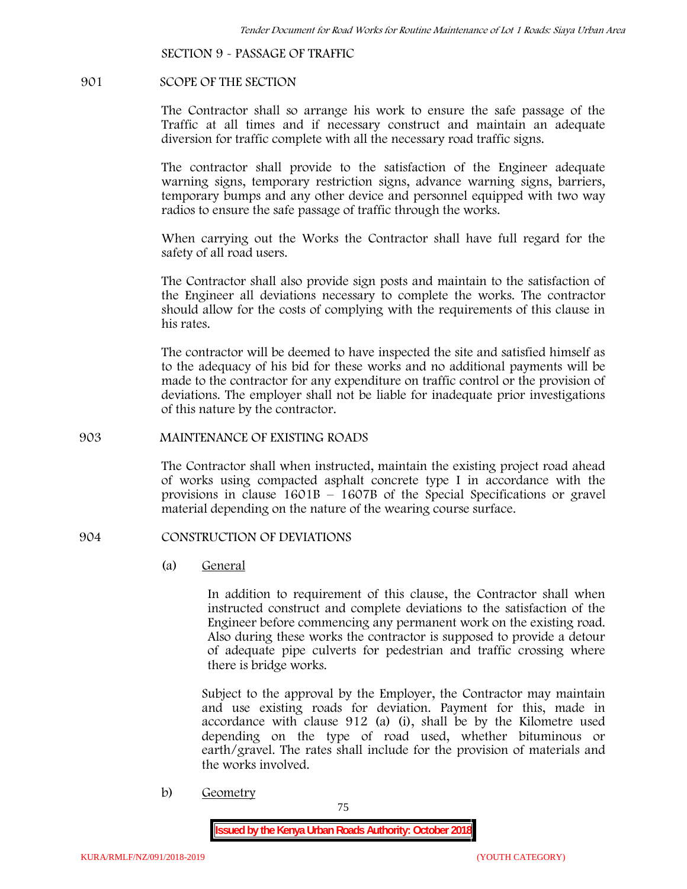**SECTION 9 - PASSAGE OF TRAFFIC**

#### **901 SCOPE OF THE SECTION**

The Contractor shall so arrange his work to ensure the safe passage of the Traffic at all times and if necessary construct and maintain an adequate diversion for traffic complete with all the necessary road traffic signs.

The contractor shall provide to the satisfaction of the Engineer adequate warning signs, temporary restriction signs, advance warning signs, barriers, temporary bumps and any other device and personnel equipped with two way radios to ensure the safe passage of traffic through the works.

When carrying out the Works the Contractor shall have full regard for the safety of all road users.

The Contractor shall also provide sign posts and maintain to the satisfaction of the Engineer all deviations necessary to complete the works. The contractor should allow for the costs of complying with the requirements of this clause in his rates.

The contractor will be deemed to have inspected the site and satisfied himself as to the adequacy of his bid for these works and no additional payments will be made to the contractor for any expenditure on traffic control or the provision of deviations. The employer shall not be liable for inadequate prior investigations of this nature by the contractor.

### **903 MAINTENANCE OF EXISTING ROADS**

The Contractor shall when instructed, maintain the existing project road ahead of works using compacted asphalt concrete type I in accordance with the provisions in clause 1601B – 1607B of the Special Specifications or gravel material depending on the nature of the wearing course surface.

### **904 CONSTRUCTION OF DEVIATIONS**

(a) **General**

In addition to requirement of this clause, the Contractor shall when instructed construct and complete deviations to the satisfaction of the Engineer before commencing any permanent work on the existing road. Also during these works the contractor is supposed to provide a detour of adequate pipe culverts for pedestrian and traffic crossing where there is bridge works.

Subject to the approval by the Employer, the Contractor may maintain and use existing roads for deviation. Payment for this, made in accordance with clause 912 (a) (i), shall be by the Kilometre used depending on the type of road used, whether bituminous or earth/gravel. The rates shall include for the provision of materials and the works involved.

b) **Geometry**

75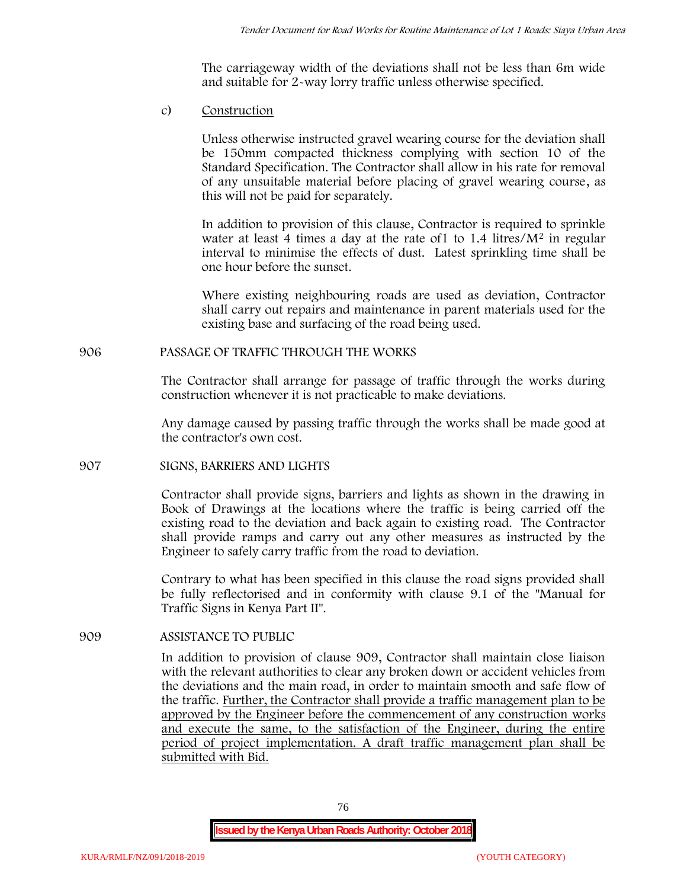The carriageway width of the deviations shall not be less than 6m wide and suitable for 2-way lorry traffic unless otherwise specified.

c) **Construction**

Unless otherwise instructed gravel wearing course for the deviation shall be 150mm compacted thickness complying with section 10 of the Standard Specification. The Contractor shall allow in his rate for removal of any unsuitable material before placing of gravel wearing course, as this will not be paid for separately.

In addition to provision of this clause, Contractor is required to sprinkle water at least 4 times a day at the rate of 1 to  $1.4$  litres/ $M<sup>2</sup>$  in regular interval to minimise the effects of dust. Latest sprinkling time shall be one hour before the sunset.

Where existing neighbouring roads are used as deviation, Contractor shall carry out repairs and maintenance in parent materials used for the existing base and surfacing of the road being used.

# **906 PASSAGE OF TRAFFIC THROUGH THE WORKS**

The Contractor shall arrange for passage of traffic through the works during construction whenever it is not practicable to make deviations.

Any damage caused by passing traffic through the works shall be made good at the contractor's own cost.

# **907 SIGNS, BARRIERS AND LIGHTS**

Contractor shall provide signs, barriers and lights as shown in the drawing in Book of Drawings at the locations where the traffic is being carried off the existing road to the deviation and back again to existing road. The Contractor shall provide ramps and carry out any other measures as instructed by the Engineer to safely carry traffic from the road to deviation.

Contrary to what has been specified in this clause the road signs provided shall be fully reflectorised and in conformity with clause 9.1 of the "Manual for Traffic Signs in Kenya Part II".

# **909 ASSISTANCE TO PUBLIC**

In addition to provision of clause 909, Contractor shall maintain close liaison with the relevant authorities to clear any broken down or accident vehicles from the deviations and the main road, in order to maintain smooth and safe flow of the traffic. Further, the Contractor shall provide a traffic management plan to be approved by the Engineer before the commencement of any construction works and execute the same, to the satisfaction of the Engineer, during the entire period of project implementation. A draft traffic management plan shall be submitted with Bid.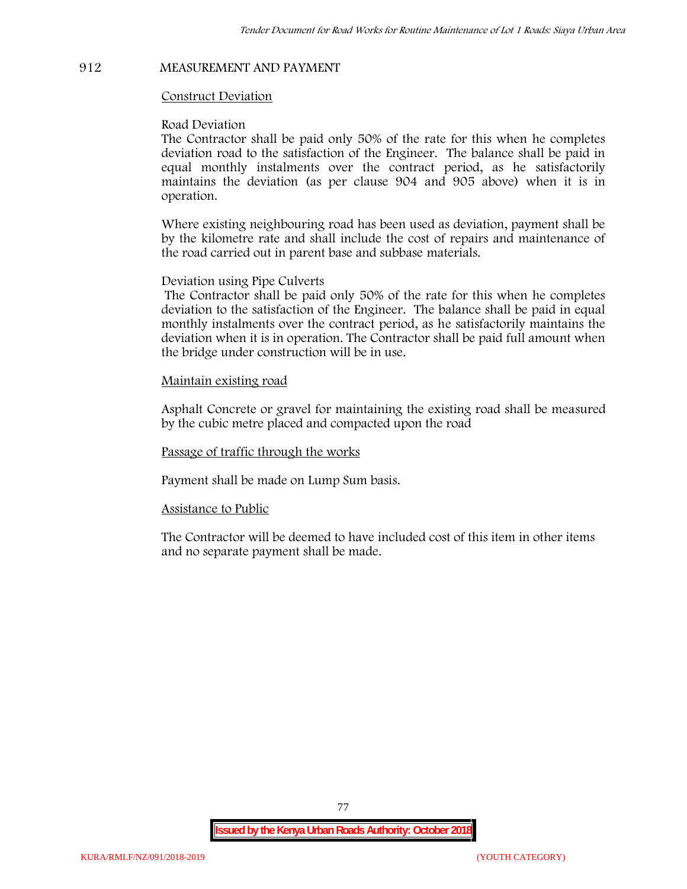# **912 MEASUREMENT AND PAYMENT**

#### **Construct Deviation**

#### **Road Deviation**

The Contractor shall be paid only 50% of the rate for this when he completes deviation road to the satisfaction of the Engineer. The balance shall be paid in equal monthly instalments over the contract period, as he satisfactorily maintains the deviation (as per clause 904 and 905 above) when it is in operation.

Where existing neighbouring road has been used as deviation, payment shall be by the kilometre rate and shall include the cost of repairs and maintenance of the road carried out in parent base and subbase materials.

#### **Deviation using Pipe Culverts**

The Contractor shall be paid only 50% of the rate for this when he completes deviation to the satisfaction of the Engineer. The balance shall be paid in equal monthly instalments over the contract period, as he satisfactorily maintains the deviation when it is in operation. The Contractor shall be paid full amount when the bridge under construction will be in use.

### **Maintain existing road**

Asphalt Concrete or gravel for maintaining the existing road shall be measured by the cubic metre placed and compacted upon the road

**Passage of traffic through the works**

Payment shall be made on Lump Sum basis.

#### **Assistance to Public**

The Contractor will be deemed to have included cost of this item in other items and no separate payment shall be made.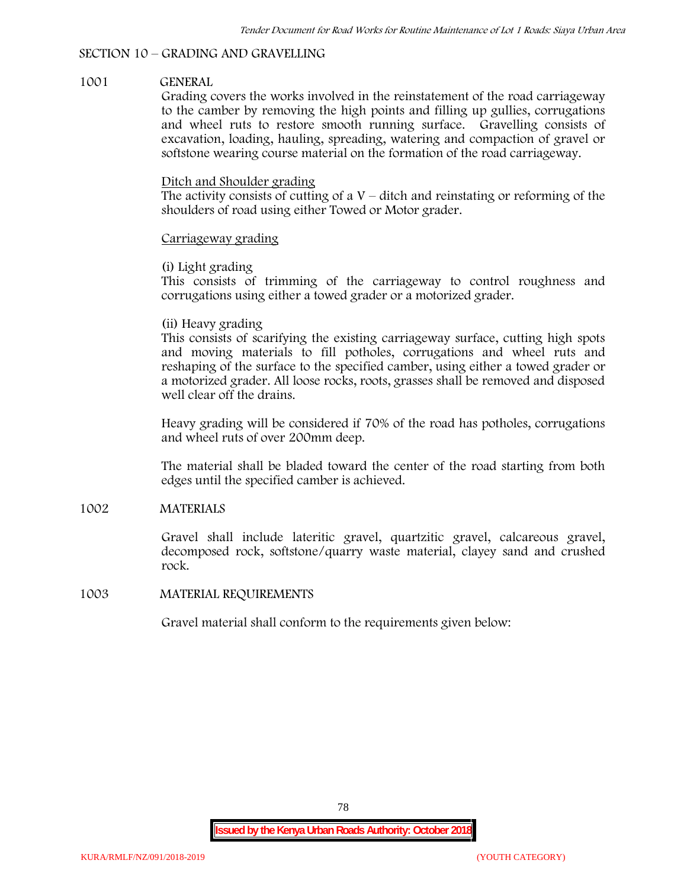#### **SECTION 10 – GRADING AND GRAVELLING**

#### **1001 GENERAL**

Grading covers the works involved in the reinstatement of the road carriageway to the camber by removing the high points and filling up gullies, corrugations and wheel ruts to restore smooth running surface. Gravelling consists of excavation, loading, hauling, spreading, watering and compaction of gravel or softstone wearing course material on the formation of the road carriageway.

### Ditch and Shoulder grading

The activity consists of cutting of a  $V$  – ditch and reinstating or reforming of the shoulders of road using either Towed or Motor grader.

### Carriageway grading

### **(i) Light grading**

This consists of trimming of the carriageway to control roughness and corrugations using either a towed grader or a motorized grader.

### **(ii) Heavy grading**

This consists of scarifying the existing carriageway surface, cutting high spots and moving materials to fill potholes, corrugations and wheel ruts and reshaping of the surface to the specified camber, using either a towed grader or a motorized grader. All loose rocks, roots, grasses shall be removed and disposed well clear off the drains.

Heavy grading will be considered if 70% of the road has potholes, corrugations and wheel ruts of over 200mm deep.

The material shall be bladed toward the center of the road starting from both edges until the specified camber is achieved.

### **1002 MATERIALS**

Gravel shall include lateritic gravel, quartzitic gravel, calcareous gravel, decomposed rock, softstone/quarry waste material, clayey sand and crushed rock.

#### **1003 MATERIAL REQUIREMENTS**

Gravel material shall conform to the requirements given below: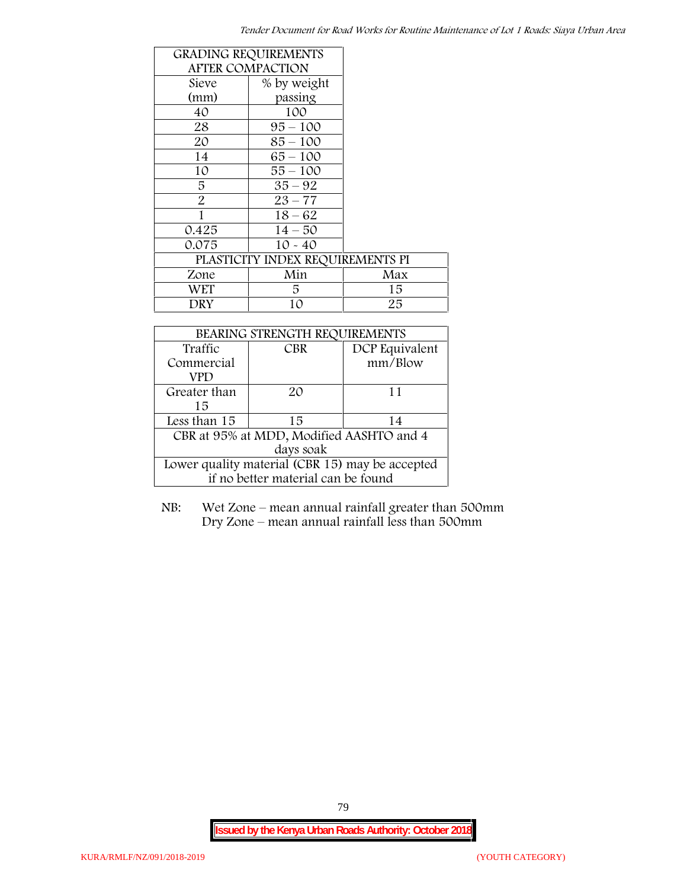| <b>GRADING REQUIREMENTS</b> |                                  |     |
|-----------------------------|----------------------------------|-----|
| <b>AFTER COMPACTION</b>     |                                  |     |
| Sieve                       | % by weight                      |     |
| (mm)                        | passing                          |     |
| 40                          | 100                              |     |
| 28                          | $95 - 100$                       |     |
| 20                          | $85 - 100$                       |     |
| 14                          | $65 - 100$                       |     |
| 10                          | $55 - 100$                       |     |
| 5                           | $35 - 92$                        |     |
| $\overline{2}$              | $23 - 77$                        |     |
| 1                           | $18 - 62$                        |     |
| 0.425                       | $14 - 50$                        |     |
| 0.075                       | $10 - 40$                        |     |
|                             | PLASTICITY INDEX REQUIREMENTS PI |     |
| Zone                        | Min                              | Max |
| <b>WET</b>                  | 5.                               | 15  |
| DRY                         | 10                               | 25  |

| BEARING STRENGTH REQUIREMENTS                   |            |                |  |  |
|-------------------------------------------------|------------|----------------|--|--|
| Traffic                                         | <b>CBR</b> | DCP Equivalent |  |  |
| Commercial                                      |            | mm/Blow        |  |  |
| VPD                                             |            |                |  |  |
| Greater than                                    | 20         | 11             |  |  |
| 15                                              |            |                |  |  |
| Less than 15                                    | 15         | 14             |  |  |
| CBR at 95% at MDD, Modified AASHTO and 4        |            |                |  |  |
| days soak                                       |            |                |  |  |
| Lower quality material (CBR 15) may be accepted |            |                |  |  |
| if no better material can be found              |            |                |  |  |

NB: Wet Zone – mean annual rainfall greater than 500mm Dry Zone – mean annual rainfall less than 500mm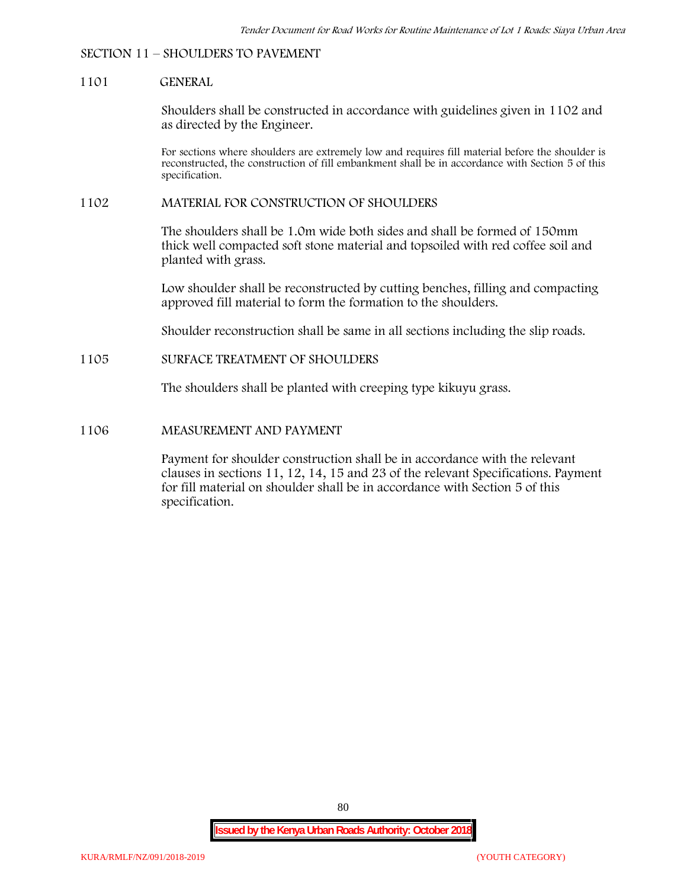## **SECTION 11 – SHOULDERS TO PAVEMENT**

#### **1101 GENERAL**

Shoulders shall be constructed in accordance with guidelines given in 1102 and as directed by the Engineer.

For sections where shoulders are extremely low and requires fill material before the shoulder is reconstructed, the construction of fill embankment shall be in accordance with Section 5 of this specification.

#### **1102 MATERIAL FOR CONSTRUCTION OF SHOULDERS**

The shoulders shall be 1.0m wide both sides and shall be formed of 150mm thick well compacted soft stone material and topsoiled with red coffee soil and planted with grass.

Low shoulder shall be reconstructed by cutting benches, filling and compacting approved fill material to form the formation to the shoulders.

Shoulder reconstruction shall be same in all sections including the slip roads.

#### **1105 SURFACE TREATMENT OF SHOULDERS**

The shoulders shall be planted with creeping type kikuyu grass.

#### **1106 MEASUREMENT AND PAYMENT**

Payment for shoulder construction shall be in accordance with the relevant clauses in sections 11, 12, 14, 15 and 23 of the relevant Specifications. Payment for fill material on shoulder shall be in accordance with Section 5 of this specification.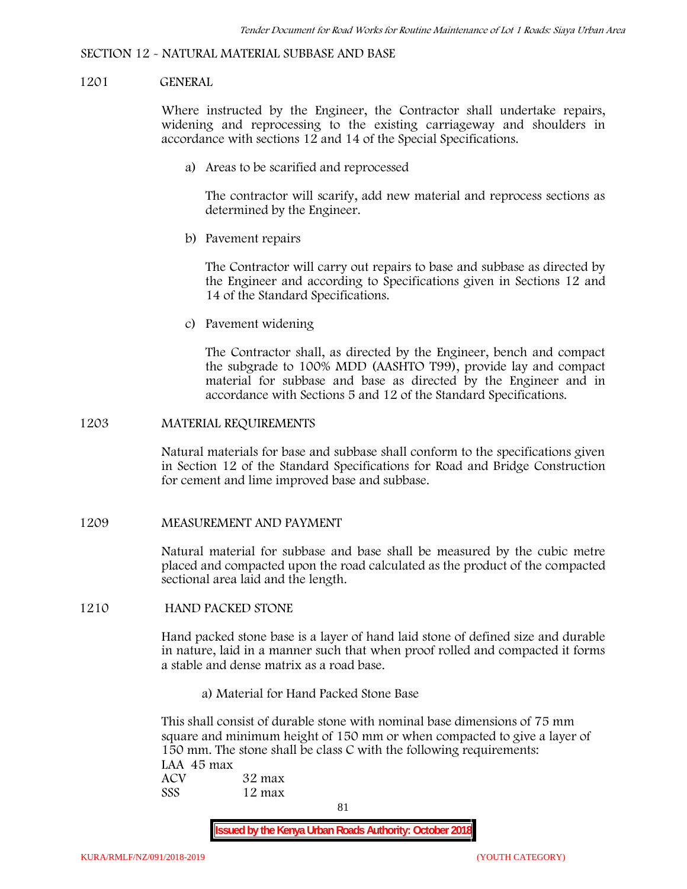#### **SECTION 12 - NATURAL MATERIAL SUBBASE AND BASE**

#### **1201 GENERAL**

Where instructed by the Engineer, the Contractor shall undertake repairs, widening and reprocessing to the existing carriageway and shoulders in accordance with sections 12 and 14 of the Special Specifications.

**a) Areas to be scarified and reprocessed**

The contractor will scarify, add new material and reprocess sections as determined by the Engineer.

**b) Pavement repairs**

The Contractor will carry out repairs to base and subbase as directed by the Engineer and according to Specifications given in Sections 12 and 14 of the Standard Specifications.

**c) Pavement widening**

The Contractor shall, as directed by the Engineer, bench and compact the subgrade to 100% MDD (AASHTO T99), provide lay and compact material for subbase and base as directed by the Engineer and in accordance with Sections 5 and 12 of the Standard Specifications.

#### **1203 MATERIAL REQUIREMENTS**

Natural materials for base and subbase shall conform to the specifications given in Section 12 of the Standard Specifications for Road and Bridge Construction for cement and lime improved base and subbase.

**1209 MEASUREMENT AND PAYMENT**

Natural material for subbase and base shall be measured by the cubic metre placed and compacted upon the road calculated as the product of the compacted sectional area laid and the length.

**1210 HAND PACKED STONE**

Hand packed stone base is a layer of hand laid stone of defined size and durable in nature, laid in a manner such that when proof rolled and compacted it forms a stable and dense matrix as a road base.

**a) Material for Hand Packed Stone Base**

This shall consist of durable stone with nominal base dimensions of 75 mm square and minimum height of 150 mm or when compacted to give a layer of 150 mm. The stone shall be class C with the following requirements: **LAA 45 max ACV 32 max SSS 12 max**

81

**Issued by the Kenya Urban Roads Authority: October 2018**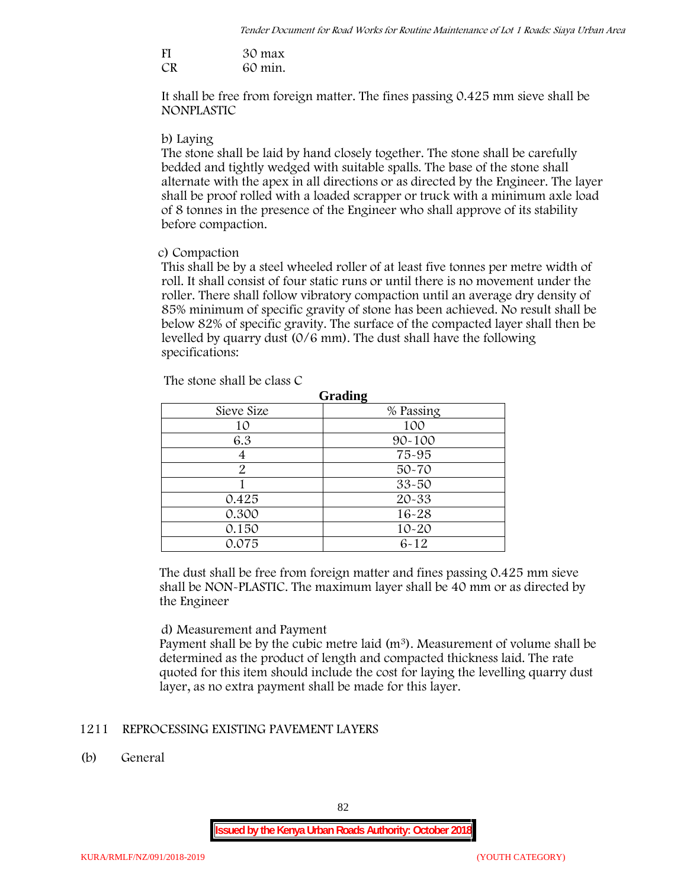| FI | 30 max  |
|----|---------|
| CR | 60 min. |

It shall be free from foreign matter. The fines passing 0.425 mm sieve shall be **NONPLASTIC**

### **b) Laying**

The stone shall be laid by hand closely together. The stone shall be carefully bedded and tightly wedged with suitable spalls. The base of the stone shall alternate with the apex in all directions or as directed by the Engineer. The layer shall be proof rolled with a loaded scrapper or truck with a minimum axle load of 8 tonnes in the presence of the Engineer who shall approve of its stability before compaction.

### **c) Compaction**

This shall be by a steel wheeled roller of at least five tonnes per metre width of roll. It shall consist of four static runs or until there is no movement under the roller. There shall follow vibratory compaction until an average dry density of 85% minimum of specific gravity of stone has been achieved. No result shall be below 82% of specific gravity. The surface of the compacted layer shall then be levelled by quarry dust (0/6 mm). The dust shall have the following specifications:

| Grading    |            |  |  |  |  |
|------------|------------|--|--|--|--|
| Sieve Size | % Passing  |  |  |  |  |
| 10         | 100        |  |  |  |  |
| 6.3        | $90 - 100$ |  |  |  |  |
|            | 75-95      |  |  |  |  |
| 2          | $50 - 70$  |  |  |  |  |
|            | $33 - 50$  |  |  |  |  |
| 0.425      | 20-33      |  |  |  |  |
| 0.300      | 16-28      |  |  |  |  |
| 0.150      | $10 - 20$  |  |  |  |  |
| 0.075      | $6 - 12$   |  |  |  |  |

The stone shall be class C

The dust shall be free from foreign matter and fines passing 0.425 mm sieve shall be **NON-PLASTIC**. The maximum layer shall be 40 mm or as directed by the Engineer

## **d) Measurement and Payment**

Payment shall be by the cubic metre laid  $(m<sup>3</sup>)$ . Measurement of volume shall be determined as the product of length and compacted thickness laid. The rate quoted for this item should include the cost for laying the levelling quarry dust layer, as no extra payment shall be made for this layer.

## **1211 REPROCESSING EXISTING PAVEMENT LAYERS**

**(b) General**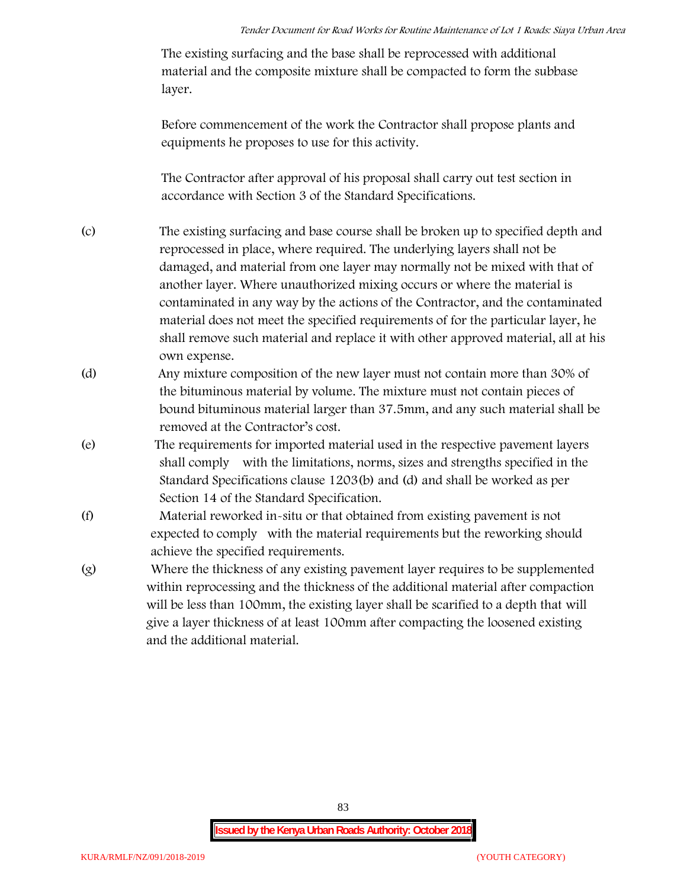The existing surfacing and the base shall be reprocessed with additional material and the composite mixture shall be compacted to form the subbase layer.

Before commencement of the work the Contractor shall propose plants and equipments he proposes to use for this activity.

The Contractor after approval of his proposal shall carry out test section in accordance with Section 3 of the Standard Specifications.

- (c) The existing surfacing and base course shall be broken up to specified depth and reprocessed in place, where required. The underlying layers shall not be damaged, and material from one layer may normally not be mixed with that of another layer. Where unauthorized mixing occurs or where the material is contaminated in any way by the actions of the Contractor, and the contaminated material does not meet the specified requirements of for the particular layer, he shall remove such material and replace it with other approved material, all at his own expense.
- (d) Any mixture composition of the new layer must not contain more than 30% of the bituminous material by volume. The mixture must not contain pieces of bound bituminous material larger than 37.5mm, and any such material shall be removed at the Contractor's cost.
- (e) The requirements for imported material used in the respective pavement layers shall comply with the limitations, norms, sizes and strengths specified in the Standard Specifications clause 1203(b) and (d) and shall be worked as per Section 14 of the Standard Specification.
- (f) Material reworked in-situ or that obtained from existing pavement is not expected to comply with the material requirements but the reworking should achieve the specified requirements.
- (g) Where the thickness of any existing pavement layer requires to be supplemented within reprocessing and the thickness of the additional material after compaction will be less than 100mm, the existing layer shall be scarified to a depth that will give a layer thickness of at least 100mm after compacting the loosened existing and the additional material.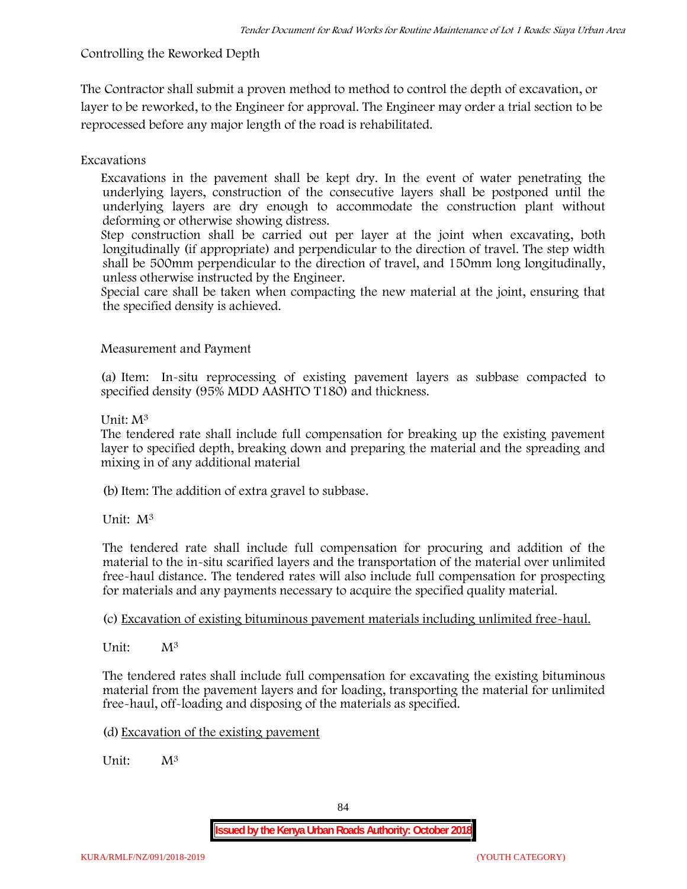# **Controlling the Reworked Depth**

The Contractor shall submit a proven method to method to control the depth of excavation, or layer to be reworked, to the Engineer for approval. The Engineer may order a trial section to be reprocessed before any major length of the road is rehabilitated.

# **Excavations**

Excavations in the pavement shall be kept dry. In the event of water penetrating the underlying layers, construction of the consecutive layers shall be postponed until the underlying layers are dry enough to accommodate the construction plant without deforming or otherwise showing distress.

Step construction shall be carried out per layer at the joint when excavating, both longitudinally (if appropriate) and perpendicular to the direction of travel. The step width shall be 500mm perpendicular to the direction of travel, and 150mm long longitudinally, unless otherwise instructed by the Engineer.

Special care shall be taken when compacting the new material at the joint, ensuring that the specified density is achieved.

## **Measurement and Payment**

(a) Item: In-situ reprocessing of existing pavement layers as subbase compacted to specified density (95% MDD AASHTO T180) and thickness.

## Unit: M<sup>3</sup>

The tendered rate shall include full compensation for breaking up the existing pavement layer to specified depth, breaking down and preparing the material and the spreading and mixing in of any additional material

(b)Item: The addition of extra gravel to subbase.

Unit: M<sup>3</sup>

The tendered rate shall include full compensation for procuring and addition of the material to the in-situ scarified layers and the transportation of the material over unlimited free-haul distance. The tendered rates will also include full compensation for prospecting for materials and any payments necessary to acquire the specified quality material.

(c) Excavation of existing bituminous pavement materials including unlimited free-haul.

Unit: M<sup>3</sup>

The tendered rates shall include full compensation for excavating the existing bituminous material from the pavement layers and for loading, transporting the material for unlimited free-haul, off-loading and disposing of the materials as specified.

(d) Excavation of the existing pavement

Unit:  $M^3$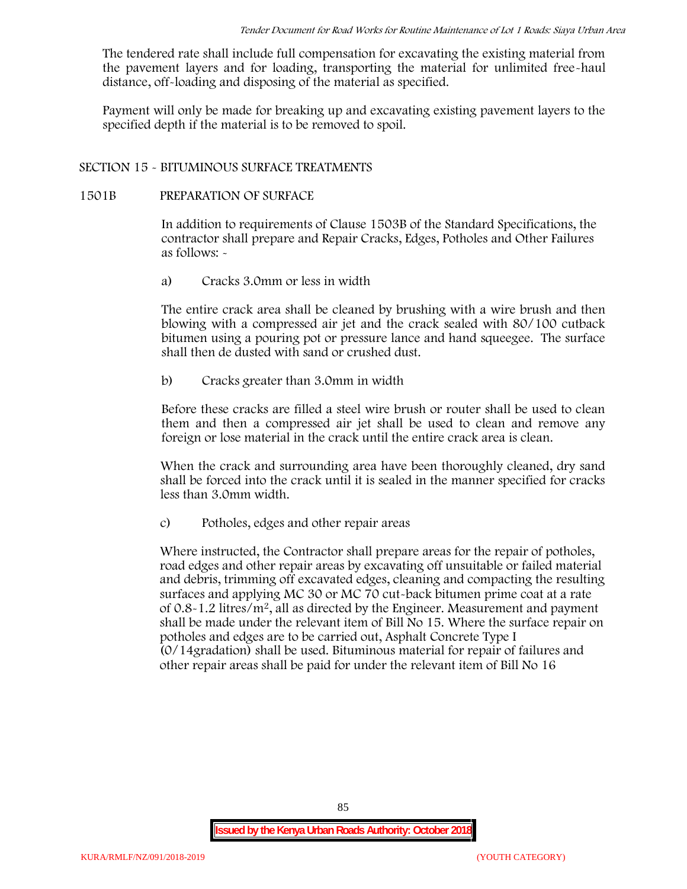The tendered rate shall include full compensation for excavating the existing material from the pavement layers and for loading, transporting the material for unlimited free-haul distance, off-loading and disposing of the material as specified.

Payment will only be made for breaking up and excavating existing pavement layers to the specified depth if the material is to be removed to spoil.

## **SECTION 15 - BITUMINOUS SURFACE TREATMENTS**

### **1501B PREPARATION OF SURFACE**

In addition to requirements of Clause 1503B of the Standard Specifications, the contractor shall prepare and Repair Cracks, Edges, Potholes and Other Failures as follows: **-**

a) **Cracks 3.0mm or less in width**

The entire crack area shall be cleaned by brushing with a wire brush and then blowing with a compressed air jet and the crack sealed with 80/100 cutback bitumen using a pouring pot or pressure lance and hand squeegee. The surface shall then de dusted with sand or crushed dust.

b) **Cracks greater than 3.0mm in width**

Before these cracks are filled a steel wire brush or router shall be used to clean them and then a compressed air jet shall be used to clean and remove any foreign or lose material in the crack until the entire crack area is clean.

When the crack and surrounding area have been thoroughly cleaned, dry sand shall be forced into the crack until it is sealed in the manner specified for cracks less than 3.0mm width.

c) **Potholes, edges and other repair areas**

Where instructed, the Contractor shall prepare areas for the repair of potholes, road edges and other repair areas by excavating off unsuitable or failed material and debris, trimming off excavated edges, cleaning and compacting the resulting surfaces and applying MC 30 or MC 70 cut-back bitumen prime coat at a rate of  $0.8-1.2$  litres/m<sup>2</sup>, all as directed by the Engineer. Measurement and payment shall be made under the relevant item of Bill No 15. Where the surface repair on potholes and edges are to be carried out, Asphalt Concrete Type I (0/14gradation) shall be used. Bituminous material for repair of failures and other repair areas shall be paid for under the relevant item of Bill No 16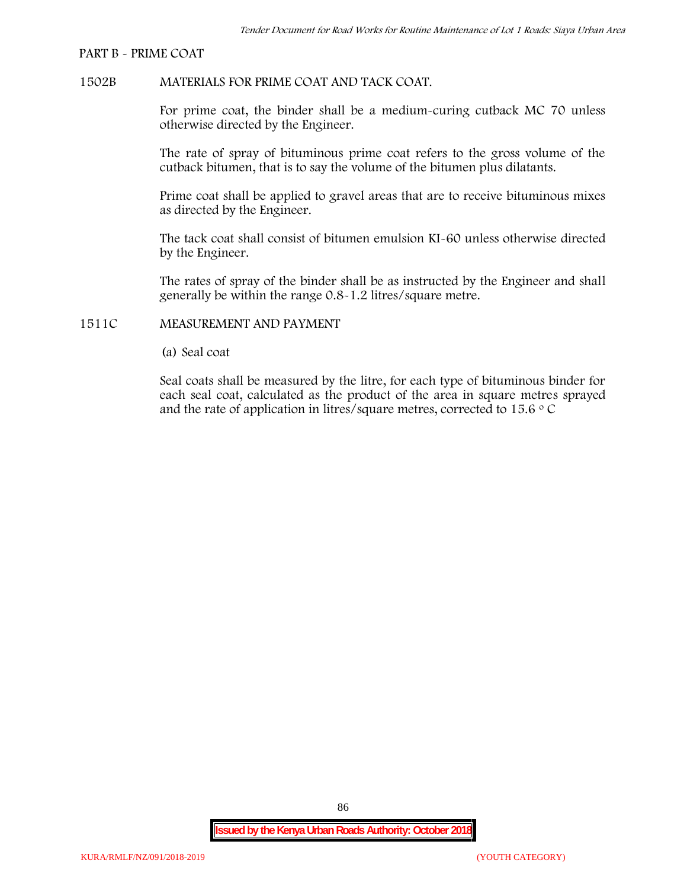#### **PART B - PRIME COAT**

### **1502B MATERIALS FOR PRIME COAT AND TACK COAT.**

For prime coat, the binder shall be a medium-curing cutback MC 70 unless otherwise directed by the Engineer.

The rate of spray of bituminous prime coat refers to the gross volume of the cutback bitumen, that is to say the volume of the bitumen plus dilatants.

Prime coat shall be applied to gravel areas that are to receive bituminous mixes as directed by the Engineer.

The tack coat shall consist of bitumen emulsion KI-60 unless otherwise directed by the Engineer.

The rates of spray of the binder shall be as instructed by the Engineer and shall generally be within the range 0.8-1.2 litres/square metre.

### **1511C MEASUREMENT AND PAYMENT**

(a) Seal coat

Seal coats shall be measured by the litre, for each type of bituminous binder for each seal coat, calculated as the product of the area in square metres sprayed and the rate of application in litres/square metres, corrected to 15.6  $\circ$  C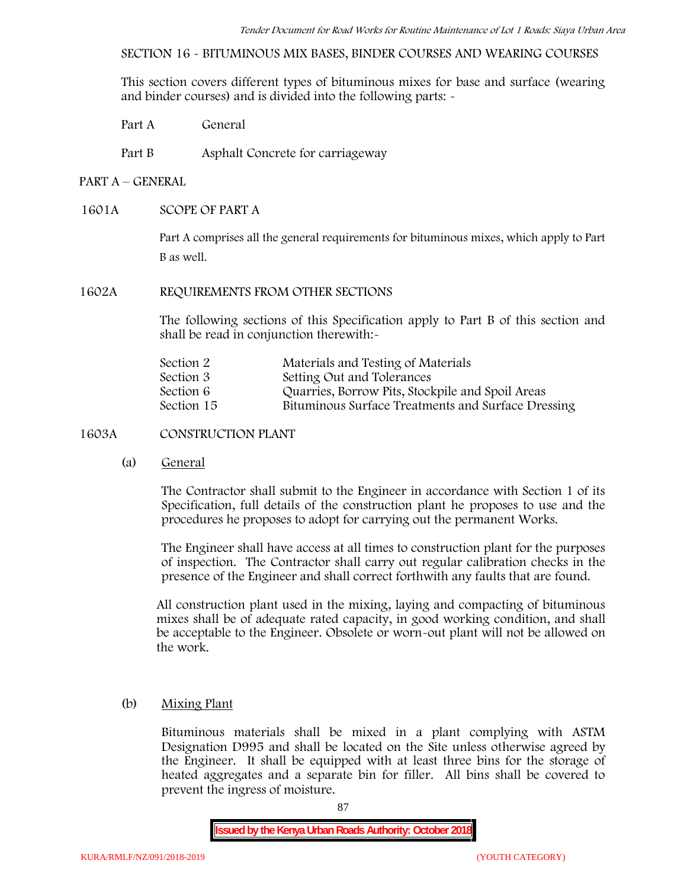**SECTION 16 - BITUMINOUS MIX BASES, BINDER COURSES AND WEARING COURSES**

This section covers different types of bituminous mixes for base and surface (wearing and binder courses) and is divided into the following parts: -

Part A General

Part B Asphalt Concrete for carriageway

## **PART A –GENERAL**

## **1601A SCOPE OF PART A**

Part A comprises all the general requirements for bituminous mixes, which apply to Part B as well.

## **1602A REQUIREMENTS FROM OTHER SECTIONS**

The following sections of this Specification apply to Part B of this section and shall be read in conjunction therewith:-

| Section 2  | Materials and Testing of Materials                 |
|------------|----------------------------------------------------|
| Section 3  | Setting Out and Tolerances                         |
| Section 6  | Quarries, Borrow Pits, Stockpile and Spoil Areas   |
| Section 15 | Bituminous Surface Treatments and Surface Dressing |

## **1603A CONSTRUCTION PLANT**

(a) **General**

The Contractor shall submit to the Engineer in accordance with Section 1 of its Specification, full details of the construction plant he proposes to use and the procedures he proposes to adopt for carrying out the permanent Works.

The Engineer shall have access at all times to construction plant for the purposes of inspection. The Contractor shall carry out regular calibration checks in the presence of the Engineer and shall correct forthwith any faults that are found.

All construction plant used in the mixing, laying and compacting of bituminous mixes shall be of adequate rated capacity, in good working condition, and shall be acceptable to the Engineer. Obsolete or worn-out plant will not be allowed on the work.

## (b) **Mixing Plant**

Bituminous materials shall be mixed in a plant complying with ASTM Designation D995 and shall be located on the Site unless otherwise agreed by the Engineer. It shall be equipped with at least three bins for the storage of heated aggregates and a separate bin for filler. All bins shall be covered to prevent the ingress of moisture.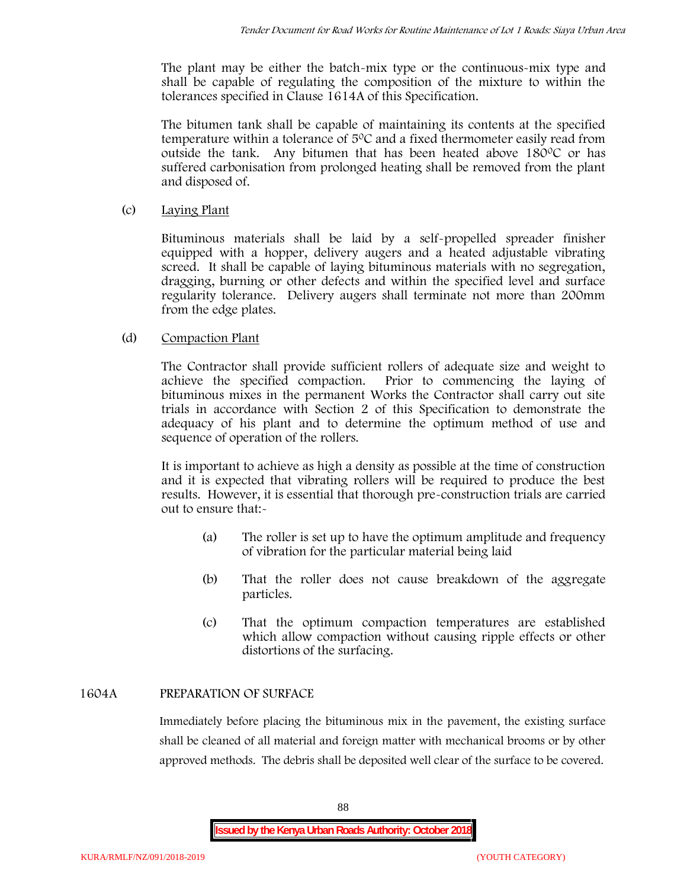The plant may be either the batch-mix type or the continuous-mix type and shall be capable of regulating the composition of the mixture to within the tolerances specified in Clause 1614A of this Specification.

The bitumen tank shall be capable of maintaining its contents at the specified temperature within a tolerance of  $5^{\circ}$ C and a fixed thermometer easily read from outside the tank. Any bitumen that has been heated above  $180^{\circ}$ C or has suffered carbonisation from prolonged heating shall be removed from the plant and disposed of.

## (c) **Laying Plant**

Bituminous materials shall be laid by a self-propelled spreader finisher equipped with a hopper, delivery augers and a heated adjustable vibrating screed. It shall be capable of laying bituminous materials with no segregation, dragging, burning or other defects and within the specified level and surface regularity tolerance. Delivery augers shall terminate not more than 200mm from the edge plates.

## (d) **Compaction Plant**

The Contractor shall provide sufficient rollers of adequate size and weight to achieve the specified compaction. Prior to commencing the laying of bituminous mixes in the permanent Works the Contractor shall carry out site trials in accordance with Section 2 of this Specification to demonstrate the adequacy of his plant and to determine the optimum method of use and sequence of operation of the rollers.

It is important to achieve as high a density as possible at the time of construction and it is expected that vibrating rollers will be required to produce the best results. However, it is essential that thorough pre-construction trials are carried out to ensure that:-

- (a) The roller is set up to have the optimum amplitude and frequency of vibration for the particular material being laid
- (b) That the roller does not cause breakdown of the aggregate particles.
- (c) That the optimum compaction temperatures are established which allow compaction without causing ripple effects or other distortions of the surfacing.

# **1604A PREPARATION OF SURFACE**

Immediately before placing the bituminous mix in the pavement, the existing surface shall be cleaned of all material and foreign matter with mechanical brooms or by other approved methods. The debris shall be deposited well clear of the surface to be covered.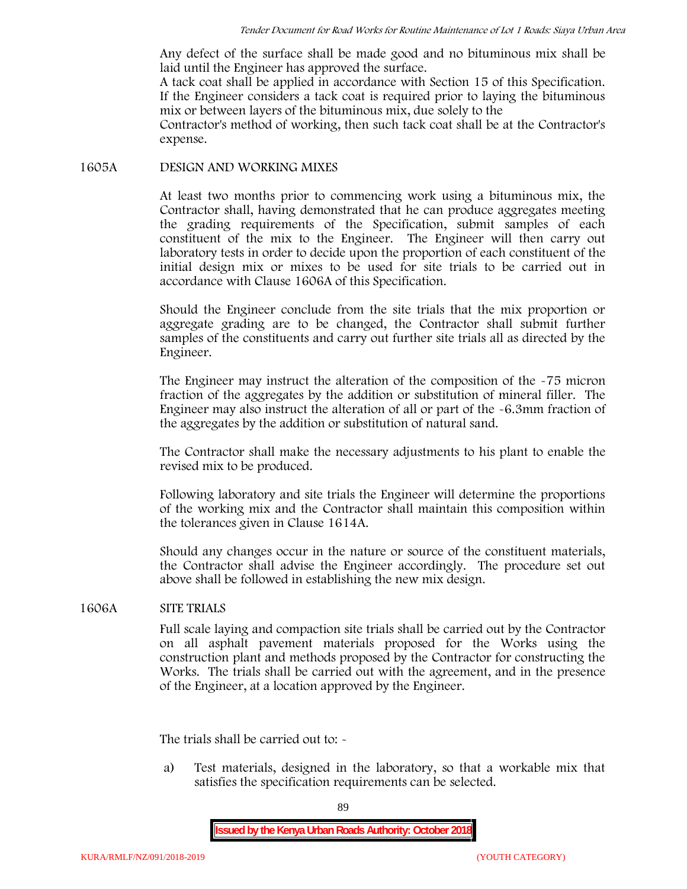Any defect of the surface shall be made good and no bituminous mix shall be laid until the Engineer has approved the surface.

A tack coat shall be applied in accordance with Section 15 of this Specification. If the Engineer considers a tack coat is required prior to laying the bituminous mix or between layers of the bituminous mix, due solely to the

Contractor's method of working, then such tack coat shall be at the Contractor's expense.

#### **1605A DESIGN AND WORKING MIXES**

At least two months prior to commencing work using a bituminous mix, the Contractor shall, having demonstrated that he can produce aggregates meeting the grading requirements of the Specification, submit samples of each constituent of the mix to the Engineer. The Engineer will then carry out laboratory tests in order to decide upon the proportion of each constituent of the initial design mix or mixes to be used for site trials to be carried out in accordance with Clause 1606A of this Specification.

Should the Engineer conclude from the site trials that the mix proportion or aggregate grading are to be changed, the Contractor shall submit further samples of the constituents and carry out further site trials all as directed by the Engineer.

The Engineer may instruct the alteration of the composition of the -75 micron fraction of the aggregates by the addition or substitution of mineral filler. The Engineer may also instruct the alteration of all or part of the -6.3mm fraction of the aggregates by the addition or substitution of natural sand.

The Contractor shall make the necessary adjustments to his plant to enable the revised mix to be produced.

Following laboratory and site trials the Engineer will determine the proportions of the working mix and the Contractor shall maintain this composition within the tolerances given in Clause 1614A.

Should any changes occur in the nature or source of the constituent materials, the Contractor shall advise the Engineer accordingly. The procedure set out above shall be followed in establishing the new mix design.

## **1606A SITE TRIALS**

Full scale laying and compaction site trials shall be carried out by the Contractor on all asphalt pavement materials proposed for the Works using the construction plant and methods proposed by the Contractor for constructing the Works. The trials shall be carried out with the agreement, and in the presence of the Engineer, at a location approved by the Engineer.

The trials shall be carried out to: -

a) Test materials, designed in the laboratory, so that a workable mix that satisfies the specification requirements can be selected.

89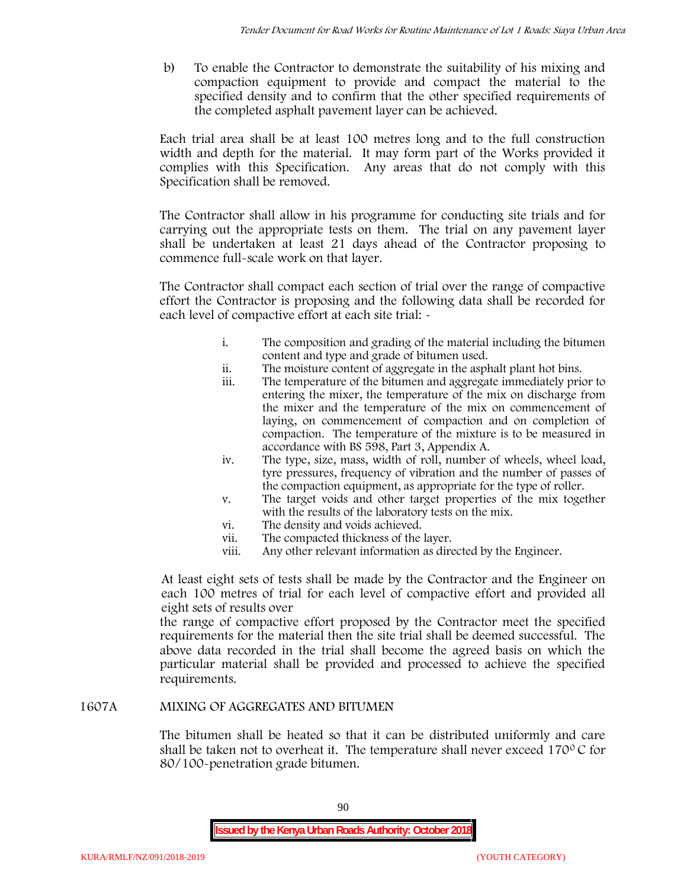b) To enable the Contractor to demonstrate the suitability of his mixing and compaction equipment to provide and compact the material to the specified density and to confirm that the other specified requirements of the completed asphalt pavement layer can be achieved.

Each trial area shall be at least 100 metres long and to the full construction width and depth for the material. It may form part of the Works provided it complies with this Specification. Any areas that do not comply with this Specification shall be removed.

The Contractor shall allow in his programme for conducting site trials and for carrying out the appropriate tests on them. The trial on any pavement layer shall be undertaken at least 21 days ahead of the Contractor proposing to commence full-scale work on that layer.

The Contractor shall compact each section of trial over the range of compactive effort the Contractor is proposing and the following data shall be recorded for each level of compactive effort at each site trial:  $\sim$ 

- i. The composition and grading of the material including the bitumen content and type and grade of bitumen used.
- ii. The moisture content of aggregate in the asphalt plant hot bins.
- iii. The temperature of the bitumen and aggregate immediately prior to entering the mixer, the temperature of the mix on discharge from the mixer and the temperature of the mix on commencement of laying, on commencement of compaction and on completion of compaction. The temperature of the mixture is to be measured in accordance with BS 598, Part 3, Appendix A.
- iv. The type, size, mass, width of roll, number of wheels, wheel load, tyre pressures, frequency of vibration and the number of passes of the compaction equipment, as appropriate for the type of roller.
- v. The target voids and other target properties of the mix together with the results of the laboratory tests on the mix.
- vi. The density and voids achieved.
- vii. The compacted thickness of the layer.
- viii. Any other relevant information as directed by the Engineer.

At least eight sets of tests shall be made by the Contractor and the Engineer on each 100 metres of trial for each level of compactive effort and provided all eight sets of results over

the range of compactive effort proposed by the Contractor meet the specified requirements for the material then the site trial shall be deemed successful. The above data recorded in the trial shall become the agreed basis on which the particular material shall be provided and processed to achieve the specified requirements.

## **1607A MIXING OF AGGREGATES AND BITUMEN**

The bitumen shall be heated so that it can be distributed uniformly and care shall be taken not to overheat it. The temperature shall never exceed 170 $\degree$ C for 80/100-penetration grade bitumen.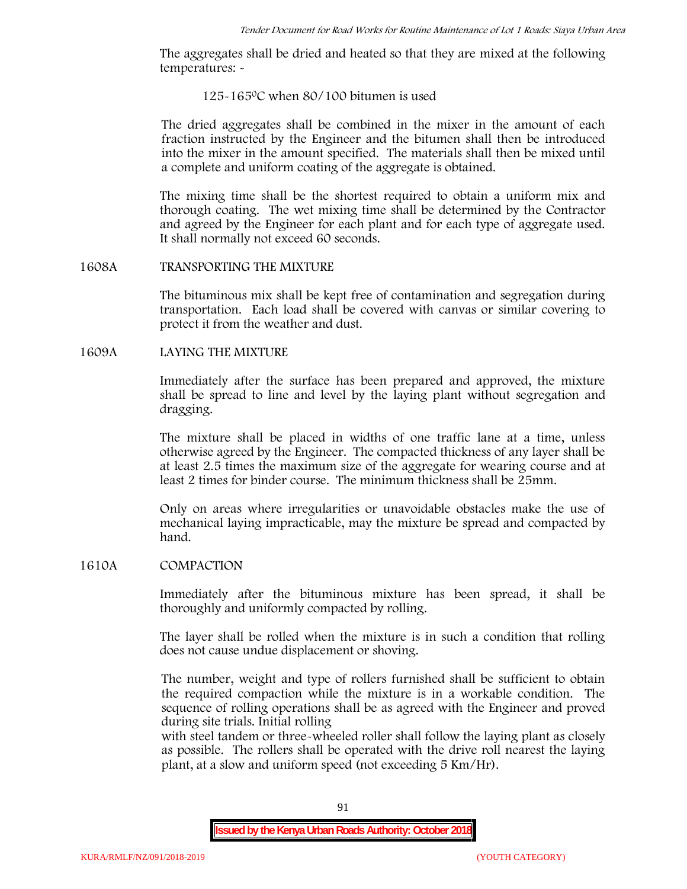The aggregates shall be dried and heated so that they are mixed at the following temperatures: -

## 125-1650C when 80/100 bitumen is used

The dried aggregates shall be combined in the mixer in the amount of each fraction instructed by the Engineer and the bitumen shall then be introduced into the mixer in the amount specified. The materials shall then be mixed until a complete and uniform coating of the aggregate is obtained.

The mixing time shall be the shortest required to obtain a uniform mix and thorough coating. The wet mixing time shall be determined by the Contractor and agreed by the Engineer for each plant and for each type of aggregate used. It shall normally not exceed 60 seconds.

### **1608A TRANSPORTING THE MIXTURE**

The bituminous mix shall be kept free of contamination and segregation during transportation. Each load shall be covered with canvas or similar covering to protect it from the weather and dust.

## **1609A LAYING THE MIXTURE**

Immediately after the surface has been prepared and approved, the mixture shall be spread to line and level by the laying plant without segregation and dragging.

The mixture shall be placed in widths of one traffic lane at a time, unless otherwise agreed by the Engineer. The compacted thickness of any layer shall be at least 2.5 times the maximum size of the aggregate for wearing course and at least 2 times for binder course. The minimum thickness shall be 25mm.

Only on areas where irregularities or unavoidable obstacles make the use of mechanical laying impracticable, may the mixture be spread and compacted by hand.

## **1610A COMPACTION**

Immediately after the bituminous mixture has been spread, it shall be thoroughly and uniformly compacted by rolling.

The layer shall be rolled when the mixture is in such a condition that rolling does not cause undue displacement or shoving.

The number, weight and type of rollers furnished shall be sufficient to obtain the required compaction while the mixture is in a workable condition. The sequence of rolling operations shall be as agreed with the Engineer and proved during site trials. Initial rolling

with steel tandem or three-wheeled roller shall follow the laying plant as closely as possible. The rollers shall be operated with the drive roll nearest the laying plant, at a slow and uniform speed (not exceeding 5 Km/Hr).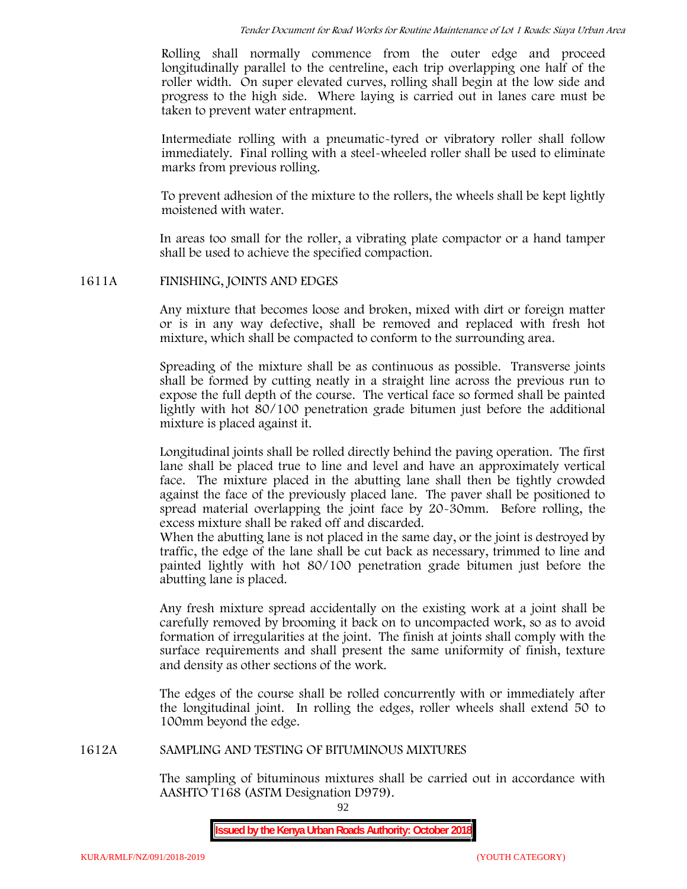Rolling shall normally commence from the outer edge and proceed longitudinally parallel to the centreline, each trip overlapping one half of the roller width. On super elevated curves, rolling shall begin at the low side and progress to the high side. Where laying is carried out in lanes care must be taken to prevent water entrapment.

Intermediate rolling with a pneumatic-tyred or vibratory roller shall follow immediately. Final rolling with a steel-wheeled roller shall be used to eliminate marks from previous rolling.

To prevent adhesion of the mixture to the rollers, the wheels shall be kept lightly moistened with water.

In areas too small for the roller, a vibrating plate compactor or a hand tamper shall be used to achieve the specified compaction.

## **1611A FINISHING, JOINTS AND EDGES**

Any mixture that becomes loose and broken, mixed with dirt or foreign matter or is in any way defective, shall be removed and replaced with fresh hot mixture, which shall be compacted to conform to the surrounding area.

Spreading of the mixture shall be as continuous as possible. Transverse joints shall be formed by cutting neatly in a straight line across the previous run to expose the full depth of the course. The vertical face so formed shall be painted lightly with hot 80/100 penetration grade bitumen just before the additional mixture is placed against it.

Longitudinal joints shall be rolled directly behind the paving operation. The first lane shall be placed true to line and level and have an approximately vertical face. The mixture placed in the abutting lane shall then be tightly crowded against the face of the previously placed lane. The paver shall be positioned to spread material overlapping the joint face by 20-30mm. Before rolling, the excess mixture shall be raked off and discarded.

When the abutting lane is not placed in the same day, or the joint is destroyed by traffic, the edge of the lane shall be cut back as necessary, trimmed to line and painted lightly with hot 80/100 penetration grade bitumen just before the abutting lane is placed.

Any fresh mixture spread accidentally on the existing work at a joint shall be carefully removed by brooming it back on to uncompacted work, so as to avoid formation of irregularities at the joint. The finish at joints shall comply with the surface requirements and shall present the same uniformity of finish, texture and density as other sections of the work.

The edges of the course shall be rolled concurrently with or immediately after the longitudinal joint. In rolling the edges, roller wheels shall extend 50 to 100mm beyond the edge.

## **1612A SAMPLING AND TESTING OF BITUMINOUS MIXTURES**

The sampling of bituminous mixtures shall be carried out in accordance with AASHTO T168 (ASTM Designation D979).

92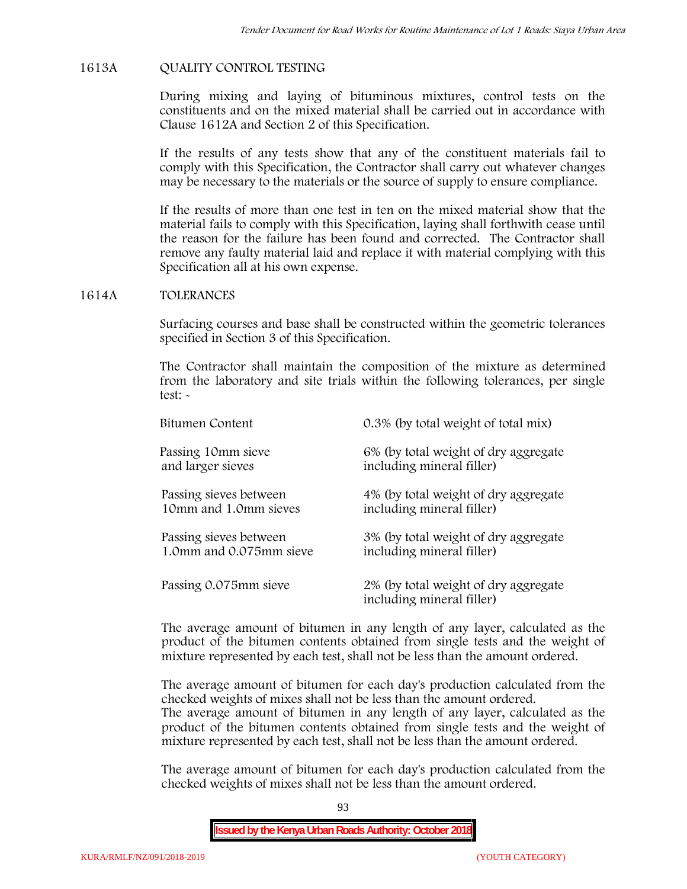### **1613A QUALITY CONTROL TESTING**

During mixing and laying of bituminous mixtures, control tests on the constituents and on the mixed material shall be carried out in accordance with Clause 1612A and Section 2 of this Specification.

If the results of any tests show that any of the constituent materials fail to comply with this Specification, the Contractor shall carry out whatever changes may be necessary to the materials or the source of supply to ensure compliance.

If the results of more than one test in ten on the mixed material show that the material fails to comply with this Specification, laying shall forthwith cease until the reason for the failure has been found and corrected. The Contractor shall remove any faulty material laid and replace it with material complying with this Specification all at his own expense.

#### **1614A TOLERANCES**

Surfacing courses and base shall be constructed within the geometric tolerances specified in Section 3 of this Specification.

The Contractor shall maintain the composition of the mixture as determined from the laboratory and site trials within the following tolerances, per single test: -

| Bitumen Content         | 0.3% (by total weight of total mix)                               |
|-------------------------|-------------------------------------------------------------------|
| Passing 10mm sieve      | 6% (by total weight of dry aggregate                              |
| and larger sieves       | including mineral filler)                                         |
| Passing sieves between  | 4% (by total weight of dry aggregate                              |
| 10mm and 1.0mm sieves   | including mineral filler)                                         |
| Passing sieves between  | 3% (by total weight of dry aggregate                              |
| 1.0mm and 0.075mm sieve | including mineral filler)                                         |
| Passing 0.075mm sieve   | 2% (by total weight of dry aggregate<br>including mineral filler) |

The average amount of bitumen in any length of any layer, calculated as the product of the bitumen contents obtained from single tests and the weight of mixture represented by each test, shall not be less than the amount ordered.

The average amount of bitumen for each day's production calculated from the checked weights of mixes shall not be less than the amount ordered.

The average amount of bitumen in any length of any layer, calculated as the product of the bitumen contents obtained from single tests and the weight of mixture represented by each test, shall not be less than the amount ordered.

The average amount of bitumen for each day's production calculated from the checked weights of mixes shall not be less than the amount ordered.

93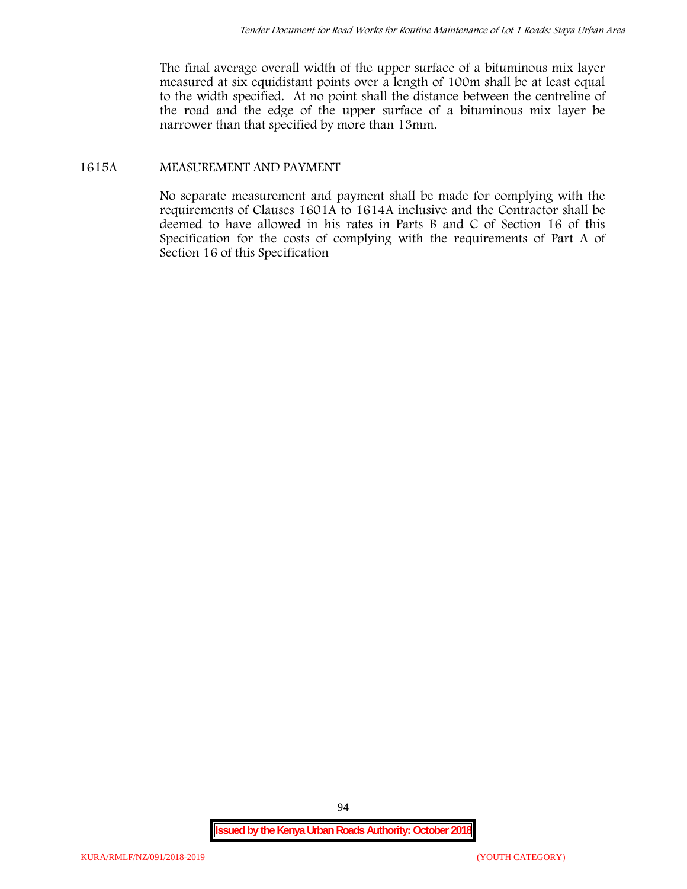The final average overall width of the upper surface of a bituminous mix layer measured at six equidistant points over a length of 100m shall be at least equal to the width specified. At no point shall the distance between the centreline of the road and the edge of the upper surface of a bituminous mix layer be narrower than that specified by more than 13mm.

## **1615A MEASUREMENT AND PAYMENT**

No separate measurement and payment shall be made for complying with the requirements of Clauses 1601A to 1614A inclusive and the Contractor shall be deemed to have allowed in his rates in Parts B and C of Section 16 of this Specification for the costs of complying with the requirements of Part A of Section 16 of this Specification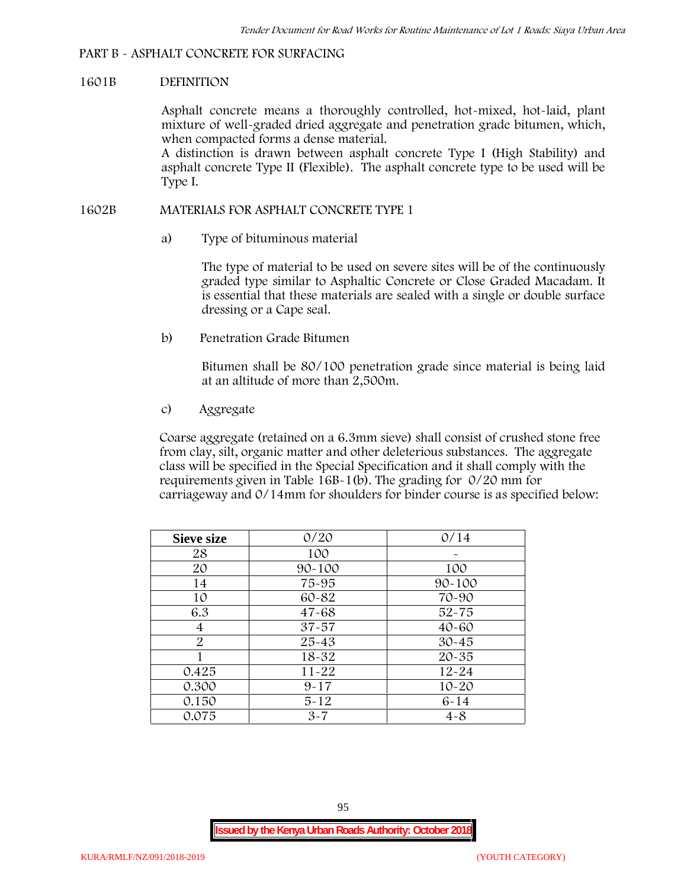### **PART B - ASPHALT CONCRETE FOR SURFACING**

#### **1601B DEFINITION**

Asphalt concrete means a thoroughly controlled, hot-mixed, hot-laid, plant mixture of well-graded dried aggregate and penetration grade bitumen, which, when compacted forms a dense material.

A distinction is drawn between asphalt concrete Type I (High Stability) and asphalt concrete Type II (Flexible). The asphalt concrete type to be used will be Type I.

### **1602B MATERIALS FOR ASPHALT CONCRETE TYPE 1**

a) **Type of bituminous material**

The type of material to be used on severe sites will be of the continuously graded type similar to Asphaltic Concrete or Close Graded Macadam. It is essential that these materials are sealed with a single or double surface dressing or a Cape seal.

b) **Penetration Grade Bitumen**

Bitumen shall be 80/100 penetration grade since material is being laid at an altitude of more than 2,500m.

c) **Aggregate**

Coarse aggregate (retained on a 6.3mm sieve) shall consist of crushed stone free from clay, silt, organic matter and other deleterious substances. The aggregate class will be specified in the Special Specification and it shall comply with the requirements given in Table 16B-1(b). The grading for 0/20 mm for carriageway and 0/14mm for shoulders for binder course is as specified below:

| <b>Sieve size</b> | 0/20       | 0/14       |
|-------------------|------------|------------|
| 28                | 100        |            |
| 20                | $90 - 100$ | 100        |
| 14                | 75-95      | $90 - 100$ |
| 10                | 60-82      | 70-90      |
| 6.3               | $47 - 68$  | $52 - 75$  |
| 4                 | $37 - 57$  | $40 - 60$  |
| $\overline{2}$    | 25-43      | $30 - 45$  |
|                   | 18-32      | $20 - 35$  |
| 0.425             | $11 - 22$  | $12 - 24$  |
| 0.300             | $9 - 17$   | $10 - 20$  |
| 0.150             | $5 - 12$   | $6 - 14$   |
| 0.075             | $3 - 7$    | $4 - 8$    |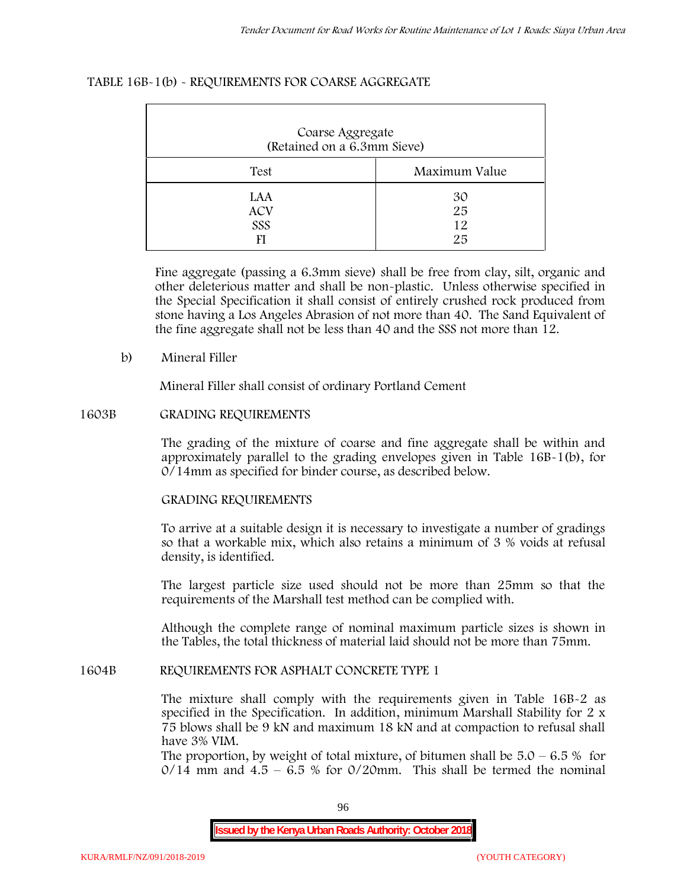| Coarse Aggregate<br>(Retained on a 6.3mm Sieve) |                      |  |  |  |  |
|-------------------------------------------------|----------------------|--|--|--|--|
| Test                                            | Maximum Value        |  |  |  |  |
| LAA<br><b>ACV</b><br>SSS                        | 30<br>25<br>12<br>25 |  |  |  |  |

### **TABLE 16B-1(b) - REQUIREMENTS FOR COARSE AGGREGATE**

Fine aggregate (passing a 6.3mm sieve) shall be free from clay, silt, organic and other deleterious matter and shall be non-plastic. Unless otherwise specified in the Special Specification it shall consist of entirely crushed rock produced from stone having a Los Angeles Abrasion of not more than 40. The Sand Equivalent of the fine aggregate shall not be less than 40 and the SSS not more than 12.

### **b) Mineral Filler**

Mineral Filler shall consist of ordinary Portland Cement

### **1603B GRADING REQUIREMENTS**

The grading of the mixture of coarse and fine aggregate shall be within and approximately parallel to the grading envelopes given in Table 16B-1(b), for 0/14mm as specified for binder course, as described below.

## **GRADING REQUIREMENTS**

To arrive at a suitable design it is necessary to investigate a number of gradings so that a workable mix, which also retains a minimum of 3 % voids at refusal density, is identified.

The largest particle size used should not be more than 25mm so that the requirements of the Marshall test method can be complied with.

Although the complete range of nominal maximum particle sizes is shown in the Tables, the total thickness of material laid should not be more than 75mm.

#### **1604B REQUIREMENTS FOR ASPHALT CONCRETE TYPE 1**

The mixture shall comply with the requirements given in Table 16B-2 as specified in the Specification. In addition, minimum Marshall Stability for 2 x 75 blows shall be 9 kN and maximum 18 kN and at compaction to refusal shall have 3% VIM.

The proportion, by weight of total mixture, of bitumen shall be  $5.0 - 6.5 %$  for  $0/14$  mm and  $4.5 - 6.5$  % for  $0/20$ mm. This shall be termed the nominal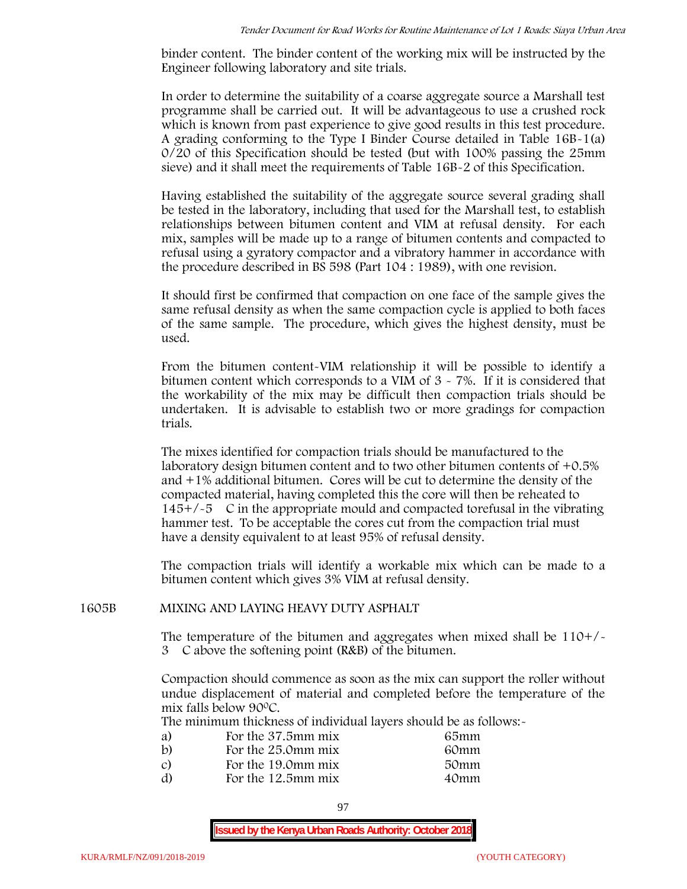binder content. The binder content of the working mix will be instructed by the Engineer following laboratory and site trials.

In order to determine the suitability of a coarse aggregate source a Marshall test programme shall be carried out. It will be advantageous to use a crushed rock which is known from past experience to give good results in this test procedure. A grading conforming to the Type I Binder Course detailed in Table 16B-1(a) 0/20 of this Specification should be tested (but with 100% passing the 25mm sieve) and it shall meet the requirements of Table 16B-2 of this Specification.

Having established the suitability of the aggregate source several grading shall be tested in the laboratory, including that used for the Marshall test, to establish relationships between bitumen content and VIM at refusal density. For each mix, samples will be made up to a range of bitumen contents and compacted to refusal using a gyratory compactor and a vibratory hammer in accordance with the procedure described in BS 598 (Part 104 : 1989), with one revision.

It should first be confirmed that compaction on one face of the sample gives the same refusal density as when the same compaction cycle is applied to both faces of the same sample. The procedure, which gives the highest density, must be used.

From the bitumen content-VIM relationship it will be possible to identify a bitumen content which corresponds to a VIM of 3 - 7%. If it is considered that the workability of the mix may be difficult then compaction trials should be undertaken. It is advisable to establish two or more gradings for compaction trials.

The mixes identified for compaction trials should be manufactured to the laboratory design bitumen content and to two other bitumen contents of +0.5% and +1% additional bitumen. Cores will be cut to determine the density of the compacted material, having completed this the core will then be reheated to  $145+/5$  C in the appropriate mould and compacted torefusal in the vibrating hammer test. To be acceptable the cores cut from the compaction trial must have a density equivalent to at least 95% of refusal density.

The compaction trials will identify a workable mix which can be made to a bitumen content which gives 3% VIM at refusal density.

#### **1605B MIXING AND LAYING HEAVY DUTY ASPHALT**

The temperature of the bitumen and aggregates when mixed shall be  $110+/$ 3C above the softening point (R&B) of the bitumen.

Compaction should commence as soon as the mix can support the roller without undue displacement of material and completed before the temperature of the mix falls below 900C.

The minimum thickness of individual layers should be as follows:-

| a) | For the 37.5mm mix | 65mm |  |
|----|--------------------|------|--|
| b) | For the 25.0mm mix | 60mm |  |
| C) | For the 19.0mm mix | 50mm |  |
| d) | For the 12.5mm mix | 40mm |  |
|    |                    |      |  |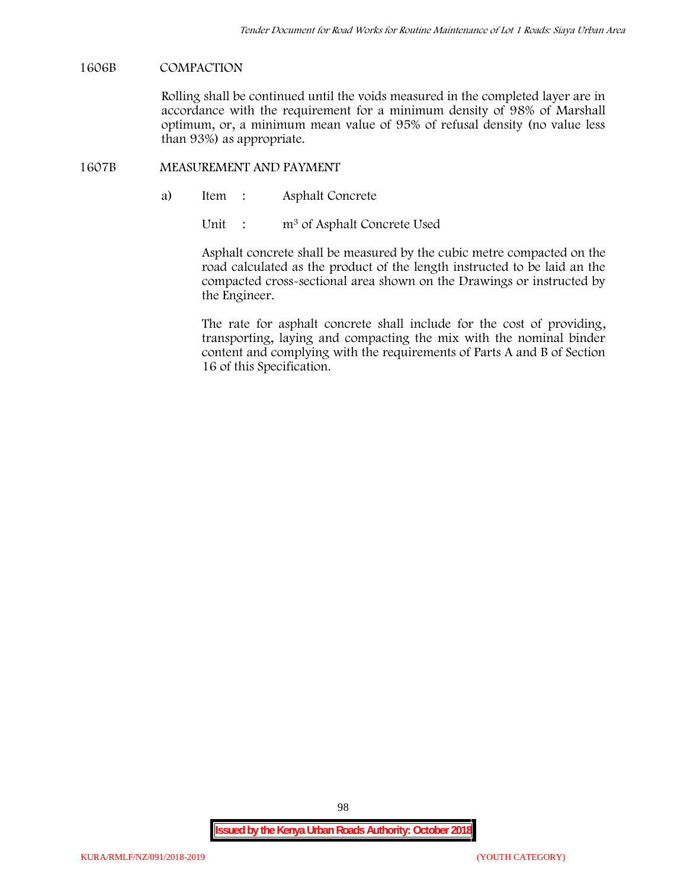### **1606B COMPACTION**

Rolling shall be continued until the voids measured in the completed layer are in accordance with the requirement for a minimum density of 98% of Marshall optimum, or, a minimum mean value of 95% of refusal density (no value less than 93%) as appropriate.

#### **1607B MEASUREMENT AND PAYMENT**

a) Item : Asphalt Concrete

Unit : m<sup>3</sup> of Asphalt Concrete Used

Asphalt concrete shall be measured by the cubic metre compacted on the road calculated as the product of the length instructed to be laid an the compacted cross-sectional area shown on the Drawings or instructed by the Engineer.

The rate for asphalt concrete shall include for the cost of providing, transporting, laying and compacting the mix with the nominal binder content and complying with the requirements of Parts A and B of Section 16 of this Specification.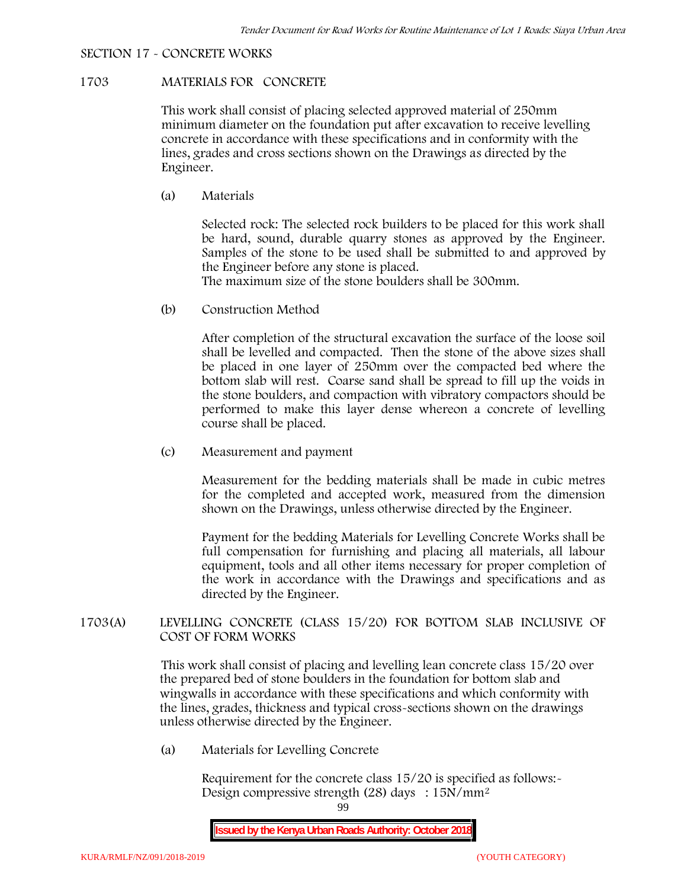#### **SECTION 17 - CONCRETE WORKS**

## **1703 MATERIALS FOR CONCRETE**

This work shall consist of placing selected approved material of 250mm minimum diameter on the foundation put after excavation to receive levelling concrete in accordance with these specifications and in conformity with the lines, grades and cross sections shown on the Drawings as directed by the Engineer.

(a) **Materials**

Selected rock: The selected rock builders to be placed for this work shall be hard, sound, durable quarry stones as approved by the Engineer. Samples of the stone to be used shall be submitted to and approved by the Engineer before any stone is placed.

The maximum size of the stone boulders shall be 300mm.

(b) **Construction Method**

After completion of the structural excavation the surface of the loose soil shall be levelled and compacted. Then the stone of the above sizes shall be placed in one layer of 250mm over the compacted bed where the bottom slab will rest. Coarse sand shall be spread to fill up the voids in the stone boulders, and compaction with vibratory compactors should be performed to make this layer dense whereon a concrete of levelling course shall be placed.

(c) **Measurement and payment**

Measurement for the bedding materials shall be made in cubic metres for the completed and accepted work, measured from the dimension shown on the Drawings, unless otherwise directed by the Engineer.

Payment for the bedding Materials for Levelling Concrete Works shall be full compensation for furnishing and placing all materials, all labour equipment, tools and all other items necessary for proper completion of the work in accordance with the Drawings and specifications and as directed by the Engineer.

## **1703(A) LEVELLING CONCRETE (CLASS 15/20) FOR BOTTOM SLAB INCLUSIVE OF COST OF FORM WORKS**

This work shall consist of placing and levelling lean concrete class 15/20 over the prepared bed of stone boulders in the foundation for bottom slab and wingwalls in accordance with these specifications and which conformity with the lines, grades, thickness and typical cross-sections shown on the drawings unless otherwise directed by the Engineer.

(a) **Materials for Levelling Concrete**

Requirement for the concrete class  $15/20$  is specified as follows:-Design compressive strength (28) days : 15N/mm2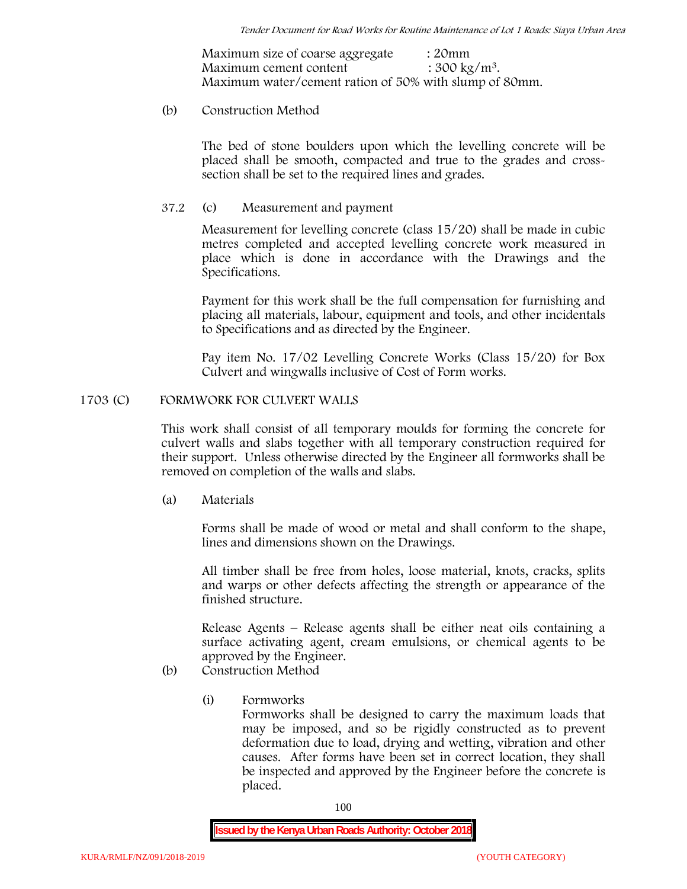Maximum size of coarse aggregate : 20mm Maximum cement content  $: 300 \text{ kg/m}^3$ . Maximum water/cement ration of 50% with slump of 80mm.

## (b) **Construction Method**

The bed of stone boulders upon which the levelling concrete will be placed shall be smooth, compacted and true to the grades and crosssection shall be set to the required lines and grades.

## **37.2** (c) **Measurement and payment**

Measurement for levelling concrete (class 15/20) shall be made in cubic metres completed and accepted levelling concrete work measured in place which is done in accordance with the Drawings and the Specifications.

Payment for this work shall be the full compensation for furnishing and placing all materials, labour, equipment and tools, and other incidentals to Specifications and as directed by the Engineer.

Pay item No. 17/02 Levelling Concrete Works (Class 15/20) for Box Culvert and wingwalls inclusive of Cost of Form works.

## **1703 (C) FORMWORK FOR CULVERT WALLS**

This work shall consist of all temporary moulds for forming the concrete for culvert walls and slabs together with all temporary construction required for their support. Unless otherwise directed by the Engineer all formworks shall be removed on completion of the walls and slabs.

(a) **Materials**

Forms shall be made of wood or metal and shall conform to the shape, lines and dimensions shown on the Drawings.

All timber shall be free from holes, loose material, knots, cracks, splits and warps or other defects affecting the strength or appearance of the finished structure.

Release Agents – Release agents shall be either neat oils containing a surface activating agent, cream emulsions, or chemical agents to be approved by the Engineer.

# (b) **Construction Method**

(i) **Formworks**

Formworks shall be designed to carry the maximum loads that may be imposed, and so be rigidly constructed as to prevent deformation due to load, drying and wetting, vibration and other causes. After forms have been set in correct location, they shall be inspected and approved by the Engineer before the concrete is placed.

100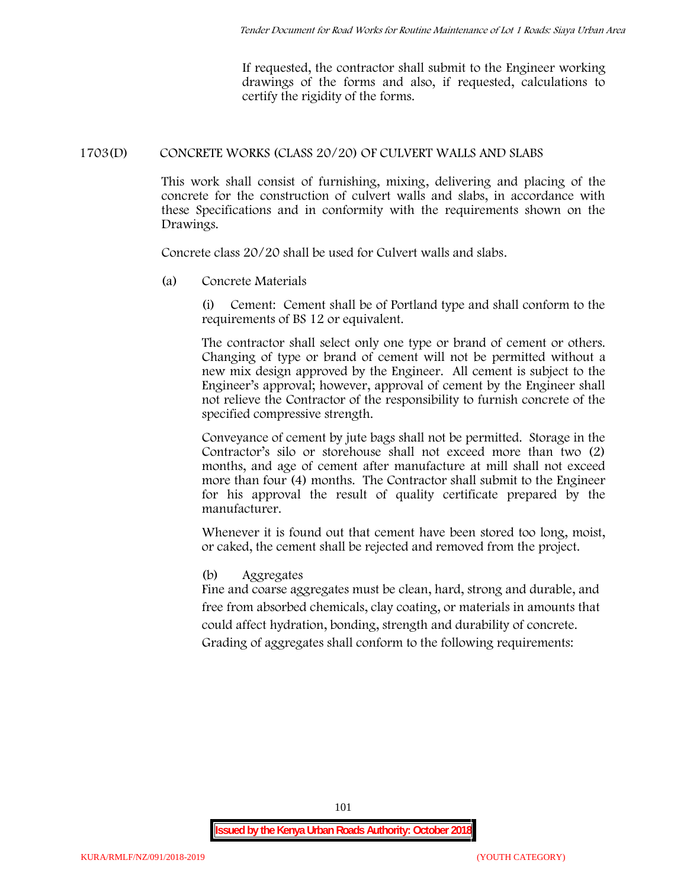If requested, the contractor shall submit to the Engineer working drawings of the forms and also, if requested, calculations to certify the rigidity of the forms.

## **1703(D) CONCRETE WORKS (CLASS 20/20) OF CULVERT WALLS AND SLABS**

This work shall consist of furnishing, mixing, delivering and placing of the concrete for the construction of culvert walls and slabs, in accordance with these Specifications and in conformity with the requirements shown on the Drawings.

Concrete class 20/20 shall be used for Culvert walls and slabs.

**(a) Concrete Materials**

(i) Cement: Cement shall be of Portland type and shall conform to the requirements of BS 12 or equivalent.

The contractor shall select only one type or brand of cement or others. Changing of type or brand of cement will not be permitted without a new mix design approved by the Engineer. All cement is subject to the Engineer's approval; however, approval of cement by the Engineer shall not relieve the Contractor of the responsibility to furnish concrete of the specified compressive strength.

Conveyance of cement by jute bags shall not be permitted. Storage in the Contractor's silo or storehouse shall not exceed more than two (2) months, and age of cement after manufacture at mill shall not exceed more than four (4) months. The Contractor shall submit to the Engineer for his approval the result of quality certificate prepared by the manufacturer.

Whenever it is found out that cement have been stored too long, moist, or caked, the cement shall be rejected and removed from the project.

## **(b) Aggregates**

Fine and coarse aggregates must be clean, hard, strong and durable, and free from absorbed chemicals, clay coating, or materials in amounts that could affect hydration, bonding, strength and durability of concrete. Grading of aggregates shall conform to the following requirements: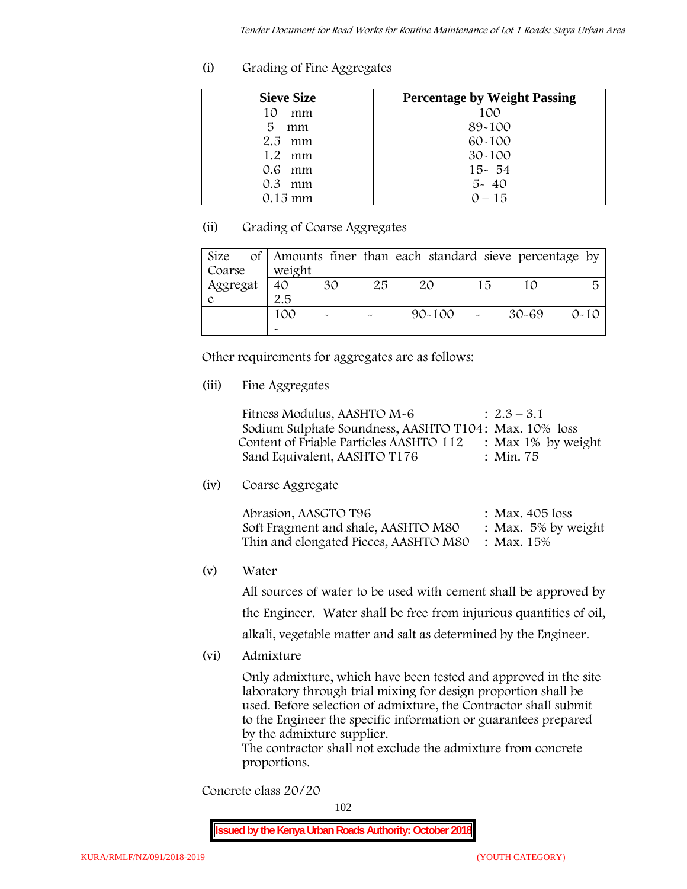**(i) Grading of Fine Aggregates**

| <b>Sieve Size</b> | <b>Percentage by Weight Passing</b> |
|-------------------|-------------------------------------|
| 10<br>mm          | 100                                 |
| 5<br>mm           | 89-100                              |
| $2.5$ mm          | $60 - 100$                          |
| $1.2$ mm          | $30 - 100$                          |
| 0.6 mm            | $15 - 54$                           |
| $0.3$ mm          | $5 - 40$                            |
| $0.15$ mm         | $0 - 15$                            |

# **(ii) Grading of Coarse Aggregates**

| Size     |                       |                       |                       | of Amounts finer than each standard sieve percentage by |    |       |          |
|----------|-----------------------|-----------------------|-----------------------|---------------------------------------------------------|----|-------|----------|
| Coarse   | weight                |                       |                       |                                                         |    |       |          |
| Aggregat | 40                    | 30                    | 25                    | 20                                                      | 15 |       | 局        |
|          | 2.5                   |                       |                       |                                                         |    |       |          |
|          | 100                   | $\tilde{\phantom{a}}$ | $\tilde{\phantom{a}}$ | $90 - 100$ -                                            |    | 30-69 | $0 - 10$ |
|          | $\tilde{\phantom{a}}$ |                       |                       |                                                         |    |       |          |

Other requirements for aggregates are as follows:

**(iii) Fine Aggregates**

| Fitness Modulus, AASHTO M-6                           | $: 2.3 - 3.1$         |
|-------------------------------------------------------|-----------------------|
| Sodium Sulphate Soundness, AASHTO T104: Max. 10% loss |                       |
| Content of Friable Particles AASHTO 112               | : Max $1\%$ by weight |
| Sand Equivalent, AASHTO T176                          | : Min. 75             |

**(iv) Coarse Aggregate**

| Abrasion, AASGTO T96                             | : Max. $405$ loss      |
|--------------------------------------------------|------------------------|
| Soft Fragment and shale, AASHTO M80              | : Max. $5\%$ by weight |
| Thin and elongated Pieces, AASHTO M80 : Max. 15% |                        |

**(v) Water**

All sources of water to be used with cement shall be approved by the Engineer. Water shall be free from injurious quantities of oil, alkali, vegetable matter and salt as determined by the Engineer.

**(vi) Admixture**

Only admixture, which have been tested and approved in the site laboratory through trial mixing for design proportion shall be used. Before selection of admixture, the Contractor shall submit to the Engineer the specific information or guarantees prepared by the admixture supplier.

The contractor shall not exclude the admixture from concrete proportions.

**Concrete class 20/20**

102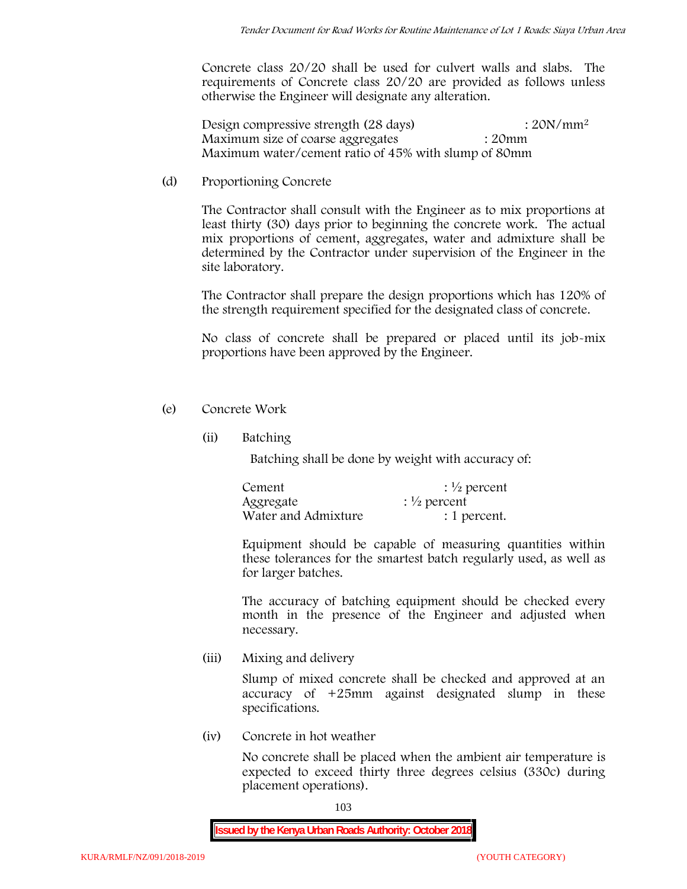Concrete class 20/20 shall be used for culvert walls and slabs. The requirements of Concrete class 20/20 are provided as follows unless otherwise the Engineer will designate any alteration.

Design compressive strength (28 days) : 20N/mm<sup>2</sup> Maximum size of coarse aggregates : 20mm Maximum water/cement ratio of 45% with slump of 80mm

(d) **Proportioning Concrete**

The Contractor shall consult with the Engineer as to mix proportions at least thirty (30) days prior to beginning the concrete work. The actual mix proportions of cement, aggregates, water and admixture shall be determined by the Contractor under supervision of the Engineer in the site laboratory.

The Contractor shall prepare the design proportions which has 120% of the strength requirement specified for the designated class of concrete.

No class of concrete shall be prepared or placed until its job-mix proportions have been approved by the Engineer.

- (e) **Concrete Work**
	- **(ii) Batching**

Batching shall be done by weight with accuracy of:

| Cement              | $\frac{1}{2}$ percent |
|---------------------|-----------------------|
| Aggregate           | $\frac{1}{2}$ percent |
| Water and Admixture | : 1 percent.          |

Equipment should be capable of measuring quantities within these tolerances for the smartest batch regularly used, as well as for larger batches.

The accuracy of batching equipment should be checked every month in the presence of the Engineer and adjusted when necessary.

**(iii) Mixing and delivery**

Slump of mixed concrete shall be checked and approved at an accuracy of +25mm against designated slump in these specifications.

**(iv) Concrete in hot weather**

No concrete shall be placed when the ambient air temperature is expected to exceed thirty three degrees celsius (330c) during placement operations).

103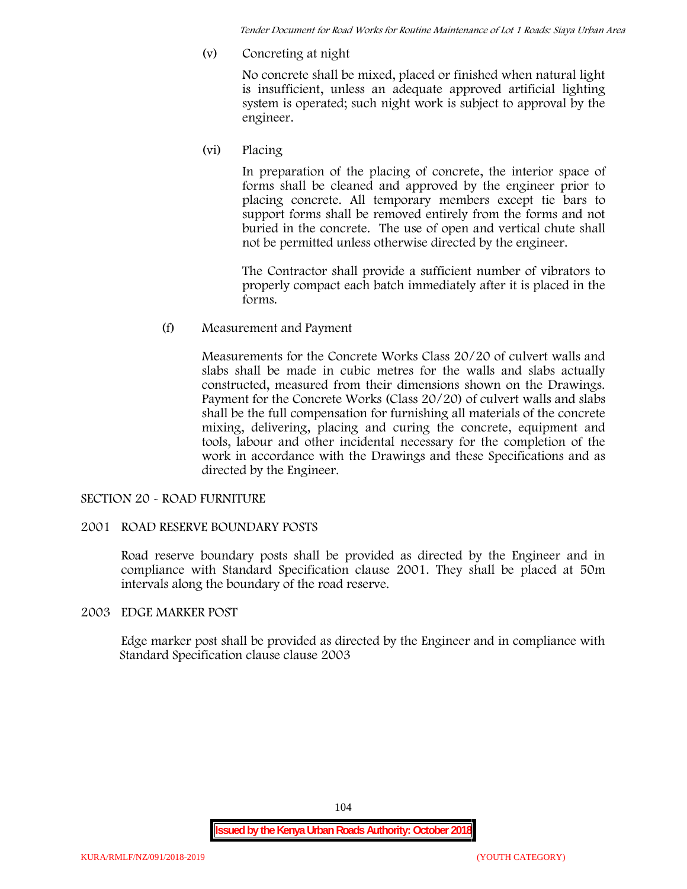*Tender Document for Road Works for Routine Maintenance of Lot 1 Roads: Siaya Urban Area*

**(v) Concreting at night**

No concrete shall be mixed, placed or finished when natural light is insufficient, unless an adequate approved artificial lighting system is operated; such night work is subject to approval by the engineer.

**(vi) Placing**

In preparation of the placing of concrete, the interior space of forms shall be cleaned and approved by the engineer prior to placing concrete. All temporary members except tie bars to support forms shall be removed entirely from the forms and not buried in the concrete. The use of open and vertical chute shall not be permitted unless otherwise directed by the engineer.

The Contractor shall provide a sufficient number of vibrators to properly compact each batch immediately after it is placed in the forms.

(f) **Measurement and Payment**

Measurements for the Concrete Works Class 20/20 of culvert walls and slabs shall be made in cubic metres for the walls and slabs actually constructed, measured from their dimensions shown on the Drawings. Payment for the Concrete Works (Class 20/20) of culvert walls and slabs shall be the full compensation for furnishing all materials of the concrete mixing, delivering, placing and curing the concrete, equipment and tools, labour and other incidental necessary for the completion of the work in accordance with the Drawings and these Specifications and as directed by the Engineer.

## **SECTION 20 - ROAD FURNITURE**

## **2001 ROAD RESERVE BOUNDARY POSTS**

Road reserve boundary posts shall be provided as directed by the Engineer and in compliance with Standard Specification clause 2001. They shall be placed at 50m intervals along the boundary of the road reserve.

## **2003 EDGE MARKER POST**

Edge marker post shall be provided as directed by the Engineer and in compliance with Standard Specification clause clause 2003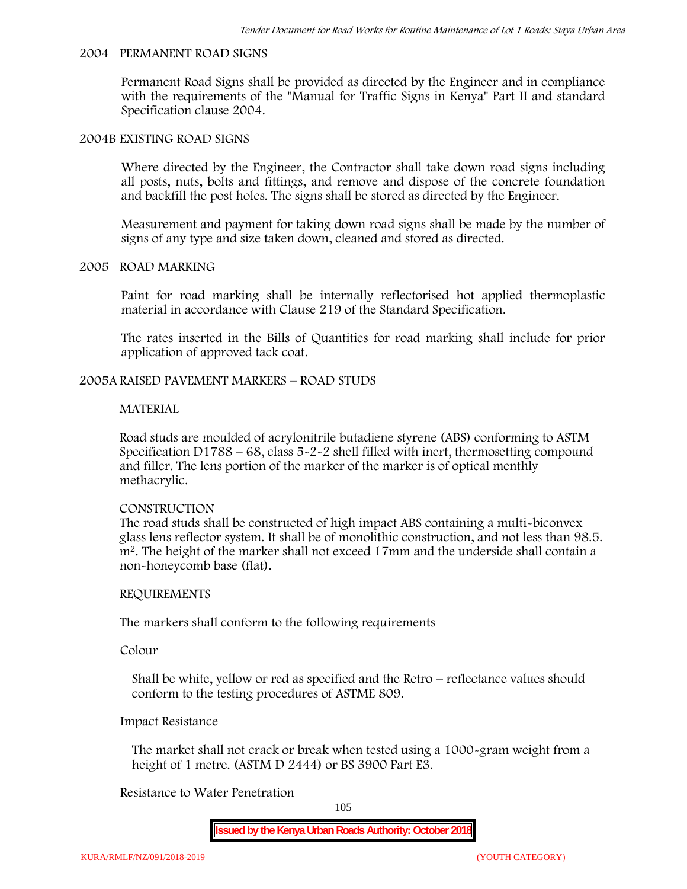#### **2004 PERMANENT ROAD SIGNS**

Permanent Road Signs shall be provided as directed by the Engineer and in compliance with the requirements of the "Manual for Traffic Signs in Kenya" Part II and standard Specification clause 2004.

### **2004B EXISTING ROAD SIGNS**

Where directed by the Engineer, the Contractor shall take down road signs including all posts, nuts, bolts and fittings, and remove and dispose of the concrete foundation and backfill the post holes. The signs shall be stored as directed by the Engineer.

Measurement and payment for taking down road signs shall be made by the number of signs of any type and size taken down, cleaned and stored as directed.

#### **2005 ROAD MARKING**

Paint for road marking shall be internally reflectorised hot applied thermoplastic material in accordance with Clause 219 of the Standard Specification.

The rates inserted in the Bills of Quantities for road marking shall include for prior application of approved tack coat.

## **2005A RAISED PAVEMENT MARKERS – ROAD STUDS**

### **MATERIAL**

Road studs are moulded of acrylonitrile butadiene styrene (ABS) conforming to ASTM Specification D1788 – 68, class  $5 - 2 - 2$  shell filled with inert, thermosetting compound and filler. The lens portion of the marker of the marker is of optical menthly methacrylic.

#### **CONSTRUCTION**

The road studs shall be constructed of high impact ABS containing a multi-biconvex glass lens reflector system. It shall be of monolithic construction, and not less than 98.5. m2. The height of the marker shall not exceed 17mm and the underside shall contain a non-honeycomb base (flat).

#### **REQUIREMENTS**

The markers shall conform to the following requirements

**Colour**

Shall be white, yellow or red as specified and the Retro – reflectance values should conform to the testing procedures of ASTME 809.

### **Impact Resistance**

The market shall not crack or break when tested using a 1000**-**gram weight from a height of 1 metre. (ASTM D 2444) or BS 3900 Part E3.

## **Resistance to Water Penetration**

105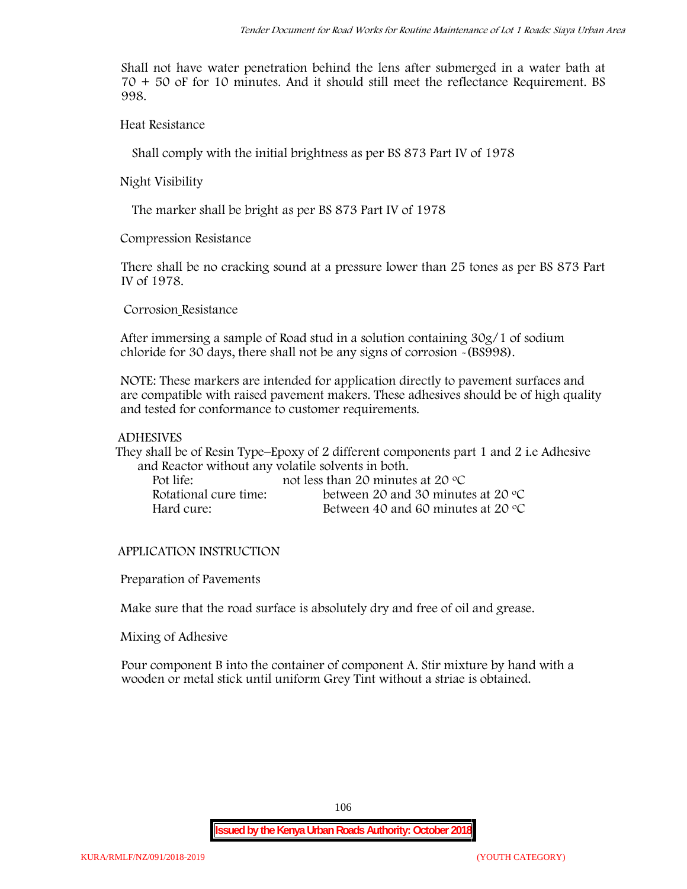Shall not have water penetration behind the lens after submerged in a water bath at 70 + 50 oF for 10 minutes. And it should still meet the reflectance Requirement. BS 998.

**Heat Resistance**

Shall comply with the initial brightness as per BS 873 Part IV of 1978

**Night Visibility**

The marker shall be bright as per BS 873 Part IV of 1978

**Compression Resistance**

There shall be no cracking sound at a pressure lower than 25 tones as per BS 873 Part IV of 1978.

**Corrosion Resistance**

After immersing a sample of Road stud in a solution containing 30g/1 of sodium chloride for 30 days, there shall not be any signs of corrosion **-**(BS998).

**NOTE**: These markers are intended for application directly to pavement surfaces and are compatible with raised pavement makers. These adhesives should be of high quality and tested for conformance to customer requirements.

### **ADHESIVES**

They shall be of Resin Type–Epoxy of 2 different components part 1 and 2 i.e Adhesive and Reactor without any volatile solvents in both.

| Pot life:             | not less than 20 minutes at 20 $\degree$ C  |
|-----------------------|---------------------------------------------|
| Rotational cure time: | between 20 and 30 minutes at 20 $\degree$ C |
| Hard cure:            | Between 40 and 60 minutes at 20 $\degree$ C |

## **APPLICATION INSTRUCTION**

**Preparation of Pavements**

Make sure that the road surface is absolutely dry and free of oil and grease**.**

**Mixing of Adhesive**

Pour component B into the container of component A. Stir mixture by hand with a wooden or metal stick until uniform Grey Tint without a striae is obtained.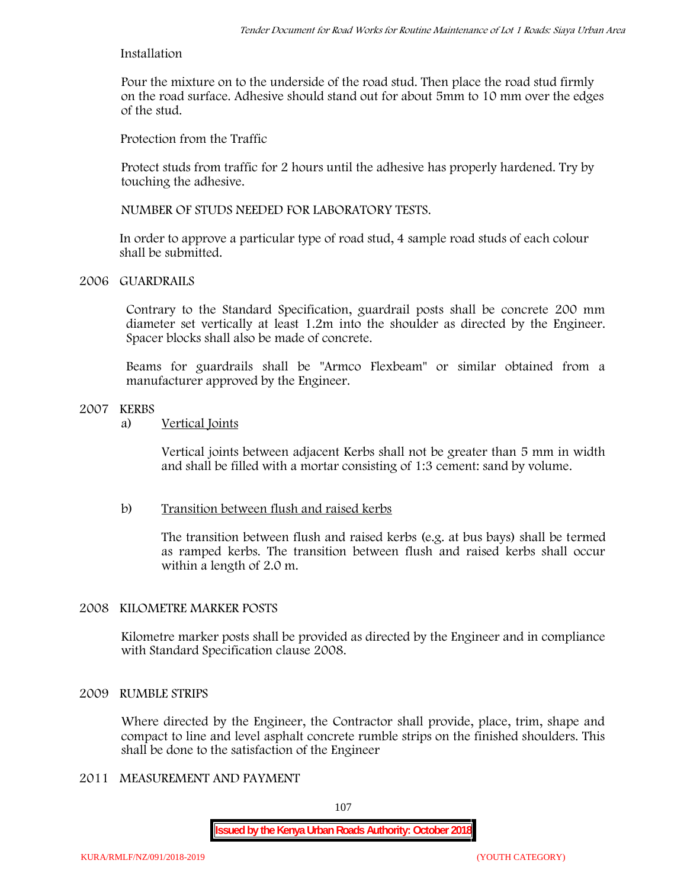### **Installation**

Pour the mixture on to the underside of the road stud. Then place the road stud firmly on the road surface. Adhesive should stand out for about 5mm to 10 mm over the edges of the stud.

**Protection from the Traffic**

Protect studs from traffic for 2 hours until the adhesive has properly hardened. Try by touching the adhesive.

**NUMBER OF STUDS NEEDED FOR LABORATORY TESTS.**

In order to approve a particular type of road stud, 4 sample road studs of each colour shall be submitted.

## **2006 GUARDRAILS**

Contrary to the Standard Specification, guardrail posts shall be concrete 200 mm diameter set vertically at least 1.2m into the shoulder as directed by the Engineer. Spacer blocks shall also be made of concrete.

Beams for guardrails shall be "Armco Flexbeam" or similar obtained from a manufacturer approved by the Engineer.

## **2007 KERBS**

a) **Vertical Joints**

Vertical joints between adjacent Kerbs shall not be greater than 5 mm in width and shall be filled with a mortar consisting of 1:3 cement: sand by volume.

## b) **Transition between flush and raised kerbs**

The transition between flush and raised kerbs (e.g. at bus bays) shall be termed as ramped kerbs. The transition between flush and raised kerbs shall occur within a length of 2.0 m.

## **2008 KILOMETRE MARKER POSTS**

Kilometre marker posts shall be provided as directed by the Engineer and in compliance with Standard Specification clause 2008.

## **2009 RUMBLE STRIPS**

Where directed by the Engineer, the Contractor shall provide, place, trim, shape and compact to line and level asphalt concrete rumble strips on the finished shoulders. This shall be done to the satisfaction of the Engineer

# **2011 MEASUREMENT AND PAYMENT**

107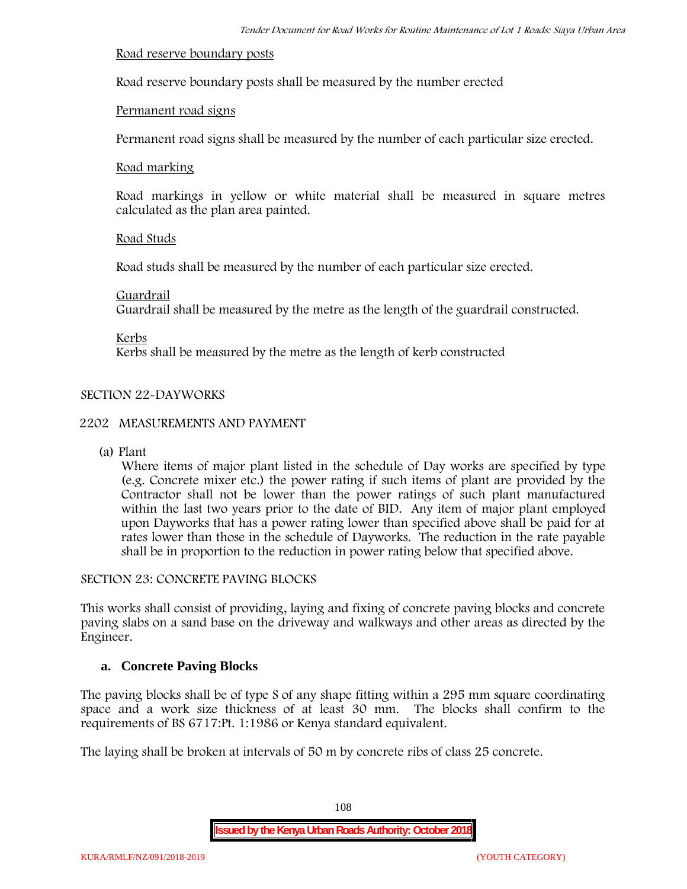### **Road reserve boundary posts**

Road reserve boundary posts shall be measured by the number erected

### **Permanent road signs**

Permanent road signs shall be measured by the number of each particular size erected.

### **Road marking**

Road markings in yellow or white material shall be measured in square metres calculated as the plan area painted.

### **Road Studs**

Road studs shall be measured by the number of each particular size erected.

### **Guardrail**

Guardrail shall be measured by the metre as the length of the guardrail constructed.

**Kerbs**

Kerbs shall be measured by the metre as the length of kerb constructed

### **SECTION 22-DAYWORKS**

### **2202 MEASUREMENTS AND PAYMENT**

(a) Plant

Where items of major plant listed in the schedule of Day works are specified by type (e.g. Concrete mixer etc.) the power rating if such items of plant are provided by the Contractor shall not be lower than the power ratings of such plant manufactured within the last two years prior to the date of BID. Any item of major plant employed upon Dayworks that has a power rating lower than specified above shall be paid for at rates lower than those in the schedule of Dayworks. The reduction in the rate payable shall be in proportion to the reduction in power rating below that specified above.

#### **SECTION 23: CONCRETE PAVING BLOCKS**

This works shall consist of providing, laying and fixing of concrete paving blocks and concrete paving slabs on a sand base on the driveway and walkways and other areas as directed by the Engineer.

### **a. Concrete Paving Blocks**

The paving blocks shall be of type S of any shape fitting within a 295 mm square coordinating space and a work size thickness of at least 30 mm. The blocks shall confirm to the requirements of BS 6717:Pt. 1:1986 or Kenya standard equivalent.

The laying shall be broken at intervals of 50 m by concrete ribs of class 25 concrete.

108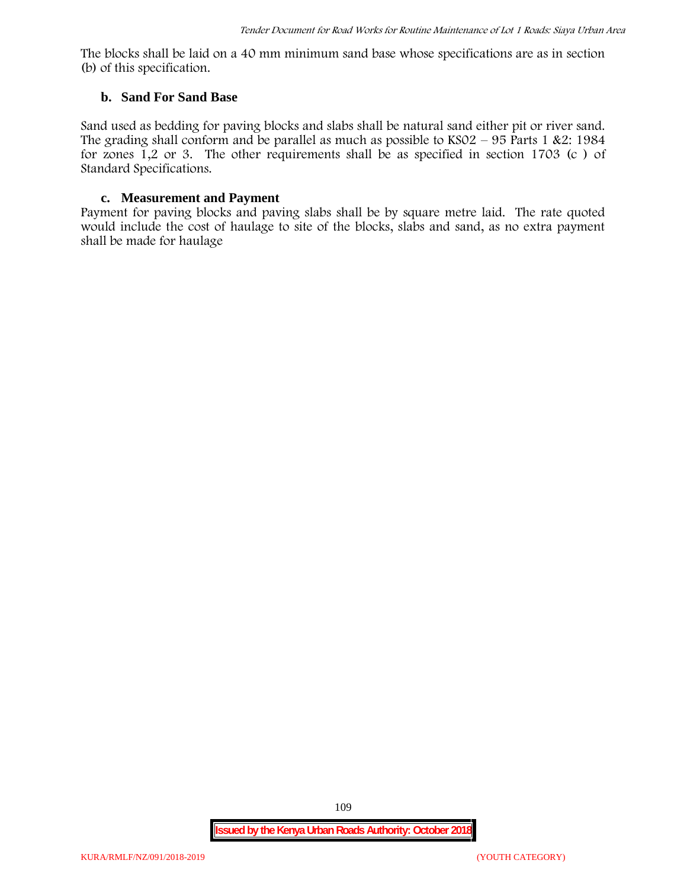The blocks shall be laid on a 40 mm minimum sand base whose specifications are as in section (b) of this specification.

### **b. Sand For Sand Base**

Sand used as bedding for paving blocks and slabs shall be natural sand either pit or river sand. The grading shall conform and be parallel as much as possible to  $KSO2 - 95$  Parts 1 &2: 1984 for zones 1,2 or 3. The other requirements shall be as specified in section 1703 (c ) of Standard Specifications.

### **c. Measurement and Payment**

Payment for paving blocks and paving slabs shall be by square metre laid. The rate quoted would include the cost of haulage to site of the blocks, slabs and sand, as no extra payment shall be made for haulage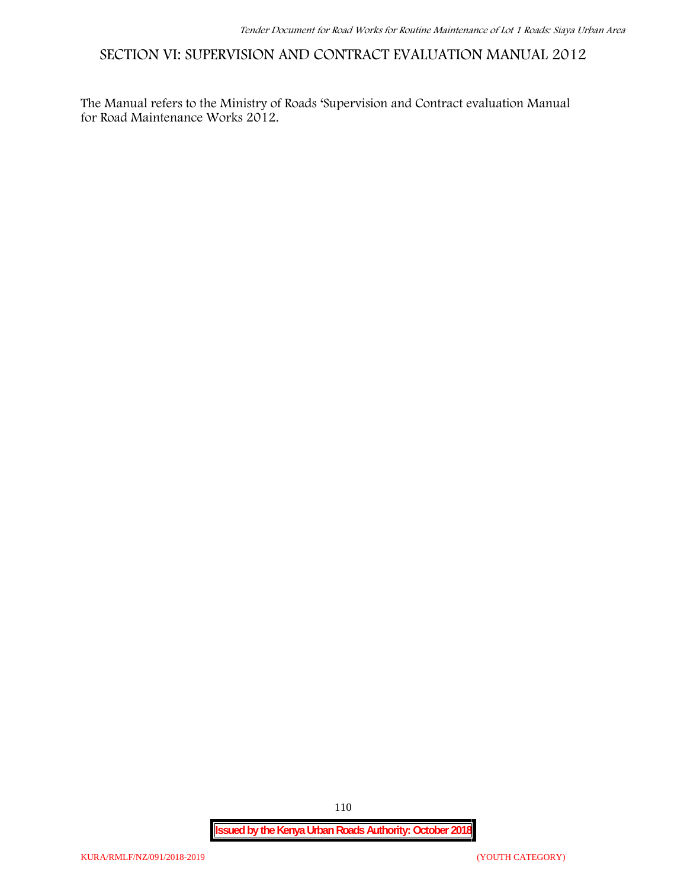**SECTION VI: SUPERVISION AND CONTRACT EVALUATION MANUAL 2012**

The Manual refers to the Ministry of Roads 'Supervision and Contract evaluation Manual for Road Maintenance Works 2012.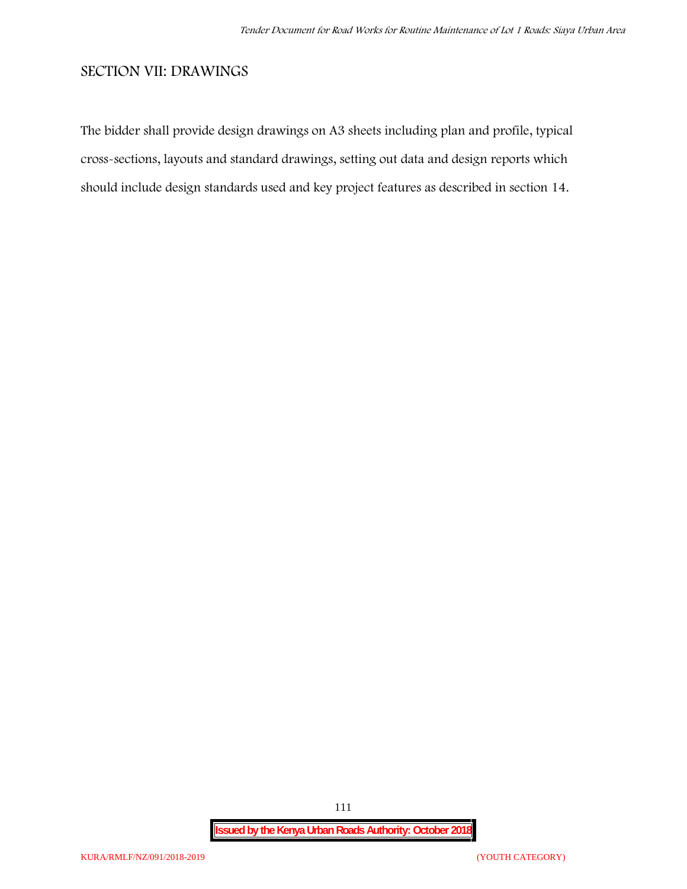## **SECTION VII: DRAWINGS**

The bidder shall provide design drawings on A3 sheets including plan and profile, typical cross-sections, layouts and standard drawings, setting out data and design reports which should include design standards used and key project features as described in section 14.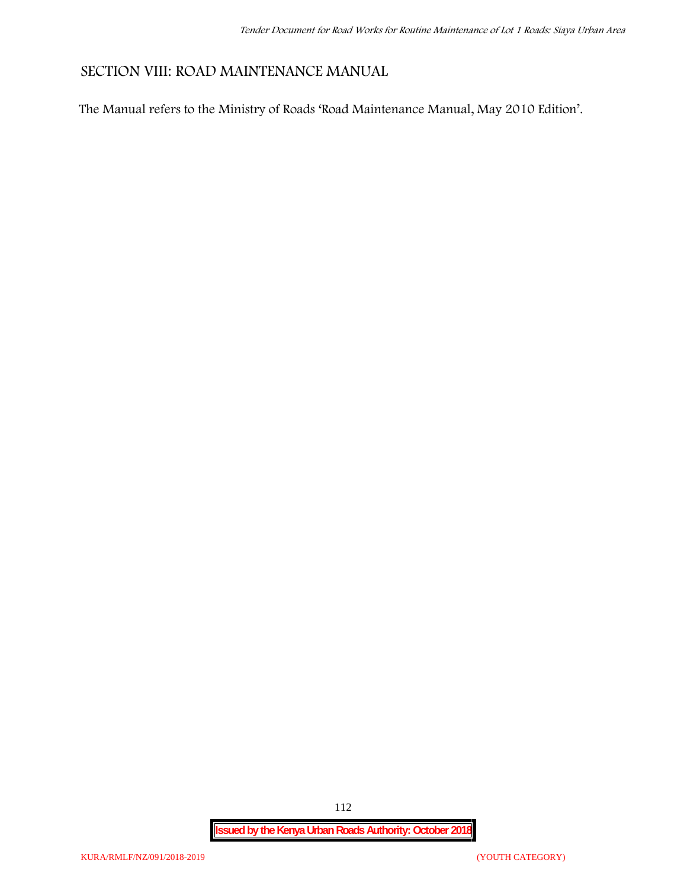## **SECTION VIII: ROAD MAINTENANCE MANUAL**

The Manual refers to the Ministry of Roads 'Road Maintenance Manual, May 2010 Edition'.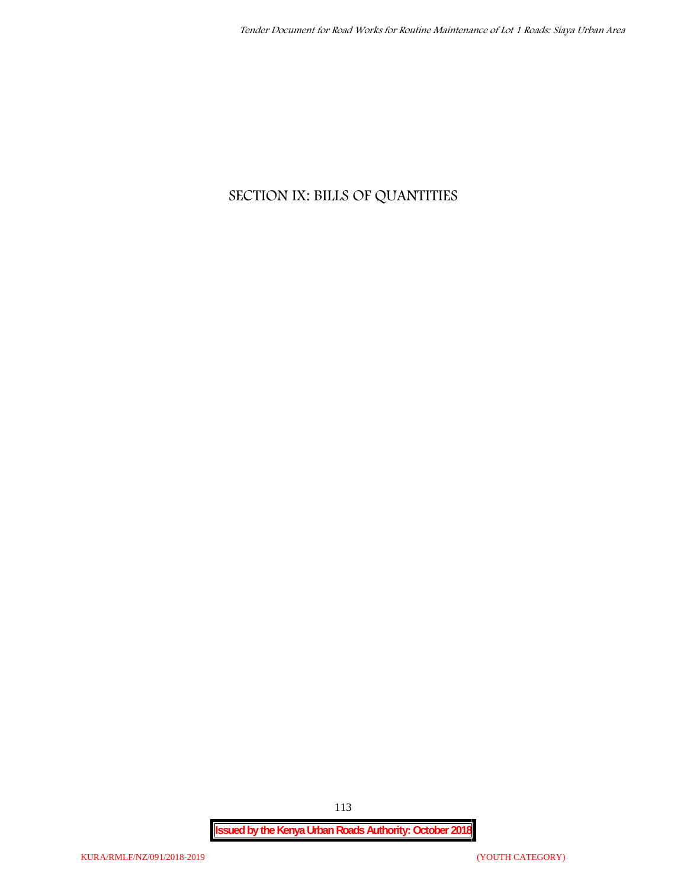# **SECTION IX: BILLS OF QUANTITIES**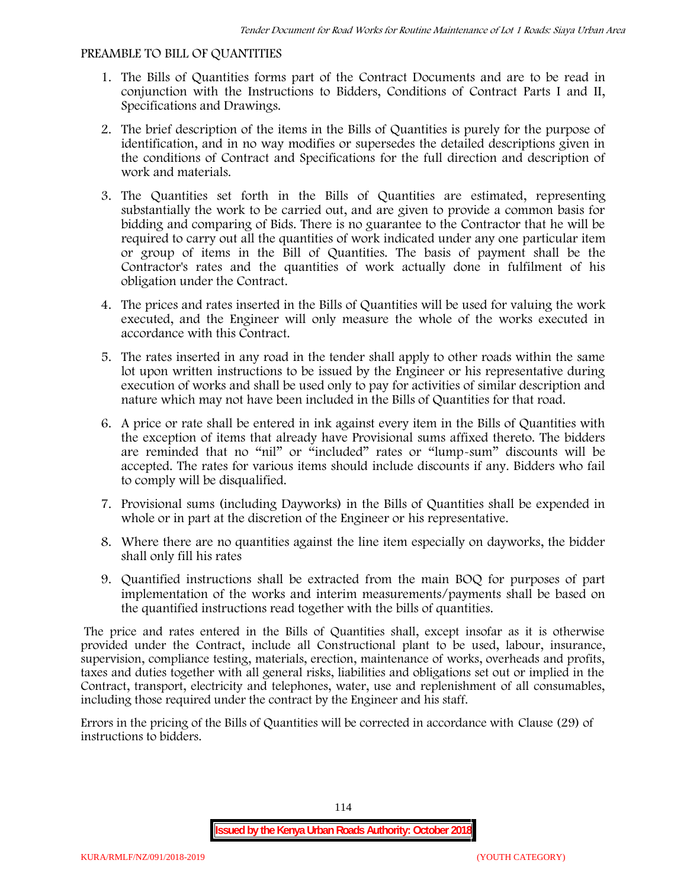### **PREAMBLE TO BILL OF QUANTITIES**

- 1. The Bills of Quantities forms part of the Contract Documents and are to be read in conjunction with the Instructions to Bidders, Conditions of Contract Parts I and II, Specifications and Drawings.
- 2. The brief description of the items in the Bills of Quantities is purely for the purpose of identification, and in no way modifies or supersedes the detailed descriptions given in the conditions of Contract and Specifications for the full direction and description of work and materials.
- 3. The Quantities set forth in the Bills of Quantities are estimated, representing substantially the work to be carried out, and are given to provide a common basis for bidding and comparing of Bids. There is no guarantee to the Contractor that he will be required to carry out all the quantities of work indicated under any one particular item or group of items in the Bill of Quantities. The basis of payment shall be the Contractor's rates and the quantities of work actually done in fulfilment of his obligation under the Contract.
- 4. The prices and rates inserted in the Bills of Quantities will be used for valuing the work executed, and the Engineer will only measure the whole of the works executed in accordance with this Contract.
- 5. The rates inserted in any road in the tender shall apply to other roads within the same lot upon written instructions to be issued by the Engineer or his representative during execution of works and shall be used only to pay for activities of similar description and nature which may not have been included in the Bills of Quantities for that road.
- 6. A price or rate shall be entered in ink against every item in the Bills of Quantities with the exception of items that already have Provisional sums affixed thereto. The bidders are reminded that no "nil" or "included" rates or "lump-sum" discounts will be accepted. The rates for various items should include discounts if any. Bidders who fail to comply will be disqualified.
- 7. Provisional sums (including Dayworks) in the Bills of Quantities shall be expended in whole or in part at the discretion of the Engineer or his representative.
- 8. Where there are no quantities against the line item especially on dayworks, the bidder shall only fill his rates
- 9. Quantified instructions shall be extracted from the main BOQ for purposes of part implementation of the works and interim measurements/payments shall be based on the quantified instructions read together with the bills of quantities.

The price and rates entered in the Bills of Quantities shall, except insofar as it is otherwise provided under the Contract, include all Constructional plant to be used, labour, insurance, supervision, compliance testing, materials, erection, maintenance of works, overheads and profits, taxes and duties together with all general risks, liabilities and obligations set out or implied in the Contract, transport, electricity and telephones, water, use and replenishment of all consumables, including those required under the contract by the Engineer and his staff.

Errors in the pricing of the Bills of Quantities will be corrected in accordance with Clause (29) of instructions to bidders.

114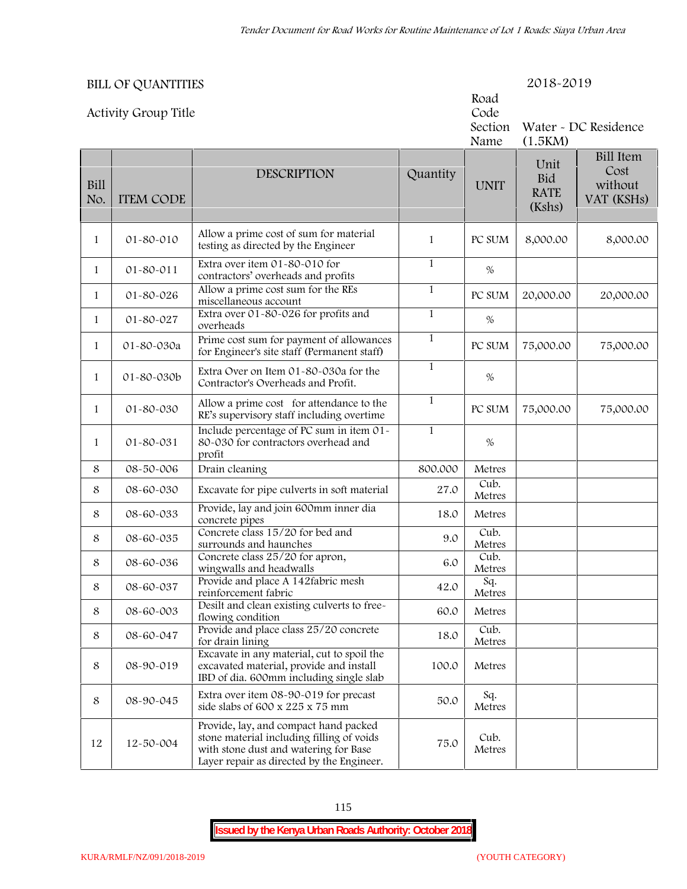|                    | <b>BILL OF QUANTITIES</b>   |                                                                                                                                                                          |              |                                 | 2018-2019                            |                                                   |
|--------------------|-----------------------------|--------------------------------------------------------------------------------------------------------------------------------------------------------------------------|--------------|---------------------------------|--------------------------------------|---------------------------------------------------|
|                    | <b>Activity Group Title</b> |                                                                                                                                                                          |              | Road<br>Code<br>Section<br>Name | (1.5KM)                              | Water - DC Residence                              |
| <b>Bill</b><br>No. | <b>ITEM CODE</b>            | <b>DESCRIPTION</b>                                                                                                                                                       | Quantity     | <b>UNIT</b>                     | Unit<br>Bid<br><b>RATE</b><br>(Kshs) | <b>Bill Item</b><br>Cost<br>without<br>VAT (KSHs) |
| $\mathbf{1}$       | 01-80-010                   | Allow a prime cost of sum for material<br>testing as directed by the Engineer                                                                                            | $\mathbf{1}$ | PC SUM                          | 8,000.00                             | 8,000.00                                          |
| $\mathbf{1}$       | 01-80-011                   | Extra over item 01-80-010 for<br>contractors' overheads and profits                                                                                                      | $\mathbf{1}$ | %                               |                                      |                                                   |
| $\mathbf{1}$       | 01-80-026                   | Allow a prime cost sum for the REs<br>miscellaneous account                                                                                                              | $\mathbf{1}$ | PC SUM                          | 20,000.00                            | 20,000.00                                         |
| $\mathbf{1}$       | 01-80-027                   | Extra over 01-80-026 for profits and<br>overheads                                                                                                                        | $\mathbf{1}$ | $\%$                            |                                      |                                                   |
| $\mathbf{1}$       | 01-80-030a                  | Prime cost sum for payment of allowances<br>for Engineer's site staff (Permanent staff)                                                                                  | $\mathbf{1}$ | PC SUM                          | 75,000.00                            | 75,000.00                                         |
| $\mathbf{1}$       | 01-80-030b                  | Extra Over on Item 01-80-030a for the<br>Contractor's Overheads and Profit.                                                                                              | $\mathbf{1}$ | %                               |                                      |                                                   |
| $\mathbf{1}$       | 01-80-030                   | Allow a prime cost for attendance to the<br>RE's supervisory staff including overtime                                                                                    | $\mathbf{1}$ | PC SUM                          | 75,000.00                            | 75,000.00                                         |
| $\mathbf{1}$       | 01-80-031                   | Include percentage of PC sum in item 01-<br>80-030 for contractors overhead and<br>profit                                                                                | $\mathbf{1}$ | $\%$                            |                                      |                                                   |
| 8                  | 08-50-006                   | Drain cleaning                                                                                                                                                           | 800.000      | Metres                          |                                      |                                                   |
| 8                  | 08-60-030                   | Excavate for pipe culverts in soft material                                                                                                                              | 27.0         | Cub.<br>Metres                  |                                      |                                                   |
| 8                  | 08-60-033                   | Provide, lay and join 600mm inner dia<br>concrete pipes                                                                                                                  | 18.0         | Metres                          |                                      |                                                   |
| 8                  | 08-60-035                   | Concrete class 15/20 for bed and<br>surrounds and haunches                                                                                                               | 9.0          | Cub.<br>Metres                  |                                      |                                                   |
| 8                  | 08-60-036                   | Concrete class 25/20 for apron,<br>wingwalls and headwalls                                                                                                               | 6.0          | Cub.<br>Metres                  |                                      |                                                   |
| 8                  | 08-60-037                   | Provide and place A 142fabric mesh<br>reinforcement fabric                                                                                                               | 42.0         | Sq.<br>Metres                   |                                      |                                                   |
| 8                  | 08-60-003                   | Desilt and clean existing culverts to free-<br>flowing condition                                                                                                         | 60.0         | Metres                          |                                      |                                                   |
| 8                  | 08-60-047                   | Provide and place class 25/20 concrete<br>for drain lining                                                                                                               | 18.0         | Cub.<br>Metres                  |                                      |                                                   |
| 8                  | 08-90-019                   | Excavate in any material, cut to spoil the<br>excavated material, provide and install<br>IBD of dia. 600mm including single slab                                         | 100.0        | Metres                          |                                      |                                                   |
| 8                  | 08-90-045                   | Extra over item 08-90-019 for precast<br>side slabs of 600 x 225 x 75 mm                                                                                                 | 50.0         | Sq.<br>Metres                   |                                      |                                                   |
| 12                 | 12-50-004                   | Provide, lay, and compact hand packed<br>stone material including filling of voids<br>with stone dust and watering for Base<br>Layer repair as directed by the Engineer. | 75.0         | Cub.<br>Metres                  |                                      |                                                   |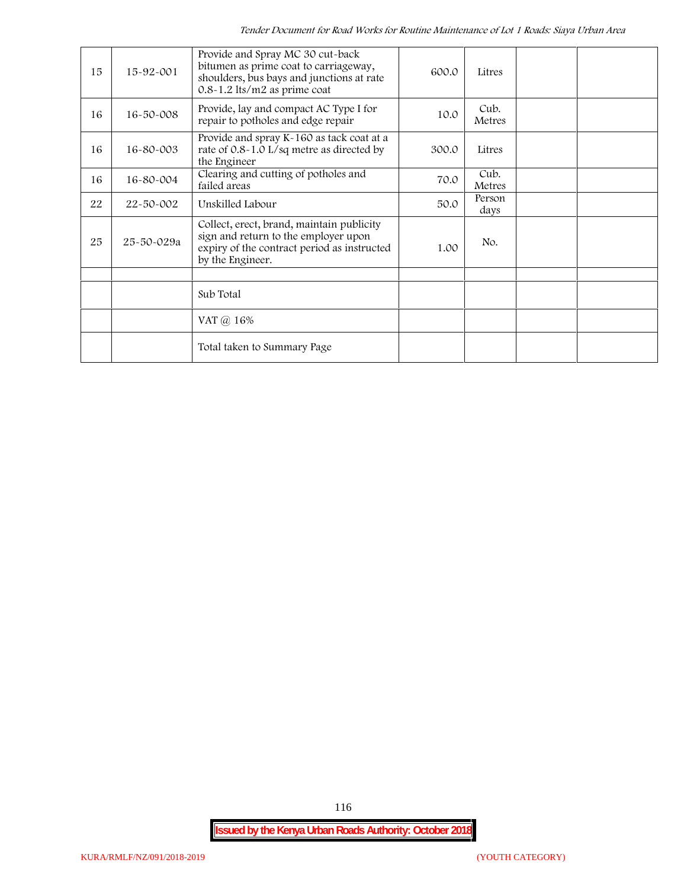| 15 | 15-92-001       | Provide and Spray MC 30 cut-back<br>bitumen as prime coat to carriageway,<br>shoulders, bus bays and junctions at rate<br>$0.8 - 1.2$ lts/m2 as prime coat | 600.0 | Litres         |  |
|----|-----------------|------------------------------------------------------------------------------------------------------------------------------------------------------------|-------|----------------|--|
| 16 | $16 - 50 - 008$ | Provide, lay and compact AC Type I for<br>repair to potholes and edge repair                                                                               | 10.0  | Cub.<br>Metres |  |
| 16 | 16-80-003       | Provide and spray K-160 as tack coat at a<br>rate of 0.8-1.0 L/sq metre as directed by<br>the Engineer                                                     | 300.0 | Litres         |  |
| 16 | 16-80-004       | Clearing and cutting of potholes and<br>failed areas                                                                                                       | 70.0  | Cub.<br>Metres |  |
| 22 | 22-50-002       | Unskilled Labour                                                                                                                                           | 50.0  | Person<br>days |  |
| 25 | 25-50-029a      | Collect, erect, brand, maintain publicity<br>sign and return to the employer upon<br>expiry of the contract period as instructed<br>by the Engineer.       | 1.00  | No.            |  |
|    |                 |                                                                                                                                                            |       |                |  |
|    |                 | Sub Total                                                                                                                                                  |       |                |  |
|    |                 | VAT @ 16%                                                                                                                                                  |       |                |  |
|    |                 | Total taken to Summary Page                                                                                                                                |       |                |  |

116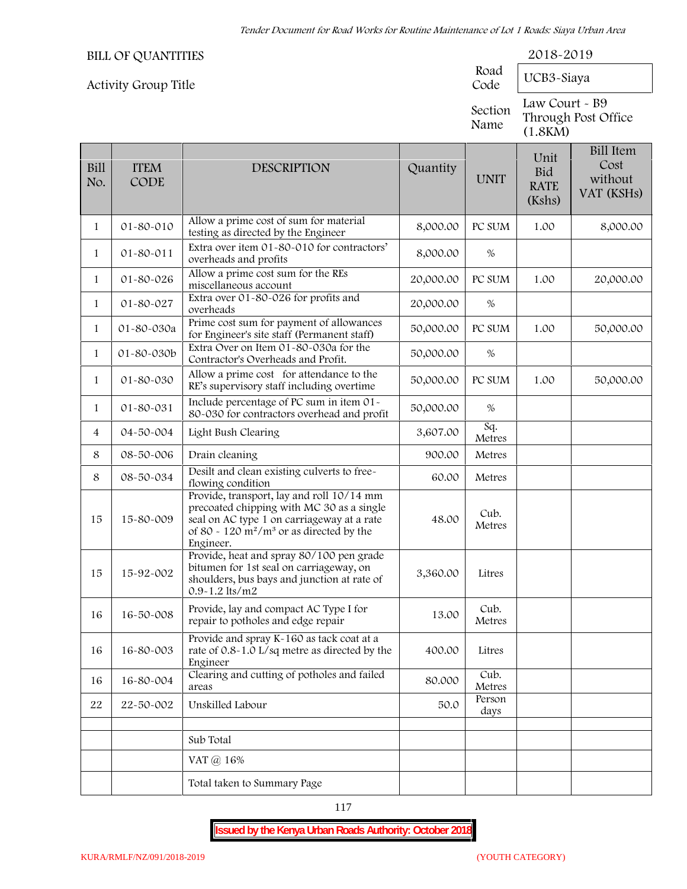|                    | <b>BILL OF QUANTITIES</b>   |                                                                                                                                                                                                  |           | Road            | 2018-2019                                   |                                                   |
|--------------------|-----------------------------|--------------------------------------------------------------------------------------------------------------------------------------------------------------------------------------------------|-----------|-----------------|---------------------------------------------|---------------------------------------------------|
|                    | <b>Activity Group Title</b> |                                                                                                                                                                                                  |           | Code            | UCB3-Siaya                                  |                                                   |
|                    |                             |                                                                                                                                                                                                  |           | Section<br>Name | Law Court - B9<br>(1.8KM)                   | Through Post Office                               |
| <b>Bill</b><br>No. | <b>ITEM</b><br>CODE         | <b>DESCRIPTION</b>                                                                                                                                                                               | Quantity  | <b>UNIT</b>     | Unit<br><b>Bid</b><br><b>RATE</b><br>(Kshs) | <b>Bill Item</b><br>Cost<br>without<br>VAT (KSHs) |
| $\mathbf{1}$       | 01-80-010                   | Allow a prime cost of sum for material<br>testing as directed by the Engineer                                                                                                                    | 8,000.00  | PC SUM          | 1.00                                        | 8,000.00                                          |
| 1                  | 01-80-011                   | Extra over item 01-80-010 for contractors'<br>overheads and profits                                                                                                                              | 8,000.00  | %               |                                             |                                                   |
| $\mathbf{1}$       | 01-80-026                   | Allow a prime cost sum for the REs<br>miscellaneous account                                                                                                                                      | 20,000.00 | PC SUM          | 1.00                                        | 20,000.00                                         |
| $\mathbf{1}$       | 01-80-027                   | Extra over 01-80-026 for profits and<br>overheads                                                                                                                                                | 20,000.00 | $\%$            |                                             |                                                   |
| $\mathbf{1}$       | 01-80-030a                  | Prime cost sum for payment of allowances<br>for Engineer's site staff (Permanent staff)                                                                                                          | 50,000.00 | PC SUM          | 1.00                                        | 50,000.00                                         |
| $\mathbf{1}$       | 01-80-030b                  | Extra Over on Item 01-80-030a for the<br>Contractor's Overheads and Profit.                                                                                                                      | 50,000.00 | %               |                                             |                                                   |
| $\mathbf{1}$       | 01-80-030                   | Allow a prime cost for attendance to the<br>RE's supervisory staff including overtime                                                                                                            | 50,000.00 | PC SUM          | 1.00                                        | 50,000.00                                         |
| $\mathbf{1}$       | 01-80-031                   | Include percentage of PC sum in item 01-<br>80-030 for contractors overhead and profit                                                                                                           | 50,000.00 | %               |                                             |                                                   |
| 4                  | 04-50-004                   | Light Bush Clearing                                                                                                                                                                              | 3,607.00  | Sq.<br>Metres   |                                             |                                                   |
| 8                  | 08-50-006                   | Drain cleaning                                                                                                                                                                                   | 900.00    | Metres          |                                             |                                                   |
| 8                  | 08-50-034                   | Desilt and clean existing culverts to free-<br>flowing condition                                                                                                                                 | 60.00     | Metres          |                                             |                                                   |
| 15                 | 15-80-009                   | Provide, transport, lay and roll 10/14 mm<br>precoated chipping with MC 30 as a single<br>seal on AC type 1 on carriageway at a rate<br>of 80 - 120 $m^2/m^3$ or as directed by the<br>Engineer. | 48.00     | Cub.<br>Metres  |                                             |                                                   |
| 15                 | 15-92-002                   | Provide, heat and spray 80/100 pen grade<br>bitumen for 1st seal on carriageway, on<br>shoulders, bus bays and junction at rate of<br>$0.9 - 1.2$ lts/m2                                         | 3,360.00  | Litres          |                                             |                                                   |
| 16                 | 16-50-008                   | Provide, lay and compact AC Type I for<br>repair to potholes and edge repair                                                                                                                     | 13.00     | Cub.<br>Metres  |                                             |                                                   |
| 16                 | 16-80-003                   | Provide and spray K-160 as tack coat at a<br>rate of 0.8-1.0 L/sq metre as directed by the<br>Engineer                                                                                           | 400.00    | Litres          |                                             |                                                   |
| 16                 | 16-80-004                   | Clearing and cutting of potholes and failed<br>areas                                                                                                                                             | 80.000    | Cub.<br>Metres  |                                             |                                                   |
| 22                 | 22-50-002                   | Unskilled Labour                                                                                                                                                                                 | 50.0      | Person<br>days  |                                             |                                                   |
|                    |                             | Sub Total                                                                                                                                                                                        |           |                 |                                             |                                                   |
|                    |                             | VAT @ 16%                                                                                                                                                                                        |           |                 |                                             |                                                   |
|                    |                             | Total taken to Summary Page                                                                                                                                                                      |           |                 |                                             |                                                   |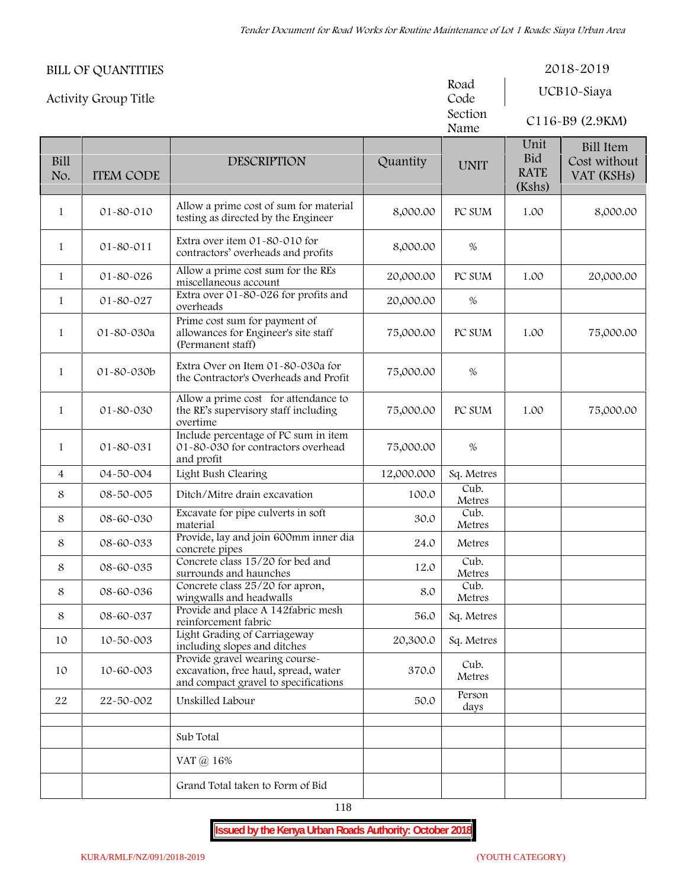|                | <b>BILL OF QUANTITIES</b>   |                                                                                                                |            |                 |                                      | 2018-2019                                      |
|----------------|-----------------------------|----------------------------------------------------------------------------------------------------------------|------------|-----------------|--------------------------------------|------------------------------------------------|
|                | <b>Activity Group Title</b> |                                                                                                                |            | Road<br>Code    |                                      | UCB10-Siaya                                    |
|                |                             |                                                                                                                |            | Section<br>Name |                                      | C116-B9 (2.9KM)                                |
| Bill<br>No.    | <b>ITEM CODE</b>            | <b>DESCRIPTION</b>                                                                                             | Quantity   | <b>UNIT</b>     | Unit<br>Bid<br><b>RATE</b><br>(Kshs) | <b>Bill Item</b><br>Cost without<br>VAT (KSHs) |
| $\mathbf{1}$   | $01 - 80 - 010$             | Allow a prime cost of sum for material<br>testing as directed by the Engineer                                  | 8,000.00   | PC SUM          | 1.00                                 | 8,000.00                                       |
| $\mathbf{1}$   | 01-80-011                   | Extra over item 01-80-010 for<br>contractors' overheads and profits                                            | 8,000.00   | $\%$            |                                      |                                                |
| $\mathbf{1}$   | $01 - 80 - 026$             | Allow a prime cost sum for the REs<br>miscellaneous account                                                    | 20,000.00  | PC SUM          | 1.00                                 | 20,000.00                                      |
| $\mathbf{1}$   | 01-80-027                   | Extra over 01-80-026 for profits and<br>overheads                                                              | 20,000.00  | $\%$            |                                      |                                                |
| $\mathbf{1}$   | 01-80-030a                  | Prime cost sum for payment of<br>allowances for Engineer's site staff<br>(Permanent staff)                     | 75,000.00  | PC SUM          | 1.00                                 | 75,000.00                                      |
| $\mathbf{1}$   | 01-80-030b                  | Extra Over on Item 01-80-030a for<br>the Contractor's Overheads and Profit                                     | 75,000.00  | %               |                                      |                                                |
| 1              | 01-80-030                   | Allow a prime cost for attendance to<br>the RE's supervisory staff including<br>overtime                       | 75,000.00  | PC SUM          | 1.00                                 | 75,000.00                                      |
| $\mathbf{1}$   | 01-80-031                   | Include percentage of PC sum in item<br>01-80-030 for contractors overhead<br>and profit                       | 75,000.00  | $\%$            |                                      |                                                |
| $\overline{4}$ | 04-50-004                   | Light Bush Clearing                                                                                            | 12,000.000 | Sq. Metres      |                                      |                                                |
| 8              | 08-50-005                   | Ditch/Mitre drain excavation                                                                                   | 100.0      | Cub.<br>Metres  |                                      |                                                |
| 8              | 08-60-030                   | Excavate for pipe culverts in soft<br>material                                                                 | 30.0       | Cub.<br>Metres  |                                      |                                                |
| 8              | 08-60-033                   | Provide, lay and join 600mm inner dia<br>concrete pipes                                                        | 24.0       | Metres          |                                      |                                                |
| 8              | 08-60-035                   | Concrete class 15/20 for bed and<br>surrounds and haunches                                                     | 12.0       | Cub.<br>Metres  |                                      |                                                |
| 8              | 08-60-036                   | Concrete class 25/20 for apron,<br>wingwalls and headwalls                                                     | 8.0        | Cub.<br>Metres  |                                      |                                                |
| 8              | 08-60-037                   | Provide and place A 142fabric mesh<br>reinforcement fabric                                                     | 56.0       | Sq. Metres      |                                      |                                                |
| 10             | 10-50-003                   | Light Grading of Carriageway<br>including slopes and ditches                                                   | 20,300.0   | Sq. Metres      |                                      |                                                |
| 10             | 10-60-003                   | Provide gravel wearing course-<br>excavation, free haul, spread, water<br>and compact gravel to specifications | 370.0      | Cub.<br>Metres  |                                      |                                                |
| 22             | 22-50-002                   | Unskilled Labour                                                                                               | 50.0       | Person<br>days  |                                      |                                                |
|                |                             | Sub Total                                                                                                      |            |                 |                                      |                                                |
|                |                             | VAT @ 16%                                                                                                      |            |                 |                                      |                                                |
|                |                             | Grand Total taken to Form of Bid                                                                               |            |                 |                                      |                                                |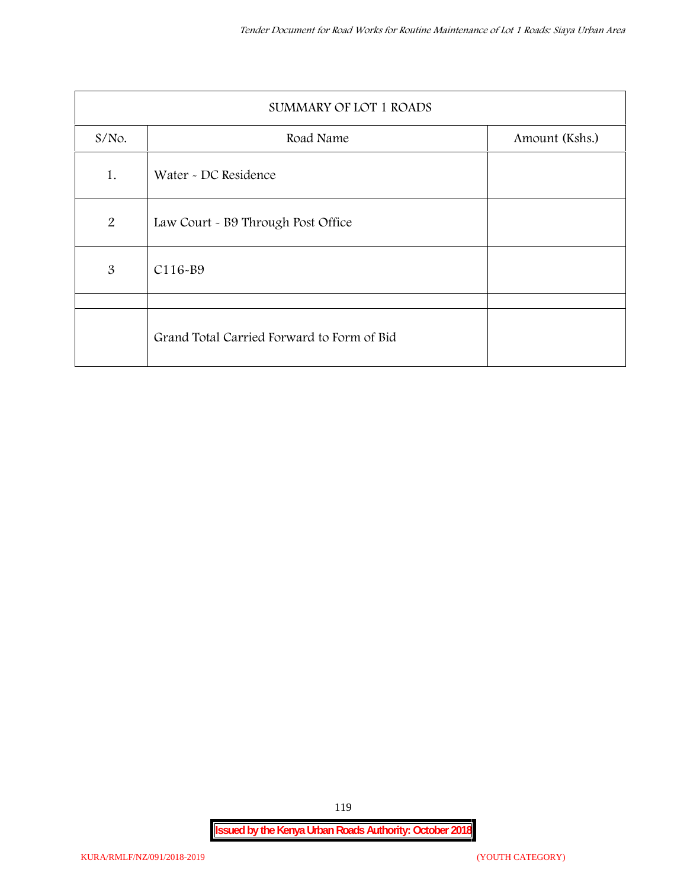|                | SUMMARY OF LOT 1 ROADS                     |                |
|----------------|--------------------------------------------|----------------|
| $S/NO$ .       | Road Name                                  | Amount (Kshs.) |
| 1.             | Water - DC Residence                       |                |
| $\overline{2}$ | Law Court - B9 Through Post Office         |                |
| 3              | C116-B9                                    |                |
|                |                                            |                |
|                | Grand Total Carried Forward to Form of Bid |                |

119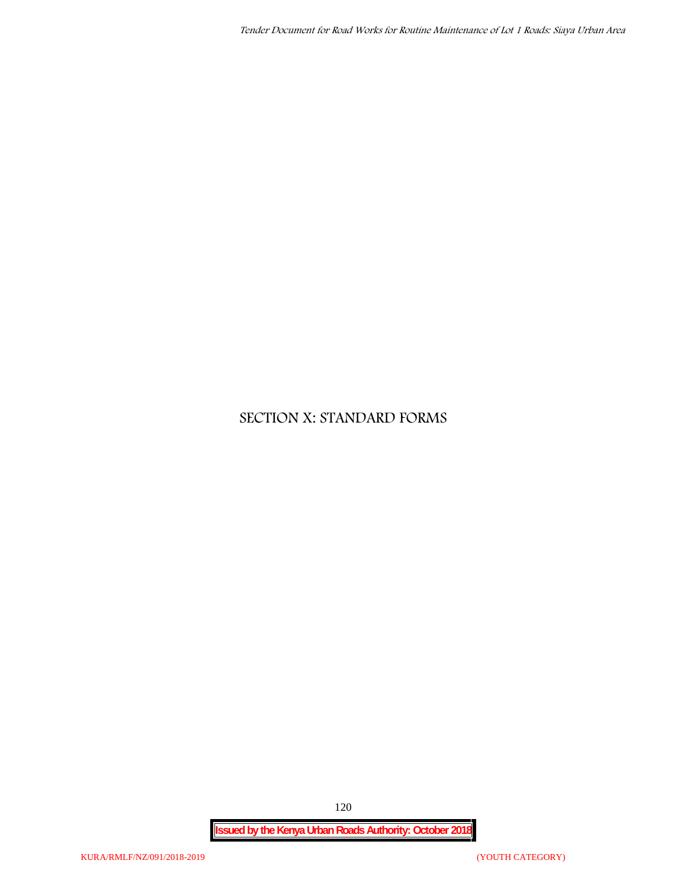## **SECTION X: STANDARD FORMS**

**Issued by the Kenya Urban Roads Authority: October 2018**

120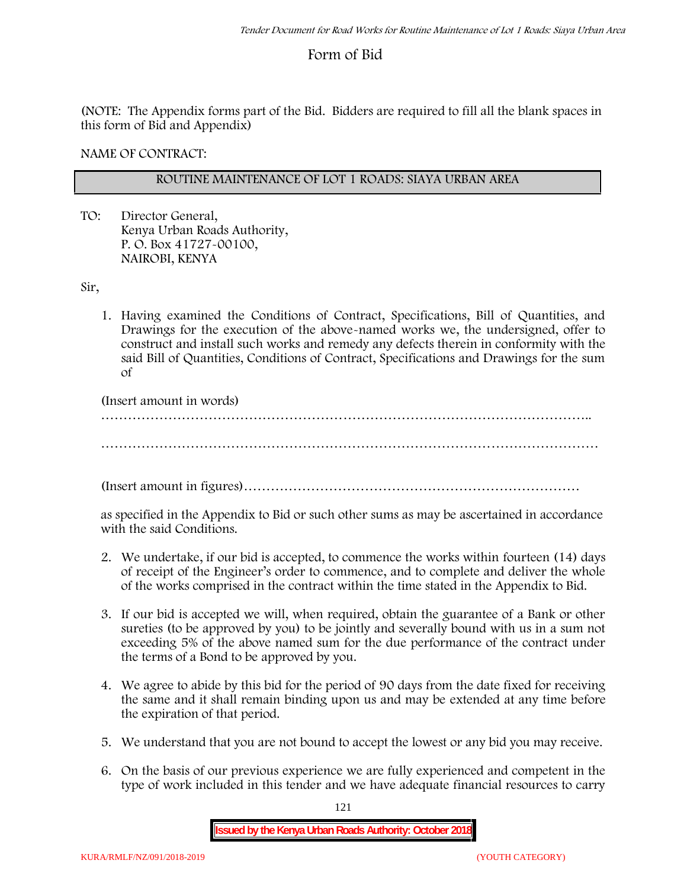## **Form of Bid**

(NOTE: The Appendix forms part of the Bid. Bidders are required to fill all the blank spaces in this form of Bid and Appendix)

**NAME OF CONTRACT:**

## **ROUTINE MAINTENANCE OF LOT 1 ROADS: SIAYA URBAN AREA**

TO: Director General, Kenya Urban Roads Authority, P. O. Box 41727-00100, **NAIROBI, KENYA**

Sir,

1. Having examined the Conditions of Contract, Specifications, Bill of Quantities, and Drawings for the execution of the above-named works we, the undersigned, offer to construct and install such works and remedy any defects therein in conformity with the said Bill of Quantities, Conditions of Contract, Specifications and Drawings for the sum of

(Insert amount in words)

………………………………………………………………………………………………..

…………………………………………………………………………………………………

(Insert amount in figures)…………………………………………………………………

as specified in the Appendix to Bid or such other sums as may be ascertained in accordance with the said Conditions.

- 2. We undertake, if our bid is accepted, to commence the works within fourteen (14) days of receipt of the Engineer's order to commence, and to complete and deliver the whole of the works comprised in the contract within the time stated in the Appendix to Bid.
- 3. If our bid is accepted we will, when required, obtain the guarantee of a Bank or other sureties (to be approved by you) to be jointly and severally bound with us in a sum not exceeding 5% of the above named sum for the due performance of the contract under the terms of a Bond to be approved by you.
- 4. We agree to abide by this bid for the period of 90 days from the date fixed for receiving the same and it shall remain binding upon us and may be extended at any time before the expiration of that period.
- 5. We understand that you are not bound to accept the lowest or any bid you may receive.
- 6. On the basis of our previous experience we are fully experienced and competent in the type of work included in this tender and we have adequate financial resources to carry

121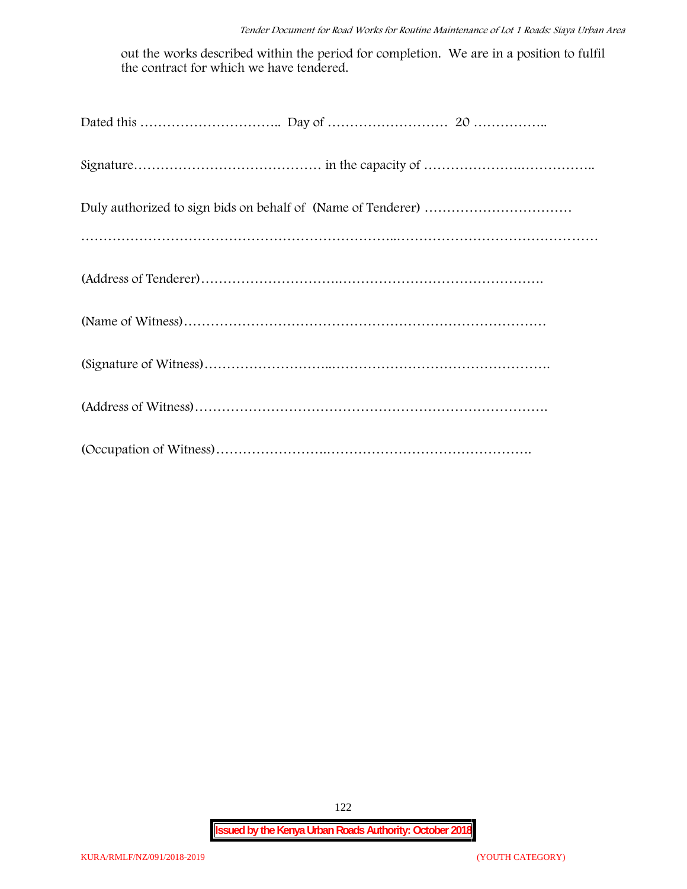out the works described within the period for completion. We are in a position to fulfil the contract for which we have tendered.

122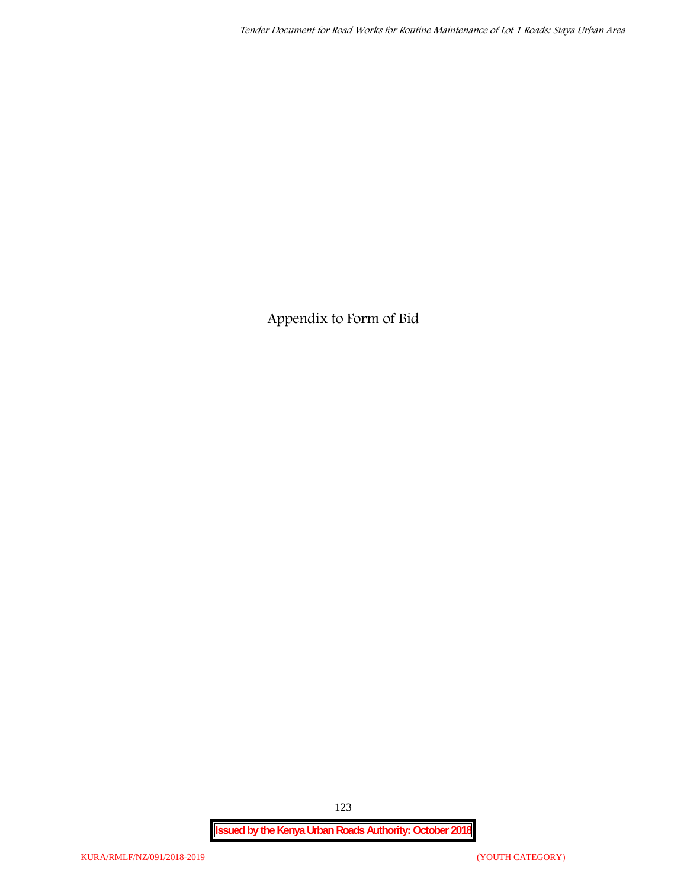**Appendix to Form of Bid**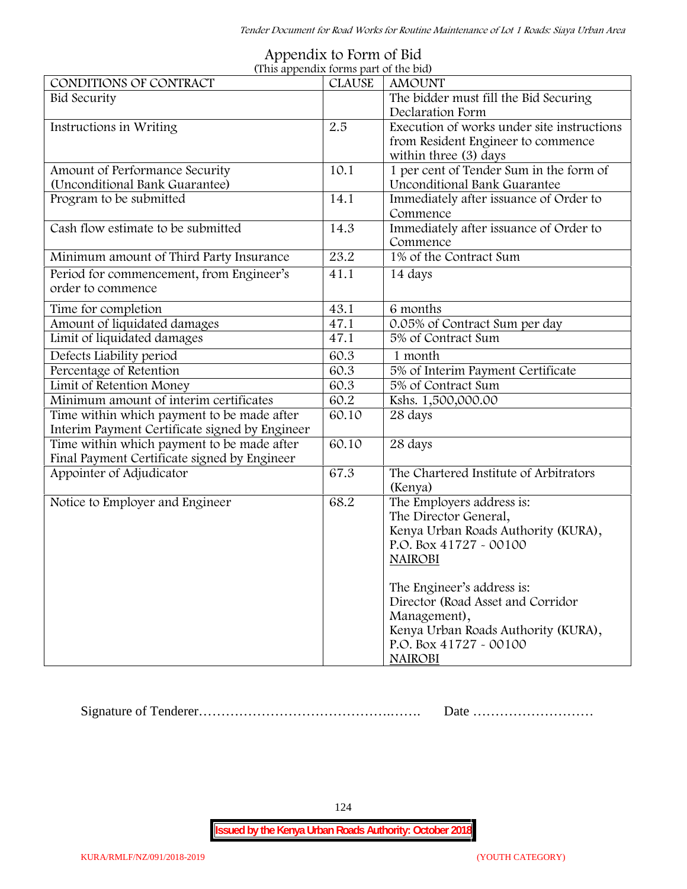| Appendix to Form of Bid               |  |
|---------------------------------------|--|
| (This annendix forms part of the hid) |  |

| (This appendix forms part of the bid)          |               |                                            |
|------------------------------------------------|---------------|--------------------------------------------|
| CONDITIONS OF CONTRACT                         | <b>CLAUSE</b> | <b>AMOUNT</b>                              |
| <b>Bid Security</b>                            |               | The bidder must fill the Bid Securing      |
|                                                |               | Declaration Form                           |
| Instructions in Writing                        | 2.5           | Execution of works under site instructions |
|                                                |               | from Resident Engineer to commence         |
|                                                |               | within three (3) days                      |
| Amount of Performance Security                 | 10.1          | 1 per cent of Tender Sum in the form of    |
| (Unconditional Bank Guarantee)                 |               | Unconditional Bank Guarantee               |
| Program to be submitted                        | 14.1          | Immediately after issuance of Order to     |
|                                                |               | Commence                                   |
| Cash flow estimate to be submitted             | 14.3          | Immediately after issuance of Order to     |
|                                                |               | Commence                                   |
| Minimum amount of Third Party Insurance        | 23.2          | 1% of the Contract Sum                     |
| Period for commencement, from Engineer's       | 41.1          | 14 days                                    |
| order to commence                              |               |                                            |
| Time for completion                            | 43.1          | 6 months                                   |
| Amount of liquidated damages                   | 47.1          | 0.05% of Contract Sum per day              |
| Limit of liquidated damages                    | 47.1          | 5% of Contract Sum                         |
| Defects Liability period                       | 60.3          | 1 month                                    |
| Percentage of Retention                        | 60.3          | 5% of Interim Payment Certificate          |
| Limit of Retention Money                       | 60.3          | 5% of Contract Sum                         |
| Minimum amount of interim certificates         | 60.2          | Kshs. 1,500,000.00                         |
| Time within which payment to be made after     | 60.10         | 28 days                                    |
| Interim Payment Certificate signed by Engineer |               |                                            |
| Time within which payment to be made after     | 60.10         | 28 days                                    |
| Final Payment Certificate signed by Engineer   |               |                                            |
| Appointer of Adjudicator                       | 67.3          | The Chartered Institute of Arbitrators     |
|                                                |               | (Kenya)                                    |
| Notice to Employer and Engineer                | 68.2          | The Employers address is:                  |
|                                                |               | The Director General,                      |
|                                                |               | Kenya Urban Roads Authority (KURA),        |
|                                                |               | P.O. Box 41727 - 00100                     |
|                                                |               | <b>NAIROBI</b>                             |
|                                                |               |                                            |
|                                                |               | The Engineer's address is:                 |
|                                                |               | Director (Road Asset and Corridor          |
|                                                |               | Management),                               |
|                                                |               | Kenya Urban Roads Authority (KURA),        |
|                                                |               | P.O. Box 41727 - 00100                     |
|                                                |               | <b>NAIROBI</b>                             |

Signature of Tenderer…………………………………….……. Date ………………………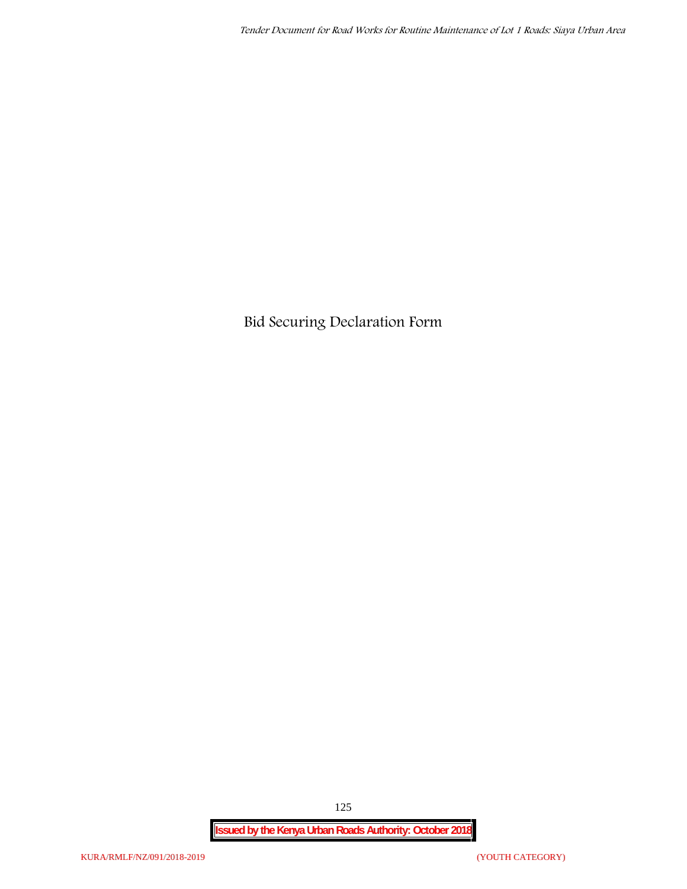**Bid Securing Declaration Form**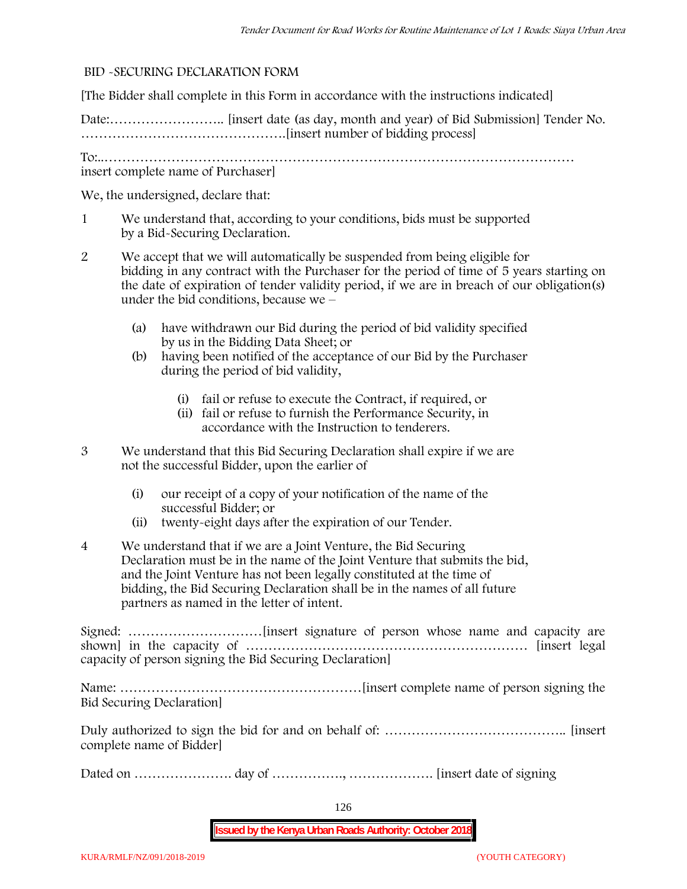### **BID -SECURING DECLARATION FORM**

[The Bidder shall complete in this Form in accordance with the instructions indicated]

Date:…………………….. [insert date (as day, month and year) of Bid Submission] Tender No. ……………………………………….[insert number of bidding process]

To:..…………………………………………………………………………………………… insert complete name of Purchaser]

We, the undersigned, declare that:

- 1 We understand that, according to your conditions, bids must be supported by a Bid-Securing Declaration.
- 2 We accept that we will automatically be suspended from being eligible for bidding in any contract with the Purchaser for the period of time of **5 years** starting on the date of expiration of tender validity period, if we are in breach of our obligation(s) under the bid conditions, because we –
	- (a) have withdrawn our Bid during the period of bid validity specified by us in the Bidding Data Sheet; or
	- (b) having been notified of the acceptance of our Bid by the Purchaser during the period of bid validity,
		- (i) fail or refuse to execute the Contract, if required, or
		- (ii) fail or refuse to furnish the Performance Security, in accordance with the Instruction to tenderers.
- 3 We understand that this Bid Securing Declaration shall expire if we are not the successful Bidder, upon the earlier of
	- (i) our receipt of a copy of your notification of the name of the successful Bidder; or
	- (ii) twenty-eight days after the expiration of our Tender.
- 4 We understand that if we are a Joint Venture, the Bid Securing Declaration must be in the name of the Joint Venture that submits the bid, and the Joint Venture has not been legally constituted at the time of bidding, the Bid Securing Declaration shall be in the names of all future partners as named in the letter of intent.

Signed: …………………………[insert signature of person whose name and capacity are shown] in the capacity of ……………………………………………………… [insert legal capacity of person signing the Bid Securing Declaration]

Name: ………………………………………………[insert complete name of person signing the Bid Securing Declaration]

Duly authorized to sign the bid for and on behalf of: ………………………………….. [insert complete name of Bidder]

Dated on …………………. day of ……………., ………………. [insert date of signing

126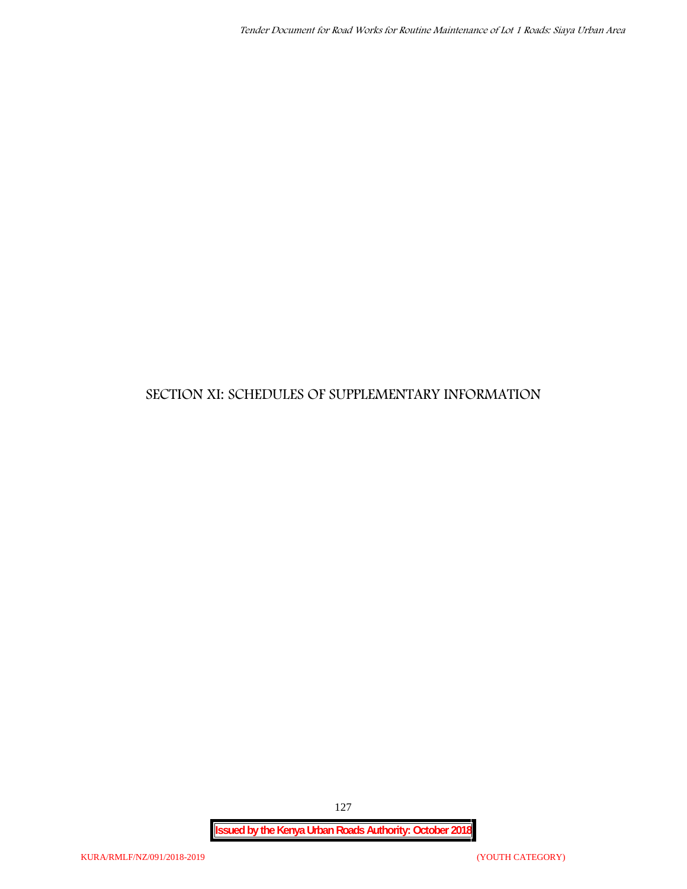## **SECTION XI: SCHEDULES OF SUPPLEMENTARY INFORMATION**

127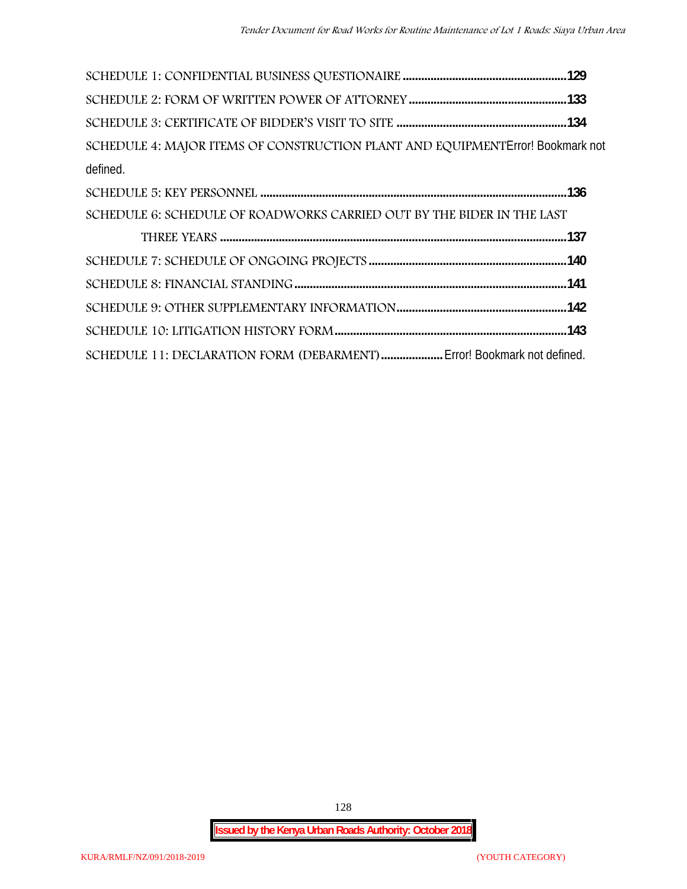| SCHEDULE 4: MAJOR ITEMS OF CONSTRUCTION PLANT AND EQUIPMENT Error! Bookmark not |  |
|---------------------------------------------------------------------------------|--|
| defined.                                                                        |  |
|                                                                                 |  |
| SCHEDULE 6: SCHEDULE OF ROADWORKS CARRIED OUT BY THE BIDER IN THE LAST          |  |
|                                                                                 |  |
|                                                                                 |  |
|                                                                                 |  |
|                                                                                 |  |
|                                                                                 |  |
| SCHEDULE 11: DECLARATION FORM (DEBARMENT)  Error! Bookmark not defined.         |  |

128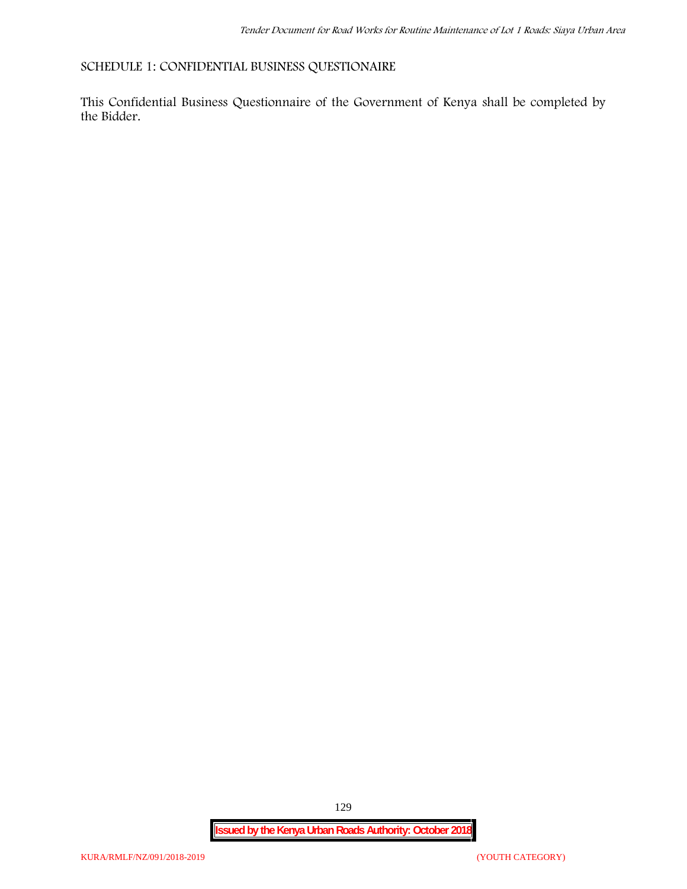## **SCHEDULE 1: CONFIDENTIAL BUSINESS QUESTIONAIRE**

This Confidential Business Questionnaire of the Government of Kenya shall be completed by the Bidder.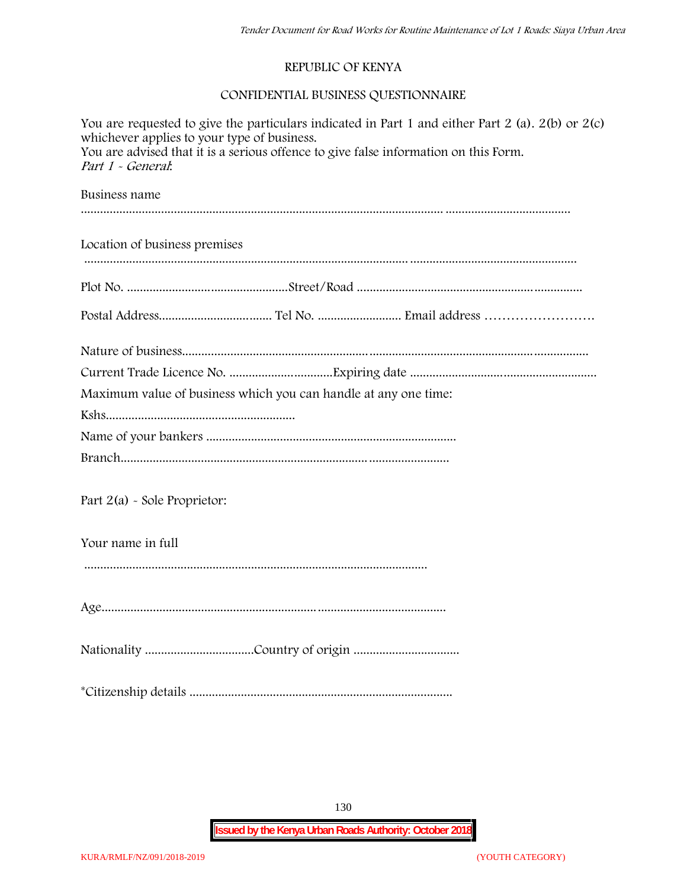## **REPUBLIC OF KENYA**

## **CONFIDENTIAL BUSINESS QUESTIONNAIRE**

| You are requested to give the particulars indicated in Part 1 and either Part 2 (a). $2(b)$ or $2(c)$<br>whichever applies to your type of business.<br>You are advised that it is a serious offence to give false information on this Form.<br>Part 1 - General. |
|-------------------------------------------------------------------------------------------------------------------------------------------------------------------------------------------------------------------------------------------------------------------|
| Business name                                                                                                                                                                                                                                                     |
| Location of business premises                                                                                                                                                                                                                                     |
|                                                                                                                                                                                                                                                                   |
|                                                                                                                                                                                                                                                                   |
|                                                                                                                                                                                                                                                                   |
|                                                                                                                                                                                                                                                                   |
| Maximum value of business which you can handle at any one time:                                                                                                                                                                                                   |
|                                                                                                                                                                                                                                                                   |
|                                                                                                                                                                                                                                                                   |
|                                                                                                                                                                                                                                                                   |
| Part $2(a)$ - Sole Proprietor:                                                                                                                                                                                                                                    |
| Your name in full                                                                                                                                                                                                                                                 |
|                                                                                                                                                                                                                                                                   |
|                                                                                                                                                                                                                                                                   |
|                                                                                                                                                                                                                                                                   |
|                                                                                                                                                                                                                                                                   |

130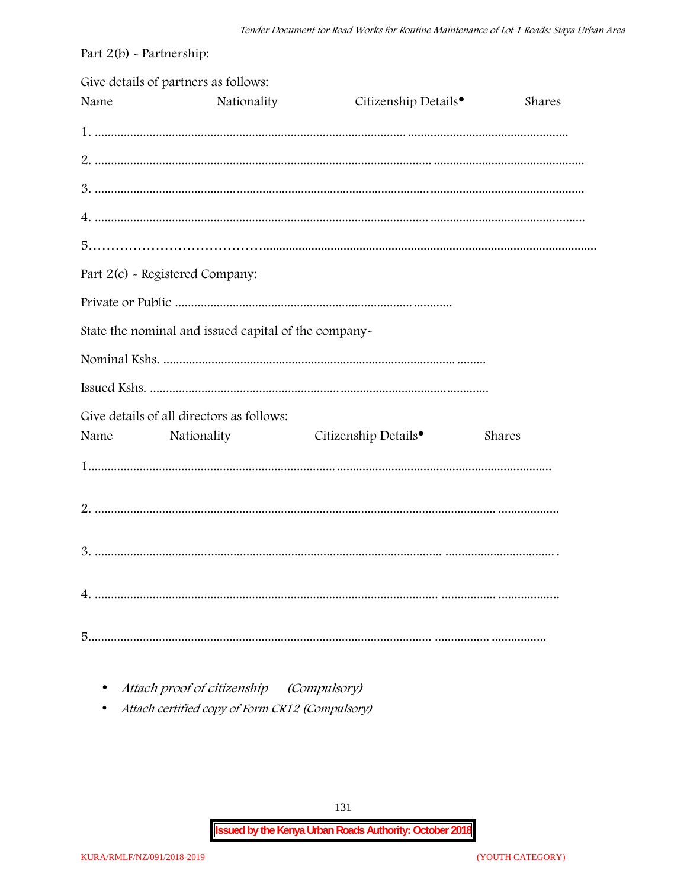| Part $2(b)$ - Partnership: |                                                      |                                  |        |
|----------------------------|------------------------------------------------------|----------------------------------|--------|
| Name                       | Give details of partners as follows:<br>Nationality  | Citizenship Details <sup>•</sup> | Shares |
|                            |                                                      |                                  |        |
|                            |                                                      |                                  |        |
|                            |                                                      |                                  |        |
|                            |                                                      |                                  |        |
|                            |                                                      |                                  |        |
|                            | Part 2(c) - Registered Company:                      |                                  |        |
|                            |                                                      |                                  |        |
|                            | State the nominal and issued capital of the company- |                                  |        |
|                            |                                                      |                                  |        |
|                            |                                                      |                                  |        |
|                            | Give details of all directors as follows:            |                                  |        |
| Name                       | Nationality                                          | Citizenship Details <sup>•</sup> | Shares |
|                            |                                                      |                                  |        |
|                            |                                                      |                                  |        |
|                            |                                                      |                                  |        |
|                            |                                                      |                                  |        |
|                            |                                                      |                                  |        |

• Attach proof of citizenship (Compulsory)

Attach certified copy of Form CR12 (Compulsory)  $\bullet$ 

131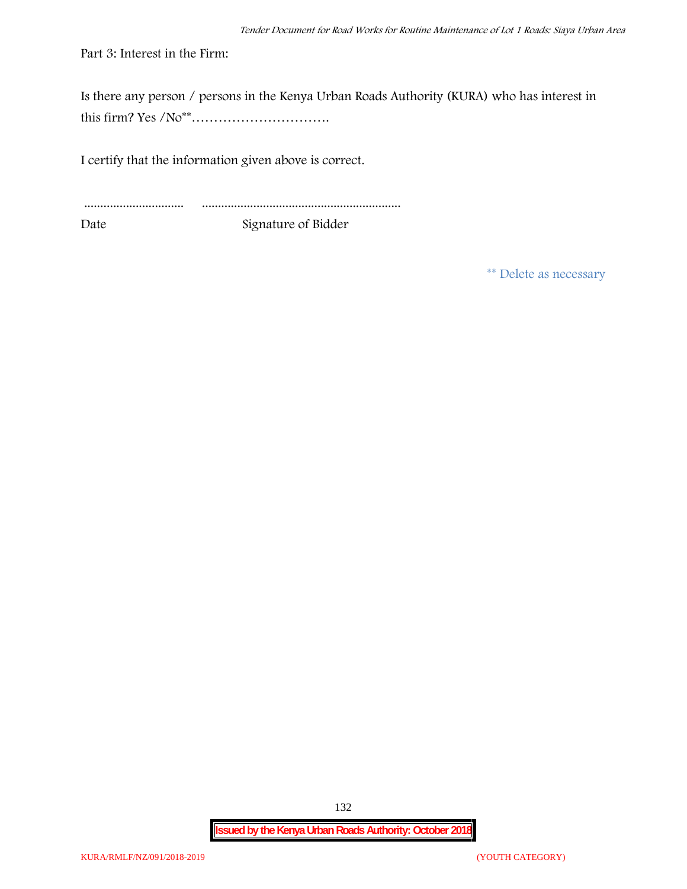Part 3: Interest in the Firm:

Is there any person / persons in the Kenya Urban Roads Authority (KURA) who has interest in this firm? Yes /No\*\*………………………….

I certify that the information given above is correct.

............................... .............................................................. Date Signature of Bidder

**\*\* Delete as necessary**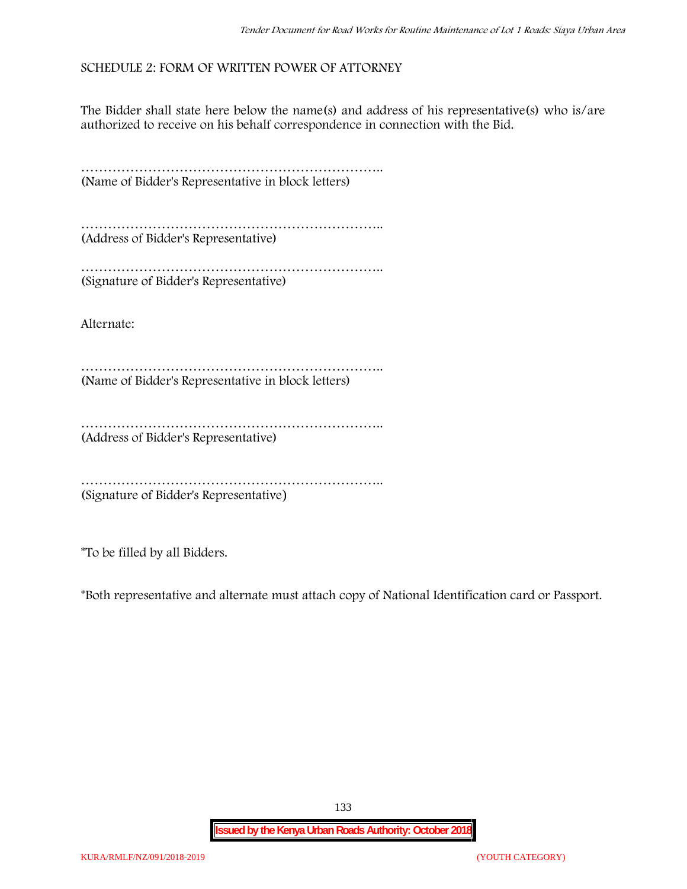## **SCHEDULE 2: FORM OF WRITTEN POWER OF ATTORNEY**

The Bidder shall state here below the name(s) and address of his representative(s) who is/are authorized to receive on his behalf correspondence in connection with the Bid.

………………………………………………………….. (Name of Bidder's Representative in block letters)

………………………………………………………….. (Address of Bidder's Representative)

………………………………………………………….. (Signature of Bidder's Representative)

Alternate:

………………………………………………………….. (Name of Bidder's Representative in block letters)

……………………………………………………………………… (Address of Bidder's Representative)

………………………………………………………….. (Signature of Bidder's Representative)

\*To be filled by all Bidders.

\*Both representative and alternate **must** attach copy of National Identification card or Passport.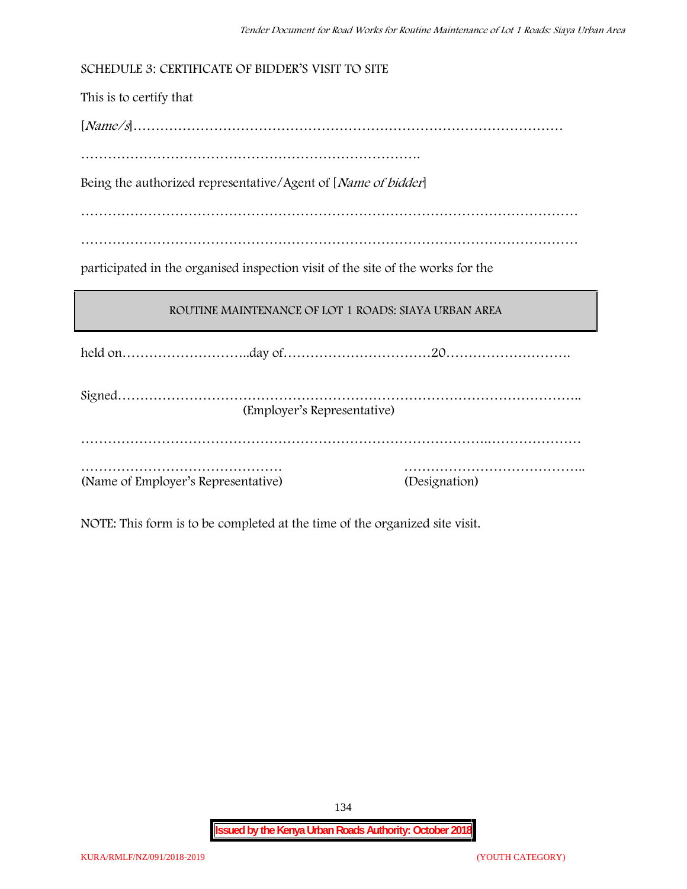| SCHEDULE 3: CERTIFICATE OF BIDDER'S VISIT TO SITE                               |  |
|---------------------------------------------------------------------------------|--|
| This is to certify that                                                         |  |
|                                                                                 |  |
|                                                                                 |  |
| Being the authorized representative/Agent of [Name of bidder]                   |  |
|                                                                                 |  |
|                                                                                 |  |
| participated in the organised inspection visit of the site of the works for the |  |
|                                                                                 |  |
| ROUTINE MAINTENANCE OF LOT 1 ROADS: SIAYA URBAN AREA                            |  |
|                                                                                 |  |
| (Employer's Representative)                                                     |  |
|                                                                                 |  |

NOTE: This form is to be completed at the time of the organized site visit.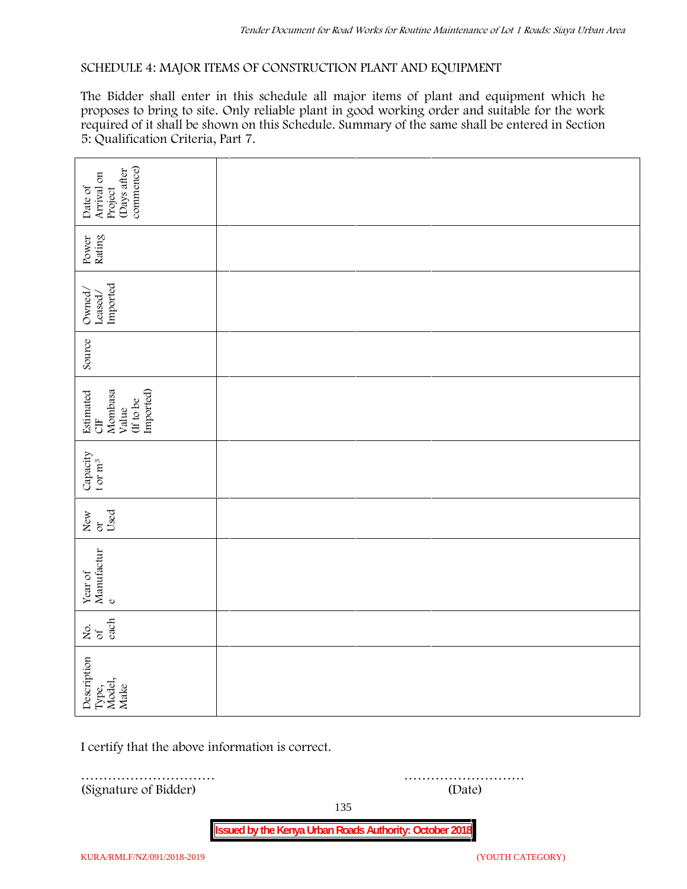### **SCHEDULE 4: MAJOR ITEMS OF CONSTRUCTION PLANT AND EQUIPMENT**

The Bidder shall enter in this schedule all major items of plant and equipment which he proposes to bring to site. Only reliable plant in good working order and suitable for the work required of it shall be shown on this Schedule. Summary of the same shall be entered in Section 5: Qualification Criteria, Part 7.

| commence)<br>(Days after<br>Arrival on<br>Date of<br>Project   |        |  |  |  |
|----------------------------------------------------------------|--------|--|--|--|
| Power<br>Rating                                                |        |  |  |  |
| Leased/<br>Imported<br>Owned/                                  |        |  |  |  |
| Source                                                         |        |  |  |  |
| Imported)<br>Estimated<br>CIF<br>Mombasa<br>(If to be<br>Value |        |  |  |  |
| Capacity t or $\mathbf{m}^3$                                   |        |  |  |  |
| Used<br>New or                                                 |        |  |  |  |
| Year of Manufactur $_{\rm e}$                                  |        |  |  |  |
| each<br>Σά                                                     |        |  |  |  |
| Description<br>Type,<br>Model,<br>Make                         |        |  |  |  |
| I certify that the above information is correct.               |        |  |  |  |
| (Signature of Bidder)                                          | (Date) |  |  |  |

135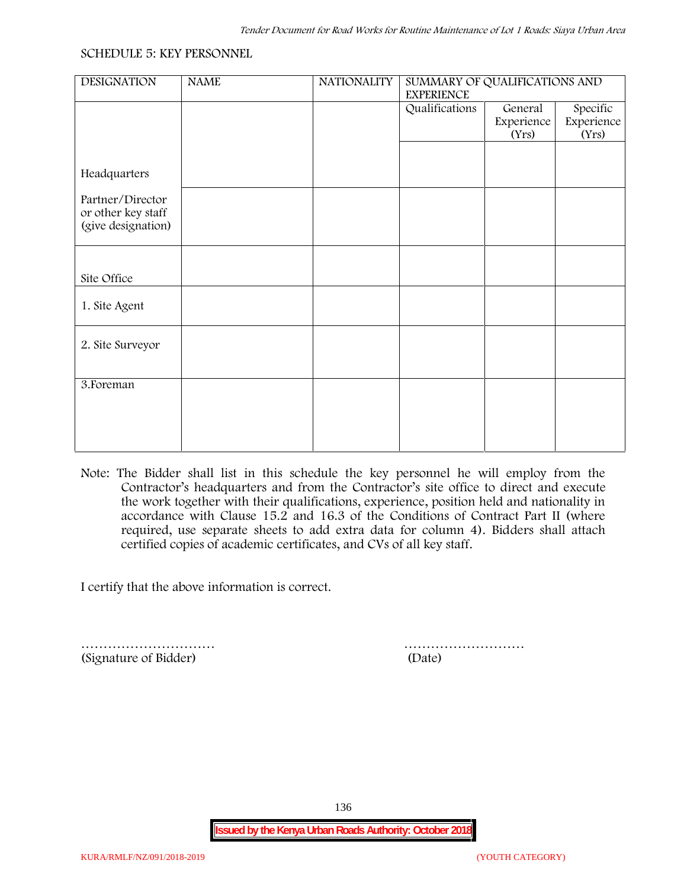#### **SCHEDULE 5: KEY PERSONNEL**

| <b>DESIGNATION</b> | <b>NAME</b> | <b>NATIONALITY</b> | SUMMARY OF QUALIFICATIONS AND       |            |            |  |
|--------------------|-------------|--------------------|-------------------------------------|------------|------------|--|
|                    |             |                    | <b>EXPERIENCE</b><br>Qualifications | General    | Specific   |  |
|                    |             |                    |                                     | Experience | Experience |  |
|                    |             |                    |                                     | (Yrs)      | (Yrs)      |  |
|                    |             |                    |                                     |            |            |  |
|                    |             |                    |                                     |            |            |  |
| Headquarters       |             |                    |                                     |            |            |  |
| Partner/Director   |             |                    |                                     |            |            |  |
| or other key staff |             |                    |                                     |            |            |  |
| (give designation) |             |                    |                                     |            |            |  |
|                    |             |                    |                                     |            |            |  |
|                    |             |                    |                                     |            |            |  |
| Site Office        |             |                    |                                     |            |            |  |
|                    |             |                    |                                     |            |            |  |
| 1. Site Agent      |             |                    |                                     |            |            |  |
|                    |             |                    |                                     |            |            |  |
|                    |             |                    |                                     |            |            |  |
| 2. Site Surveyor   |             |                    |                                     |            |            |  |
|                    |             |                    |                                     |            |            |  |
| 3. Foreman         |             |                    |                                     |            |            |  |
|                    |             |                    |                                     |            |            |  |
|                    |             |                    |                                     |            |            |  |
|                    |             |                    |                                     |            |            |  |
|                    |             |                    |                                     |            |            |  |
|                    |             |                    |                                     |            |            |  |

**Note:** The Bidder shall list in this schedule the key personnel he will employ from the Contractor's headquarters and from the Contractor's site office to direct and execute the work together with their qualifications, experience, position held and nationality in accordance with Clause 15.2 and 16.3 of the Conditions of Contract Part II (where required, use separate sheets to add extra data for column 4). Bidders shall attach certified copies of academic certificates, and CVs of all key staff.

I certify that the above information is correct.

(Signature of Bidder) (Date)

………………………… ………………………

136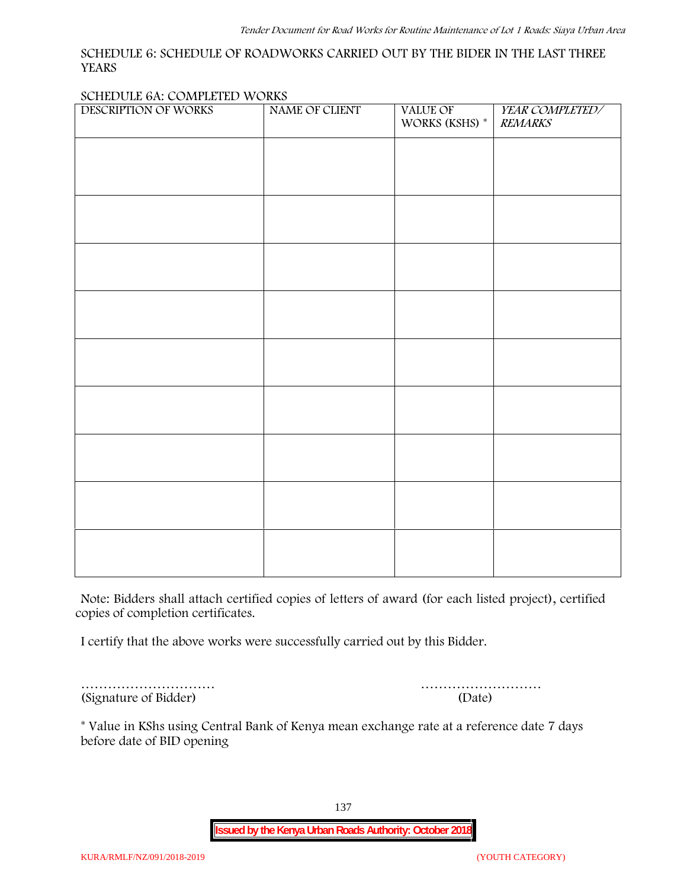### **SCHEDULE 6: SCHEDULE OF ROADWORKS CARRIED OUT BY THE BIDER IN THE LAST THREE YEARS**

#### **SCHEDULE 6A: COMPLETED WORKS**

| DESCRIPTION OF WORKS | NAME OF CLIENT | VALUE OF<br>WORKS (KSHS) * | YEAR COMPLETED/<br><b>REMARKS</b> |
|----------------------|----------------|----------------------------|-----------------------------------|
|                      |                |                            |                                   |
|                      |                |                            |                                   |
|                      |                |                            |                                   |
|                      |                |                            |                                   |
|                      |                |                            |                                   |
|                      |                |                            |                                   |
|                      |                |                            |                                   |
|                      |                |                            |                                   |
|                      |                |                            |                                   |
|                      |                |                            |                                   |
|                      |                |                            |                                   |
|                      |                |                            |                                   |
|                      |                |                            |                                   |
|                      |                |                            |                                   |
|                      |                |                            |                                   |
|                      |                |                            |                                   |

**Note:** Bidders shall attach certified copies of letters of award (for each listed project), certified copies of completion certificates.

I certify that the above works were successfully carried out by this Bidder.

(Signature of Bidder) (Date)

………………………… ………………………

\* **Value in KShs using Central Bank of Kenya mean exchange rate at a reference date 7 days before date of BID opening**

137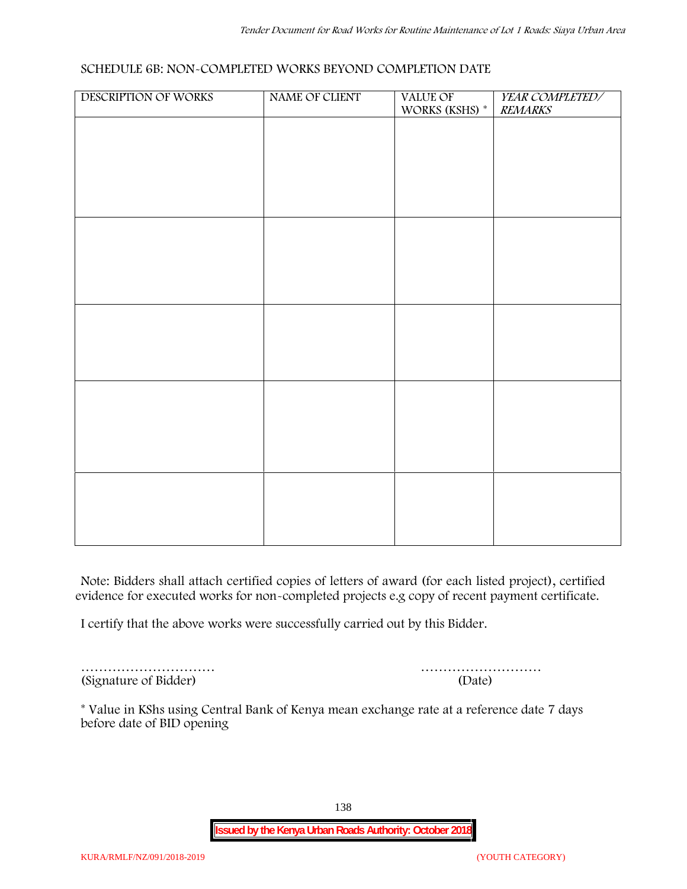### **SCHEDULE 6B: NON-COMPLETED WORKS BEYOND COMPLETION DATE**

| DESCRIPTION OF WORKS | NAME OF CLIENT | VALUE OF<br>WORKS (KSHS) * | YEAR COMPLETED/<br><b>REMARKS</b> |
|----------------------|----------------|----------------------------|-----------------------------------|
|                      |                |                            |                                   |
|                      |                |                            |                                   |
|                      |                |                            |                                   |
|                      |                |                            |                                   |
|                      |                |                            |                                   |
|                      |                |                            |                                   |
|                      |                |                            |                                   |
|                      |                |                            |                                   |
|                      |                |                            |                                   |
|                      |                |                            |                                   |
|                      |                |                            |                                   |
|                      |                |                            |                                   |
|                      |                |                            |                                   |
|                      |                |                            |                                   |
|                      |                |                            |                                   |
|                      |                |                            |                                   |
|                      |                |                            |                                   |
|                      |                |                            |                                   |

**Note:** Bidders shall attach certified copies of letters of award (for each listed project), certified evidence for executed works for non-completed projects e.g copy of recent payment certificate.

I certify that the above works were successfully carried out by this Bidder.

………………………… (Signature of Bidder)

|  |  |  |  |  |  | (Date) |  |  |  |  |  |  |  |
|--|--|--|--|--|--|--------|--|--|--|--|--|--|--|

\* **Value in KShs using Central Bank of Kenya mean exchange rate at a reference date 7 days before date of BID opening**

138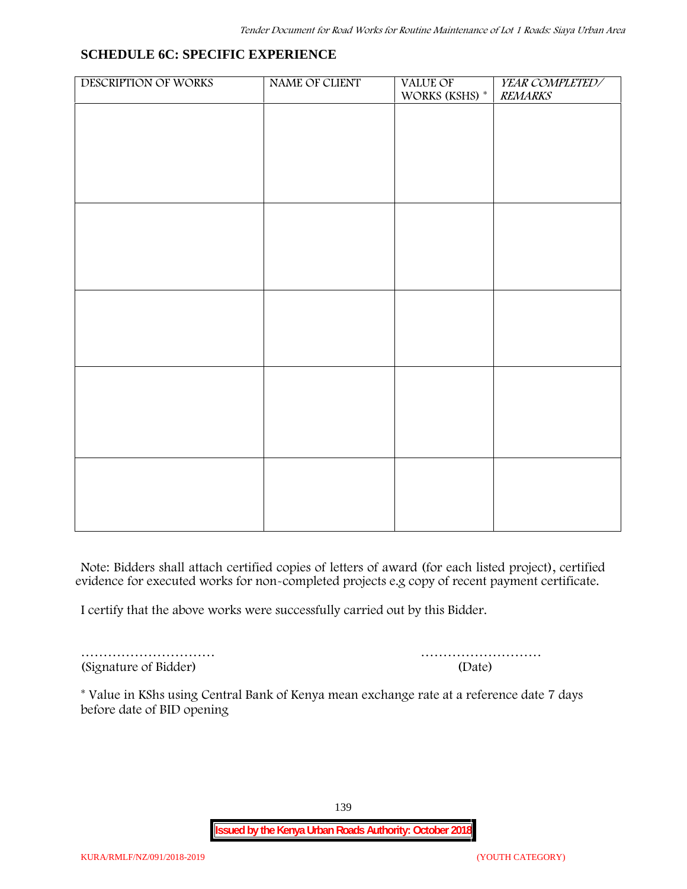## **SCHEDULE 6C: SPECIFIC EXPERIENCE**

| DESCRIPTION OF WORKS | NAME OF CLIENT | VALUE OF<br>WORKS (KSHS) $^\ast$ | YEAR COMPLETED/<br><b>REMARKS</b> |
|----------------------|----------------|----------------------------------|-----------------------------------|
|                      |                |                                  |                                   |
|                      |                |                                  |                                   |
|                      |                |                                  |                                   |
|                      |                |                                  |                                   |
|                      |                |                                  |                                   |
|                      |                |                                  |                                   |
|                      |                |                                  |                                   |
|                      |                |                                  |                                   |
|                      |                |                                  |                                   |
|                      |                |                                  |                                   |
|                      |                |                                  |                                   |
|                      |                |                                  |                                   |
|                      |                |                                  |                                   |
|                      |                |                                  |                                   |
|                      |                |                                  |                                   |
|                      |                |                                  |                                   |
|                      |                |                                  |                                   |

**Note:** Bidders shall attach certified copies of letters of award (for each listed project), certified evidence for executed works for non-completed projects e.g copy of recent payment certificate.

I certify that the above works were successfully carried out by this Bidder.

(Signature of Bidder) (Date)

………………………… ………………………

\* **Value in KShs using Central Bank of Kenya mean exchange rate at a reference date 7 days before date of BID opening**

139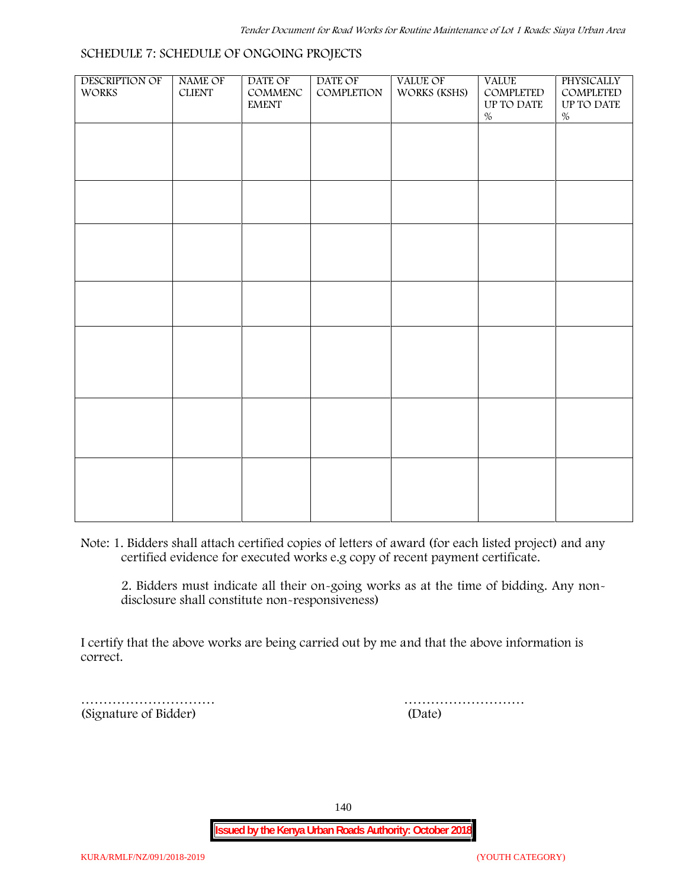| <b>DESCRIPTION OF</b><br><b>WORKS</b> | <b>NAME OF</b><br>${\it CLIENT}$ | DATE OF<br>COMMENC<br><b>EMENT</b> | DATE OF<br>COMPLETION | <b>VALUE OF</b><br>WORKS (KSHS) | <b>VALUE</b><br>COMPLETED<br>UP TO DATE | PHYSICALLY<br>COMPLETED<br>UP TO DATE |  |
|---------------------------------------|----------------------------------|------------------------------------|-----------------------|---------------------------------|-----------------------------------------|---------------------------------------|--|
|                                       |                                  |                                    |                       |                                 | $\%$                                    | $\%$                                  |  |
|                                       |                                  |                                    |                       |                                 |                                         |                                       |  |
|                                       |                                  |                                    |                       |                                 |                                         |                                       |  |
|                                       |                                  |                                    |                       |                                 |                                         |                                       |  |
|                                       |                                  |                                    |                       |                                 |                                         |                                       |  |
|                                       |                                  |                                    |                       |                                 |                                         |                                       |  |
|                                       |                                  |                                    |                       |                                 |                                         |                                       |  |
|                                       |                                  |                                    |                       |                                 |                                         |                                       |  |
|                                       |                                  |                                    |                       |                                 |                                         |                                       |  |
|                                       |                                  |                                    |                       |                                 |                                         |                                       |  |
|                                       |                                  |                                    |                       |                                 |                                         |                                       |  |
|                                       |                                  |                                    |                       |                                 |                                         |                                       |  |
|                                       |                                  |                                    |                       |                                 |                                         |                                       |  |
|                                       |                                  |                                    |                       |                                 |                                         |                                       |  |
|                                       |                                  |                                    |                       |                                 |                                         |                                       |  |
|                                       |                                  |                                    |                       |                                 |                                         |                                       |  |
|                                       |                                  |                                    |                       |                                 |                                         |                                       |  |

**Note:** 1. Bidders shall attach certified copies of letters of award (for each listed project) and any certified evidence for executed works e.g copy of recent payment certificate.

2. Bidders must indicate all their on-going works as at the time of bidding. Any non disclosure shall constitute non-responsiveness)

I certify that the above works are being carried out by me and that the above information is correct.

(Signature of Bidder) (Date)

………………………… ………………………

140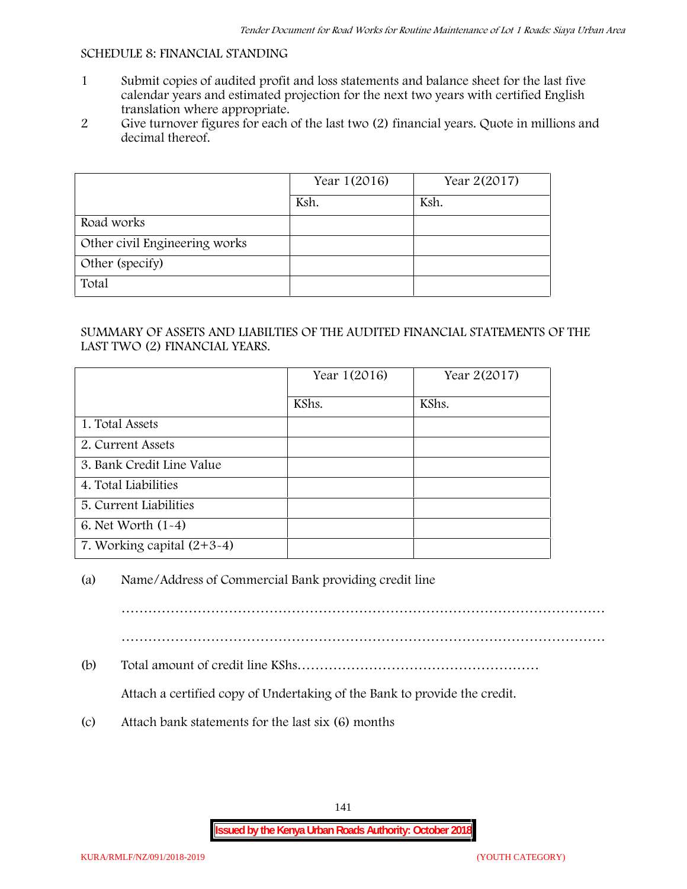### **SCHEDULE 8: FINANCIAL STANDING**

- 1 Submit copies of audited profit and loss statements and balance sheet for the last five calendar years and estimated projection for the next two years with certified English translation where appropriate.
- 2 Give turnover figures for each of the last two (2) financial years. Quote in millions and decimal thereof.

|                               | Year 1(2016) | Year 2(2017) |
|-------------------------------|--------------|--------------|
|                               | Ksh.         | Ksh.         |
| Road works                    |              |              |
| Other civil Engineering works |              |              |
| Other (specify)               |              |              |
| Total                         |              |              |

### SUMMARY OF ASSETS AND LIABILTIES OF THE AUDITED FINANCIAL STATEMENTS OF THE LAST TWO (2) FINANCIAL YEARS.

|                              | Year 1(2016) | Year 2(2017) |
|------------------------------|--------------|--------------|
|                              | KShs.        | KShs.        |
| 1. Total Assets              |              |              |
| 2. Current Assets            |              |              |
| 3. Bank Credit Line Value    |              |              |
| 4. Total Liabilities         |              |              |
| 5. Current Liabilities       |              |              |
| 6. Net Worth (1-4)           |              |              |
| 7. Working capital $(2+3-4)$ |              |              |

## (a) Name/Address of Commercial Bank providing credit line

………………………………………………………………………………………………

………………………………………………………………………………………………

(b) Total amount of credit line KShs………………………………………………

Attach a certified copy of Undertaking of the Bank to provide the credit.

(c) Attach bank statements for the last six (6) months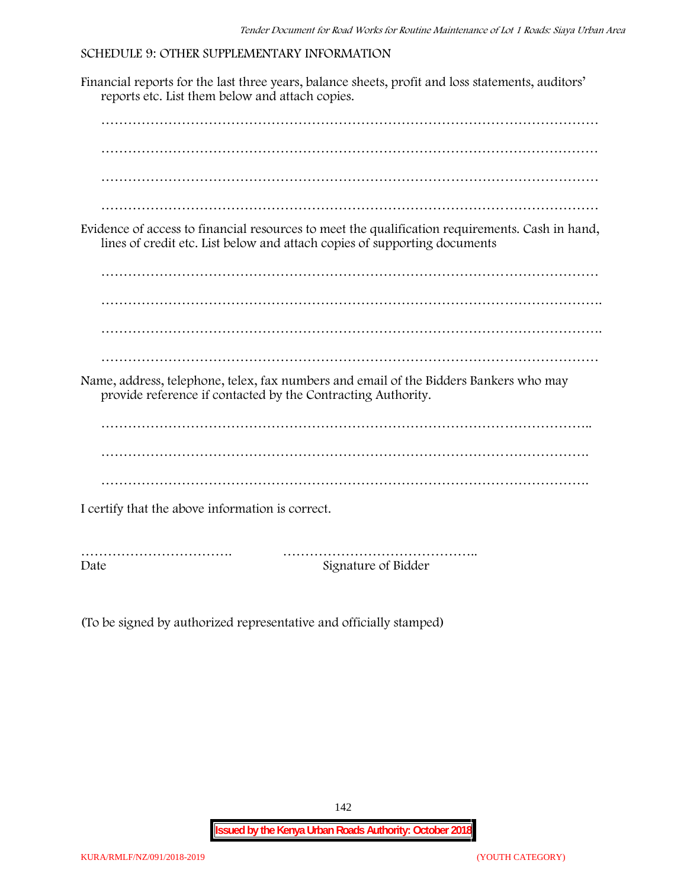### **SCHEDULE 9: OTHER SUPPLEMENTARY INFORMATION**

Financial reports for the last three years, balance sheets, profit and loss statements, auditors' reports etc. List them below and attach copies. ………………………………………………………………………………………………… ………………………………………………………………………………………………… ………………………………………………………………………………………………… ………………………………………………………………………………………………… Evidence of access to financial resources to meet the qualification requirements. Cash in hand, lines of credit etc. List below and attach copies of supporting documents ………………………………………………………………………………………………… …………………………………………………………………………………………………. ………………………………………………………………………………………………… Name, address, telephone, telex, fax numbers and email of the Bidders Bankers who may provide reference if contacted by the Contracting Authority. ……………………………………………………………………………………………….. ………………………………………………………………………………………………. ………………………………………………………………………………………………. I certify that the above information is correct. ……………………………. …………………………………….. Date Signature of Bidder

(To be signed by authorized representative and officially stamped)

142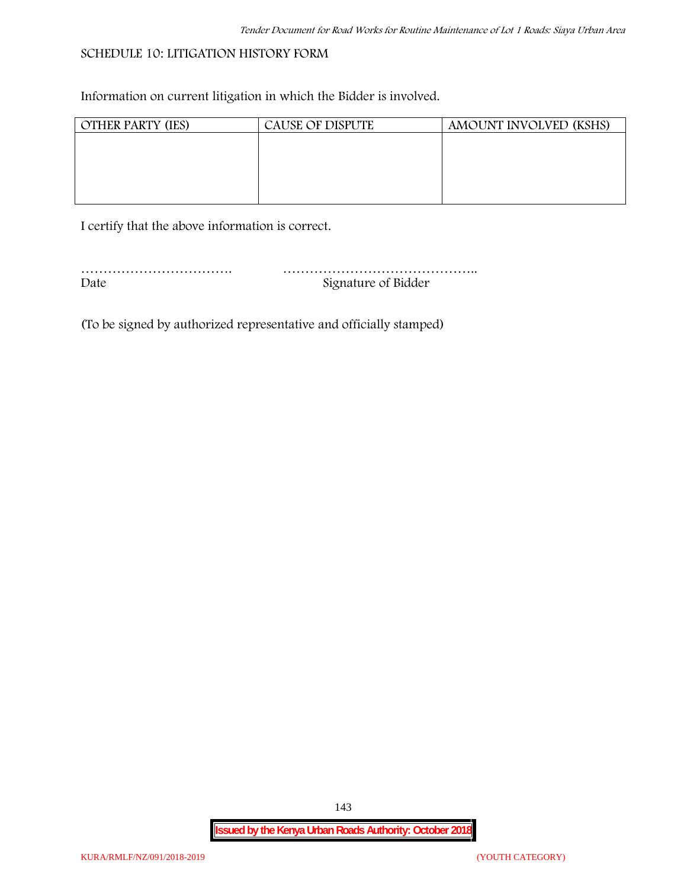## **SCHEDULE 10: LITIGATION HISTORY FORM**

Information on current litigation in which the Bidder is involved.

| <b>OTHER PARTY (IES)</b> | <b>CAUSE OF DISPUTE</b> | AMOUNT INVOLVED (KSHS) |
|--------------------------|-------------------------|------------------------|
|                          |                         |                        |
|                          |                         |                        |
|                          |                         |                        |
|                          |                         |                        |
|                          |                         |                        |

I certify that the above information is correct.

| Date | Signature of Bidder |
|------|---------------------|

(To be signed by authorized representative and officially stamped)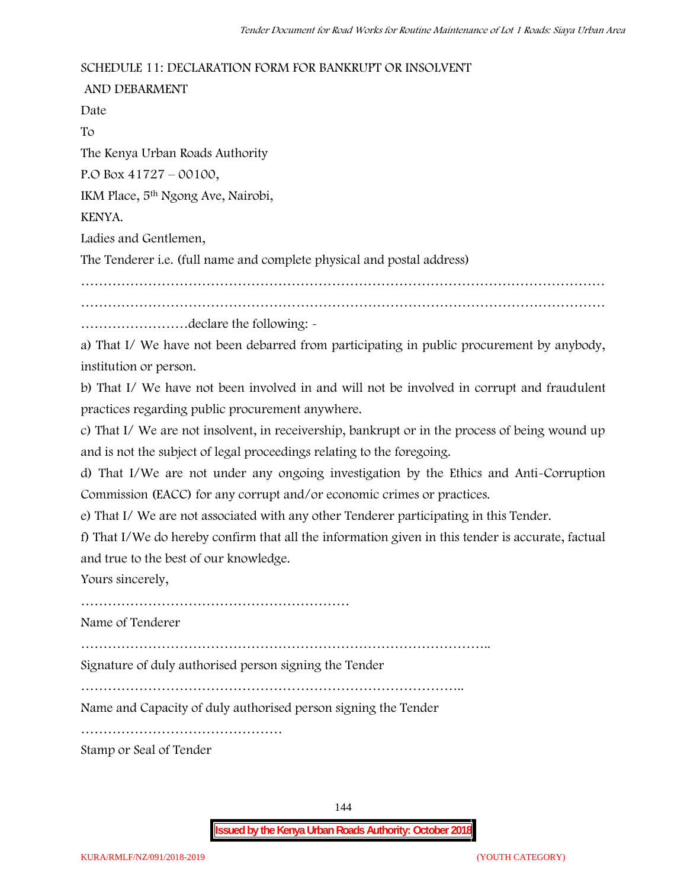## **SCHEDULE 11: DECLARATION FORM FOR BANKRUPT OR INSOLVENT**

**AND DEBARMENT** Date To The Kenya Urban Roads Authority P.O Box 41727 – 00100, IKM Place, 5th Ngong Ave, Nairobi, KENYA. Ladies and Gentlemen, The Tenderer i.e. (full name and complete physical and postal address) ……………………………………………………………………………………………………… ……………………declare the following: -

a) That I/ We have not been debarred from participating in public procurement by anybody, institution or person.

b) That I/ We have not been involved in and will not be involved in corrupt and fraudulent practices regarding public procurement anywhere.

c) That I/ We are not insolvent, in receivership, bankrupt or in the process of being wound up and is not the subject of legal proceedings relating to the foregoing.

d) That I/We are not under any ongoing investigation by the Ethics and Anti-Corruption Commission (EACC) for any corrupt and/or economic crimes or practices.

e) That I/ We are not associated with any other Tenderer participating in this Tender.

f) That I/We do hereby confirm that all the information given in this tender is accurate, factual and true to the best of our knowledge.

Yours sincerely,

……………………………………………………

Name of Tenderer

………………………………………………………………………………..

Signature of duly authorised person signing the Tender

…………………………………………………………………………..

Name and Capacity of duly authorised person signing the Tender

………………………………………

Stamp or Seal of Tender

144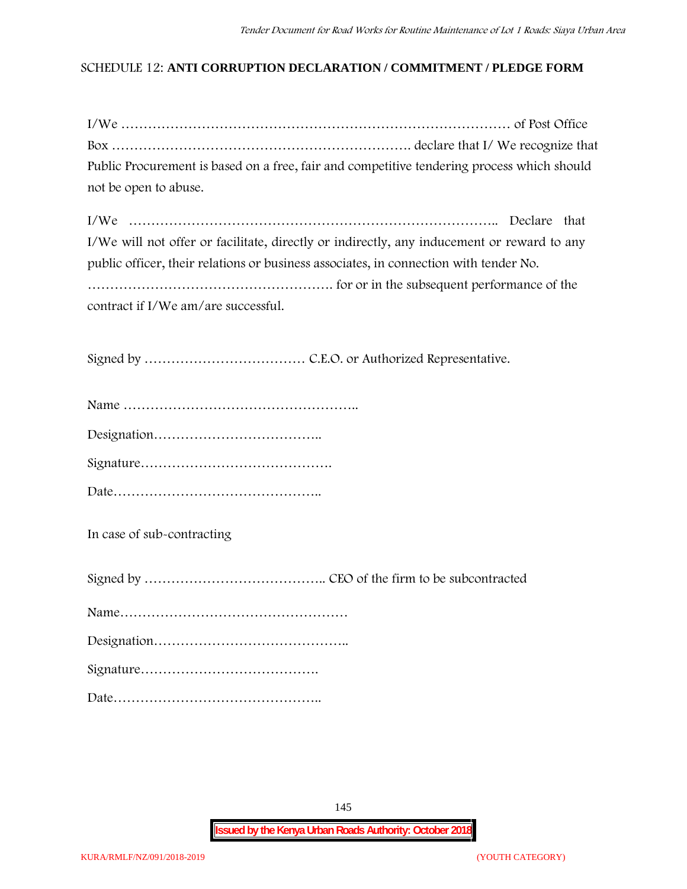## **SCHEDULE 12: ANTI CORRUPTION DECLARATION / COMMITMENT / PLEDGE FORM**

| Public Procurement is based on a free, fair and competitive tendering process which should |  |
|--------------------------------------------------------------------------------------------|--|
| not be open to abuse.                                                                      |  |

| I/We will not offer or facilitate, directly or indirectly, any inducement or reward to any |  |
|--------------------------------------------------------------------------------------------|--|
| public officer, their relations or business associates, in connection with tender No.      |  |
|                                                                                            |  |
| contract if I/We am/are successful.                                                        |  |

Signed by ……………………………… C.E.O. or Authorized Representative.

Date………………………………………..

**In case of sub-contracting**

Signed by ………………………………….. CEO of the firm to be subcontracted

Name……………………………………………

Designation……………………………………..

Signature………………………………….

Date………………………………………..

145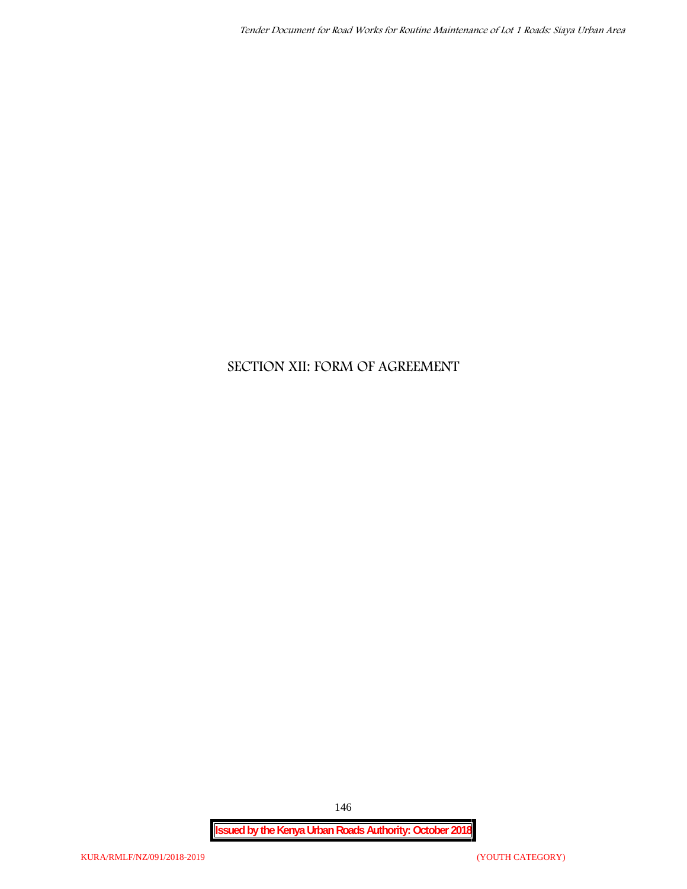# **SECTION XII: FORM OF AGREEMENT**

146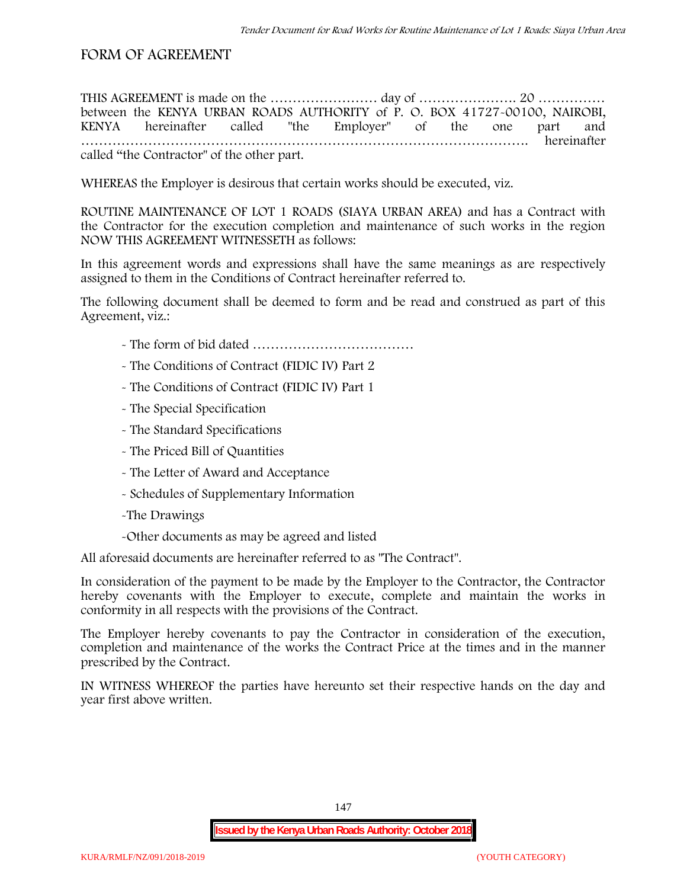## **FORM OF AGREEMENT**

THIS AGREEMENT is made on the ………………………… day of ……………………………………………………………………………………… between the **KENYA URBAN ROADS AUTHORITY** of **P. O. BOX 41727-00100, NAIROBI, KENYA** hereinafter called "the Employer" of the one part and **……………………………………………………………………………………….** hereinafter called "the Contractor" of the other part.

WHEREAS the Employer is desirous that certain works should be executed, viz.

**ROUTINE MAINTENANCE OF LOT 1 ROADS (SIAYA URBAN AREA)** and has a Contract with the Contractor for the execution completion and maintenance of such works in the region NOW THIS AGREEMENT WITNESSETH as follows:

In this agreement words and expressions shall have the same meanings as are respectively assigned to them in the Conditions of Contract hereinafter referred to.

The following document shall be deemed to form and be read and construed as part of this Agreement, viz.:

- The form of bid dated **………………………………**
- The Conditions of Contract (FIDIC IV) Part 2
- The Conditions of Contract (FIDIC IV) Part 1
- The Special Specification
- The Standard Specifications
- The Priced Bill of Quantities
- The Letter of Award and Acceptance
- Schedules of Supplementary Information
- -The Drawings
- -Other documents as may be agreed and listed

All aforesaid documents are hereinafter referred to as "The Contract".

In consideration of the payment to be made by the Employer to the Contractor, the Contractor hereby covenants with the Employer to execute, complete and maintain the works in conformity in all respects with the provisions of the Contract.

The Employer hereby covenants to pay the Contractor in consideration of the execution, completion and maintenance of the works the Contract Price at the times and in the manner prescribed by the Contract.

IN WITNESS WHEREOF the parties have hereunto set their respective hands on the day and year first above written.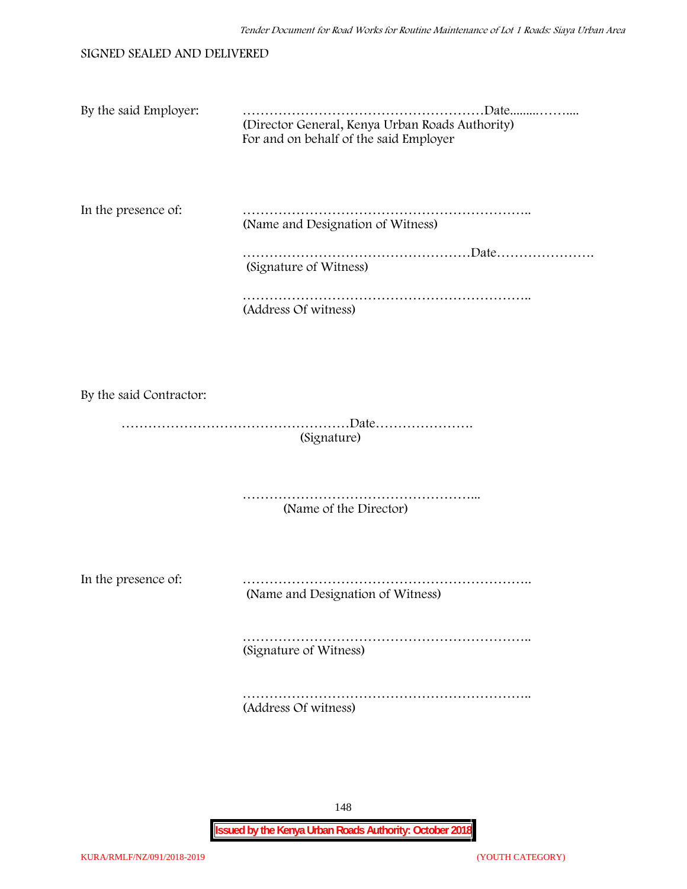### SIGNED SEALED AND DELIVERED

| By the said Employer:   | (Director General, Kenya Urban Roads Authority)<br>For and on behalf of the said Employer |
|-------------------------|-------------------------------------------------------------------------------------------|
| In the presence of:     | (Name and Designation of Witness)                                                         |
|                         | (Signature of Witness)                                                                    |
|                         | (Address Of witness)                                                                      |
|                         |                                                                                           |
| By the said Contractor: |                                                                                           |
| (Signature)             |                                                                                           |
|                         | (Name of the Director)                                                                    |
|                         |                                                                                           |

In the presence of: ………………………………………………………..

(Name and Designation of Witness)

……………………………………………………….. (Signature of Witness)

……………………………………………………….. (Address Of witness)

148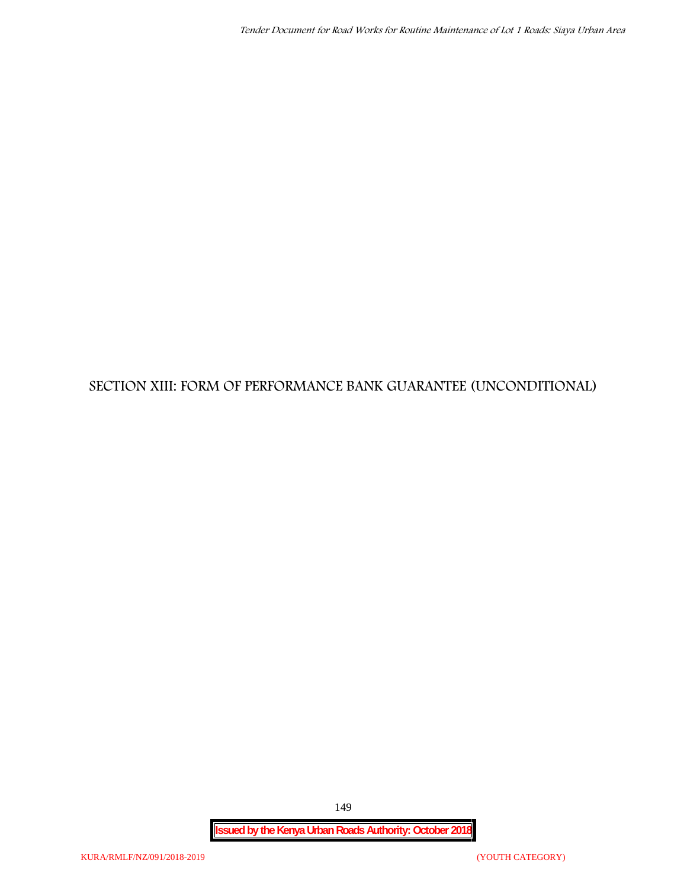# **SECTION XIII: FORM OF PERFORMANCE BANK GUARANTEE (UNCONDITIONAL)**